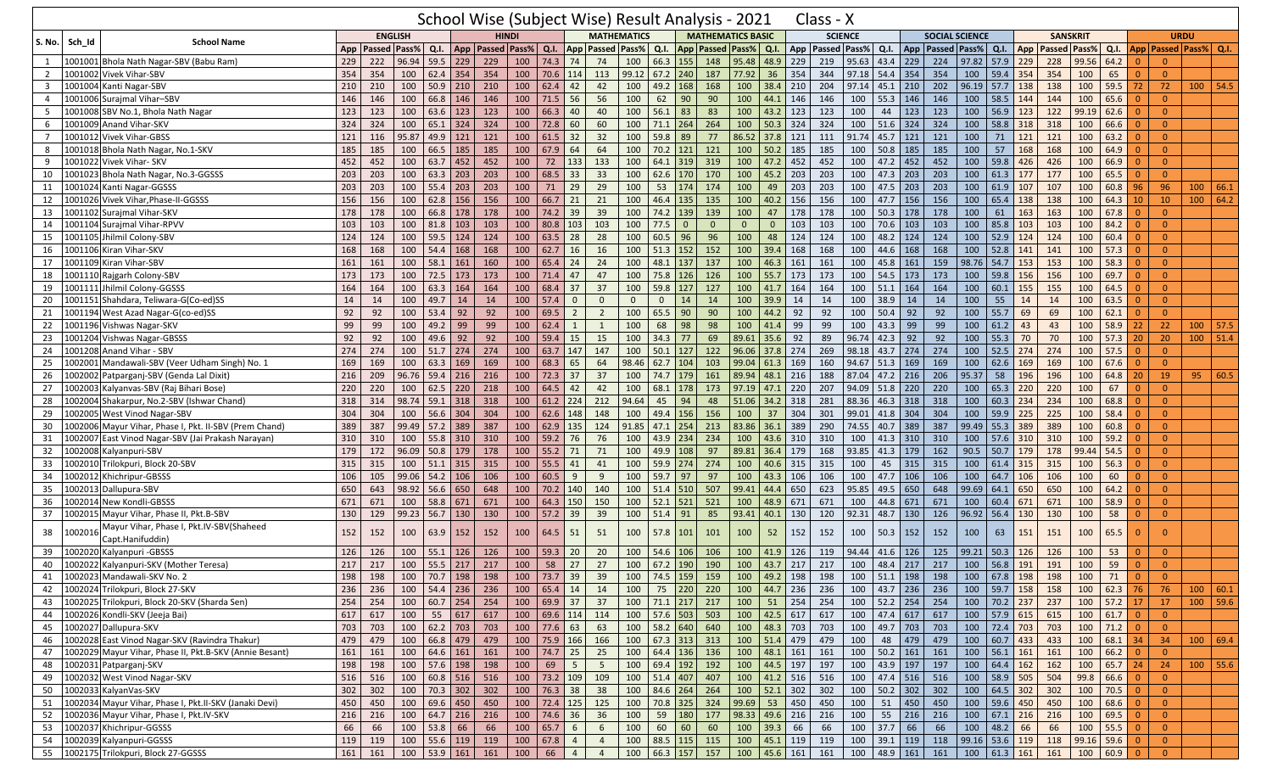|                |         |                                                              |            |                      |                |              |                                                     |              |                              |                  |                |                 |                    | School Wise (Subject Wise) Result Analysis - 2021 |              |                          |                  |            | Class - X         |                |                                                  |            |                                                            |       |                         |             |                 |                     |                                                                   |                         |                 |                             |              |
|----------------|---------|--------------------------------------------------------------|------------|----------------------|----------------|--------------|-----------------------------------------------------|--------------|------------------------------|------------------|----------------|-----------------|--------------------|---------------------------------------------------|--------------|--------------------------|------------------|------------|-------------------|----------------|--------------------------------------------------|------------|------------------------------------------------------------|-------|-------------------------|-------------|-----------------|---------------------|-------------------------------------------------------------------|-------------------------|-----------------|-----------------------------|--------------|
|                |         | <b>School Name</b>                                           |            |                      | <b>ENGLISH</b> |              |                                                     | <b>HINDI</b> |                              |                  |                |                 | <b>MATHEMATICS</b> |                                                   |              | <b>MATHEMATICS BASIC</b> |                  |            | <b>SCIENCE</b>    |                |                                                  |            | <b>SOCIAL SCIENCE</b>                                      |       |                         |             | <b>SANSKRIT</b> |                     |                                                                   |                         |                 | <b>URDU</b>                 |              |
| <b>S. No.</b>  | Sch Id  |                                                              |            | App   Passed   Pass% |                |              | Q.I.   App   Passed   Pass%                         |              |                              | Q.I.             |                |                 | App Passed Pass%   | Q.I.                                              |              | App Passed Pass% Q.I.    |                  | App        | Passed Pass% Q.I. |                |                                                  |            | App   Passed   Pass%   Q.I.   App                          |       |                         |             |                 | <b>Passed Pass%</b> | Q.I.                                                              |                         |                 | App   Passed   Pass%   Q.I. |              |
| 1              |         | 1001001 Bhola Nath Nagar-SBV (Babu Ram)                      | 229        | 222                  | 96.94          | 59.5         | 229                                                 | 229          | 100                          | 74.3             | 74             | 74              | 100                | 66.3<br>155                                       | 148          | 95.48                    | $\boxed{48.9}$   | 229        | 219               | 95.63 43.4 229 |                                                  |            | 224                                                        |       | 97.82 57.9 229          |             | 228             | 99.56               | 64.2                                                              | $\Omega$                | $\Omega$        |                             |              |
| $\overline{2}$ |         | 1001002 Vivek Vihar-SBV                                      | 354        | 354                  | 100            | 62.4         | 354                                                 | 354          | 100                          | 70.6             | 114            | 113             | 99.12              | $67.2$ 240                                        | 187          | 77.92                    | 36               | 354        | 344               | 97.18 54.4 354 |                                                  |            | 354                                                        | 100   | 59.4 354                |             | 354             | 100                 | 65                                                                | $\Omega$                | $\mathbf{0}$    |                             |              |
| $\overline{3}$ |         | 1001004 Kanti Nagar-SBV                                      | 210        | 210                  | 100            | $50.9$ 210   |                                                     | 210          | 100                          | 62.4             | 42             | 42              | 100                | 49.2 168                                          | 168          | 100                      | 38.4             | 210        | 204               | 97.14 45.1     |                                                  | 210        | 202                                                        | 96.19 | $57.7$ 138              |             | 138             | 100                 | 59.5                                                              | 72                      | 72              | $100$ 54.5                  |              |
| 4              |         | 1001006 Surajmal Vihar-SBV                                   | 146        | 146                  | 100            | 66.8 146     |                                                     | 146          | 100                          | 71.5             | 56             | 56              | 100                | 62<br>90                                          | 90           | 100                      | 44.1             | 146        | 146               | 100            | 55.3                                             | 146        | 146                                                        | 100   | 58.5                    | 144         | 144             | 100                 | 65.6                                                              | $\Omega$                | $\overline{0}$  |                             |              |
| 5              |         | 1001008 SBV No.1, Bhola Nath Nagar                           | 123        | 123                  | 100            | 63.6         | 123                                                 | 123          | 100                          | 66.3             | 40             | 40              | 100                | 56.1<br>83                                        | 83           | 100                      | 43.2             | 123        | 123               | 100            | 44                                               | 123        | 123                                                        | 100   | 56.9                    | $\vert$ 123 | 122             | 99.19               | 62.6                                                              | $\Omega$                | $\overline{0}$  |                             |              |
| 6              |         | 1001009 Anand Vihar-SKV                                      | 324        | 324                  | 100            | $65.1$ 324   |                                                     | 324          | 100                          | 72.8             | 60             | 60              | 100                | $71.1$ 264                                        | 264          | 100                      | 50.3             | 324        | 324               |                | $100$ 51.6                                       | 324        | 324                                                        | 100   | 58.8 318                |             | 318             | 100                 | 66.6                                                              |                         | $\Omega$        |                             |              |
| $\overline{7}$ |         | 1001012 Vivek Vihar-GBSS                                     | 121        | 116                  | 95.87          | 49.9 121     |                                                     | 121          | 100                          | $61.5$ 32        |                | 32              | 100                | $59.8$ 89                                         | 77           | 86.52                    | 37.8             | 121        | 111               |                | 91.74 45.7 121                                   |            | 121                                                        | 100   | 71                      | 121         | 121             | 100                 | 63.2                                                              | $\Omega$                | $\overline{0}$  |                             |              |
| 8              |         | 1001018 Bhola Nath Nagar, No.1-SKV                           | 185        | 185                  | 100            | 66.5         | 185                                                 | 185          | 100                          | 67.9             | 64             | 64              | 100                | 121<br>70.2                                       | 121          | 100                      | 50.2             | 185        | 185               | 100            | 50.8                                             | 185        | 185                                                        | 100   | 57                      | 168         | 168             | 100                 | 64.9                                                              | $\Omega$                | $\Omega$        |                             |              |
| 9              |         | 1001022 Vivek Vihar- SKV                                     | 452        | 452                  | 100            | 63.7         | 452                                                 | 452          | 100                          | 72               | 133            | 133             | 100                | 64.1 319                                          | 319          | 100                      | 47.2             | 452        | 452               | 100            | 47.2                                             | 452        | 452                                                        | 100   | 59.8                    | 426         | 426             | 100                 | 66.9                                                              | $\Omega$                | $\Omega$        |                             |              |
| 10             |         | 1001023 Bhola Nath Nagar, No.3-GGSSS                         | 203        | 203                  | 100            | 63.3         | 203                                                 | 203          | 100                          | 68.5             | 33             | 33              | 100                | 62.6 170                                          | 170          | 100                      | 45.2             | 203        | 203               | 100            | 47.3                                             | 203        | 203                                                        | 100   | $61.3$ 177              |             | 177             | 100                 | 65.5                                                              | $\Omega$                | $\Omega$        |                             |              |
| 11             |         | 1001024 Kanti Nagar-GGSSS                                    | 203        | 203                  | 100            | $55.4$ 203   |                                                     | 203          | 100                          | 71               | 29             | 29              | 100                | 53<br>174                                         | 174          | 100                      | 49               | 203        | 203               | 100            | 47.5                                             | 203        | 203                                                        | 100   | 61.9 107                |             | 107             | 100                 | 60.8                                                              | 96                      | 96              |                             | 100   66.1   |
| 12             |         | 1001026 Vivek Vihar, Phase-II-GGSSS                          | 156        | 156                  | 100            | 62.8         | 156                                                 | 156          | 100                          | 66.7             | 21             | 21              | 100                | $46.4$ 135                                        | 135          | 100                      | 40.2             | 156        | 156               | 100            | 47.7                                             | 156        | 156                                                        | 100   | 65.4 138                |             | 138             | 100                 | 64.3                                                              | 10                      | 10 <sup>°</sup> |                             | 100   64.2   |
| 13             |         | 1001102 Surajmal Vihar-SKV                                   | 178        | 178                  | 100            | 66.8 178     |                                                     | 178          | 100                          | 74.2 39          |                | 39              | 100                | 74.2 139                                          | 139          | 100                      | 47               | 178        | 178               | 100            | 50.3                                             | 178        | 178                                                        | 100   | 61                      | 163         | 163             | 100                 | 67.8                                                              | $\Omega$                | $\overline{0}$  |                             |              |
| 14             |         | 1001104 Surajmal Vihar-RPVV                                  | 103        | 103                  | 100            | 81.8         | 103                                                 | 103          | 100                          | 80.8             | 103            | 103             | 100                | 77.5<br>$\overline{\mathbf{0}}$                   | $\mathbf{0}$ | $\overline{0}$           | $\Omega$         | 103        | 103               | 100            | 70.6                                             | 103        | 103                                                        | 100   | 85.8 103                |             | 103             | 100                 | 84.2                                                              | $\Omega$                | $\overline{0}$  |                             |              |
| 15             |         | 1001105 Jhilmil Colony-SBV                                   | 124        | 124                  | 100            | 59.5 124     |                                                     | 124          | 100                          | 63.5             | 28             | 28              | 100                | $60.5$ 96                                         | 96           | 100                      | 48               | 124        | 124               | 100            | 48.2                                             | 124        | 124                                                        | 100   | $52.9$ 124              |             | 124             | 100                 | 60.4                                                              | $\Omega$                | $\Omega$        |                             |              |
| 16             |         | 001106 Kiran Vihar-SKV                                       | 168        | 168                  | 100            | 54.4         | 168                                                 | 168          | 100                          | 62.7             | 16             | 16              | 100                | $51.3$ 152                                        | 152          | 100                      | 39.4             | 168        | 168               | 100            | 44.6                                             | 168        | 168                                                        | 100   | $52.8$ 141              |             | 141             | 100                 | 57.3                                                              |                         | $\overline{0}$  |                             |              |
| 17             |         | 001109 Kiran Vihar-SBV                                       | 161        | 161                  | 100            | 58.1         | 161                                                 | 160          | 100                          | 65.4             | 24             | 24              | 100                | 48.1 137                                          | 137          | 100                      | 46.3             | 161        | 161               | 100            | 45.8                                             | 161        | 159                                                        | 98.76 | 54.7 153                |             | 153             | 100                 | 58.3                                                              | $\overline{0}$          | $\overline{0}$  |                             |              |
| 18             |         | 1001110 Rajgarh Colony-SBV                                   | 173        | 173                  | 100            | $72.5$ 173   |                                                     | 173          | 100                          | 71.4             | 47             | 47              | 100                | 75.8 126                                          | 126          | 100                      | 55.7             | 173        | 173               | 100            | 54.5                                             | 173        | 173                                                        | 100   | $59.8$ 156              |             | 156             | 100                 | 69.7                                                              | $\Omega$                | $\Omega$        |                             |              |
| 19             |         | 1001111 Jhilmil Colony-GGSSS                                 | 164        | 164                  | 100            | 63.3         | 164                                                 | 164          | 100                          | 68.4             | 37             | 37              | 100                | 59.8 127                                          | 127          | 100                      | 41.7             | 164        | 164               | 100            | 51.1                                             | 164        | 164                                                        | 100   | 60.1                    | $\vert$ 155 | 155             | 100                 | 64.5                                                              |                         | $\overline{0}$  |                             |              |
| 20             |         | 1001151 Shahdara, Teliwara-G(Co-ed)SS                        | 14         | 14                   | 100            | 49.7         | 14                                                  | 14           | 100                          | 57.4             | $\mathbf{0}$   | $\mathbf{0}$    | $\mathbf{0}$       | $\mathbf{0}$<br>14                                | 14           | 100                      | 39.9             | 14         | 14                | 100            | 38.9                                             | 14         | 14                                                         | 100   | 55                      | 14          | 14              | 100                 | 63.5                                                              | $\Omega$                | $\Omega$        |                             |              |
| 21             |         | 1001194 West Azad Nagar-G(co-ed)SS                           | 92         | 92                   | 100            | 53.4         | 92                                                  | 92           | 100                          | 69.5             | $\overline{2}$ | $\overline{2}$  | 100                | 65.5<br>90                                        | 90           | 100                      | 44.2             | 92         | 92                | 100            | 50.4                                             | 92         | 92                                                         | 100   | 55.7                    | 69          | 69              | 100                 | 62.1                                                              | $\Omega$                | $\Omega$        |                             |              |
| 22             |         | 1001196 Vishwas Nagar-SKV                                    | 99         | 99                   | 100            | 49.2         | 99                                                  | 99           | 100                          | 62.4             | $\mathbf{1}$   | 1               | 100                | 98<br>68                                          | 98           | 100                      | 41.4             | 99         | 99                | 100            | 43.3                                             | 99         | 99                                                         | 100   | 61.2                    | 43          | 43              | 100                 | 58.9                                                              | 22                      | 22              |                             | $100$   57.5 |
| 23             |         | 001204 Vishwas Nagar-GBSSS                                   | 92         | 92                   | 100            | 49.6         | 92                                                  | 92           | 100                          | 59.4             | 15             | 15              | 100                | $34.3$ 77                                         | 69           | 89.61                    | 35.6             | 92         | 89                | 96.74          | 42.3                                             | 92         | 92                                                         | 100   | 55.3                    | 70          | 70              | 100                 | 57.3                                                              | 20                      | 20              |                             | $100$ 51.4   |
| 24             |         | 001208 Anand Vihar - SBV                                     | 274        | 274                  | 100            | 51.7         | 274                                                 | 274          | 100                          | 63.7             | 147            | 147             | 100                | 127<br>50.1                                       | 122          | 96.06                    | 37.8             | 274        | 269               | 98.18          | 43.7                                             | 274        | 274                                                        | 100   | $52.5$ 274              |             | 274             | 100                 | 57.5                                                              | $\Omega$                | $\Omega$        |                             |              |
| 25             |         | L002001 Mandawali-SBV (Veer Udham Singh) No. 1               | 169        | 169                  | 100            | 63.3         | 169                                                 | 169          | 100                          | 68.3             | 65             | 64              | 98.46              | $62.7$ 104                                        | 103          | 99.04                    | 61.3             | 169        | 160               | 94.67 51.3     |                                                  | 169        | 169                                                        | 100   | $62.6$ 169              |             | 169             | 100                 | 67.6                                                              | $\Omega$                | $\Omega$        |                             |              |
| 26             |         | 002002 Patparganj-SBV (Genda Lal Dixit)                      | 216        | 209                  | 96.76          | 59.4         | 216                                                 | 216          | 100                          | 72.3             | 37             | 37              | 100                | 179<br>74.7                                       | 161          | 89.94                    | 48.1             | 216        | 188               | 87.04          | 47.2                                             | 216        | 206                                                        | 95.37 | 58                      | 196         | 196             | 100                 | 64.8                                                              | 20                      | 19              | 95                          | 60.5         |
| 27             |         | 1002003 Kalyanvas-SBV (Raj Bihari Bose)                      | 220        | 220                  | 100            | 62.5         | 220                                                 | 218          | 100                          | 64.5             | 42             | 42              | 100                | 68.1<br>178                                       | 173          | 97.19                    | 47.1             | 220        | 207               | 94.09 51.8     |                                                  | 220        | 220                                                        | 100   | 65.3                    | 220         | 220             | 100                 | 67                                                                | $\Omega$                | $\overline{0}$  |                             |              |
| 28             |         | 1002004 Shakarpur, No.2-SBV (Ishwar Chand)                   | 318        | 314                  | 98.74          | 59.1         | 318                                                 | 318          | 100                          | $61.2$ 224       |                | 212             | 94.64              | 94<br>45                                          | 48           | $51.06$ 34.2             |                  | 318        | 281               | 88.36 46.3     |                                                  | 318        | 318                                                        | 100   | $60.3$ 234              |             | 234             | 100                 | 68.8                                                              | $\Omega$                | $\Omega$        |                             |              |
| 29             |         | 1002005 West Vinod Nagar-SBV                                 | 304        | 304                  | 100            | 56.6         | 304                                                 | 304          | 100                          | 62.6             | 148            | 148             | 100                | 49.4 156                                          | 156          | 100                      | 37               | 304        | 301               |                | 99.01 41.8                                       | 304        | 304                                                        | 100   | $59.9$ 225              |             | 225             | 100                 | 58.4                                                              | $\Omega$                | $\overline{0}$  |                             |              |
| 30             |         | 1002006 Mayur Vihar, Phase I, Pkt. II-SBV (Prem Chand)       | 389        | 387                  | 99.49          | 57.2         | 389                                                 | 387          | 100                          | 62.9             | 135            | 124             | 91.85              | 254<br>47.1                                       | 213          | 83.86                    | 36.1             | 389        | 290               | 74.55 40.7     |                                                  | 389        | 387                                                        | 99.49 | $55.3$ 389              |             | 389             | 100                 | 60.8                                                              | $\Omega$                | $\Omega$        |                             |              |
| 31             |         | 1002007 East Vinod Nagar-SBV (Jai Prakash Narayan)           | 310        | 310                  | 100            | 55.8         | 310                                                 | 310          | 100                          | 59.2             | 76             | 76              | 100                | 43.9 234                                          | 234          | 100                      | 43.6             | 310        | 310               | 100            | 41.3                                             | 310        | 310                                                        | 100   | $57.6$ 310              |             | 310             | 100                 | 59.2                                                              | $\Omega$                | $\Omega$        |                             |              |
| 32             |         | 002008 Kalyanpuri-SBV                                        | 179        | 172                  | 96.09          | 50.8         | 179                                                 | 178          | 100                          | 55.2             | 71             | 71              | 100                | 49.9<br>108                                       | 97           | 89.81                    | 36.4             | 179        | 168               | 93.85          | 41.3                                             | 179        | 162                                                        | 90.5  | 50.7                    | 179         | 178             | 99.44               | 54.5                                                              |                         | $\Omega$        |                             |              |
|                | 002010  |                                                              | 315        | 315                  | 100            | 51.1         |                                                     | 315          | 100                          | 55.5             | 41             | 41              | 100                | 59.9 274                                          | 274          |                          | 40.6             | 315        | 315               | 100            | 45                                               | 315        | 315                                                        | 100   | 61.4                    | 315         | 315             | 100                 | 56.3                                                              | $\Omega$                | $\Omega$        |                             |              |
| 33<br>34       |         | Trilokpuri, Block 20-SBV                                     |            | 105                  | 99.06          | 54.2         | 315<br>106                                          | 106          | 100                          | 60.5             | 9              | 9               | 100                | 59.7 97                                           | 97           | 100<br>100               | 43.3             | 106        | 106               | 100            | 47.7                                             | 106        | 106                                                        | 100   | $64.7$ 106              |             | 106             | 100                 | 60                                                                | $\Omega$                | $\overline{0}$  |                             |              |
|                |         | 1002012 Khichripur-GBSSS                                     | 106        |                      |                |              |                                                     |              |                              |                  |                |                 |                    |                                                   |              |                          |                  |            |                   | 95.85          |                                                  |            | 648                                                        | 99.69 |                         |             |                 |                     |                                                                   |                         | $\Omega$        |                             |              |
| 35             |         | 002013 Dallupura-SBV                                         | 650<br>671 | 643                  | 98.92<br>100   | 56.6<br>58.8 | 650                                                 | 648<br>671   | 100<br>100                   | 70.2<br>64.3 150 | 140            | 140<br>150      | 100<br>100         | $51.4$ 510<br>$52.1$ 521                          | 507<br>521   | 99.41                    | 44.4<br>48.9     | 650<br>671 | 623<br>671        | 100            | 49.5<br>44.8                                     | 650<br>671 | 671                                                        | 100   | 64.1<br>60.4            | 650<br>671  | 650<br>671      | 100<br>100          | 64.2<br>58.9                                                      | $\Omega$<br>$\Omega$    | $\overline{0}$  |                             |              |
| 36             |         | 1002014 New Kondli-GBSSS                                     |            | 671                  |                |              | 671                                                 |              |                              |                  |                |                 |                    |                                                   |              | 100                      |                  |            |                   |                |                                                  |            |                                                            |       |                         |             |                 |                     | 58                                                                | $\Omega$                | $\Omega$        |                             |              |
| 37             |         | 1002015 Mayur Vihar, Phase II, Pkt.B-SBV                     | 130        | 129                  | 99.23          | 56.7         | 130                                                 | 130          | 100                          | $57.2$ 39        |                | 39              | 100                | $51.4$ 91                                         | 85           | 93.41                    | 40.1             | 130        | 120               | 92.31          | 48.7                                             | 130        | 126                                                        | 96.92 | 56.4 130                |             | 130             | 100                 |                                                                   |                         |                 |                             |              |
| 38             | 1002016 | Mayur Vihar, Phase I, Pkt.IV-SBV(Shaheed<br>Capt.Hanifuddin) | 152        | 152                  | 100            | 63.9         | 152                                                 | 152          | 100                          | 64.5             | 51             | 51              | 100                | $57.8$ 101                                        | 101          | 100                      | 52               | 152        | 152               | 100            | 50.3                                             | 152        | 152                                                        | 100   | 63                      | 151         | 151             | 100                 | 65.5                                                              |                         | $\Omega$        |                             |              |
| 39             |         | 1002020 Kalyanpuri - GBSSS                                   | 126        | 126                  | 100            | $55.1$ 126   |                                                     | 126          | 100                          | 59.3             | 20             | 20              | 100                | 54.6 106                                          | 106          | 100                      | 41.9             | 126        | 119               | 94.44 41.6     |                                                  | 126        | 125                                                        | 99.21 | $50.3$ 126              |             | 126             | 100                 | 53                                                                | $\Omega$                | $\overline{0}$  |                             |              |
| 40             |         | 1002022 Kalyanpuri-SKV (Mother Teresa)                       | 217        | 217                  | 100            | 55.5         | 217                                                 | 217          | 100                          | 58               | 27             | 27              | 100                | 67.2 190                                          | 190          | 100                      | 43.7             | 217        | 217               | 100            | 48.4                                             | 217        | 217                                                        | 100   | 56.8                    | 191         | 191             | 100                 | 59                                                                |                         | $\Omega$        |                             |              |
|                |         | 41   1002023   Mandawali-SKV No. 2                           | 198        |                      |                |              | 198   100   70.7   198   198   100   73.7   39   39 |              |                              |                  |                |                 |                    | 100 74.5 159 159                                  |              |                          |                  |            | 100 49.2 198 198  |                |                                                  |            | 100   51.1   198   198   100   67.8   198   198   100   71 |       |                         |             |                 |                     |                                                                   |                         |                 |                             |              |
| 42             |         | 1002024 Trilokpuri, Block 27-SKV                             | 236        | 236                  | 100            |              | 54.4 236 236                                        |              | $100 \mid 65.4 \mid 14 \mid$ |                  |                | 14              | 100                | 75 220 220                                        |              |                          |                  |            | 100 44.7 236 236  |                | 100 43.7 236                                     |            | 236                                                        |       | 100 59.7 158            |             | 158             | 100                 | $62.3$ 76                                                         |                         | 76              |                             | 100   60.1   |
| 43             |         | 1002025 Trilokpuri, Block 20-SKV (Sharda Sen)                | 254        | 254                  | 100            | $60.7$ 254   |                                                     | 254          |                              | 100 69.9 37      |                | 37              | 100                | 71.1 217                                          | 217          | 100                      | 51               | 254        | 254               |                | 100 52.2 254                                     |            | 254                                                        |       | 100 70.2 237            |             | 237             | 100                 | 57.2                                                              | 17                      | 17              |                             | $100$ 59.6   |
| 44             |         | 1002026 Kondli-SKV (Jeeja Bai)                               | 617        | 617                  |                |              | 100 55 617 617                                      |              |                              | 100 69.6 114 114 |                |                 |                    | 100 57.6 503 503                                  |              |                          | 100   42.5   617 |            | 617               |                | 100 47.4 617                                     |            | 617                                                        |       | 100 57.9 615            |             | 615             |                     | $100 \mid 61.7 \mid 0$                                            |                         | $\overline{0}$  |                             |              |
| 45             |         | 1002027 Dallupura-SKV                                        | 703        | 703                  |                |              | 100 62.2 703 703                                    |              |                              | $100$ 77.6 63    |                | 63              |                    | 100 58.2 640                                      | 640          |                          | 100 48.3 703     |            | 703               |                | 100 49.7 703                                     |            | 703                                                        |       | 100 72.4 703            |             | 703             | 100                 | $71.2 \quad 0$                                                    |                         | $\overline{0}$  |                             |              |
| 46             |         | 1002028 East Vinod Nagar-SKV (Ravindra Thakur)               | 479        | 479                  | 100            | 66.8 479     |                                                     | 479          | 100                          | 75.9 166         |                | 166             |                    | 100 67.3 313                                      | 313          |                          | 100 51.4 479     |            | 479               | 100            | 48                                               | 479        | 479                                                        |       | 100 60.7 433            |             | 433             | 100                 | 68.1                                                              | 34                      | 34              | 100   69.4                  |              |
|                |         | 1002029 Mayur Vihar, Phase II, Pkt.B-SKV (Annie Besant)      | 161        |                      |                |              |                                                     |              |                              |                  |                |                 |                    | 100 64.4 136 136                                  |              |                          |                  |            |                   |                |                                                  |            |                                                            |       | 100 56.1 161            |             |                 |                     |                                                                   |                         | $\overline{0}$  |                             |              |
| 47             |         |                                                              |            | 161                  |                |              | 100 64.6 161 161                                    |              |                              | $100$ 74.7 25    |                | 25              |                    |                                                   |              |                          | 100 48.1 161     |            | 161               |                | 100 50.2 161                                     |            | 161                                                        |       |                         |             | 161             | 100                 | 66.2                                                              | $\overline{0}$          |                 |                             |              |
| 48             |         | 1002031 Patparganj-SKV                                       | 198        | 198                  |                |              | 100 57.6 198 198                                    |              | 100                          | 69               | 5 <sup>5</sup> | $5\overline{5}$ | 100                | 69.4 192                                          | 192          |                          | 100 44.5 197     |            | 197               |                | 100 43.9 197                                     |            | 197                                                        |       | 100 64.4 162            |             | 162             | 100                 | $65.7$ 24                                                         |                         | 24              | $100$ 55.6                  |              |
| 49             |         | 1002032 West Vinod Nagar-SKV                                 | 516        | 516                  |                |              | 100 60.8 516 516                                    |              |                              | 100 73.2 109     |                | 109             |                    | 100 51.4 407                                      | 407          |                          | 100 41.2 516     |            | 516               |                | 100 47.4 516                                     |            | 516                                                        |       | 100 58.9 505            |             | 504             | 99.8                | 66.6                                                              |                         | $\overline{0}$  |                             |              |
| 50             |         | 1002033 KalyanVas-SKV                                        | 302        | 302                  | 100            | 70.3 302     |                                                     | 302          |                              | 100 76.3 38      |                | 38              |                    | 100 84.6 264                                      | 264          |                          | 100 52.1 302     |            | 302               |                | 100 50.2 302                                     |            | 302                                                        |       | 100 64.5 302            |             | 302             | 100                 | 70.5                                                              | $\overline{\mathbf{0}}$ | $\overline{0}$  |                             |              |
| 51             |         | 1002034 Mayur Vihar, Phase I, Pkt.II-SKV (Janaki Devi)       | 450        | 450                  | 100            |              | 69.6 450 450                                        |              |                              | 100 72.4 125     |                | 125             | 100                | 70.8 325                                          | 324          | 99.69 53                 |                  | 450        | 450               |                | 100 51                                           | 450        | 450                                                        |       | 100 59.6 450            |             | 450             | 100                 | $68.6$ 0                                                          |                         | $\overline{0}$  |                             |              |
| 52             |         | 1002036 Mayur Vihar, Phase I, Pkt.IV-SKV                     | 216        | 216                  | 100            | $64.7$ 216   |                                                     | 216          | 100                          | $74.6$ 36        |                | 36              | 100                | 59 180                                            | 177          | 98.33 49.6 216           |                  |            | 216               |                | 100 55                                           | 216        | 216                                                        |       | 100 67.1 216            |             | 216             | 100                 | 69.5                                                              |                         | $\overline{0}$  |                             |              |
| 53             |         | 1002037 Khichripur-GGSSS                                     | 66         | 66                   |                | 100 53.8 66  |                                                     | 66           |                              | 100   65.7   6   |                | 6               | 100                | $60 \mid 60$                                      | 60           |                          | 100 39.3 66      |            | 66                |                | $100 \begin{array}{ c c } 37.7 & 66 \end{array}$ |            | 66                                                         |       | $100 \mid 48.2 \mid 66$ |             | 66              | 100                 | $55.5 \begin{array}{ c c } \hline 55.5 & 0 \\ \hline \end{array}$ |                         | $\overline{0}$  |                             |              |
| 54             |         | 1002039 Kalyanpuri-GGSSS                                     | 119        | 119                  |                |              | 100 55.6 119 119                                    |              | 100                          | $67.8$           | $\overline{4}$ | $\overline{4}$  | 100                | 88.5 115                                          | 115          |                          | 100 45.1 119     |            | 119               |                | 100 39.1 119                                     |            | 118                                                        |       | 99.16 53.6 119          |             | 118             | $99.16$ 59.6 0      |                                                                   |                         | $\overline{0}$  |                             |              |
|                |         | 55 1002175 Trilokpuri, Block 27-GGSSS                        | 161        | 161                  |                |              | 100 53.9 161 161                                    |              | 100                          | 66               | $\overline{4}$ | $\overline{4}$  |                    | 100 66.3 157                                      | 157          |                          | 100 45.6 161     |            | 161               |                | 100 48.9 161                                     |            | 161                                                        |       | 100 61.3 161            |             | 161             |                     | 100   60.9   0                                                    |                         | $\mathbf{0}$    |                             |              |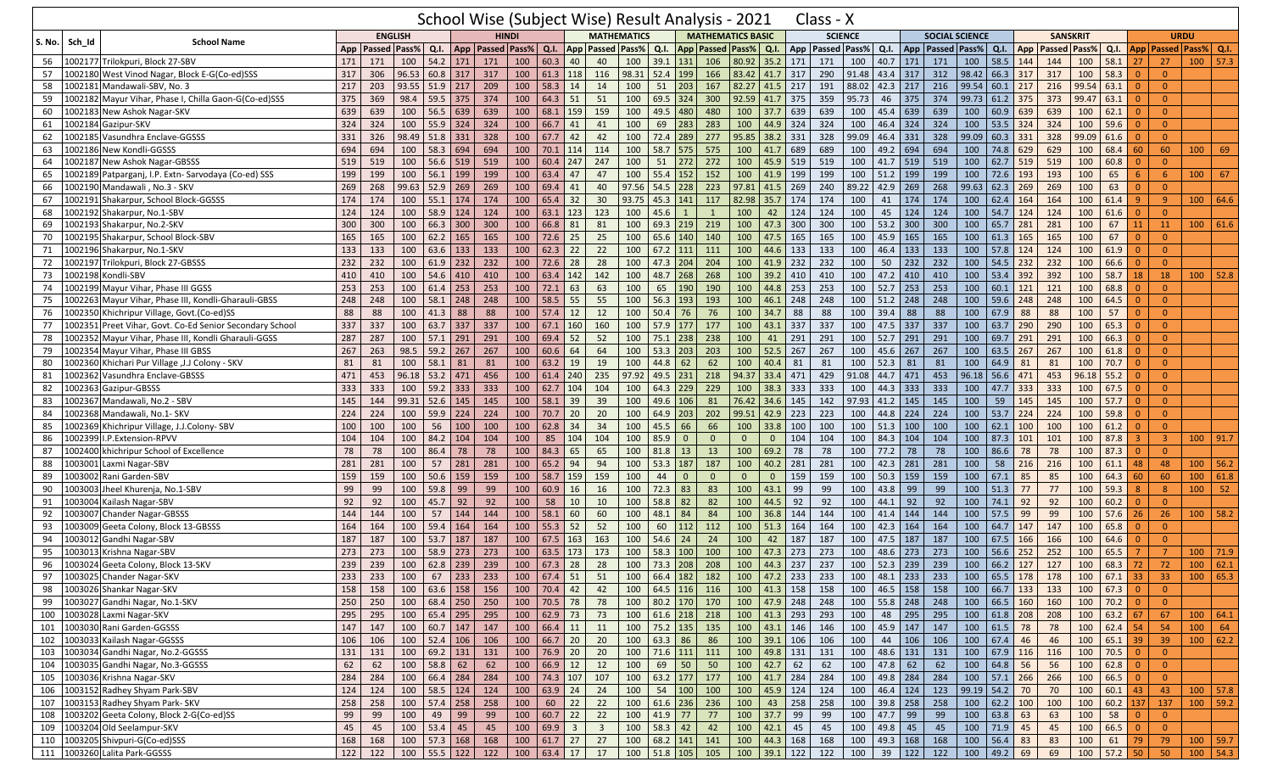|                         |                                                      |     |     |                                                                            |                      | School Wise (Subject Wise) Result Analysis - 2021 |              |      |                                 |                         |                      |             |                     |                |                             |                         |     | Class - X                                                                                    |       |                               |        |                       |       |                         |              |                 |                                                    |                                                                   |                |                             |               |              |
|-------------------------|------------------------------------------------------|-----|-----|----------------------------------------------------------------------------|----------------------|---------------------------------------------------|--------------|------|---------------------------------|-------------------------|----------------------|-------------|---------------------|----------------|-----------------------------|-------------------------|-----|----------------------------------------------------------------------------------------------|-------|-------------------------------|--------|-----------------------|-------|-------------------------|--------------|-----------------|----------------------------------------------------|-------------------------------------------------------------------|----------------|-----------------------------|---------------|--------------|
| <b>S. No.</b><br>Sch Id | <b>School Name</b>                                   |     |     | <b>ENGLISH</b>                                                             |                      |                                                   | <b>HINDI</b> |      |                                 |                         | <b>MATHEMATICS</b>   |             |                     |                | <b>MATHEMATICS BASIC</b>    |                         |     | <b>SCIENCE</b>                                                                               |       |                               |        | <b>SOCIAL SCIENCE</b> |       |                         |              | <b>SANSKRIT</b> |                                                    |                                                                   |                |                             | <b>URDU</b>   |              |
|                         |                                                      |     |     | App   Passed   Pass%                                                       | Q.I.                 | App   Passed   Pass%                              |              | Q.I. |                                 |                         | App   Passed   Pass% | Q.I.        |                     |                | App   Passed   Pass%   Q.I. |                         | App | <b>Passed Pass%</b>                                                                          |       | Q.I.                          |        |                       |       |                         |              |                 | App   Passed   Pass%   Q.I.   App   Passed   Pass% | Q.I.                                                              |                | App   Passed   Pass%   Q.I. |               |              |
| 56                      | 1002177 Trilokpuri, Block 27-SBV                     | 171 | 171 | 100                                                                        | 54.2                 | 171<br>171                                        | 100          | 60.3 | 40                              | 40                      | 100                  | 39.1        | 131                 | 106            | 80.92 35.2                  |                         | 171 | 171                                                                                          | 100   | 40.7                          | $171$  | 171                   | 100   | $58.5$ 144              |              | 144             | 100                                                | 58.1                                                              | 27             | 27                          | 100           | 57.3         |
| 57                      | 1002180 West Vinod Nagar, Block E-G(Co-ed)SSS        | 317 | 306 | 96.53                                                                      | 60.8 317             | 317                                               | 100          |      | $61.3$ 118                      | 116                     | 98.31                | 52.4        | 199                 | 166            | 83.42 41.7                  |                         | 317 | 290                                                                                          | 91.48 | 43.4 317                      |        | 312                   | 98.42 | 66.3 317                |              | 317             | 100                                                | 58.3                                                              | $\Omega$       | $\overline{0}$              |               |              |
| 58<br>1002181           | Mandawali-SBV, No. 3                                 | 217 | 203 | 93.55                                                                      | 51.9                 | 209<br>217                                        | 100          | 58.3 | 14                              | 14                      | 100                  | 51          | 203                 | 167            | 82.27                       | 41.5                    | 217 | 191                                                                                          | 88.02 | 42.3                          | 217    | 216                   | 99.54 | $60.1$ 217              |              | 216             | 99.54                                              | 63.1                                                              |                | $\Omega$                    |               |              |
| 1002182<br>59           | Mayur Vihar, Phase I, Chilla Gaon-G(Co-ed)SSS        | 375 | 369 | 98.4                                                                       | 59.5 375             | 374                                               | 100          |      | $64.3$ 51                       | 51                      | 100                  | 69.5        | $324$               | 300            | $92.59$ 41.7                |                         | 375 | 359                                                                                          | 95.73 | 46                            | 375    | 374                   | 99.73 | $61.2$ 375              |              | 373             | 99.47                                              | 63.1                                                              | $\Omega$       | $\overline{0}$              |               |              |
| 60                      | 1002183 New Ashok Nagar-SKV                          | 639 | 639 | 100                                                                        | 56.5                 | 639<br>639                                        | 100          | 68.1 | 159                             | 159                     | 100                  | 49.5        | 480                 | 480            |                             | $100$ 37.7              | 639 | 639                                                                                          | 100   | 45.4                          | 639    | 639                   | 100   | $60.9$ 639              |              | 639             | 100                                                | 62.1                                                              |                | $\overline{0}$              |               |              |
| 61<br>1002184           | Gazipur-SKV                                          | 324 | 324 | 100                                                                        | 55.9<br>324          | 324                                               | 100          | 66.7 | 41                              | 41                      | 100                  | 69          | 283                 | 283            | 100                         | 44.9                    | 324 | 324                                                                                          | 100   | 46.4                          | 324    | 324                   | 100   | $53.5$ 324              |              | 324             | 100                                                | 59.6                                                              |                | $\overline{0}$              |               |              |
| 1002185<br>62           | Vasundhra Enclave-GGSSS                              | 331 | 326 | 98.49                                                                      | 331<br>51.8          | 328                                               | 100          | 67.7 | 42                              | 42                      | 100                  | 72.4        | 289                 | 277            | 95.85 38.2                  |                         | 331 | 328                                                                                          | 99.09 | 46.4                          | 331    | 328                   | 99.09 | $60.3$ 331              |              | 328             | 99.09                                              | 61.6                                                              | $\Omega$       | $\Omega$                    |               |              |
| 63                      | 1002186 New Kondli-GGSSS                             | 694 | 694 | 100                                                                        | 58.3                 | 694<br>694                                        | 100          |      | $70.1$ 114                      | 114                     | 100                  | 58.7        | 575                 | 575            | $100$ 41.7                  |                         | 689 | 689                                                                                          | 100   | 49.2                          | 694    | 694                   | 100   | 74.8 629                |              | 629             | 100                                                | 68.4                                                              | 60             | 60                          | 100           | 69           |
| 64<br>1002187           | <b>New Ashok Nagar-GBSSS</b>                         | 519 | 519 | 100                                                                        | 56.6                 | 519<br>519                                        | 100          | 60.4 | 247                             | 247                     | 100                  | 51          | 272                 | 272            | 100                         | 45.9                    | 519 | 519                                                                                          | 100   | 41.7                          | 519    | 519                   | 100   | $62.7$ 519              |              | 519             | 100                                                | 60.8                                                              |                | $\Omega$                    |               |              |
| 1002189<br>65           | Patparganj, I.P. Extn- Sarvodaya (Co-ed) SSS         | 199 | 199 | 100                                                                        | $56.1$ 199           | 199                                               | 100          | 63.4 | 47                              | 47                      | 100                  | 55.4        | 152                 | 152            | 100                         | 41.9                    | 199 | 199                                                                                          | 100   | 51.2                          | 199    | 199                   | 100   | 72.6 193                |              | 193             | 100                                                | 65                                                                | 6              | 6                           | 100           | 67           |
| 66<br>1002190           | Mandawali, No.3 - SKV                                | 269 | 268 | 99.63                                                                      | 52.9                 | 269<br>269                                        | 100          | 69.4 | 41                              | 40                      | 97.56                | 54.5        | 228                 | 223            | 97.81                       | 41.5                    | 269 | 240                                                                                          | 89.22 | 42.9                          | 269    | 268                   | 99.63 | $62.3$ 269              |              | 269             | 100                                                | 63                                                                | $\Omega$       | $\Omega$                    |               |              |
| 67<br>1002191           | Shakarpur, School Block-GGSSS                        | 174 | 174 | 100                                                                        | 55.1                 | 174<br>174                                        | 100          | 65.4 | 32                              | 30                      | 93.75                | 45.3        | 141                 | 117            | 82.98                       | 35.7                    | 174 | 174                                                                                          | 100   | 41                            | 174    | 174                   | 100   | 62.4                    | 164          | 164             | 100                                                | 61.4                                                              |                | $\overline{9}$              |               | 100 64.6     |
| 68                      | 1002192 Shakarpur, No.1-SBV                          | 124 | 124 | 100                                                                        | 58.9<br>124          | 124                                               | 100          |      | $63.1$ 123                      | 123                     | 100                  | 45.6        | $\overline{1}$      | $\mathbf{1}$   | 100                         | 42                      | 124 | 124                                                                                          | 100   | 45                            | 124    | 124                   | 100   | $54.7$ 124              |              | 124             | 100                                                | 61.6                                                              | $\overline{0}$ | $\overline{0}$              |               |              |
| 69                      | 1002193 Shakarpur, No.2-SKV                          | 300 | 300 | 100                                                                        | 66.3                 | 300<br>300                                        | 100          | 66.8 | 81                              | 81                      | 100                  | 69.3        | 219                 | 219            | 100                         | 47.3                    | 300 | 300                                                                                          | 100   | 53.2                          | 300    | 300                   | 100   | 65.7 281                |              | 281             | 100                                                | 67                                                                | 11             | 11                          |               | 100   61.6   |
| 70                      | 1002195 Shakarpur, School Block-SBV                  | 165 | 165 | 100                                                                        | 62.2                 | 165<br>165                                        | 100          | 72.6 | 25                              | 25                      | 100                  | 65.6        | 140                 | 140            | 100                         | 47.5                    | 165 | 165                                                                                          | 100   | 45.9                          | 165    | 165                   | 100   | $61.3$ 165              |              | 165             | 100                                                | 67                                                                |                | $\Omega$                    |               |              |
| 71                      | 1002196 Shakarpur, No.1-SKV                          | 133 | 133 | 100                                                                        | 63.6                 | 133<br>133                                        | 100          | 62.3 | 22                              | 22                      | 100                  | $67.2$ 111  |                     | 111            | 100                         | 44.6                    | 133 | 133                                                                                          | 100   | 46.4                          | 133    | 133                   | 100   | 57.8 124                |              | 124             | 100                                                | 61.9                                                              | $\overline{0}$ | $\overline{0}$              |               |              |
| 1002197<br>72           | Trilokpuri, Block 27-GBSSS                           | 232 | 232 | 100                                                                        | 61.9                 | 232<br>232                                        | 100          | 72.6 | 28                              | 28                      | 100                  | 47.3        | 204                 | 204            | 100                         | 41.9                    | 232 | 232                                                                                          | 100   | 50                            | 232    | 232                   | 100   | $54.5$ 232              |              | 232             | 100                                                | 66.6                                                              | $\Omega$       | $\Omega$                    |               |              |
| 73<br>1002198           | Kondli-SBV                                           | 410 | 410 | 100                                                                        | 54.6                 | 410<br>410                                        | 100          | 63.4 | 142                             | 142                     | 100                  | 48.7        | 268                 | 268            | 100                         | 39.2                    | 410 | 410                                                                                          | 100   | 47.2                          | 410    | 410                   | 100   | 53.4 392                |              | 392             | 100                                                | 58.7                                                              | 18             | 18                          |               | $100$ 52.8   |
| 1002199<br>74           | Mayur Vihar, Phase III GGSS                          | 253 | 253 | 100                                                                        | 61.4<br>253          | 253                                               | 100          | 72.1 | 63                              | 63                      | 100                  | 65          | 190                 | 190            | 100                         | 44.8                    | 253 | 253                                                                                          | 100   | 52.7                          | 253    | 253                   | 100   | $60.1$ 121              |              | 121             | 100                                                | 68.8                                                              | $\Omega$       | $\overline{0}$              |               |              |
| 75                      | 1002263 Mayur Vihar, Phase III, Kondli-Gharauli-GBSS | 248 | 248 | 100                                                                        | 58.1<br>248          | 248                                               | 100          | 58.5 | 55                              | 55                      | 100                  | 56.3        | 193                 | 193            | 100                         | 46.1                    | 248 | 248                                                                                          | 100   | 51.2                          | 248    | 248                   | 100   | $59.6$ 248              |              | 248             | 100                                                | 64.5                                                              | $\Omega$       | $\Omega$                    |               |              |
| 76<br>1002350           | Khichripur Village, Govt. (Co-ed)SS                  | 88  | 88  | 100                                                                        | 41.3                 | 88<br>88                                          | 100          | 57.4 | 12                              | 12                      | 100                  | 50.4        | 76                  | 76             | 100                         | 34.7                    | 88  | 88                                                                                           | 100   | 39.4                          | 88     | 88                    | 100   | $67.9$ 88               |              | 88              | 100                                                | 57                                                                |                | $\Omega$                    |               |              |
| -77<br>1002351          | Preet Vihar, Govt. Co-Ed Senior Secondary School     | 337 | 337 | 100                                                                        | 63.7<br>337          | 337                                               | 100          |      | 67.1 160                        | 160                     | 100                  | 57.9        | 177                 | 177            | 100                         | 43.1                    | 337 | 337                                                                                          | 100   | 47.5                          | 337    | 337                   | 100   | $63.7$ 290              |              | 290             | 100                                                | 65.3                                                              | $\Omega$       | $\mathbf{0}$                |               |              |
| 1002352<br>78           | Mayur Vihar, Phase III, Kondli Gharauli-GGSS         | 287 | 287 | 100                                                                        | 57.1<br>291          | 291                                               | 100          | 69.4 | 52                              | 52                      | 100                  | 75.1        | 238                 | 238            | 100                         | 41                      | 291 | 291                                                                                          | 100   | 52.7                          | 291    | 291                   | 100   | 69.7 291                |              | 291             | 100                                                | 66.3                                                              | $\Omega$       | $\mathbf{0}$                |               |              |
| 79<br>1002354           | Mayur Vihar, Phase III GBSS                          | 267 | 263 | 98.5                                                                       | 267<br>59.2          | 267                                               | 100          | 60.6 | 64                              | 64                      | 100                  | 53.3        | 203                 | 203            | 100                         | 52.5                    | 267 | 267                                                                                          | 100   | 45.6                          | 267    | 267                   | 100   | 63.5 267                |              | 267             | 100                                                | 61.8                                                              |                | $\Omega$                    |               |              |
| 80<br>1002360           | Khichari Pur Village , J.J Colony - SKV              | 81  | 81  | 100                                                                        | 58.1                 | 81<br>81                                          | 100          | 63.2 | 19                              | 19                      | 100                  | 44.8        | 62                  | 62             | 100                         | 40.4                    | 81  | 81                                                                                           | 100   | 52.3                          | 81     | 81                    | 100   | $64.9$ 81               |              | 81              | 100                                                | 70.7                                                              | $\Omega$       | $\overline{0}$              |               |              |
| 81                      | 1002362 Vasundhra Enclave-GBSSS                      | 471 | 453 | 96.18                                                                      | 53.2                 | 456<br>471                                        | 100          | 61.4 | 240                             | 235                     | 97.92                | 49.5        | 231                 | 218            | 94.37 33.4                  |                         | 471 | 429                                                                                          | 91.08 | 44.7                          | 471    | 453                   | 96.18 | 56.6 471                |              | 453             | 96.18                                              | 55.2                                                              | $\Omega$       | $\Omega$                    |               |              |
| 82                      | 1002363 Gazipur-GBSSS                                | 333 | 333 | 100                                                                        | 59.2                 | 333<br>333                                        | 100          |      | 62.7 104                        | 104                     | 100                  | 64.3        | 229                 | 229            | $100$ 38.3                  |                         | 333 | 333                                                                                          | 100   | 44.3                          | 333    | 333                   | 100   | 47.7 333                |              | 333             | 100                                                | 67.5                                                              | $\Omega$       | $\Omega$                    |               |              |
| 83<br>1002367           | Mandawali, No.2 - SBV                                | 145 | 144 | 99.31                                                                      | 52.6                 | 145<br>145                                        | 100          | 58.1 | 39                              | 39                      | 100                  | 49.6        | 106                 | 81             | 76.42 34.6                  |                         | 145 | 142                                                                                          | 97.93 | 41.2                          | 145    | 145                   | 100   | 59                      | 145          | 145             | 100                                                | 57.7                                                              | $\Omega$       | $\Omega$                    |               |              |
| 84<br>1002368           | Mandawali, No.1- SKV                                 | 224 | 224 | 100                                                                        | 59.9                 | 224<br>224                                        | 100          | 70.7 | 20                              | 20                      | 100                  | 64.9        | 203                 | 202            | 99.51 42.9                  |                         | 223 | 223                                                                                          | 100   | $44.8$ 224                    |        | 224                   | 100   | $53.7$ 224              |              | 224             | 100                                                | 59.8                                                              | $\Omega$       | $\overline{0}$              |               |              |
| 85<br>1002369           | Khichripur Village, J.J.Colony-SBV                   | 100 | 100 | 100                                                                        | 56                   | 100<br>100                                        | 100          | 62.8 | 34                              | 34                      | 100                  | 45.5        | 66                  | 66             |                             | $100$ 33.8              | 100 | 100                                                                                          | 100   | 51.3                          | 100    | 100                   | 100   | $62.1$ 100              |              | 100             | 100                                                | 61.2                                                              | $\Omega$       | $\Omega$                    |               |              |
| 86                      | 002399 I.P.Extension-RPVV                            | 104 | 104 | 100                                                                        | 84.2<br>104          | 104                                               | 100          | 85   | 104                             | 104                     | 100                  | 85.9        | $\mathbf{0}$        | $\mathbf{0}$   | $\mathbf{0}$                | $\overline{0}$          | 104 | 104                                                                                          | 100   | 84.3                          | 104    | 104                   | 100   | $87.3$ 101              |              | 101             | 100                                                | 87.8                                                              | -3             | $\overline{3}$              |               | $100$   91.7 |
| 1002400<br>87           | khichripur School of Excellence                      | 78  | 78  | 100                                                                        | 86.4                 | 78<br>78                                          | 100          | 84.3 | 65                              | 65                      | 100                  | 81.8        | 13                  | 13             | 100                         | 69.2                    | 78  | 78                                                                                           | 100   | 77.2                          | 78     | 78                    | 100   | 86.6                    | 78           | 78              | 100                                                | 87.3                                                              | $\Omega$       | $\Omega$                    |               |              |
| 88<br>1003001           | Laxmi Nagar-SBV                                      | 281 | 281 | 100                                                                        | 57<br>281            | 281                                               | 100          | 65.2 | 94                              | 94                      | 100                  | 53.3        | 187                 | 187            | 100                         | 40.2                    | 281 | 281                                                                                          | 100   | 42.3                          | 281    | 281                   | 100   | 58                      |              | 216             | 100                                                | 61.1                                                              | 48             | 48                          |               | $100$ 56.2   |
| 89                      | 003002 Rani Garden-SBV                               | 159 | 159 | 100                                                                        | 50.6                 | 159<br>159                                        | 100          | 58.7 | 159                             | 159                     | 100                  | 44          | $\mathbf 0$         | $\overline{0}$ | $\Omega$                    | $\overline{0}$          | 159 | 159                                                                                          | 100   | 50.3                          | 159    | 159                   | 100   | $67.1$ 85               |              | 85              | 100                                                | 64.3                                                              | 60             | 60                          |               | 100   61.8   |
| 90<br>1003003           | Jheel Khurenja, No.1-SBV                             | 99  | 99  | 100                                                                        | 59.8                 | 99<br>99                                          | 100          |      | $60.9$ 16                       | 16                      | 100                  | 72.3        | 83                  | 83             | 100                         | 43.1                    | 99  | 99                                                                                           | 100   | 43.8                          | 99     | 99                    | 100   | $51.3$ 77               |              | 77              | 100                                                | 59.3                                                              | 8              | 8                           | 100           | 52           |
| 1003004<br>91           | Kailash Nagar-SBV                                    | 92  | 92  | 100                                                                        | 45.7                 | 92<br>92                                          | 100          | 58   | 10                              | 10                      | 100                  | 58.8        | 82                  | 82             | 100                         | 44.5                    | 92  | 92                                                                                           | 100   | 44.1                          | 92     | 92                    | 100   | 74.1 92                 |              | 92              | 100                                                | 60.2                                                              | $\Omega$       | $\Omega$                    |               |              |
| 92                      | 003007 Chander Nagar-GBSSS                           | 144 | 144 | 100                                                                        | 57                   | 144<br>144                                        | 100          | 58.1 | 60                              | 60                      | 100                  | 48.1        | 84                  | 84             | 100                         | 36.8                    | 144 | 144                                                                                          | 100   | 41.4                          | 144    | 144                   | 100   | 57.5                    | 99           | 99              | 100                                                | 57.6                                                              | 26             | 26                          | 100           | 58.2         |
| 93                      | 1003009 Geeta Colony, Block 13-GBSSS                 | 164 | 164 | 100                                                                        | 59.4                 | 164<br>164                                        | 100          |      | $55.3$ 52                       | 52                      | 100                  | 60          | 112                 | 112            | 100                         | 51.3                    | 164 | 164                                                                                          | 100   | 42.3                          | 164    | 164                   | 100   | 64.7 147                |              | 147             | 100                                                | 65.8                                                              | $\Omega$       | $\Omega$                    |               |              |
| 94                      | 1003012 Gandhi Nagar-SBV                             | 187 | 187 | 100                                                                        | 53.7<br>187          | 187                                               | 100          | 67.5 | 163                             | 163                     | 100                  | 54.6        | 24                  | 24             | 100                         | 42                      | 187 | 187                                                                                          | 100   | 47.5                          | 187    | 187                   | 100   | 67.5 166                |              | 166             | 100                                                | 64.6                                                              | $\Omega$       | $\Omega$                    |               |              |
| 95                      | 1003013 Krishna Nagar-SBV                            | 273 | 273 | 100                                                                        | 58.9                 | 273<br>273                                        | 100          | 63.5 | 173                             | 173                     | 100                  | 58.3        | 100                 | 100            | 100                         | 47.3                    | 273 | 273                                                                                          | 100   | 48.6                          | 273    | 273                   | 100   | $56.6$ 252              |              | 252             | 100                                                | 65.5                                                              |                | 7                           |               | 100 71.9     |
| 96                      | 1003024 Geeta Colony, Block 13-SKV                   | 239 | 239 | 100                                                                        | 62.8                 | 239<br>239                                        | 100          | 67.3 | 28                              | 28                      | 100                  | 73.3        | 208                 | 208            | 100                         | 44.3                    | 237 | 237                                                                                          | 100   | 52.3                          | 239    | 239                   | 100   | 66.2 127                |              | 127             | 100                                                | 68.3                                                              | 72             | 72                          |               | 100   62.1   |
|                         | 97   1003025 Chander Nagar-SKV                       | 233 |     | 233   100   67   233   233   100   67.4   51   51   100   66.4   182   182 |                      |                                                   |              |      |                                 |                         |                      |             |                     |                |                             |                         |     | $100$   47.2   233   233   100   48.1   233   233   100   65.5   178   178   100   67.1   33 |       |                               |        |                       |       |                         |              |                 |                                                    |                                                                   |                | 33 <sup>2</sup>             |               | 100   65.3   |
| 98                      | 1003026 Shankar Nagar-SKV                            | 158 | 158 | $100 \mid 63.6 \mid 158 \mid$                                              |                      | 156                                               |              |      | $100$ 70.4 42                   | 42                      |                      |             | 100 64.5 116 116    |                |                             | 100 41.3 158            |     | 158                                                                                          |       |                               |        | 100 46.5 158 158      | 100   |                         | 66.7 133 133 |                 | $100 \mid 67.3 \mid 0$                             |                                                                   |                | $\overline{0}$              |               |              |
| 99                      | 1003027 Gandhi Nagar, No.1-SKV                       | 250 | 250 |                                                                            | $100 \t 68.4 \t 250$ | 250                                               |              |      | 100 70.5 78                     | 78                      |                      |             | 100 80.2 170 170    |                |                             | 100 47.9 248            |     | 248                                                                                          |       | 100 55.8 248 248              |        |                       |       | 100 66.5 160 160        |              |                 |                                                    | $100$ 70.2 0                                                      |                | $\overline{0}$              |               |              |
|                         | 100 1003028 Laxmi Nagar-SKV                          | 295 | 295 |                                                                            |                      | 100 65.4 295 295                                  |              |      | 100 62.9 73 73                  |                         |                      |             | 100 61.6 218 218    |                |                             | 100 41.3 293            |     | 293                                                                                          | 100   |                               |        | 48 295 295            |       | 100 61.8 208 208        |              |                 | 100   63.2   67                                    |                                                                   |                | 67                          |               | 100   64.1   |
|                         | 101 1003030 Rani Garden-GGSSS                        | 147 | 147 |                                                                            |                      | 100 60.7 147 147                                  |              |      | $100 \mid 66.4 \mid 11 \mid 11$ |                         |                      |             | 100 75.2 135 135    |                |                             | 100 43.1 146            |     | 146                                                                                          |       |                               |        | 100 45.9 147 147      |       | 100 61.5 78             |              | 78              |                                                    | 100 62.4 54                                                       |                | 54                          | $100 \mid 64$ |              |
| 102                     | 1003033 Kailash Nagar-GGSSS                          | 106 | 106 |                                                                            | 100 52.4 106         | 106                                               |              |      | 100   66.7   20                 | 20                      |                      |             | $100 \t 63.3 \t 86$ | 86             |                             | 100 39.1 106            |     | 106                                                                                          | 100   |                               | 44 106 | 106                   |       | $100 \t 67.4 \t 46$     |              | 46              |                                                    | 100 65.1 39                                                       |                | 39                          |               | $100$ 62.2   |
|                         | 103 1003034 Gandhi Nagar, No.2-GGSSS                 | 131 | 131 |                                                                            | 100 69.2 131         | 131                                               |              |      | 100 76.9 20                     | $\overline{20}$         |                      |             | 100 71.6 111 111    |                |                             | 100 49.8 131            |     | 131                                                                                          |       | 100 48.6 131                  |        | 131                   |       | 100 67.9 116 116        |              |                 |                                                    | 100 70.5 0                                                        |                | $\overline{0}$              |               |              |
|                         | 104 1003035 Gandhi Nagar, No.3-GGSSS                 | 62  | 62  |                                                                            | 100 58.8 62          | 62                                                |              |      | 100   66.9   12                 | 12                      | 100                  |             | 69 50               | 50             |                             | $100 \mid 42.7 \mid 62$ |     | 62                                                                                           |       | 100   47.8   62               |        | 62                    | 100   | 64.8 56                 |              | 56              | 100                                                | $62.8$ 0                                                          |                | $\overline{0}$              |               |              |
| 105                     | 1003036 Krishna Nagar-SKV                            | 284 | 284 |                                                                            | 100 66.4 284         | 284                                               |              |      | 100 74.3 107 107                |                         |                      |             | 100 63.2 177 177    |                |                             | 100 41.7 284            |     | 284                                                                                          |       | 100 49.8 284                  |        | 284                   |       | 100 57.1 266 266        |              |                 |                                                    | $100 \t 66.5 \t 0$                                                |                | $\overline{0}$              |               |              |
| 106                     | 1003152 Radhey Shyam Park-SBV                        | 124 | 124 |                                                                            | 100 58.5 124         | 124                                               | 100          |      | $63.9$ 24                       | 24                      | 100                  |             | 54 100 100          |                |                             | 100 45.9 124            |     | 124                                                                                          |       | $100 \mid 46.4 \mid 124 \mid$ |        | 123                   |       | 99.19 54.2 70           |              | 70              | 100                                                | $60.1$ 43                                                         |                | 43                          |               | $100$ 57.8   |
|                         | 107 1003153 Radhey Shyam Park- SKV                   | 258 | 258 | 100 57.4 258                                                               |                      | 258                                               | 100          |      | $60$ 22                         | $\overline{22}$         |                      |             | 100 61.6 236 236    |                | $100 \mid 43$               |                         | 258 | 258                                                                                          |       | 100 39.8 258 258              |        |                       |       | 100 62.2 100 100        |              |                 | $\boxed{100}$                                      | $60.2$ 137                                                        |                | 137                         |               | $100$ 59.2   |
| 108                     | 1003202 Geeta Colony, Block 2-G(Co-ed)SS             | 99  | 99  | 100                                                                        | 49 99                | 99                                                | 100          |      | $60.7$ 22                       | 22                      |                      | 100 41.9 77 |                     | 77             |                             | 100 37.7 99             |     | 99                                                                                           |       | 100 47.7 99                   |        | 99                    |       | $100 \mid 63.8 \mid 63$ |              | 63              | 100                                                | 58                                                                | $\overline{0}$ | $\overline{0}$              |               |              |
|                         | 109 1003204 Old Seelampur-SKV                        | 45  | 45  |                                                                            | 100 53.4 45          | 45                                                |              |      | 100 69.9 3                      | $\overline{\mathbf{3}}$ |                      | 100 58.3 42 |                     | 42             |                             | 100 42.1 45             |     | 45                                                                                           |       | 100 49.8 45                   |        | 45                    |       | 100 71.9 45             |              | 45              | 100                                                | $66.5 \begin{array}{ c c } \hline 66.5 & 0 \\ \hline \end{array}$ |                | $\overline{0}$              |               |              |
|                         | 110 1003205 Shivpuri-G(Co-ed)SSS                     | 168 | 168 | $100$ 57.3 168                                                             |                      | 168                                               |              |      | $100$ 61.7 27 27                |                         |                      |             | 100 68.2 141 141    |                |                             | 100 44.3 168            |     | 168                                                                                          |       | 100 49.3 168 168              |        |                       | 100   | 56.4 83                 |              | 83              | 100                                                | $61$ 79                                                           |                | 79                          |               | $100$ 59.7   |
|                         | 111 1003260 Lalita Park-GGSSS                        | 122 | 122 |                                                                            | 100 55.5 122         | 122                                               |              |      | 100   63.4   17                 | 17                      |                      |             | 100 51.8 105 105    |                |                             | 100 39.1 122            |     | $\frac{122}{ }$                                                                              |       | 100 39 122 122                |        |                       |       | 100 49.2 69             |              | 69              | 100 57.2 50                                        |                                                                   |                | 50                          |               | $100$ 54.3   |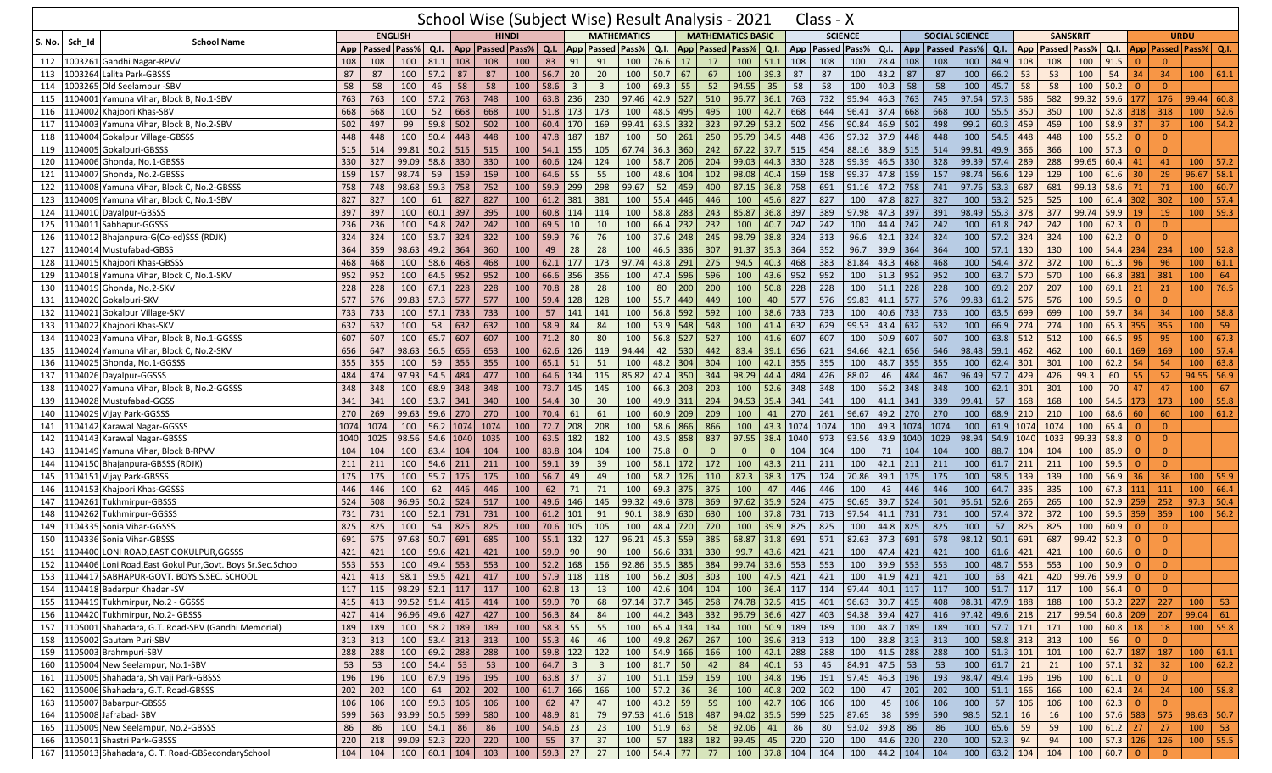|                           |                                                           |      |                      |                      |                              |          |                                                  |                |          |                   |                         | School Wise (Subject Wise) Result Analysis - 2021 |            |                |              |                          |                |      | Class - X                                                               |                      |            |           |                       |                |                |                             |                 |                      |           |                |                             |                  |              |
|---------------------------|-----------------------------------------------------------|------|----------------------|----------------------|------------------------------|----------|--------------------------------------------------|----------------|----------|-------------------|-------------------------|---------------------------------------------------|------------|----------------|--------------|--------------------------|----------------|------|-------------------------------------------------------------------------|----------------------|------------|-----------|-----------------------|----------------|----------------|-----------------------------|-----------------|----------------------|-----------|----------------|-----------------------------|------------------|--------------|
|                           |                                                           |      |                      | <b>ENGLISH</b>       |                              |          |                                                  | <b>HINDI</b>   |          |                   |                         | <b>MATHEMATICS</b>                                |            |                |              | <b>MATHEMATICS BASIC</b> |                |      |                                                                         | <b>SCIENCE</b>       |            |           | <b>SOCIAL SCIENCE</b> |                |                |                             | <b>SANSKRIT</b> |                      |           |                |                             | <b>URDU</b>      |              |
| Sch_Id<br>S. No.          | <b>School Name</b>                                        |      | App   Passed   Pass% |                      | Q.I.                         |          | App   Passed   Pass%                             |                | Q.I.     |                   | App Passed              | Pass%                                             | Q.I.       |                |              | App Passed Pass%         | Q.I.           |      | App   Passed   Pass%   Q.I.                                             |                      |            |           | App Passed Pass%      |                |                | Q.I.   App   Passed   Pass% |                 |                      | Q.I.      |                | App   Passed   Pass%   Q.I. |                  |              |
| 112                       | 1003261 Gandhi Nagar-RPVV                                 | 108  | 108                  | 100                  | $81.1$ 108                   |          | 108                                              | 100            | 83       | 91                | 91                      | 100                                               | 76.6 17    |                | 17           | 100                      | 51.1           | 108  | 108                                                                     | 100                  | 78.4       | 108       | 108                   | 100            | 84.9 108       |                             | 108             | 100                  | 91.5      | $\Omega$       | $\Omega$                    |                  |              |
| 1003264<br>113            | Lalita Park-GBSSS                                         | 87   | 87                   | 100                  | 57.2                         | 87       | 87                                               | 100            | 56.7     | 20                | 20                      | 100                                               | $50.7$ 67  |                | 67           | 100                      | 39.3           | 87   | 87                                                                      | 100                  | 43.2       | 87        | 87                    | 100            | 66.2           | 53                          | 53              | 100                  | 54        | 34             | 34                          | 100              | 61.1         |
| 1003265<br>114            | Old Seelampur -SBV                                        | 58   | 58                   | 100                  | 46                           | 58       | 58                                               | 100            | 58.6     | $\overline{3}$    | $\overline{3}$          | 100                                               | $69.3$ 55  |                | 52           | 94.55                    | 35             | 58   | 58                                                                      | 100                  | 40.3       | 58        | 58                    | 100            | 45.7           | 58                          | 58              | 100                  | 50.2      | $\Omega$       | $\Omega$                    |                  |              |
| 1104001<br>115            | Yamuna Vihar, Block B, No.1-SBV                           | 763  | 763                  | 100                  | 57.2 763                     |          | 748                                              | 100            | 63.8     | 236               | 230                     | 97.46                                             | 42.9 527   |                | 510          | 96.77                    | 36.1           | 763  | 732                                                                     | 95.94                | 46.3       | 763       | 745                   | 97.64          | 57.3 586       |                             | 582             | 99.32                | 59.6      | 177            | 176                         |                  | 99.44 60.8   |
| 116<br>1104002            | Khajoori Khas-SBV                                         | 668  | 668                  | 100                  | 52                           | 668      | 668                                              | 100            | 51.8     | 173               | 173                     | 100                                               | 48.5 495   |                | 495          | 100                      | 42.7           | 668  | 644                                                                     | 96.41                | 37.4       | 668       | 668                   | 100            | 55.5           | 350                         | 350             | 100                  | 52.8      | 318            | 318                         | 100              | 52.6         |
| 117<br>1104003            | Yamuna Vihar, Block B, No.2-SBV                           | 502  | 497                  | 99                   | 59.8 502                     |          | 502                                              | 100            | 60.4     | 170               | 169                     | 99.41                                             | 63.5 332   |                | 323          | 97.29                    | 53.2           | 502  | 456                                                                     | 90.84                | 46.9 502   |           | 498                   | 99.2           | $60.3$ 459     |                             | 459             | 100                  | 58.9      | 37             | 37                          | 100              | 54.2         |
| 118                       | 1104004 Gokalpur Village-GBSSS                            | 448  | 448                  | 100                  | 50.4                         | 448      | 448                                              | 100            | 47.8     | 187               | 187                     | 100                                               | 50         | 261            | 250          | 95.79                    | 34.5           | 448  | 436                                                                     | 97.32                | $37.9$ 448 |           | 448                   | 100            | 54.5           | 448                         | 448             | 100                  | 55.2      | 0              | $\overline{0}$              |                  |              |
| 119<br>1104005            | Gokalpuri-GBSSS                                           | 515  | 514                  | 99.81                | 50.2                         | 515      | 515                                              | 100            | 54.1     | 155               | 105                     | 67.74                                             | $36.3$ 360 |                | 242          | 67.22                    | 37.7           | 515  | 454                                                                     | 88.16                | $38.9$ 515 |           | 514                   | 99.81          | 49.9           | 366                         | 366             | 100                  | 57.3      | $\Omega$       | $\overline{0}$              |                  |              |
| 120<br>1104006            | Ghonda, No.1-GBSSS                                        | 330  | 327                  | 99.09                | 58.8 330                     |          | 330                                              | 100            | 60.6     | 124               | 124                     | 100                                               |            | 58.7 206       | 204          | 99.03                    | 44.3           | 330  | 328                                                                     | 99.39                | 46.5       | 330       | 328                   | 99.39          | 57.4 289       |                             | 288             | 99.65                | 60.4      | 41             | 41                          | 100              | 57.2         |
| 121<br>104007             | Ghonda, No.2-GBSSS                                        | 159  | 157                  | 98.74                | 59                           | 159      | 159                                              | 100            | 64.6     | 55                | 55                      | 100                                               | 48.6 104   |                | 102          | 98.08                    | 40.4           | 159  | 158                                                                     | 99.37                | $47.8$ 159 |           | 157                   |                | 98.74 56.6     | 129                         | 129             | 100                  | 61.6      | 30             | 29                          |                  | 96.67 58.1   |
| 122<br>104008             | Yamuna Vihar, Block C, No.2-GBSSS                         | 758  | 748                  | 98.68                | $59.3$ 758                   |          | 752                                              | 100            | 59.9     | 299               | 298                     | 99.67                                             |            | $52$ 459       | 400          | 87.15                    | 36.8           | 758  | 691                                                                     | 91.16                | $47.2$ 758 |           | 741                   | 97.76          | 53.3 687       |                             | 681             | 99.13                | 58.6      | 71             | 71                          | 100              | 60.7         |
| 123<br>1104009            | Yamuna Vihar, Block C, No.1-SBV                           | 827  | 827                  | 100                  | 61                           | 827      | 827                                              | 100            | 61.2     | 381               | 381                     | 100                                               | 55.4 446   |                | 446          | 100                      | 45.6           | 827  | 827                                                                     | 100                  | 47.8 827   |           | 827                   | 100            | 53.2           | 525                         | 525             | 100                  | 61.4      | 302            | 302                         | 100              | 57.4         |
| 124<br>1104010            | Dayalpur-GBSSS                                            | 397  | 397                  | 100                  | $60.1$ 397                   |          | 395                                              | 100            | 60.8     | 114               | 114                     | 100                                               | 58.8 283   |                | 243          | 85.87                    | 36.8           | 397  | 389                                                                     | 97.98                | 47.3 397   |           | 391                   | 98.49          | 55.3 378       |                             | 377             | 99.74                | 59.9      | 19             | 19                          | 100              | 59.3         |
| 1104011<br>125            | Sabhapur-GGSSS                                            | 236  | 236                  | 100                  | 54.8 242                     |          | 242                                              | 100            | 69.5     | 10                | 10                      | 100                                               | 66.4 232   |                | 232          | 100                      | 40.7           | 242  | 242                                                                     | 100                  | 44.4       | 242       | 242                   | 100            | 61.8           | 242                         | 242             | 100                  | 62.3      | $\Omega$       | $\overline{0}$              |                  |              |
| 126<br>1104012            | Bhajanpura-G(Co-ed)SSS (RDJK)                             | 324  | 324                  | 100                  | 53.7 324                     |          | 322                                              | 100            | 59.9     | 76                | 76                      | 100                                               | $37.6$ 248 |                | 245          | 98.79                    | 38.8           | 324  | 313                                                                     | 96.6                 | 42.1       | 324       | 324                   | 100            | $57.2$ 324     |                             | 324             | 100                  | 62.2      | $\Omega$       | $\overline{0}$              |                  |              |
| 127<br>104014             | Mustufabad-GBSS                                           | 364  | 359                  | 98.63                | 49.2                         | 364      | 360                                              | 100            | 49       | 28                | 28                      | 100                                               | 46.5 336   |                | 307          | 91.37                    | 35.3           | 364  | 352                                                                     | 96.7                 | $39.9$ 364 |           | 364                   | 100            | 57.1           | 130                         | 130             | 100                  | 54.4      | 234            | 234                         | 100 <sub>1</sub> | 52.8         |
| 128<br>10401              | Khaioori Khas-GBSSS                                       | 468  | 468                  | 100                  | 58.6                         | 468      | 468                                              | 100            | 62.1     | 177               | 173                     | 97.74                                             | 43.8 291   |                | 275          | 94.5                     | 40.3           | 468  | 383                                                                     | 81.84                | 43.3       | 468       | 468                   | 100            | 54.4 372       |                             | 372             | 100                  | 61.3      | 96             | 96                          | 100              | 61.1         |
| 129<br>1104018            | Yamuna Vihar, Block C, No.1-SKV                           | 952  | 952                  | 100                  | 64.5 952                     |          | 952                                              | 100            | 66.6     | 356               | 356                     | 100                                               | 47.4 596   |                | 596          | 100                      | 43.6           | 952  | 952                                                                     | 100                  | $51.3$ 952 |           | 952                   | 100            | 63.7 570       |                             | 570             | 100                  | 66.8      | 381            | 381                         | 100              | 64           |
| 104019<br>130             | Ghonda, No.2-SKV                                          | 228  | 228                  | 100                  | $67.1$ 228                   |          | 228                                              | 100            | 70.8     | 28                | 28                      | 100                                               | 80         | 200            | 200          | 100                      | 50.8           | 228  | 228                                                                     | 100                  | $51.1$ 228 |           | 228                   | 100            | 69.2 207       |                             | 207             | 100                  | 69.1      | 21             | 21                          | 100              | 76.5         |
| 131<br>1104020            | Gokalpuri-SKV                                             | 577  | 576                  | 99.83                | 57.3 577                     |          | 577                                              | 100            | 59.4     | 128               | 128                     | 100                                               |            | 55.7 449       | 449          | 100                      | 40             | 577  | 576                                                                     | 99.83                | 41.1 577   |           | 576                   | 99.83          | $61.2$ 576     |                             | 576             | 100                  | 59.5      | $\Omega$       | $\overline{0}$              |                  |              |
| 132<br>1104021            | Gokalpur Village-SKV                                      | 733  | 733                  | 100                  | $57.1$ 733                   |          | 733                                              | 100            | 57       | 141               | 141                     | 100                                               | 56.8 592   |                | 592          | 100                      | 38.6           | 733  | 733                                                                     | 100                  | 40.6 733   |           | 733                   | 100            | 63.5           | 699                         | 699             | 100                  | 59.7      | 34             | 34                          | 100              | 58.8         |
| 133<br>1104022            | Khajoori Khas-SKV                                         | 632  | 632                  | 100                  | 58                           | 632      | 632                                              | 100            | 58.9     | 84                | 84                      | 100                                               | 53.9 548   |                | 548          | 100                      | 41.4           | 632  | 629                                                                     | 99.53                | $43.4$ 632 |           | 632                   | 100            | 66.9 274       |                             | 274             | 100                  | 65.3      | 355            | 355                         | 100              | 59           |
| 134<br>104023             | Yamuna Vihar, Block B, No.1-GGSSS                         | 607  | 607                  | 100                  | 65.7 607                     |          | 607                                              | 100            | 71.2     | 80                | 80                      | 100                                               |            | 56.8 527       | 527          | 100                      | 41.6           | 607  | 607                                                                     | 100                  | 50.9 607   |           | 607                   | 100            | 63.8 512       |                             | 512             | 100                  | 66.5      | 95             | 95                          | 100              | 67.3         |
| 135<br>1104024            | Yamuna Vihar, Block C, No.2-SKV                           | 656  | 647                  | 98.63                | $56.5$ 656                   |          | 653                                              | 100            | 62.6     | 126               | 119                     | 94.44                                             |            | 42 530         | 442          | 83.4                     | 39.1           | 656  | 621                                                                     | 94.66                | 42.1       | 656       | 646                   | 98.48          | 59.1           | 462                         | 462             | 100                  | 60.1      | 169            | 169                         | 100              | 57.4         |
| 136<br>1104025            | Ghonda, No.1-GGSSS                                        | 355  | 355                  | 100                  | 59                           | 355      | 355                                              | 100            | 65.1     | 51                | 51                      | 100                                               | 48.2 304   |                | 304          | 100                      | 42.1           | 355  | 355                                                                     | 100                  | $48.7$ 355 |           | 355                   | 100            | 62.4 301       |                             | 301             | 100                  | 62.2      | 54             | 54                          | 100              | 63.8         |
| 137<br>104026             | Dayalpur-GGSSS                                            | 484  | 474                  | 97.93                | 54.5                         | 484      | 477                                              | 100            | 64.6     | 134               | 115                     | 85.82                                             | 42.4 350   |                | 344          | 98.29                    | 44.4           | 484  | 426                                                                     | 88.02                | 46         | 484       | 467                   | 96.49          | 57.7 429       |                             | 426             | 99.3                 | 60        | 55             | 52                          | 94.55            | 56.9         |
| 1104027<br>138            | Yamuna Vihar, Block B, No.2-GGSSS                         | 348  | 348                  | 100                  | 68.9                         | 348      | 348                                              | 100            | 73.7     | 145               | 145                     | 100                                               | 66.3 203   |                | 203          | 100                      | 52.6           | 348  | 348                                                                     | 100                  | 56.2       | 348       | 348                   | 100            | $62.1$ 301     |                             | 301             | 100                  | 70        | 47             | 47                          | 100              | 67           |
| 1104028<br>139            | Mustufabad-GGSS                                           | 341  | 341                  | 100                  | $53.7$ 341                   |          | 340                                              | 100            | 54.4     | 30                | 30                      | 100                                               | 49.9 311   |                | 294          | 94.53                    | 35.4           | 341  | 341                                                                     | 100                  | $41.1$ 341 |           | 339                   | 99.41          | 57             | 168                         | 168             | 100                  | 54.5      | 173            | 173                         | 100              | 55.8         |
| 140<br>104029             | Vijay Park-GGSSS                                          | 270  | 269                  | 99.63                | 59.6                         | 270      | 270                                              | 100            | 70.4     | 61                | 61                      | 100                                               | $60.9$ 209 |                | 209          | 100                      | 41             | 270  | 261                                                                     | 96.67                | $49.2$ 270 |           | 270                   | 100            | $68.9$ 210     |                             | 210             | 100                  | 68.6      | 60             | 60                          | 100              | 61.2         |
| 1104142<br>141            | Karawal Nagar-GGSSS                                       | 1074 | 1074                 | 100                  | 56.2                         | 1074     | 1074                                             | 100            | 72.7     | 208               | 208                     | 100                                               | 58.6 866   |                | 866          | 100                      | 43.3           | 1074 | 1074                                                                    | 100                  | 49.3       | 1074      | 1074                  | 100            | 61.9 1074      |                             | 1074            | 100                  | 65.4      | $\Omega$       | $\overline{0}$              |                  |              |
| 142<br>1104143            | Karawal Nagar-GBSSS                                       | 1040 | 1025                 | 98.56                | 54.6 1040                    |          | 1035                                             | 100            | 63.5     | 182               | 182                     | 100                                               | 43.5 858   |                | 837          | 97.55                    | 38.4           | 1040 | 973                                                                     | 93.56                |            | 43.9 1040 | 1029                  | 98.94          | 54.9 1040      |                             | 1033            | 99.33                | 58.8      | $\Omega$       | $\overline{0}$              |                  |              |
| 143<br>104149             | Yamuna Vihar, Block B-RPVV                                | 104  | 104                  | 100                  | 83.4 104                     |          | 104                                              | 100            | 83.8     | 104               | 104                     | 100                                               | 75.8       | $\overline{0}$ | $\Omega$     | $\Omega$                 |                | 104  | 104                                                                     | 100                  | 71         | 104       | 104                   | 100            | 88.7           | 104                         | 104             | 100                  | 85.9      |                | $\overline{0}$              |                  |              |
| 144<br>1104150            | Bhajanpura-GBSSS (RDJK)                                   | 211  | 211                  | 100                  | 54.6                         | 211      | 211                                              | 100            | 59.1     | 39                | 39                      | 100                                               | 58.1 172   |                | 172          | 100                      | 43.3           | 211  | 211                                                                     | 100                  | 42.1       | 211       | 211                   | 100            | 61.7           | 211                         | 211             | 100                  | 59.5      | $\Omega$       | $\overline{0}$              |                  |              |
| 145                       | 1104151 Vijay Park-GBSSS                                  | 175  | 175                  | 100                  | 55.7 175                     |          | 175                                              | 100            | 56.7     | 49                | 49                      | 100                                               |            | $58.2$ 126     | 110          | 87.3                     | 38.3           | 175  | 124                                                                     | 70.86                | $39.1$ 175 |           | 175                   | 100            | 58.5 139       |                             | 139             | 100                  | 56.9      | 36             | 36                          | 100              | 55.9         |
| 146<br>104153             | Khajoori Khas-GGSSS                                       | 446  | 446                  | 100                  | 62                           | 446      | 446                                              | 100            | 62       | 71                | 71                      | 100                                               | 69.3 375   |                | 375          | 100                      | 47             | 446  | 446                                                                     | 100                  | 43         | 446       | 446                   | 100            | 64.7           | 335                         | 335             | 100                  | 67.3      | 111            | 111                         | 100              | 66.4         |
| 1104261<br>147            | <b>Tukhmirpur-GBSSS</b>                                   | 524  | 508                  | 96.95                | $50.2$ 524                   |          | 517                                              | 100            | 49.6     | 146               | 145                     | 99.32                                             | 49.6 378   |                | 369          | 97.62                    | 35.9           | 524  | 475                                                                     | 90.65                | 39.7 524   |           | 501                   | 95.61          | $52.6$ 265     |                             | 265             | 100                  | 52.9      | 259            | 252                         | 97.3             | 50.4         |
| 148<br>1104262            | Tukhmirpur-GGSSS                                          | 731  | 731                  | 100                  | $52.1$ 731                   |          | 731                                              | 100            | 61.2     | 101               | 91                      | 90.1                                              | 38.9 630   |                | 630          | 100                      | 37.8           | 731  | 713                                                                     | 97.54                | 41.1 731   |           | 731                   | 100            | 57.4 372       |                             | 372             | 100                  | 59.5      | 359            | 359                         | 100              | 56.2         |
| 104335<br>149             | Sonia Vihar-GGSSS                                         | 825  | 825                  | 100                  | 54                           | 825      | 825                                              | 100            | 70.6     | 105               | 105                     | 100                                               | 48.4 720   |                | 720          | 100                      | 39.9           | 825  | 825                                                                     | 100                  | 44.8 825   |           | 825                   | 100            | 57             | 825                         | 825             | 100                  | 60.9      |                | $\overline{0}$              |                  |              |
| 1104336<br>150            | Sonia Vihar-GBSSS                                         | 691  | 675                  | 97.68                | $50.7$ 691                   |          | 685                                              | 100            | 55.1     | 132               | 127                     | 96.21                                             | 45.3 559   |                | 385          | 68.87                    | 31.8           | 691  | 571                                                                     | 82.63                | 37.3       | 691       | 678                   | 98.12          | 50.1           | 691                         | 687             | 99.42                | 52.3      | $\Omega$       | $\overline{0}$              |                  |              |
| 151<br>1104400            | LONI ROAD,EAST GOKULPUR,GGSSS                             | 421  | 421                  | 100                  | 59.6                         | 421      | 421                                              | 100            | 59.9     | 90                | 90                      | 100                                               | 56.6 331   |                | 330          | 99.7                     | 43.6           | 421  | 421                                                                     | 100                  | 47.4       | 421       | 421                   | 100            | $61.6$ 421     |                             | 421             | 100                  | 60.6      | $\Omega$       | $\overline{0}$              |                  |              |
| 152                       | 1104406 Loni Road,East Gokul Pur,Govt. Boys Sr.Sec.School | 553  | 553                  | 100                  | 49.4                         | 553      | 553                                              | 100            | 52.2     | 168               | 156                     | 92.86                                             | $35.5$ 385 |                | 384          | 99.74                    | 33.6           | 553  | 553                                                                     | 100                  | 39.9       | 553       | 553                   | 100            | 48.7           | 553                         | 553             | 100                  | 50.9      |                | $\Omega$                    |                  |              |
|                           | 153 1104417 SABHAPUR-GOVT. BOYS S.SEC. SCHOOL             | 421  |                      |                      |                              |          |                                                  |                |          |                   |                         |                                                   |            |                |              |                          |                |      | 413 98.1 59.5 421 420 99.76 59.9 0                                      |                      |            |           |                       |                |                |                             |                 |                      |           |                | $\overline{0}$              |                  |              |
|                           | 154 1104418 Badarpur Khadar - SV                          | 117  |                      |                      |                              |          | 115   98.29   52.1   117   117   100   62.8   13 |                |          |                   | 13                      | 100                                               |            |                | 42.6 104 104 |                          |                |      | 100 36.4 117 114 97.44 40.1 117 117                                     |                      |            |           |                       | 100            |                | $51.7$ 117 117              |                 | 100                  | 56.4      | $\overline{0}$ | $\overline{0}$              |                  |              |
|                           | 155 1104419 Tukhmirpur, No.2 - GGSSS                      | 415  | 413                  | $99.52$ 51.4 415 414 |                              |          |                                                  | 100 59.9 70    |          |                   | 68                      | 97.14 37.7 345                                    |            |                | 258          | 74.78 32.5 415           |                |      | 401                                                                     | $96.63$ 39.7 415 408 |            |           |                       | 98.31 47.9 188 |                |                             | 188             | 100                  | 53.2 227  |                | 227                         | 100              | 53           |
|                           | 156 1104420 Tukhmirpur, No.2- GBSSS                       | 427  |                      |                      |                              |          | 414 96.96 49.6 427 427                           | 100 56.3 84    |          |                   | 84                      | 100 44.2 343 332                                  |            |                |              |                          |                |      | 96.79 36.6 427 403 94.38 39.4 427 416 97.42 49.6 218 217 99.54 60.8 209 |                      |            |           |                       |                |                |                             |                 |                      |           |                | 207                         |                  | $99.04$ 61   |
|                           | 157 1105001 Shahadara, G.T. Road-SBV (Gandhi Memorial)    | 189  | 189                  |                      |                              |          | 100 58.2 189 189                                 | $100$ 58.3 55  |          |                   | 55                      | 100                                               |            |                | 65.4 134 134 |                          | 100 50.9 189   |      | 189                                                                     | $100$ 48.7 189 189   |            |           |                       |                |                | 100   57.7   171   171      |                 | 100                  | $60.8$ 18 |                | 18                          |                  | $100$ 55.8   |
|                           | 158 1105002 Gautam Puri-SBV                               | 313  | 313                  |                      |                              |          |                                                  | 100 55.3 46    |          |                   | 46                      | 100                                               | 49.8 267   |                | 267          |                          | 100 39.6 313   |      | 313                                                                     |                      |            |           | 100 38.8 313 313      |                | 100 58.8 313   |                             | 313             | 100                  | 56        |                | $\overline{0}$              |                  |              |
|                           | 159 1105003 Brahmpuri-SBV                                 | 288  | 288                  |                      |                              |          | 100 69.2 288 288                                 | 100 59.8 122   |          |                   | $\frac{122}{ }$         | 100 54.9 166                                      |            |                | 166          |                          | 100 42.1 288   |      | 288                                                                     | 100 41.5 288 288     |            |           |                       |                | 100 51.3 101   |                             | 101             | 100 62.7 187         |           |                | 187                         |                  | 100   61.1   |
|                           | 160 1105004 New Seelampur, No.1-SBV                       | 53   | 53                   |                      | $100 \mid 54.4 \mid 53 \mid$ |          | 53                                               | 100   64.7   3 |          |                   | $\overline{\mathbf{3}}$ | 100                                               | 81.7 50    |                | 42           | 84                       | 40.1 53        |      | 45                                                                      |                      |            |           |                       | 100            | $61.7$ 21      |                             | 21              | 100                  | $57.1$ 32 |                | 32                          |                  | 100   62.2   |
|                           | 161 1105005 Shahadara, Shivaji Park-GBSSS                 | 196  | 196                  |                      |                              |          | 100 67.9 196 195                                 | 100 63.8 37    |          |                   | 37                      | 100 51.1 159                                      |            |                | 159          |                          | 100 34.8 196   |      | 191                                                                     | $97.45$ 46.3 196 193 |            |           |                       | 98.47 49.4 196 |                |                             | 196             | 100                  | $61.1$    | $\overline{0}$ | $\overline{0}$              |                  |              |
|                           | 162 1105006 Shahadara, G.T. Road-GBSSS                    | 202  | 202                  | 100                  |                              | $64$ 202 | 202                                              | 100            | 61.7 166 |                   | 166                     | 100                                               | $57.2$ 36  |                | 36           |                          | 100 40.8 202   |      | 202                                                                     | 100                  | 47 202     |           | 202                   |                | 100 51.1 166   |                             | 166             | 100                  | $62.4$ 24 |                | 24                          |                  | $100$ 58.8   |
|                           | 163 1105007 Babarpur-GBSSS                                | 106  | 106                  |                      | 100   59.3   106             |          | 106                                              | 100            |          | $62 \mid 47$      | 47                      | 100                                               | $43.2$ 59  |                | 59           |                          | 100 42.7 106   |      | 106                                                                     | 100                  |            |           | 45 106 106            | 100            | 57 106         |                             | 106             | 100                  | $62.3$ 0  |                | $\overline{0}$              |                  |              |
| 164 1105008 Jafrabad- SBV |                                                           | 599  | 563                  | 93.99 50.5 599       |                              |          | 580                                              | 100            | 48.9 81  |                   | 79                      | 97.53                                             | 41.6 518   |                | 487          |                          | 94.02 35.5 599 |      | 525                                                                     | 87.65                | 38 599     |           | 590                   |                | $98.5$ 52.1 16 |                             | 16              | 100                  | 57.6 583  |                | 575                         |                  | $98.63$ 50.7 |
|                           | 165 1105009 New Seelampur, No.2-GBSSS                     | 86   | 86                   |                      | 100   54.1   86   86         |          |                                                  | $100$ 54.6 23  |          |                   | 23                      | 100                                               | $51.9$ 63  |                | 58           | 92.06                    | 41             | 86   | 80                                                                      | 93.02 39.8 86        |            |           | 86                    |                | 100 65.6 59    |                             | 59              | 100                  | $61.2$ 27 |                | 27                          |                  | $100$ 53     |
|                           | 166 1105011 Shastri Park-GBSSS                            | 220  | 218                  | $99.09$ 52.3 220 220 |                              |          |                                                  | 100            |          | $55 \mid 37 \mid$ | 37                      | 100                                               |            | $57$ 183       | 182          | 99.45                    | 45 220         |      | 220                                                                     | 100 44.6 220 220     |            |           |                       |                | 100 52.3 94    |                             | 94              | 100                  | 57.3 126  |                | 126                         |                  | $100$ 55.5   |
|                           | 167 1105013 Shahadara, G. T. Road-GBSecondarySchool       | 104  | 104                  |                      |                              |          | $100 \mid 60.1 \mid 104 \mid 103$                | $100$ 59.3 27  |          |                   | 27                      | 100                                               | 54.4 77    |                | 77           |                          | 100 37.8 104   |      | 104                                                                     | 100 44.2 104 104     |            |           |                       |                | $100$ 63.2 104 |                             |                 | $100 \mid 60.7 \mid$ |           | $\overline{0}$ | $\overline{0}$              |                  |              |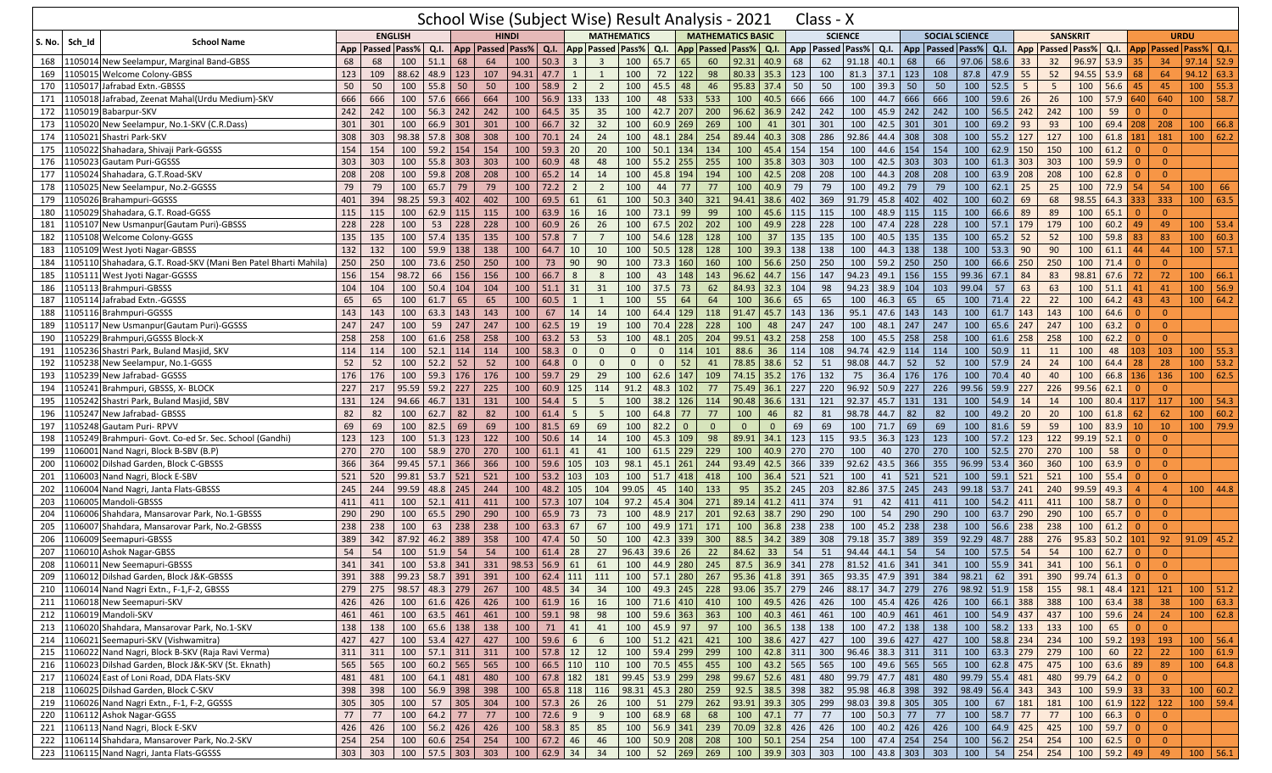|     |                                                                 |     |                      |                |                                      |            |                             |              |                                 |                |                         | School Wise (Subject Wise) Result Analysis - 2021 |           |                  |                |                          |               |     | Class - X                                                                                                                                                                                                     |       |                    |     |                       |       |                                       |     |                     |                |               |          |                 |                                    |            |
|-----|-----------------------------------------------------------------|-----|----------------------|----------------|--------------------------------------|------------|-----------------------------|--------------|---------------------------------|----------------|-------------------------|---------------------------------------------------|-----------|------------------|----------------|--------------------------|---------------|-----|---------------------------------------------------------------------------------------------------------------------------------------------------------------------------------------------------------------|-------|--------------------|-----|-----------------------|-------|---------------------------------------|-----|---------------------|----------------|---------------|----------|-----------------|------------------------------------|------------|
|     |                                                                 |     |                      | <b>ENGLISH</b> |                                      |            |                             | <b>HINDI</b> |                                 |                |                         | <b>MATHEMATICS</b>                                |           |                  |                | <b>MATHEMATICS BASIC</b> |               |     | <b>SCIENCE</b>                                                                                                                                                                                                |       |                    |     | <b>SOCIAL SCIENCE</b> |       |                                       |     | <b>SANSKRIT</b>     |                |               |          | <b>URDU</b>     |                                    |            |
|     | S. No. Sch Id<br><b>School Name</b>                             |     | App   Passed   Pass% |                | Q.I.                                 |            | App   Passed   Pass%   Q.I. |              |                                 |                |                         | <b>App Passed Pass%</b>                           | Q.I.      |                  |                | App Passed Pass% Q.I.    |               |     | App Passed Pass%                                                                                                                                                                                              |       | Q.I.               |     | App   Passed   Pass%  |       | Q.I.                                  | App | <b>Passed Pass%</b> |                |               |          |                 | Q.I.   App   Passed   Pass%   Q.I. |            |
|     | 168   1105014 New Seelampur, Marginal Band-GBSS                 | 68  | 68                   | 100            | 51.1                                 | 68         | 64                          | 100          | 50.3                            | $\overline{3}$ | $\overline{\mathbf{3}}$ | 100                                               | 65.7      | 65               | 60             | 92.31 40.9               |               | 68  | 62                                                                                                                                                                                                            | 91.18 | 40.1               | 68  | 66                    | 97.06 | 58.6                                  | 33  | 32                  | 96.97          | 53.9          | 35       | 34              | 97.14                              | 52.9       |
| 169 | 1105015 Welcome Colony-GBSS                                     | 123 | 109                  | 88.62          | $48.9$ 123                           |            | 107                         | 94.31        | 47.7                            | 1              | $\mathbf{1}$            | 100                                               | 72        | 122              | 98             | $80.33$ 35.3             |               | 123 | 100                                                                                                                                                                                                           | 81.3  | 37.1               | 123 | 108                   | 87.8  | 47.9                                  | 55  | 52                  | 94.55          | 53.9          | 68       | 64              | 94.12                              | 63.3       |
| 170 | Jafrabad Extn.-GBSSS<br>1105017                                 | 50  | 50                   | 100            | 55.8                                 | 50         | 50                          | 100          | 58.9                            | $\overline{2}$ | $\overline{2}$          | 100                                               | 45.5      | 48               | 46             | 95.83 37.4               |               | 50  | 50                                                                                                                                                                                                            | 100   | 39.3               | 50  | 50                    | 100   | 52.5                                  | -5  | 5                   | 100            | 56.6          | 45       | 45              | 100                                | 55.3       |
| 171 | Jafrabad, Zeenat Mahal(Urdu Medium)-SKV<br>1105018              | 666 | 666                  | 100            | 57.6                                 | 666        | 664                         | 100          | 56.9                            | 133            | 133                     | 100                                               | 48        | 533              | 533            | 100                      | 40.5          | 666 | 666                                                                                                                                                                                                           | 100   | 44.7               | 666 | 666                   | 100   | 59.6                                  | 26  | 26                  | 100            | 57.9 640      |          | 640             | 100                                | 58.7       |
| 172 | 1105019<br>Babarpur-SKV                                         | 242 | 242                  | 100            | $56.3$ 242                           |            | 242                         | 100          | 64.5                            | 35             | 35                      | 100                                               | 42.7      | 207              | 200            | 96.62                    | 36.9          | 242 | 242                                                                                                                                                                                                           | 100   | 45.9               | 242 | 242                   | 100   | 56.5                                  | 242 | 242                 | 100            | 59            | $\Omega$ | $\overline{0}$  |                                    |            |
| 173 | New Seelampur, No.1-SKV (C.R.Dass)<br>1105020                   | 301 | 301                  | 100            | 66.9 301                             |            | 301                         | 100          | 66.7                            | 32             | 32                      | 100                                               | 60.9      | 269              | 269            | 100                      | 41            | 301 | 301                                                                                                                                                                                                           | 100   | 42.5               | 301 | 301                   | 100   | 69.2                                  | 93  | 93                  | 100            | 69.4 208      |          | 208             | 100                                | 66.8       |
| 174 | 1105021 Shastri Park-SKV                                        | 308 | 303                  | 98.38          | 57.8 308                             |            | 308                         | 100          | 70.1                            | 24             | 24                      | 100                                               | 48.1      | 284              | 254            | 89.44 40.3               |               | 308 | 286                                                                                                                                                                                                           | 92.86 | 44.4               | 308 | 308                   | 100   | 55.2                                  | 127 | 127                 | 100            | 61.8 181      |          | 181             | 100                                | 62.2       |
| 175 | 1105022 Shahadara, Shivaji Park-GGSSS                           | 154 | 154                  | 100            | 59.2 154                             |            | 154                         | 100          | 59.3                            | 20             | 20                      | 100                                               | 50.1      | 134              | 134            | 100                      | 45.4          | 154 | 154                                                                                                                                                                                                           | 100   | 44.6               | 154 | 154                   | 100   | 62.9                                  | 150 | 150                 | 100            | 61.2          | $\Omega$ | $\overline{0}$  |                                    |            |
| 176 | 1105023 Gautam Puri-GGSSS                                       | 303 | 303                  | 100            | 55.8 303                             |            | 303                         | 100          | 60.9                            | 48             | 48                      | 100                                               | 55.2      | 255              | 255            |                          | $100$ 35.8    | 303 | 303                                                                                                                                                                                                           | 100   | 42.5               | 303 | 303                   | 100   | 61.3                                  | 303 | 303                 | 100            | 59.9          | $\Omega$ | $\overline{0}$  |                                    |            |
| 177 | 1105024 Shahadara, G.T.Road-SKV                                 | 208 | 208                  | 100            | 59.8                                 | 208        | 208                         | 100          | 65.2                            | 14             | 14                      | 100                                               | 45.8      | 194              | 194            | 100                      | 42.5          | 208 | 208                                                                                                                                                                                                           | 100   | 44.3               | 208 | 208                   | 100   | 63.9                                  | 208 | 208                 | 100            | 62.8          | $\Omega$ | $\overline{0}$  |                                    |            |
| 178 | 1105025 New Seelampur, No.2-GGSSS                               | 79  | 79                   | 100            | 65.7                                 | 79         | 79                          | 100          | 72.2                            | $\overline{2}$ | $\overline{2}$          | 100                                               | 44        | 77               | 77             | 100                      | 40.9          | 79  | 79                                                                                                                                                                                                            | 100   | 49.2               | 79  | 79                    | 100   | 62.1                                  | 25  | 25                  | 100            | 72.9          | -54      | 54              | 100                                | 66         |
| 179 | 1105026 Brahampuri-GGSSS                                        | 401 | 394                  | 98.25          | $59.3$ 402                           |            | 402                         | 100          | 69.5                            | 61             | 61                      | 100                                               | 50.3      | 340              | 321            | 94.41 38.6               |               | 402 | 369                                                                                                                                                                                                           | 91.79 | 45.8               | 402 | 402                   | 100   | 60.2                                  | 69  | 68                  | 98.55          | 64.3          | 333      | 333             | 100                                | 63.5       |
| 180 | 1105029 Shahadara, G.T. Road-GGSS                               | 115 | 115                  | 100            | $62.9$ 115                           |            | 115                         | 100          | 63.9                            | 16             | 16                      | 100                                               | 73.1      | 99               | 99             | 100                      | 45.6          | 115 | 115                                                                                                                                                                                                           | 100   | 48.9               | 115 | 115                   | 100   | 66.6                                  | 89  | 89                  | 100            | 65.1          | 0        | $\overline{0}$  |                                    |            |
| 181 | 1105107 New Usmanpur (Gautam Puri)-GBSSS                        | 228 | 228                  | 100            | 53                                   | 228        | 228                         | 100          | 60.9                            | 26             | 26                      | 100                                               | 67.5      | 202              | 202            | 100                      | 49.9          | 228 | 228                                                                                                                                                                                                           | 100   | 47.4               | 228 | 228                   | 100   | 57.1                                  | 179 | 179                 | 100            | 60.2          | 49       | 49              | 100                                | 53.4       |
| 182 | 1105108 Welcome Colony-GGSS                                     | 135 | 135                  | 100            | $57.4$ 135                           |            | 135                         | 100          | 57.8                            | $\overline{7}$ | $7\overline{ }$         | 100                                               | 54.6      | 128              | 128            | 100                      | 37            | 135 | 135                                                                                                                                                                                                           | 100   | 40.5               | 135 | 135                   | 100   | 65.2                                  | 52  | 52                  | 100            | 59.8          | 83       | 83              | 100                                | 60.3       |
| 183 | 1105109 West Jyoti Nagar-GBSSS                                  | 132 | 132                  | 100            | 59.9                                 | 138        | 138                         | 100          | 64.7                            | 10             | 10                      | 100                                               | 50.5      | 128              | 128            | 100                      | 39.3          | 138 | 138                                                                                                                                                                                                           | 100   | 44.3               | 138 | 138                   | 100   | 53.3                                  | 90  | 90                  | 100            | 61.1          | 44       | 44              | 100                                | 57.1       |
| 184 | 1105110 Shahadara, G.T. Road-SKV (Mani Ben Patel Bharti Mahila) | 250 | 250                  | 100            | $73.6$ 250                           |            | 250                         | 100          | 73                              | 90             | 90                      | 100                                               | 73.3      | 160              | 160            | 100                      | 56.6          | 250 | 250                                                                                                                                                                                                           | 100   | 59.2               | 250 | 250                   | 100   | 66.6                                  | 250 | 250                 | 100            | 71.4          | $\Omega$ | $\overline{0}$  |                                    |            |
| 185 | 1105111 West Jyoti Nagar-GGSSS                                  | 156 | 154                  | 98.72          | 66                                   | 156        | 156                         | 100          | 66.7                            | 8              | 8                       | 100                                               | 43        | 148              | 143            | 96.62                    | 44.7          | 156 | 147                                                                                                                                                                                                           | 94.23 | 49.1               | 156 | 155                   | 99.36 | 67.1                                  | 84  | 83                  | 98.81          | 67.6 72       |          | 72              | 100                                | 66.1       |
| 186 | 1105113 Brahmpuri-GBSSS                                         | 104 | 104                  | 100            | 50.4                                 | 104        | 104                         | 100          | 51.1                            | 31             | 31                      | 100                                               | 37.5      | 73               | 62             | 84.93 32.3               |               | 104 | 98                                                                                                                                                                                                            | 94.23 | 38.9               | 104 | 103                   | 99.04 | 57                                    | 63  | 63                  | 100            | 51.1          | 41       | 41              | 100                                | 56.9       |
| 187 | 1105114 Jafrabad Extn.-GGSSS                                    | 65  | 65                   | 100            | 61.7                                 | $\vert$ 65 | 65                          | 100          | 60.5                            | 1              | 1                       | 100                                               | 55        | 64               | 64             | 100                      | 36.6          | 65  | 65                                                                                                                                                                                                            | 100   | 46.3               | 65  | 65                    | 100   | 71.4                                  | 22  | 22                  | 100            | $64.2$ 43     |          | 43              | 100                                | 64.2       |
| 188 | 1105116 Brahmpuri-GGSSS                                         | 143 | 143                  | 100            | 63.3                                 | 143        | 143                         | 100          | 67                              | 14             | 14                      | 100                                               | 64.4      | 129              | 118            | 91.47                    | 45.7          | 143 | 136                                                                                                                                                                                                           | 95.1  | 47.6               | 143 | 143                   | 100   | 61.7                                  | 143 | 143                 | 100            | 64.6          | $\Omega$ | $\overline{0}$  |                                    |            |
| 189 | 1105117 New Usmanpur (Gautam Puri)-GGSSS                        | 247 | 247                  | 100            | 59                                   | 247        | 247                         | 100          | 62.5                            | 19             | 19                      | 100                                               | 70.4      | 228              | 228            | 100                      | 48            | 247 | 247                                                                                                                                                                                                           | 100   | 48.1               | 247 | 247                   | 100   | 65.6                                  | 247 | 247                 | 100            | 63.2          | -0       | $\overline{0}$  |                                    |            |
| 190 | 1105229 Brahmpuri, GGSSS Block-X                                | 258 | 258                  | 100            | $61.6$ 258                           |            | 258                         | 100          | 63.2                            | 53             | 53                      | 100                                               | 48.1      | 205              | 204            | 99.51                    | 43.2          | 258 | 258                                                                                                                                                                                                           | 100   | 45.5               | 258 | 258                   | 100   | 61.6                                  | 258 | 258                 | 100            | 62.2          | $\Omega$ | $\overline{0}$  |                                    |            |
| 191 | 1105236 Shastri Park, Buland Masjid, SKV                        | 114 | 114                  | 100            | 52.1                                 | 114        | 114                         | 100          | 58.3                            | $\overline{0}$ | $\overline{0}$          | $\mathbf{0}$                                      | $\Omega$  | 114              | 101            | 88.6                     | 36            | 114 | 108                                                                                                                                                                                                           | 94.74 | 42.9               | 114 | 114                   | 100   | 50.9                                  | 11  | 11                  | 100            | 48            | 103      | 103             | 100                                | 55.3       |
| 192 | 1105238 New Seelampur, No.1-GGSS                                | 52  | 52                   | 100            | 52.2                                 | 52         | 52                          | 100          | 64.8                            | $\Omega$       | $\Omega$                | $\mathbf{0}$                                      | $\Omega$  | 52               | 41             | 78.85 38.6               |               | 52  | 51                                                                                                                                                                                                            | 98.08 | 44.7               | 52  | 52                    | 100   | 57.9                                  | 24  | 24                  | 100            | 64.4          | 28       | 28              | 100                                | 53.2       |
| 193 | L105239 New Jafrabad- GGSSS                                     | 176 | 176                  | 100            | 59.3                                 | 176        | 176                         | 100          | 59.7                            | 29             | 29                      | 100                                               | 62.6      | 147              | 109            | 74.15 35.2               |               | 176 | 132                                                                                                                                                                                                           | 75    | 36.4               | 176 | 176                   | 100   | 70.4                                  | 40  | 40                  | 100            | 66.8 136      |          | 136             | 100                                | 62.5       |
| 194 | 1105241 Brahmpuri, GBSSS, X- BLOCK                              | 227 | 217                  | 95.59          | $59.2$ 227                           |            | 225                         | 100          | 60.9                            | 125            | 114                     | 91.2                                              | 48.3      | 102              | 77             | 75.49 36.1               |               | 227 | 220                                                                                                                                                                                                           | 96.92 | 50.9               | 227 | 226                   | 99.56 | 59.9                                  | 227 | 226                 | 99.56          | 62.1          | $\Omega$ | $\overline{0}$  |                                    |            |
| 195 | 1105242 Shastri Park, Buland Masjid, SBV                        | 131 | 124                  | 94.66          | 46.7 131                             |            | 131                         | 100          | 54.4                            | 5              | 5                       | 100                                               | 38.2      | 126              | 114            | $90.48$ 36.6             |               | 131 | 121                                                                                                                                                                                                           | 92.37 | 45.7               | 131 | 131                   | 100   | 54.9                                  | 14  | 14                  | 100            | 80.4 117      |          | 117             | 100                                | 54.3       |
| 196 | 1105247 New Jafrabad- GBSSS                                     | 82  | 82                   | 100            | 62.7                                 | 82         | 82                          | 100          | 61.4                            | -5             | 5                       | 100                                               | 64.8      | 77               | 77             | 100                      | 46            | 82  | 81                                                                                                                                                                                                            | 98.78 | 44.7               | 82  | 82                    | 100   | 49.2                                  | 20  | 20                  | 100            | 61.8          | 62       | 62              | 100                                | 60.2       |
| 197 | 1105248 Gautam Puri-RPVV                                        | 69  | 69                   | 100            | 82.5                                 | 69         | 69                          | 100          | 81.5                            | 69             | 69                      | 100                                               | 82.2      | $\overline{0}$   | $\overline{0}$ | $\mathbf{0}$             | $\mathbf{0}$  | 69  | 69                                                                                                                                                                                                            | 100   | 71.7               | 69  | 69                    | 100   | 81.6                                  | 59  | 59                  | 100            | 83.9          | 10       | 10              | 100                                | 79.9       |
| 198 | 1105249 Brahmpuri- Govt. Co-ed Sr. Sec. School (Gandhi)         | 123 | 123                  | 100            | 51.3                                 | 123        | 122                         | 100          | 50.6                            | 14             | 14                      | 100                                               | 45.3      | 109              | 98             | 89.91 34.1               |               | 123 | 115                                                                                                                                                                                                           | 93.5  | 36.3               | 123 | 123                   | 100   | 57.2                                  | 123 | 122                 | 99.19          | 52.1          | -0       | $\overline{0}$  |                                    |            |
| 199 | 1106001 Nand Nagri, Block B-SBV (B.P)                           | 270 | 270                  | 100            | 58.9                                 | 270        | 270                         | 100          | 61.1                            | 41             | 41                      | 100                                               | 61.5      | 229              | 229            | 100                      | 40.9          | 270 | 270                                                                                                                                                                                                           | 100   | 40                 | 270 | 270                   | 100   | 52.5                                  | 270 | 270                 | 100            | 58            | $\Omega$ | $\Omega$        |                                    |            |
| 200 | Dilshad Garden, Block C-GBSSS<br>1106002                        | 366 | 364                  | 99.45          | 57.1                                 | 366        | 366                         | 100          | 59.6                            | 105            | 103                     | 98.1                                              | 45.1      | 261              | 244            | 93.49                    | 42.5          | 366 | 339                                                                                                                                                                                                           | 92.62 | 43.5               | 366 | 355                   | 96.99 | 53.4                                  | 360 | 360                 | 100            | 63.9          | $\Omega$ | $\overline{0}$  |                                    |            |
| 201 | 1106003 Nand Nagri, Block E-SBV                                 | 521 | 520                  | 99.81          | 53.7 521                             |            | 521                         | 100          | 53.2                            | 103            | 103                     | 100                                               | 51.7      | 418              | 418            |                          | $100$ 36.4    | 521 | 521                                                                                                                                                                                                           | 100   | 41                 | 521 | 521                   | 100   | $59.1$ 521                            |     | 521                 | 100            | 55.4          | $\Omega$ | $\overline{0}$  |                                    |            |
| 202 | 106004 Nand Nagri, Janta Flats-GBSSS                            | 245 | 244                  | 99.59          | 48.8                                 | 245        | 244                         | 100          | 48.2                            | 105            | 104                     | 99.05                                             | 45        | 140              | 133            | 95                       | 35.2          | 245 | 203                                                                                                                                                                                                           | 82.86 | 37.5               | 245 | 243                   | 99.18 | 53.7                                  | 241 | 240                 | 99.59          | 49.3          |          | $\overline{4}$  | 100                                | 44.8       |
| 203 | 1106005 Mandoli-GBSSS                                           | 411 | 411                  | 100            | 52.1                                 | 411        | 411                         | 100          | 57.3                            | 107            | 104                     | 97.2                                              | 45.4      | 304              | 271            | 89.14 41.2               |               | 411 | 374                                                                                                                                                                                                           | 91    | 42                 | 411 | 411                   | 100   | 54.2                                  | 411 | 411                 | 100            | 58.7          | $\Omega$ | $\overline{0}$  |                                    |            |
| 204 | 1106006 Shahdara, Mansarovar Park, No.1-GBSSS                   | 290 | 290                  | 100            | 65.5                                 | 290        | 290                         | 100          | 65.9                            | 73             | 73                      | 100                                               | 48.9      | 217              | 201            | $92.63$ 38.7             |               | 290 | 290                                                                                                                                                                                                           | 100   | 54                 | 290 | 290                   | 100   | 63.7                                  | 290 | 290                 | 100            | 65.7          | $\Omega$ | $\overline{0}$  |                                    |            |
| 205 | 1106007 Shahdara, Mansarovar Park, No.2-GBSSS                   | 238 | 238                  | 100            | 63                                   | 238        | 238                         | 100          | 63.3                            | 67             | 67                      | 100                                               | 49.9      | 171              | 171            | 100                      | 36.8          | 238 | 238                                                                                                                                                                                                           | 100   | 45.2               | 238 | 238                   | 100   | 56.6                                  | 238 | 238                 | 100            | 61.2          | $\Omega$ | $\Omega$        |                                    |            |
| 206 | 1106009 Seemapuri-GBSSS                                         | 389 | 342                  | 87.92          | 46.2                                 | 389        | 358                         | 100          | 47.4                            | 50             | 50                      | 100                                               | 42.3      | 339              | 300            | 88.5                     | 34.2          | 389 | 308                                                                                                                                                                                                           | 79.18 | 35.7               | 389 | 359                   | 92.29 | 48.7                                  | 288 | 276                 | 95.83          | $50.2$ 101    |          | 92              | 91.09                              | 45.2       |
| 207 | 1106010 Ashok Nagar-GBSS                                        | 54  | 54                   | 100            | 51.9                                 | 54         | 54                          | 100          | 61.4                            | 28             | 27                      | 96.43                                             | 39.6      | 26               | 22             | 84.62                    | 33            | 54  | 51                                                                                                                                                                                                            | 94.44 | 44.1               | 54  | 54                    | 100   | 57.5                                  | 54  | 54                  | 100            | 62.7          | -0       | $\overline{0}$  |                                    |            |
| 208 | 1106011 New Seemapuri-GBSSS                                     | 341 | 341                  | 100            | $53.8$ 341                           |            | 331                         | 98.53        | 56.9                            | 61             | 61                      | 100                                               | 44.9      | 280              | 245            | 87.5                     | 36.9          | 341 | 278                                                                                                                                                                                                           | 81.52 | 41.6               | 341 | 341                   | 100   | 55.9                                  | 341 | 341                 | 100            | 56.1          | $\Omega$ | $\Omega$        |                                    |            |
|     | 209 1106012 Dilshad Garden, Block J&K-GBSSS                     |     |                      |                |                                      |            |                             |              |                                 |                |                         |                                                   |           |                  |                |                          |               |     | 391   388  99.23   58.7   391   391   100   62.4   111   111   100   57.1 <mark>  280   267  95.36   41.8</mark>   391   365  93.35   47.9   391   384  98.21   62   <mark>391   390  99.74   61.3</mark>   0 |       |                    |     |                       |       |                                       |     |                     |                |               |          | - 0             |                                    |            |
|     | 210 1106014 Nand Nagri Extn., F-1, F-2, GBSSS                   | 279 |                      |                | 275 98.57 48.3 279 267               |            |                             |              | $100 \mid 48.5 \mid 34 \mid 34$ |                |                         | 100                                               |           | 49.3 245 228     |                | 93.06 35.7 279           |               |     | 246                                                                                                                                                                                                           |       |                    |     |                       |       | 88.17 34.7 279 276 98.92 51.9 158 155 |     |                     | 98.1           | 48.4 121 121  |          |                 |                                    | $100$ 51.2 |
|     | 211 1106018 New Seemapuri-SKV                                   | 426 | 426                  |                | $100 \mid 61.6 \mid 426 \mid 426$    |            |                             |              | 100   61.9   16                 |                | 16                      | 100                                               |           | 71.6 410 410     |                |                          | 100 49.5 426  |     | 426                                                                                                                                                                                                           |       | 100 45.4 426       |     | 426                   | 100   | 66.1 388                              |     | 388                 | 100            | $63.4$ 38     |          | 38              | 100                                | 63.3       |
|     | 212 1106019 Mandoli-SKV                                         | 461 | 461                  |                | $100 \big  63.5 \big  461 \big  461$ |            |                             |              | 100 59.1 98                     |                | 98                      |                                                   |           | 100 59.6 363 363 |                |                          | 100 40.3 461  |     | 461                                                                                                                                                                                                           |       | 100 40.9 461 461   |     |                       |       | 100 54.9 437 437                      |     |                     |                | 100 59.6 24   |          | 24              |                                    | 100   62.8 |
|     | 213 1106020 Shahdara, Mansarovar Park, No.1-SKV                 | 138 | 138                  |                | 100 65.6 138 138                     |            |                             |              | $100$ 71 41                     |                | 41                      |                                                   |           | 100 45.9 97 97   |                |                          | 100 36.5 138  |     | 138                                                                                                                                                                                                           |       | 100 47.2 138 138   |     |                       | 100   | 58.2 133                              |     | 133                 | $\boxed{100}$  | 65 0          |          | $\overline{0}$  |                                    |            |
|     | 214 1106021 Seemapuri-SKV (Vishwamitra)                         | 427 | 427                  |                | 100 53.4 427 427                     |            |                             |              | 100 59.6                        | 6              | 6                       | 100                                               |           | $51.2$ 421 421   |                |                          | 100 38.6 427  |     | 427                                                                                                                                                                                                           |       | 100 39.6 427       |     | 427                   |       | 100 58.8 234                          |     | 234                 | 100            | 59.2 193      |          | 193             | 100                                | 56.4       |
|     | 215 1106022 Nand Nagri, Block B-SKV (Raja Ravi Verma)           | 311 | 311                  |                | 100   57.1   311   311               |            |                             |              | $100$ 57.8 12                   |                | 12                      |                                                   |           | 100 59.4 299 299 |                |                          | 100 42.8 311  |     | 300                                                                                                                                                                                                           |       | 96.46 38.3 311 311 |     |                       | 100   | 63.3 279                              |     | 279                 | 100            | $60$ 22       |          | 22              |                                    | 100   61.9 |
|     | 216 1106023 Dilshad Garden, Block J&K-SKV (St. Eknath)          | 565 | 565                  |                | 100 60.2 565 565                     |            |                             |              | 100   66.5   110   110          |                |                         | 100                                               |           | 70.5 455 455     |                |                          | 100 43.2 565  |     | 565                                                                                                                                                                                                           |       | 100 49.6 565 565   |     |                       | 100   | 62.8 475                              |     | 475                 | 100            | 63.6 89       |          | 89              |                                    | 100   64.8 |
|     | 217 1106024 East of Loni Road, DDA Flats-SKV                    | 481 | 481                  |                | 100 64.1 481 480                     |            |                             |              | 100 67.8 182                    |                | 181                     | 99.45 53.9 299 298                                |           |                  |                | 99.67 52.6 481           |               |     | 480                                                                                                                                                                                                           |       | 99.79 47.7 481     |     | 480                   |       | 99.79 55.4 481                        |     | 480                 | $99.79$ 64.2 0 |               |          | $\overline{0}$  |                                    |            |
|     | 218 1106025 Dilshad Garden, Block C-SKV                         | 398 | 398                  |                | 100 56.9 398 398                     |            |                             |              | 100   65.8   118                |                | 116                     | 98.31 45.3 280 259                                |           |                  |                |                          | 92.5 38.5 398 |     | 382                                                                                                                                                                                                           |       | 95.98 46.8 398     |     | 392                   |       | $98.49$ 56.4 343                      |     | 343                 | 100            | $59.9$ 33     |          | 33 <sup>°</sup> |                                    | 100   60.2 |
|     | 219 1106026 Nand Nagri Extn., F-1, F-2, GGSSS                   | 305 | 305                  |                | 100 57 305 304                       |            |                             |              | 100 57.3 26                     |                | 26                      | 100                                               |           | 51 279 262       |                | 93.91 39.3 305           |               |     | 299                                                                                                                                                                                                           |       | 98.03 39.8 305 305 |     |                       | 100   | $67 \mid 181$                         |     | 181                 | 100            | $61.9$ 122    |          | 122             |                                    | $100$ 59.4 |
|     | 220 1106112 Ashok Nagar-GGSS                                    | 77  | 77                   | 100            | $64.2$ 77                            |            | 77                          |              | $100$ 72.6                      | 9              | 9                       | 100                                               | $68.9$ 68 |                  | 68             |                          | $100$ 47.1 77 |     | 77                                                                                                                                                                                                            |       | 100 50.3 77        |     | 77                    | 100   | 58.7 77                               |     | 77                  | 100            | $66.3$ 0      |          | $\overline{0}$  |                                    |            |
|     | 221 1106113 Nand Nagri, Block E-SKV                             | 426 | 426                  |                | 100 56.2 426 426                     |            |                             |              | 100 58.3 85                     |                | 85                      | 100                                               |           | 56.9 341 239     |                | 70.09 32.8 426           |               |     | 426                                                                                                                                                                                                           |       | 100 40.2 426 426   |     |                       | 100   | $64.9$ 425                            |     | 425                 | 100            |               |          | $\overline{0}$  |                                    |            |
|     | 222 1106114 Shahdara, Mansarover Park, No.2-SKV                 | 254 | 254                  |                | $100 \mid 60.6 \mid 254 \mid 254$    |            |                             |              | $100 \mid 67.2 \mid 46$         |                | 46                      | 100                                               |           | 50.9 208 208     |                |                          | 100 50.1 254  |     | 254                                                                                                                                                                                                           |       | 100 47.4 254 254   |     |                       | 100   | $56.2$ 254                            |     | 254                 | 100            | $62.5$ 0      |          | $\overline{0}$  |                                    |            |
|     | 223 1106115 Nand Nagri, Janta Flats-GGSSS                       | 303 | 303                  |                | 100   57.5   303   303               |            |                             |              | 100   62.9   34                 |                | 34                      | 100                                               |           | 52 269 269       |                |                          | 100 39.9 303  |     | 303                                                                                                                                                                                                           |       | 100 43.8 303 303   |     |                       | 100   | $54$ 254                              |     | 254                 |                | $100$ 59.2 49 |          | 49              |                                    | $100$ 56.1 |
|     |                                                                 |     |                      |                |                                      |            |                             |              |                                 |                |                         |                                                   |           |                  |                |                          |               |     |                                                                                                                                                                                                               |       |                    |     |                       |       |                                       |     |                     |                |               |          |                 |                                    |            |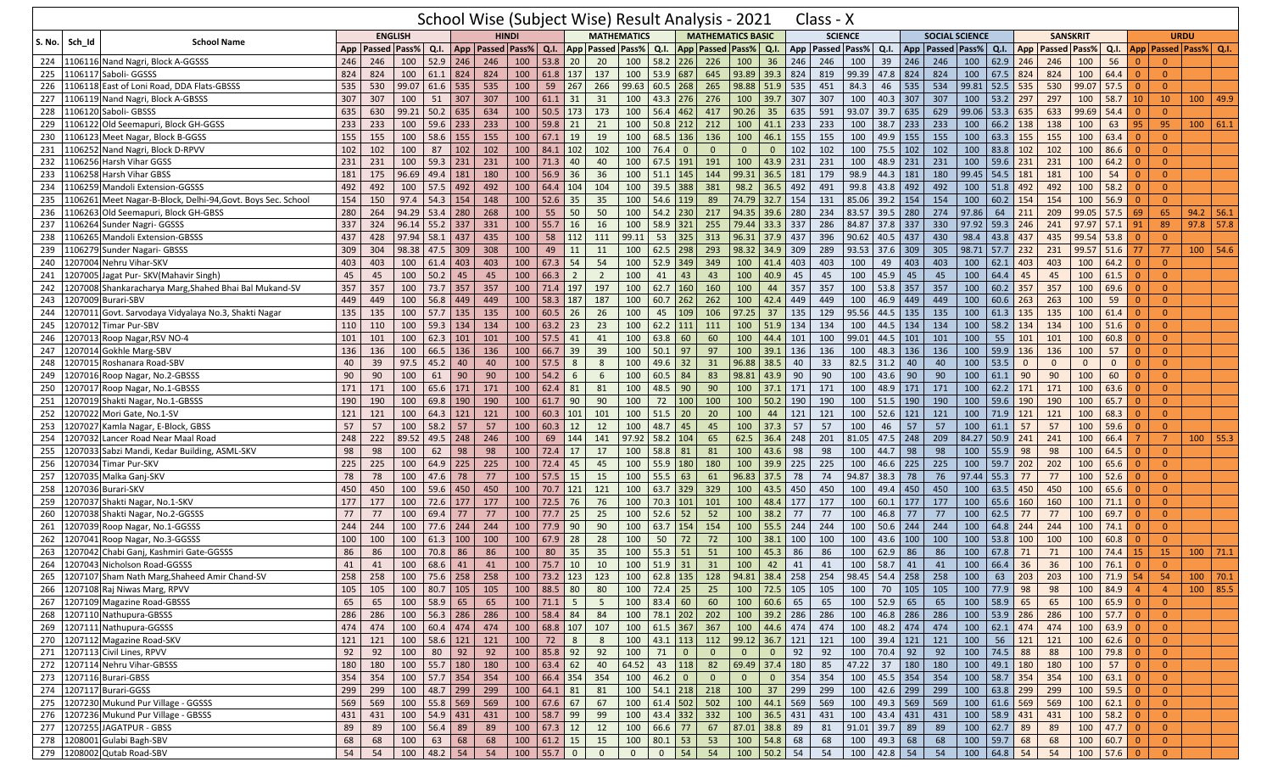|                         |                                                        |     |     |                      |                  |            | School Wise (Subject Wise) Result Analysis - 2021 |       |                              |                |                 |                         |                                                                |                  |                 |                          |                         |                                                  | Class - X                                                                                                                                                   |       |                               |            |                       |       |                             |              |              |                       |                                                                    |          |                |                             |              |
|-------------------------|--------------------------------------------------------|-----|-----|----------------------|------------------|------------|---------------------------------------------------|-------|------------------------------|----------------|-----------------|-------------------------|----------------------------------------------------------------|------------------|-----------------|--------------------------|-------------------------|--------------------------------------------------|-------------------------------------------------------------------------------------------------------------------------------------------------------------|-------|-------------------------------|------------|-----------------------|-------|-----------------------------|--------------|--------------|-----------------------|--------------------------------------------------------------------|----------|----------------|-----------------------------|--------------|
| S. No. Sch Id           | <b>School Name</b>                                     |     |     | <b>ENGLISH</b>       |                  |            | <b>HINDI</b>                                      |       |                              |                |                 | <b>MATHEMATICS</b>      |                                                                |                  |                 | <b>MATHEMATICS BASIC</b> |                         |                                                  | <b>SCIENCE</b>                                                                                                                                              |       |                               |            | <b>SOCIAL SCIENCE</b> |       |                             |              |              | <b>SANSKRIT</b>       |                                                                    |          |                | <b>URDU</b>                 |              |
|                         |                                                        |     |     | App   Passed   Pass% | Q.I.             |            | App   Passed   Pass%                              |       | Q.I.                         |                |                 | <b>App Passed Pass%</b> | Q.I.                                                           |                  |                 | App Passed Pass% Q.I.    |                         | App                                              | Passed   Pass%                                                                                                                                              |       | Q.I.                          |            | App   Passed   Pass%  |       |                             |              |              | Q.I. App Passed Pass% | Q.I.                                                               |          |                | App   Passed   Pass%   Q.I. |              |
| 224                     | 1106116 Nand Nagri, Block A-GGSSS                      | 246 | 246 | 100                  |                  | $52.9$ 246 | 246                                               | 100   | $53.8$ 20                    |                | 20              | 100                     | 58.2                                                           | 226              | 226             | 100                      | 36                      | 246                                              | 246                                                                                                                                                         | 100   | 39                            | 246        | 246                   | 100   |                             | $62.9$ 246   | 246          | 100                   | 56                                                                 | $\Omega$ | $\Omega$       |                             |              |
| 225                     | 1106117 Saboli- GGSSS                                  | 824 | 824 | 100                  | $61.1$ 824       |            | 824                                               | 100   | 61.8 137                     |                | 137             | 100                     | 53.9 687                                                       |                  | 645             | 93.89 39.3               |                         | 824                                              | 819                                                                                                                                                         | 99.39 | 47.8                          | 824        | 824                   | 100   | $67.5$ 824                  |              | 824          | 100                   | 64.4                                                               | $\Omega$ | $\overline{0}$ |                             |              |
| 226<br>1106118          | East of Loni Road, DDA Flats-GBSSS                     | 535 | 530 | 99.07                | 61.6             | 535        | 535                                               | 100   | 59                           | 267            | 266             | 99.63                   | 60.5                                                           | 268              | 265             | 98.88 51.9               |                         | 535                                              | 451                                                                                                                                                         | 84.3  | 46                            | 535        | 534                   | 99.81 | $52.5$ 535                  |              | 530          | 99.07                 | 57.5                                                               |          | $\Omega$       |                             |              |
| 227                     | 1106119 Nand Nagri, Block A-GBSSS                      | 307 | 307 | 100                  | 51               | 307        | 307                                               | 100   | $61.1$ 31                    |                | 31              | 100                     | 43.3 276                                                       |                  | 276             |                          | $100$ 39.7              | 307                                              | 307                                                                                                                                                         | 100   | 40.3                          | 307        | 307                   | 100   | $53.2$ 297                  |              | 297          | 100                   | 58.7                                                               | 10       | 10             |                             | 100 49.9     |
| 228                     | 1106120 Saboli- GBSSS                                  | 635 | 630 | 99.21                | 50.2             | 635        | 634                                               | 100   | 50.5                         | 173            | 173             | 100                     | 56.4                                                           | 462              | 417             | 90.26                    | 35                      | 635                                              | 591                                                                                                                                                         | 93.07 | 39.7                          | 635        | 629                   | 99.06 | 53.3   635                  |              | 633          | 99.69                 | 54.4                                                               | $\Omega$ | $\Omega$       |                             |              |
| 229                     | 1106122 Old Seemapuri, Block GH-GGSS                   | 233 | 233 | 100                  | 59.6             | 233        | 233                                               | 100   | 59.8                         | 21             | 21              | 100                     | 50.8                                                           | 212              | 212             | 100                      | 41.1                    | 233                                              | 233                                                                                                                                                         | 100   | 38.7                          | 233        | 233                   | 100   | 66.2 138                    |              | 138          | 100                   | 63                                                                 | 95       | 95             |                             | 100   61.1   |
| 230                     | 1106123 Meet Nagar, Block B-GGSS                       | 155 | 155 | 100                  | 58.6             | 155        | 155                                               | 100   | 67.1                         | 19             | 19              | 100                     | 68.5                                                           | 136              | 136             | 100                      | 46.1                    | 155                                              | 155                                                                                                                                                         | 100   | 49.9                          | 155        | 155                   | 100   | $63.3$ 155                  |              | 155          | 100                   | 63.4                                                               | $\Omega$ | $\overline{0}$ |                             |              |
| 231                     | 1106252 Nand Nagri, Block D-RPVV                       | 102 | 102 | 100                  | 87               | 102        | 102                                               | 100   | 84.1 102                     |                | 102             | 100                     | 76.4                                                           | $\overline{0}$   | $\overline{0}$  | $\overline{0}$           | $\mathbf{0}$            | 102                                              | 102                                                                                                                                                         | 100   | 75.5                          | 102        | 102                   | 100   | 83.8 102                    |              | 102          | 100                   | 86.6                                                               | $\Omega$ | $\Omega$       |                             |              |
| 232                     | 1106256 Harsh Vihar GGSS                               | 231 | 231 | 100                  | 59.3             | 231        | 231                                               | 100   | 71.3                         | 40             | 40              | 100                     | 67.5                                                           | 191              | 191             | 100                      | 43.9                    | 231                                              | 231                                                                                                                                                         | 100   | 48.9                          | 231        | 231                   | 100   | 59.6 231                    |              | 231          | 100                   | 64.2                                                               |          | $\Omega$       |                             |              |
| 233                     | 1106258 Harsh Vihar GBSS                               | 181 | 175 | 96.69                | 49.4             | 181        | 180                                               | 100   | 56.9                         | 36             | 36              | 100                     | 51.1                                                           | 145              | 144             | 99.31 36.5               |                         | 181                                              | 179                                                                                                                                                         | 98.9  | 44.3                          | 181        | 180                   | 99.45 | 54.5                        | 181          | 181          | 100                   | 54                                                                 | $\Omega$ | $\overline{0}$ |                             |              |
| 234                     | 1106259 Mandoli Extension-GGSSS                        | 492 | 492 | 100                  | 57.5             | 492        | 492                                               | 100   | 64.4                         | 104            | 104             | 100                     | 39.5                                                           | 388              | 381             | 98.2                     | 36.5                    | 492                                              | 491                                                                                                                                                         | 99.8  | 43.8                          | 492        | 492                   | 100   | 51.8 492                    |              | 492          | 100                   | 58.2                                                               | $\Omega$ | $\mathbf{0}$   |                             |              |
| 235<br>1106261          | Meet Nagar-B-Block, Delhi-94, Govt. Boys Sec. School   | 154 | 150 | 97.4                 | 54.3             | 154        | 148                                               | 100   | 52.6                         | 35             | 35              | 100                     | 54.6                                                           | 119              | 89              |                          | 74.79 32.7              | 154                                              | 131                                                                                                                                                         | 85.06 | 39.2                          | 154        | 154                   | 100   | $60.2$ 154                  |              | 154          | 100                   | 56.9                                                               |          | $\Omega$       |                             |              |
| 236                     | 1106263 Old Seemapuri, Block GH-GBSS                   | 280 | 264 | 94.29                | 53.4             | 280        | 268                                               | 100   | 55                           | 50             | 50              | 100                     | 54.2                                                           | 230              | 217             | 94.35 39.6               |                         | 280                                              | 234                                                                                                                                                         | 83.57 | 39.5                          | 280        | 274                   | 97.86 | 64                          | 211          | 209          | 99.05                 | 57.5                                                               | 69       | 65             | $94.2$ 56.1                 |              |
| 237                     | 1106264 Sunder Nagri- GGSSS                            | 337 | 324 | 96.14                | 55.2             | 337        | 331                                               | 100   | 55.7                         | 16             | 16              | 100                     | 58.9                                                           | 321              | 255             |                          | 79.44 33.3              | 337                                              | 286                                                                                                                                                         | 84.87 | 37.8                          | 337        | 330                   | 97.92 |                             | $59.3$ 246   | 241          | 97.97                 | 57.1                                                               | 91       | 89             | $97.8$ 57.8                 |              |
| 238                     | 1106265 Mandoli Extension-GBSSS                        | 437 | 428 | 97.94                | 58.1             | 437        | 435                                               | 100   | 58                           | 112            | 111             | 99.11                   | 53                                                             | 325              | 313             |                          | 96.31 37.9              | 437                                              | 396                                                                                                                                                         | 90.62 | 40.5                          | 437        | 430                   | 98.4  | 43.8 437                    |              | 435          | 99.54                 | 53.8                                                               |          | $\Omega$       |                             |              |
| 239                     | 1106279 Sunder Nagari- GBSSS                           | 309 | 304 | 98.38                | 47.5             | 309        | 308                                               | 100   | 49                           | 11             | 11              | 100                     | 62.5                                                           | 298              | 293             | 98.32 34.9               |                         | 309                                              | 289                                                                                                                                                         | 93.53 | 37.6                          | 309        | 305                   | 98.71 | $57.7$ 232                  |              | 231          | 99.57                 | 51.6                                                               | 77       | 77             |                             | $100$ 54.6   |
| 240                     | 1207004 Nehru Vihar-SKV                                | 403 | 403 | 100                  | 61.4             | 403        | 403                                               | 100   | 67.3                         | 54             | 54              | 100                     | 52.9                                                           | 349              | 349             | 100                      | 41.4                    | 403                                              | 403                                                                                                                                                         | 100   | 49                            | 403        | 403                   | 100   | $62.1$ 403                  |              | 403          | 100                   | 64.2                                                               | $\Omega$ | $\Omega$       |                             |              |
| 241<br>1207005          | Jagat Pur- SKV(Mahavir Singh)                          | 45  | 45  | 100                  | 50.2             | 45         | 45                                                | 100   | 66.3                         | $\overline{2}$ | $\overline{2}$  | 100                     | 41                                                             | 43               | 43              | 100                      | 40.9                    | 45                                               | 45                                                                                                                                                          | 100   | 45.9                          | 45         | 45                    | 100   | 64.4                        | 45           | 45           | 100                   | 61.5                                                               | $\Omega$ | $\overline{0}$ |                             |              |
| 242                     | 1207008 Shankaracharya Marg, Shahed Bhai Bal Mukand-SV | 357 | 357 | 100                  | 73.7             | 357        | 357                                               | 100   | 71.4 197                     |                | 197             | 100                     | 62.7                                                           | 160              | 160             | 100                      | 44                      | 357                                              | 357                                                                                                                                                         | 100   | 53.8                          | 357        | 357                   | 100   | $60.2$ 357                  |              | 357          | 100                   | 69.6                                                               | $\Omega$ | $\Omega$       |                             |              |
| 243<br>1207009          | <b>Burari-SBV</b>                                      | 449 | 449 | 100                  | 56.8             | 449        | 449                                               | 100   | 58.3                         | 187            | 187             | 100                     | 60.7                                                           | 262              | 262             | 100                      | 42.4                    | 449                                              | 449                                                                                                                                                         | 100   | 46.9                          | 449        | 449                   | 100   | $60.6$ 263                  |              | 263          | 100                   | 59                                                                 | $\Omega$ | $\Omega$       |                             |              |
| 244<br>1207011          | Govt. Sarvodaya Vidyalaya No.3, Shakti Nagar           | 135 | 135 | 100                  | 57.7             | 135        | 135                                               | 100   | 60.5                         | 26             | 26              | 100                     | 45                                                             | 109              | 106             | 97.25                    | 37                      | 135                                              | 129                                                                                                                                                         | 95.56 | 44.5                          | 135        | 135                   | 100   | $61.3$ 135                  |              | 135          | 100                   | 61.4                                                               | $\Omega$ | $\Omega$       |                             |              |
| 245                     | 1207012 Timar Pur-SBV                                  | 110 | 110 | 100                  | 59.3             | 134        | 134                                               | 100   | 63.2                         | 23             | 23              | 100                     | $62.2$ 111                                                     |                  | 111             |                          | $100$ 51.9              | 134                                              | 134                                                                                                                                                         | 100   | 44.5                          | 134        | 134                   | 100   | $58.2$ 134                  |              | 134          | 100                   | 51.6                                                               | $\Omega$ | $\overline{0}$ |                             |              |
| 246<br>1207013          | Roop Nagar, RSV NO-4                                   | 101 | 101 | 100                  | 62.3             | 101        | 101                                               | 100   | 57.5                         | 41             | 41              | 100                     | 63.8                                                           | 60               | 60              | 100                      | 44.4                    | 101                                              | 100                                                                                                                                                         | 99.01 | 44.5 101                      |            | 101                   | 100   | 55                          | $\vert$ 101  | 101          | 100                   | 60.8                                                               | $\Omega$ | $\overline{0}$ |                             |              |
| 247                     | 1207014 Gokhle Marg-SBV                                | 136 | 136 | 100                  | 66.5             | 136        | 136                                               | 100   | 66.7                         | 39             | 39              | 100                     | 50.1                                                           | 97               | 97              | 100                      | 39.1                    | 136                                              | 136                                                                                                                                                         | 100   | 48.3                          | 136        | 136                   | 100   | $59.9$ 136                  |              | 136          | 100                   | 57                                                                 | $\Omega$ | $\Omega$       |                             |              |
| 248                     | 1207015 Roshanara Road-SBV                             | 40  | 39  | 97.5                 | 45.2             | 40         | 40                                                | 100   | 57.5                         | 8              | $8\phantom{1}$  | 100                     | 49.6                                                           | 32               | 31              | 96.88 38.5               |                         | 40                                               | 33                                                                                                                                                          | 82.5  | 31.2                          | 40         | 40                    | 100   | 53.5                        | $\mathbf{0}$ | $\mathbf{0}$ | $\mathbf{0}$          | $\mathbf{0}$                                                       |          | $\overline{0}$ |                             |              |
| 249<br>1207016          | Roop Nagar, No.2-GBSSS                                 | 90  | 90  | 100                  | 61               | 90         | 90                                                | 100   | 54.2                         | 6              | 6               | 100                     | 60.5                                                           | 84               | 83              | 98.81 43.9               |                         | 90                                               | 90                                                                                                                                                          | 100   | 43.6                          | 90         | 90                    | 100   | 61.1                        | 90           | 90           | 100                   | 60                                                                 | $\Omega$ | $\overline{0}$ |                             |              |
| 250                     | 1207017 Roop Nagar, No.1-GBSSS                         | 171 | 171 | 100                  | 65.6             | 171        | 171                                               | 100   | $62.4$ 81                    |                | 81              | 100                     | 48.5                                                           | 90               | 90              |                          | $100$ 37.1              | 171                                              | 171                                                                                                                                                         | 100   | 48.9                          | 171        | 171                   | 100   | 62.2 171                    |              | 171          | 100                   | 63.6                                                               | $\Omega$ | $\Omega$       |                             |              |
| 251                     | 1207019 Shakti Nagar, No.1-GBSSS                       | 190 | 190 | 100                  | 69.8             | 190        | 190                                               | 100   | 61.7                         | 90             | 90              | 100                     | 72                                                             | 100              | 100             | 100                      | 50.2                    | 190                                              | 190                                                                                                                                                         | 100   | 51.5                          | 190        | 190                   | 100   | 59.6 190                    |              | 190          | 100                   | 65.7                                                               |          | $\overline{0}$ |                             |              |
| 252                     | 1207022 Mori Gate, No.1-SV                             | 121 | 121 | 100                  | 64.3 121         |            | 121                                               | 100   | 60.3 101                     |                | 101             | 100                     | $51.5$ 20                                                      |                  | 20              | 100                      | 44                      | 121                                              | 121                                                                                                                                                         | 100   |                               | $52.6$ 121 | 121                   | 100   | $71.9$ 121                  |              | 121          | 100                   | 68.3                                                               | $\Omega$ | $\overline{0}$ |                             |              |
| 253<br>1207027          | Kamla Nagar, E-Block, GBSS                             | 57  | 57  | 100                  | 58.2             | 57         | 57                                                | 100   | 60.3                         | 12             | 12              | 100                     | 48.7                                                           | 45               | 45              | 100                      | 37.3                    | 57                                               | 57                                                                                                                                                          | 100   | 46                            | 57         | 57                    | 100   | $61.1$ 57                   |              | 57           | 100                   | 59.6                                                               | $\Omega$ | $\Omega$       |                             |              |
| 254                     | 1207032 Lancer Road Near Maal Road                     | 248 | 222 | 89.52                | 49.5             | 248        | 246                                               | 100   | 69                           | 144            | 141             | 97.92                   | 58.2                                                           | 104              | 65              | 62.5                     | 36.4                    | 248                                              | 201                                                                                                                                                         | 81.05 | 47.5                          | 248        | 209                   | 84.27 | $50.9$ 241                  |              | 241          | 100                   | 66.4                                                               |          | $\overline{7}$ |                             | $100$   55.3 |
| 255                     | 1207033 Sabzi Mandi, Kedar Building, ASML-SKV          | 98  | 98  | 100                  | 62               | 98         | 98                                                | 100   | 72.4                         | 17             | 17              | 100                     | 58.8                                                           | 81               | 81              | 100                      | 43.6                    | 98                                               | 98                                                                                                                                                          | 100   | 44.7                          | 98         | 98                    | 100   | 55.9                        | 98           | 98           | 100                   | 64.5                                                               | $\Omega$ | $\overline{0}$ |                             |              |
| 256                     | 1207034 Timar Pur-SKV                                  | 225 | 225 | 100                  | 64.9             | 225        | 225                                               | 100   | 72.4                         | 45             | 45              | 100                     | 55.9                                                           | 180              | 180             | 100                      | 39.9                    | 225                                              | 225                                                                                                                                                         | 100   | 46.6                          | 225        | 225                   | 100   | 59.7 202                    |              | 202          | 100                   | 65.6                                                               | $\Omega$ | $\Omega$       |                             |              |
| 257                     | 1207035 Malka Ganj-SKV                                 | 78  | 78  | 100                  | 47.6             | 78         | 77                                                | 100   | 57.5                         | 15             | 15              | 100                     | 55.5                                                           | 63               | 61              | 96.83 37.5               |                         | 78                                               | 74                                                                                                                                                          | 94.87 | 38.3                          | 78         | 76                    | 97.44 | $55.3$ 77                   |              | 77           | 100                   | 52.6                                                               |          | $\overline{0}$ |                             |              |
| 258                     | 1207036 Burari-SKV                                     | 450 | 450 | 100                  | 59.6             | 450        | 450                                               | 100   | 70.7 121                     |                | 121             | 100                     | 63.7                                                           | 329              | 329             | 100                      | 43.5                    | 450                                              | 450                                                                                                                                                         | 100   | 49.4                          | 450        | 450                   | 100   | 63.5                        | 450          | 450          | 100                   | 65.6                                                               | $\Omega$ | $\overline{0}$ |                             |              |
| 259                     | 1207037 Shakti Nagar, No.1-SKV                         | 177 | 177 | 100                  | 72.6             | 177        | 177                                               | 100   | 72.5                         | 76             | 76              | 100                     | 70.3                                                           | 101              | 101             | 100                      | 48.4                    | 177                                              | 177                                                                                                                                                         | 100   | 60.1                          | 177        | 177                   | 100   | 65.6 160                    |              | 160          | 100                   | 71.1                                                               | $\Omega$ | $\overline{0}$ |                             |              |
| 260                     | 1207038 Shakti Nagar, No.2-GGSSS                       | 77  | 77  | 100                  | 69.4             | 77         | 77                                                | 100   | $77.7$ 25                    |                | 25              | 100                     | $52.6$ 52                                                      |                  | 52              | 100                      | 38.2                    | 77                                               | 77                                                                                                                                                          | 100   | 46.8                          | 77         | 77                    | 100   | $62.5$ 77                   |              | 77           | 100                   | 69.7                                                               | $\Omega$ | $\Omega$       |                             |              |
| 261                     | 1207039 Roop Nagar, No.1-GGSSS                         | 244 | 244 | 100                  | 77.6             | 244        | 244                                               | 100   | 77.9                         | 90             | 90              | 100                     | 63.7                                                           | 154              | 154             | 100                      | 55.5                    | 244                                              | 244                                                                                                                                                         | 100   | 50.6                          | 244        | 244                   | 100   | 64.8 244                    |              | 244          | 100                   | 74.1                                                               | $\Omega$ | $\mathbf{0}$   |                             |              |
| 262<br>1207041          | Roop Nagar, No.3-GGSSS                                 | 100 | 100 | 100                  | 61.3             | 100        | 100                                               | 100   | 67.9                         | 28             | 28              | 100                     | 50                                                             | 72               | 72              | 100                      | 38.1                    | 100                                              | 100                                                                                                                                                         | 100   | 43.6                          | 100        | 100                   | 100   | $53.8$ 100                  |              | 100          | 100                   | 60.8                                                               | $\Omega$ | $\overline{0}$ |                             |              |
| 263                     | 1207042 Chabi Ganj, Kashmiri Gate-GGSSS                | 86  | 86  | 100                  | 70.8             | 86         | 86                                                | 100   | 80                           | 35             | 35              | 100                     | 55.3                                                           | 51               | 51              | 100                      | 45.3                    | 86                                               | 86                                                                                                                                                          | 100   | 62.9                          | 86         | 86                    | 100   | 67.8 71                     |              | 71           | 100                   | 74.4                                                               | 15       | 15             |                             | $100$ 71.1   |
| 264                     | 1207043 Nicholson Road-GGSSS                           | 41  | 41  | 100                  | 68.6             | 41         | 41                                                | 100   | 75.7                         | 10             | 10              | 100                     | 51.9                                                           | 31               | 31              | 100                      | 42                      | 41                                               | 41                                                                                                                                                          | 100   | 58.7                          | 41         | 41                    | 100   | 66.4                        | 36           | 36           | 100                   | 76.1                                                               | $\Omega$ | $\Omega$       |                             |              |
|                         | 265   1207107 Sham Nath Marg, Shaheed Amir Chand-SV    | 258 |     |                      |                  |            |                                                   |       |                              |                |                 |                         |                                                                |                  |                 |                          |                         |                                                  | 258   100   75.6   258   258   100   73.2   123   123   100   62.8   135   128   94.81   38.4   258   254   98.45   54.4   258   258   100   63   203   203 |       |                               |            |                       |       |                             |              |              | $100$   71.9   54     |                                                                    |          |                |                             | $100$   70.1 |
|                         | 266 1207108 Raj Niwas Marg, RPVV                       | 105 | 105 |                      |                  |            | 100 80.7 105 105                                  |       | 100 88.5 80 80               |                |                 | $100$ 72.4 25 25        |                                                                |                  |                 |                          | 100 72.5 105            |                                                  | 105                                                                                                                                                         | 100   |                               |            | 70 105 105            |       | 100 77.9 98 98              |              |              | 100 84.9 4            |                                                                    |          | $\overline{4}$ |                             | 100 85.5     |
|                         | 267 1207109 Magazine Road-GBSSS                        | 65  | 65  |                      | 100 58.9 65      |            | 65                                                |       | $100$ 71.1 5                 |                | $5\overline{)}$ |                         |                                                                | 100 83.4 60 60   |                 |                          | 100 60.6 65             |                                                  | 65                                                                                                                                                          |       | 100 52.9 65 65                |            |                       |       | $100$ 58.9 65               |              | 65           | 100 65.9 0            |                                                                    |          | $\overline{0}$ |                             |              |
|                         | 268 1207110 Nathupura-GBSSS                            | 286 | 286 |                      | 100 56.3 286 286 |            |                                                   |       | 100   58.4   84              |                | 84              |                         |                                                                | 100 78.1 202 202 |                 |                          | 100 39.2 286            |                                                  | 286                                                                                                                                                         |       |                               |            | 100 46.8 286 286      |       | 100   53.9 286 286          |              |              | 100 57.7 0            |                                                                    |          | $\overline{0}$ |                             |              |
|                         | 269 1207111 Nathupura-GGSSS                            | 474 | 474 |                      | 100 60.4 474 474 |            |                                                   |       | 100 68.8 107 107             |                |                 |                         |                                                                | 100 61.5 367 367 |                 |                          | 100 44.6 474            |                                                  | 474                                                                                                                                                         |       |                               |            | 100 48.2 474 474      |       | $100 \t 62.1 \t 474 \t 474$ |              |              | $100$ 63.9 0          |                                                                    |          | $\overline{0}$ |                             |              |
|                         | 270 1207112 Magazine Road-SKV                          | 121 | 121 |                      | 100 58.6 121     |            | 121                                               | $100$ | $72$ 8                       |                | 8               |                         |                                                                | 100 43.1 113 112 |                 | 99.12 36.7 121           |                         |                                                  | 121                                                                                                                                                         |       |                               |            | 100 39.4 121 121      | 100   |                             | $56$ 121     | 121          | $100 \t 62.6 \t 0$    |                                                                    |          | $\overline{0}$ |                             |              |
|                         | 271 1207113 Civil Lines, RPVV                          | 92  | 92  |                      | 100 80 92        |            | 92                                                |       | 100 85.8 92                  |                | 92              |                         | $100 \begin{array}{ c c } \hline 71 & 0 \\ \hline \end{array}$ |                  | $\overline{0}$  | 0                        | $\overline{\mathbf{0}}$ | 92                                               | 92                                                                                                                                                          |       | $100$ 70.4 92                 |            | 92                    |       | 100 74.5 88                 |              | 88           | 100 79.8 0            |                                                                    |          | $\overline{0}$ |                             |              |
|                         | 272 1207114 Nehru Vihar-GBSSS                          | 180 | 180 | 100 55.7 180 180     |                  |            |                                                   |       | $100 \mid 63.4 \mid 62$      |                | 40              | 64.52 43 118 82         |                                                                |                  |                 | 69.49 37.4 180           |                         |                                                  | 85                                                                                                                                                          |       |                               |            | 47.22 37 180 180      | 100   |                             | 49.1 180 180 |              | 100                   | $57$ 0                                                             |          | $\overline{0}$ |                             |              |
| 273 1207116 Burari-GBSS |                                                        | 354 | 354 |                      | 100 57.7 354 354 |            |                                                   |       | 100 66.4 354 354             |                |                 |                         | 100   46.2   0                                                 |                  | $\overline{0}$  | $\overline{0}$           | $\overline{0}$          | $\begin{array}{ c c }\n\hline\n354\n\end{array}$ | 354                                                                                                                                                         |       | 100 45.5 354                  |            | $\overline{354}$      |       | 100   58.7   354   354      |              |              | $100 \t 63.1 \t 0$    |                                                                    |          | $\overline{0}$ |                             |              |
| 274 1207117 Burari-GGSS |                                                        | 299 | 299 |                      | 100 48.7 299 299 |            |                                                   |       | 100 64.1 81                  |                | 81              |                         |                                                                |                  |                 |                          | 100 37 299              |                                                  | 299                                                                                                                                                         |       |                               |            | 100 42.6 299 299      |       | 100 63.8 299 299            |              |              | 100 59.5 0            |                                                                    |          | $\overline{0}$ |                             |              |
|                         | 275 1207230 Mukund Pur Village - GGSSS                 | 569 | 569 |                      | 100 55.8 569 569 |            |                                                   |       | 100   67.6   67              |                | 67              |                         |                                                                | 100 61.4 502 502 |                 |                          | 100 44.1 569            |                                                  | 569                                                                                                                                                         |       |                               |            | 100 49.3 569 569      |       | 100 61.6 569 569            |              |              | $100 \t 62.1 \t 0$    |                                                                    |          | $\overline{0}$ |                             |              |
|                         | 276 1207236 Mukund Pur Village - GBSSS                 | 431 | 431 |                      | 100 54.9 431     |            | 431                                               |       | 100 58.7 99                  |                | 99              |                         |                                                                | 100 43.4 332     | $\frac{1}{332}$ |                          | 100 36.5 431            |                                                  | 431                                                                                                                                                         |       | $100 \mid 43.4 \mid 431 \mid$ |            | 431                   |       | 100 58.9 431                |              | 431          | 100                   | $\begin{array}{ c c c c c } \hline 58.2 & 0 \\ \hline \end{array}$ |          | $\overline{0}$ |                             |              |
|                         | 277 1207255 JAGATPUR - GBSS                            | 89  | 89  |                      | 100 56.4 89      |            | 89                                                |       | $100 \mid 67.3 \mid 12 \mid$ |                | 12              |                         |                                                                | 100   66.6   77  | 67              | 87.01 38.8 89            |                         |                                                  | 81                                                                                                                                                          |       | $91.01$ 39.7 89               |            | 89                    |       | 100 62.7 89                 |              | 89           | $100$ 47.7 0          |                                                                    |          | $\overline{0}$ |                             |              |
|                         | 278 1208001 Gulabi Bagh-SBV                            | 68  | 68  | 100                  | 63 68            |            | 68                                                |       | 100   61.2   15              |                | 15              | 100                     |                                                                | $80.1$ 53        | 53              |                          | 100 54.8 68             |                                                  | 68                                                                                                                                                          |       | 100 49.3 68                   |            | 68                    |       | 100 59.7 68                 |              | 68           | 100                   | $60.7$ 0                                                           |          | $\overline{0}$ |                             |              |
|                         | 279 1208002 Qutab Road-SBV                             | 54  | 54  |                      | 100 48.2 54      |            | 54                                                |       | $100$ 55.7 0                 |                | $\overline{0}$  | $\overline{0}$          | $0 \mid 54$                                                    |                  | 54              |                          | 100 50.2 54             |                                                  | 54                                                                                                                                                          |       | 100   42.8   54               |            | 54                    |       | 100   64.8   54             |              | 54           | $100$ 57.6 0          |                                                                    |          | $\overline{0}$ |                             |              |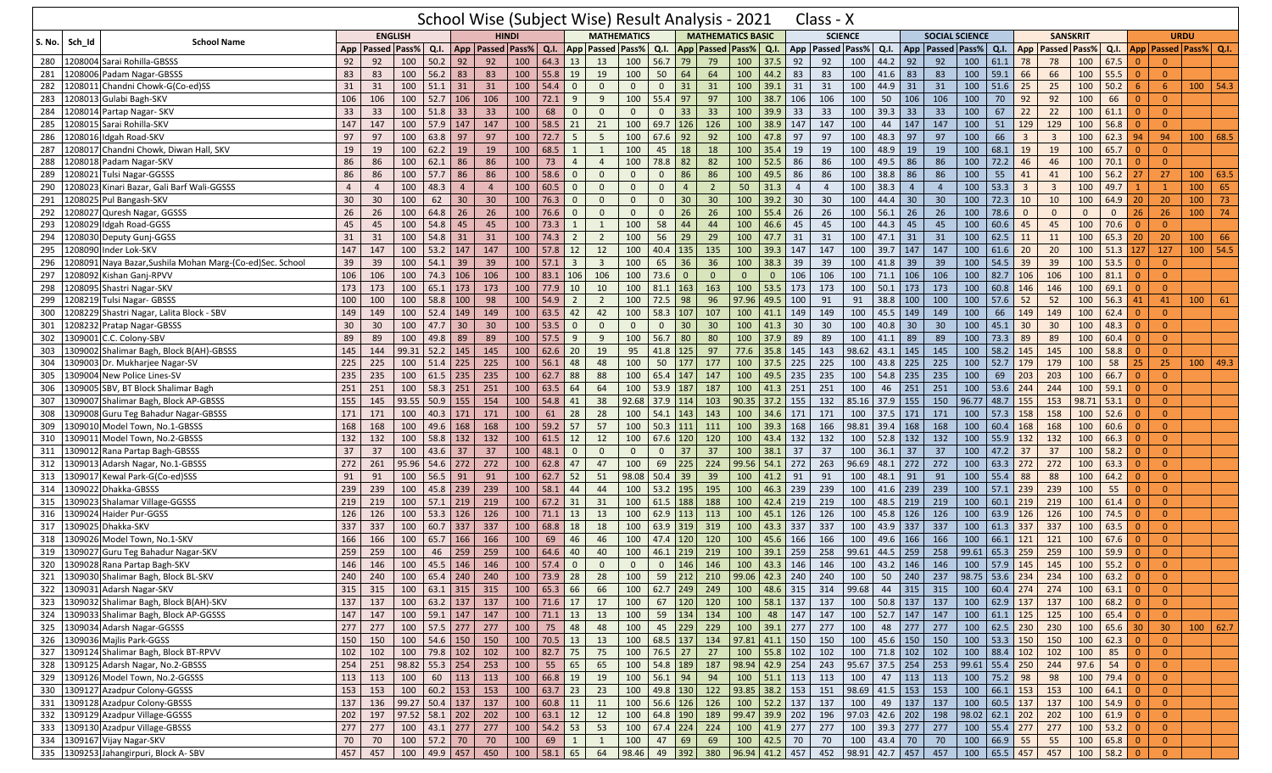|                       |                                                                               |                |                      |                        |                  |                 | School Wise (Subject Wise) Result Analysis - 2021 |     |                         |                                |                         |                         |              |                      |                |                             |                        |                | Class - X                                                                                                                                                                      |                |                  |                |                                       |             |                  |                         |                         |                     |                                                                    |                 |                 |                             |            |
|-----------------------|-------------------------------------------------------------------------------|----------------|----------------------|------------------------|------------------|-----------------|---------------------------------------------------|-----|-------------------------|--------------------------------|-------------------------|-------------------------|--------------|----------------------|----------------|-----------------------------|------------------------|----------------|--------------------------------------------------------------------------------------------------------------------------------------------------------------------------------|----------------|------------------|----------------|---------------------------------------|-------------|------------------|-------------------------|-------------------------|---------------------|--------------------------------------------------------------------|-----------------|-----------------|-----------------------------|------------|
|                       |                                                                               |                |                      | <b>ENGLISH</b>         |                  |                 | <b>HINDI</b>                                      |     |                         |                                |                         | <b>MATHEMATICS</b>      |              |                      |                | <b>MATHEMATICS BASIC</b>    |                        |                |                                                                                                                                                                                | <b>SCIENCE</b> |                  |                | <b>SOCIAL SCIENCE</b>                 |             |                  |                         | <b>SANSKRIT</b>         |                     |                                                                    |                 |                 | <b>URDU</b>                 |            |
| Sch_Id<br>S. No.      | <b>School Name</b>                                                            |                | App   Passed   Pass% |                        | Q.I.             |                 | App   Passed   Pass%                              |     | Q.I.                    |                                |                         | <b>App Passed Pass%</b> | Q.I.         |                      |                | App   Passed   Pass%   Q.I. |                        |                | App Passed Pass%                                                                                                                                                               |                | Q.I.             |                | App   Passed   Pass%                  |             | Q.I. App         |                         |                         | <b>Passed Pass%</b> | Q.I.                                                               |                 |                 | App   Passed   Pass%   Q.I. |            |
| 280                   | 1208004 Sarai Rohilla-GBSSS                                                   | 92             | 92                   | 100                    | 50.2             | 92              | 92                                                | 100 | $64.3$ 13               |                                | 13                      | 100                     | 56.7         | 79                   | 79             | 100                         | 37.5                   | 92             | 92                                                                                                                                                                             | 100            | 44.2             | 92             | 92                                    | 100         | 61.1             | 78                      | 78                      | 100                 | 67.5                                                               | $\overline{0}$  | $\Omega$        |                             |            |
| 281                   | 1208006 Padam Nagar-GBSSS                                                     | 83             | 83                   | 100                    | 56.2             | 83              | 83                                                | 100 | 55.8                    | 19                             | 19                      | 100                     | 50           | 64                   | 64             | 100                         | 44.2                   | 83             | 83                                                                                                                                                                             | 100            | 41.6             | 83             | 83                                    | 100         | 59.1             | 66                      | 66                      | 100                 | 55.5                                                               | $\Omega$        | $\mathbf{0}$    |                             |            |
| 282<br>1208011        | Chandni Chowk-G(Co-ed)SS                                                      | 31             | 31                   | 100                    | 51.1             | 31              | 31                                                | 100 | 54.4                    | $\Omega$                       | $\mathbf{0}$            | $\mathbf{0}$            | $\mathbf{0}$ | 31                   | 31             |                             | $100$ 39.1             | 31             | 31                                                                                                                                                                             | 100            | 44.9             | 31             | 31                                    | 100         | $51.6$ 25        |                         | 25                      | 100                 | 50.2                                                               | $6\overline{6}$ | 6               |                             | $100$ 54.3 |
| 283                   | 1208013 Gulabi Bagh-SKV                                                       | 106            | 106                  | 100                    | 52.7             | 106             | 106                                               | 100 | $72.1$                  | 9                              | 9                       | 100                     | 55.4         | 97                   | 97             | 100                         | 38.7                   | 106            | 106                                                                                                                                                                            | 100            | 50               | 106            | 106                                   | 100         | 70               | 92                      | 92                      | 100                 | 66                                                                 | $\Omega$        | $\mathbf{0}$    |                             |            |
| 284                   | 1208014 Partap Nagar- SKV                                                     | 33             | 33                   | 100                    | 51.8             | 33              | 33                                                | 100 | 68                      | $\overline{0}$                 | $\mathbf 0$             | $\mathbf{0}$            | $\mathbf{0}$ | 33                   | 33             | 100                         | 39.9                   | 33             | 33                                                                                                                                                                             | 100            | 39.3             | 33             | 33                                    | 100         | 67               | 22                      | 22                      | 100                 | 61.1                                                               | $\Omega$        | $\overline{0}$  |                             |            |
| 285                   | 1208015 Sarai Rohilla-SKV                                                     | 147            | 147                  | 100                    | 57.9 147         |                 | 147                                               | 100 | 58.5                    | 21                             | 21                      | 100                     | 69.7         | 126                  | 126            | 100                         | 38.9                   | 147            | 147                                                                                                                                                                            | 100            | 44               | 147            | 147                                   | 100         | 51               | 129                     | 129                     | 100                 | 56.8                                                               |                 | $\Omega$        |                             |            |
| 286                   | 1208016 Idgah Road-SKV                                                        | 97             | 97                   | 100                    | 63.8             | 97              | 97                                                | 100 | 72.7                    | 5                              | 5                       | 100                     | 67.6         | 92                   | 92             | 100                         | 47.8                   | 97             | 97                                                                                                                                                                             | 100            | 48.3             | 97             | 97                                    | 100         | 66               | $\overline{\mathbf{3}}$ | $\overline{3}$          | 100                 | 62.3                                                               | 94              | 94              | 100                         | 68.5       |
| 287<br>1208017        | Chandni Chowk, Diwan Hall, SKV                                                | 19             | 19                   | 100                    | 62.2             | 19              | 19                                                | 100 | 68.5                    | -1                             | 1                       | 100                     | 45           | 18                   | 18             | 100                         | 35.4                   | 19             | 19                                                                                                                                                                             | 100            | 48.9             | 19             | 19                                    | 100         | 68.1             | 19                      | 19                      | 100                 | 65.7                                                               | $\Omega$        | $\Omega$        |                             |            |
| 288<br>1208018        | Padam Nagar-SKV                                                               | 86             | 86                   | 100                    | 62.1             | 86              | 86                                                | 100 | 73                      | $\overline{4}$                 | $\overline{4}$          | 100                     | 78.8         | 82                   | 82             | 100                         | 52.5                   | 86             | 86                                                                                                                                                                             | 100            | 49.5             | 86             | 86                                    | 100         | 72.2             | 46                      | 46                      | 100                 | 70.1                                                               | $\Omega$        | $\Omega$        |                             |            |
| 289<br>1208021        | <b>Tulsi Nagar-GGSSS</b>                                                      | 86             | 86                   | 100                    | 57.7             | 86              | 86                                                | 100 | 58.6                    | $\mathbf{0}$                   | $\mathbf 0$             | $\mathbf 0$             | $\mathbf{0}$ | 86                   | 86             | 100                         | 49.5                   | 86             | 86                                                                                                                                                                             | 100            | 38.8             | 86             | 86                                    | 100         | 55               | 41                      | 41                      | 100                 | 56.2                                                               | 27              | 27              | 100                         | 63.5       |
| 290<br>1208023        | Kinari Bazar, Gali Barf Wali-GGSSS                                            | $\overline{4}$ | $\overline{4}$       | 100                    | 48.3             | $\overline{4}$  | $\overline{4}$                                    | 100 | 60.5                    | $\Omega$                       | $\mathbf 0$             | $\mathbf{0}$            | $\mathbf{0}$ | $\overline{4}$       | $\overline{2}$ | 50                          | 31.3                   | $\overline{4}$ | $\overline{4}$                                                                                                                                                                 | 100            | 38.3             | $\overline{4}$ | $\overline{4}$                        | 100         | 53.3             | $\overline{3}$          | $\overline{\mathbf{3}}$ | 100                 | 49.7                                                               |                 | $\mathbf{1}$    | 100                         | 65         |
| 291<br>1208025        | Pul Bangash-SKV                                                               | 30             | 30                   | 100                    | 62               | 30 <sup>°</sup> | 30                                                | 100 | 76.3                    | $\Omega$                       | $\mathbf 0$             | $\mathbf{0}$            | $\mathbf{0}$ | 30                   | 30             | 100                         | 39.2                   | 30             | 30                                                                                                                                                                             | 100            | 44.4             | 30             | 30 <sup>°</sup>                       | 100         | $72.3$ 10        |                         | 10                      | 100                 | 64.9                                                               | 20              | 20              | 100                         | 73         |
| 292                   | 1208027 Quresh Nagar, GGSSS                                                   | 26             | 26                   | 100                    | 64.8             | 26              | 26                                                | 100 | 76.6                    | $\overline{0}$                 | $\mathbf 0$             | $\mathbf 0$             | $\mathbf{0}$ | 26                   | 26             | 100                         | 55.4                   | 26             | 26                                                                                                                                                                             | 100            | 56.1             | 26             | 26                                    | 100         | 78.6             | $\mathbf{0}$            | $\mathbf{0}$            | $\mathbf{0}$        | $\mathbf{0}$                                                       | 26              | 26              | 100                         | 74         |
| 293<br>1208029        | Idgah Road-GGSS                                                               | 45             | 45                   | 100                    | 54.8             | 45              | 45                                                | 100 | 73.3                    | -1                             | 1                       | 100                     | 58           | 44                   | 44             | 100                         | 46.6                   | 45             | 45                                                                                                                                                                             | 100            | 44.3             | 45             | 45                                    | 100         | 60.6             | 45                      | 45                      | 100                 | 70.6                                                               | $\Omega$        | $\Omega$        |                             |            |
| 294<br>1208030        | Deputy Gunj-GGSS                                                              | 31             | 31                   | 100                    | 54.8             | 31              | 31                                                | 100 | 74.3                    | $\overline{2}$                 | $\overline{2}$          | 100                     | 56           | 29                   | 29             | 100                         | 47.7                   | 31             | 31                                                                                                                                                                             | 100            | 47.1             | 31             | 31                                    | 100         | $62.5$ 11        |                         | 11                      | 100                 | 65.3                                                               | 20              | 20              | 100                         | 66         |
| 295<br>1208090        | Inder Lok-SKV                                                                 | 147            | 147                  | 100                    | 53.2             | 147             | 147                                               | 100 | 57.8                    | 12                             | 12                      | 100                     | 40.4         | 135                  | 135            | 100                         | 39.3                   | 147            | 147                                                                                                                                                                            | 100            | 39.7             | 147            | 147                                   | 100         | 61.6             | 20                      | 20                      | 100                 | 51.3                                                               | 127             | 127             |                             | $100$ 54.5 |
|                       |                                                                               |                |                      |                        |                  |                 | 39                                                | 100 |                         |                                | $\overline{\mathbf{3}}$ | 100                     | 65           |                      | 36             |                             |                        |                | 39                                                                                                                                                                             | 100            |                  |                | 39                                    | 100         | 54.5             |                         | 39                      | 100                 | 53.5                                                               | $\Omega$        | $\Omega$        |                             |            |
| 296<br>1208091<br>297 | Naya Bazar, Sushila Mohan Marg-(Co-ed)Sec. School<br>1208092 Kishan Ganj-RPVV | 39<br>106      | 39<br>106            | 100<br>100             | 54.1<br>74.3     | 39<br>106       | 106                                               | 100 | 57.1<br>83.1            | $\overline{\mathbf{3}}$<br>106 | 106                     | 100                     | 73.6         | 36<br>$\overline{0}$ | $\overline{0}$ | 100<br>$\overline{0}$       | 38.3<br>$\overline{0}$ | 39<br>106      | 106                                                                                                                                                                            | 100            | 41.8<br>71.1     | 39<br>106      | 106                                   | 100         | $82.7$ 106       | 39                      | 106                     | 100                 | 81.1                                                               | $\Omega$        | $\Omega$        |                             |            |
| 298                   | 1208095 Shastri Nagar-SKV                                                     |                |                      | 100                    | 65.1             | 173             | 173                                               | 100 | 77.9                    |                                |                         | 100                     |              | 163                  | 163            | 100                         | 53.5                   | 173            | 173                                                                                                                                                                            | 100            | 50.1             | 173            | 173                                   |             | $60.8$ 146       |                         | 146                     |                     | 69.1                                                               |                 | $\Omega$        |                             |            |
| 1208219               | Tulsi Nagar- GBSSS                                                            | 173            | 173                  |                        |                  |                 |                                                   | 100 |                         | 10                             | 10<br>$\overline{2}$    | 100                     | 81.1<br>72.5 |                      | 96             |                             | 97.96 49.5             |                |                                                                                                                                                                                |                | 38.8             |                |                                       | 100<br>100  |                  |                         | 52                      | 100<br>100          | 56.3                                                               |                 | 41              | 100                         |            |
| 299                   |                                                                               | 100            | 100                  | 100                    | 58.8             | 100             | 98                                                |     | 54.9                    | $\overline{2}$                 |                         |                         |              | 98                   | 107            |                             |                        | 100            | 91                                                                                                                                                                             | 91             |                  | 100            | 100                                   |             | $57.6$ 52        |                         |                         |                     |                                                                    | 41              |                 |                             | 61         |
| 300                   | 1208229 Shastri Nagar, Lalita Block - SBV                                     | 149            | 149                  | 100                    | 52.4             | 149             | 149                                               | 100 | 63.5                    | 42                             | 42                      | 100                     | 58.3         | 107                  |                | 100                         | 41.1                   | 149            | 149                                                                                                                                                                            | 100            | 45.5             | 149            | 149                                   | 100         | 66               | 149                     | 149                     | 100                 | 62.4                                                               | $\Omega$        | $\Omega$        |                             |            |
| 301                   | 1208232 Pratap Nagar-GBSSS                                                    | 30             | 30                   | 100                    | 47.7             | 30              | 30                                                | 100 | 53.5                    | $\overline{0}$                 | $\mathbf 0$             | $\mathbf{0}$            | $\mathbf{0}$ | 30                   | 30             | 100                         | 41.3                   | 30             | 30                                                                                                                                                                             | 100            | 40.8             | 30             | 30                                    | 100         | 45.1             | 30                      | 30                      | 100                 | 48.3                                                               |                 | $\overline{0}$  |                             |            |
| 302<br>1309001        | C.C. Colony-SBV                                                               | 89             | 89                   | 100                    | 49.8             | 89              | 89                                                | 100 | 57.5                    | 9                              | 9                       | 100                     | 56.7         | 80                   | 80             | 100                         | 37.9                   | 89             | 89                                                                                                                                                                             | 100            | 41.1             | 89             | 89                                    | 100         | 73.3 89          |                         | 89                      | 100                 | 60.4                                                               | $\Omega$        | $\overline{0}$  |                             |            |
| 303                   | 1309002 Shalimar Bagh, Block B(AH)-GBSSS                                      | 145            | 144                  | 99.31                  | 52.2             | 145             | 145                                               | 100 | 62.6                    | 20                             | 19                      | 95                      | 41.8         | 125                  | 97             | 77.6                        | 35.8                   | 145            | 143                                                                                                                                                                            | 98.62          | 43.1             | 145            | 145                                   | 100         | $58.2$ 145       |                         | 145                     | 100                 | 58.8                                                               | $\Omega$        | $\Omega$        |                             |            |
| 304                   | 1309003 Dr. Mukharjee Nagar-SV                                                | 225            | 225                  | 100                    | 51.4             | 225             | 225                                               | 100 | 56.1                    | 48                             | 48                      | 100                     | 50           | 177                  | 177            |                             | 100 37.5               | 225            | 225                                                                                                                                                                            | 100            | 43.8             | 225            | 225                                   | 100         | $52.7$ 179       |                         | 179                     | 100                 | 58                                                                 | 25              | 25              |                             | $100$ 49.3 |
| 305<br>1309004        | New Police Lines-SV                                                           | 235            | 235                  | 100                    | 61.5             | 235             | 235                                               | 100 | 62.7                    | 88                             | 88                      | 100                     | 65.4         | 147                  | 147            | 100                         | 49.5                   | 235            | 235                                                                                                                                                                            | 100            | 54.8             | 235            | 235                                   | 100         | 69               | 203                     | 203                     | 100                 | 66.7                                                               | $\Omega$        | $\Omega$        |                             |            |
| 306                   | 1309005 SBV, BT Block Shalimar Bagh                                           | 251            | 251                  | 100                    | 58.3             | 251             | 251                                               | 100 | 63.5                    | 64                             | 64                      | 100                     | 53.9         | 187                  | 187            | 100                         | 41.3                   | 251            | 251                                                                                                                                                                            | 100            | 46               | 251            | 251                                   | 100         | $53.6$ 244       |                         | 244                     | 100                 | 59.1                                                               | $\Omega$        | $\overline{0}$  |                             |            |
| 307                   | 1309007 Shalimar Bagh, Block AP-GBSSS                                         | 155            | 145                  | 93.55                  | 50.9             | 155             | 154                                               | 100 | 54.8                    | 41                             | 38                      | 92.68                   | 37.9 114     |                      | 103            |                             | $90.35$ 37.2           | 155            | 132                                                                                                                                                                            | 85.16          | 37.9             | 155            | 150                                   | 96.77       | 48.7 155         |                         | 153                     | 98.71               | 53.1                                                               |                 | $\overline{0}$  |                             |            |
| 308                   | 1309008 Guru Teg Bahadur Nagar-GBSSS                                          | 171            | 171                  | 100                    | 40.3             | 171             | 171                                               | 100 | 61                      | 28                             | 28                      | 100                     | 54.1         | 143                  | 143            | 100                         | 34.6                   | 171            | 171                                                                                                                                                                            | 100            | 37.5             | 171            | 171                                   | 100         | $57.3$ 158       |                         | 158                     | 100                 | 52.6                                                               | $\Omega$        | $\overline{0}$  |                             |            |
| 1309010<br>309        | Model Town, No.1-GBSSS                                                        | 168            | 168                  | 100                    | 49.6             | 168             | 168                                               | 100 | 59.2                    | 57                             | 57                      | 100                     | 50.3         | 111                  | 111            | 100                         | 39.3                   | 168            | 166                                                                                                                                                                            | 98.81          | 39.4             | 168            | 168                                   | 100         | $60.4$ 168       |                         | 168                     | 100                 | 60.6                                                               | $\Omega$        | $\overline{0}$  |                             |            |
| 310                   | 1309011 Model Town, No.2-GBSSS                                                | 132            | 132                  | 100                    | 58.8             | 132             | 132                                               | 100 | 61.5                    | 12                             | 12                      | 100                     | $67.6$ 120   |                      | 120            | 100                         | 43.4                   | 132            | 132                                                                                                                                                                            | 100            |                  | $52.8$ 132     | 132                                   | 100         | $55.9$ 132       |                         | 132                     | 100                 | 66.3                                                               | $\Omega$        | $\Omega$        |                             |            |
| 311<br>1309012        | Rana Partap Bagh-GBSSS                                                        | 37             | 37                   | 100                    | 43.6             | 37              | 37                                                | 100 | 48.1                    | $\mathbf{0}$                   | $\mathbf{0}$            | $\Omega$                | $\Omega$     | 37                   | 37             | 100                         | 38.1                   | 37             | 37                                                                                                                                                                             | 100            | 36.1             | 37             | 37                                    | 100         | 47.2 37          |                         | 37                      | 100                 | 58.2                                                               | $\Omega$        | $\Omega$        |                             |            |
| 1309013<br>312        | Adarsh Nagar, No.1-GBSSS                                                      | 272            | 261                  | 95.96                  | 54.6             | 272             | 272                                               | 100 | 62.8                    | 47                             | 47                      | 100                     | 69           | 225                  | 224            |                             | 99.56 54.1             | 272            | 263                                                                                                                                                                            | 96.69          | 48.1             | 272            | 272                                   | 100         | $63.3$ 272       |                         | 272                     | 100                 | 63.3                                                               | $\Omega$        | $\Omega$        |                             |            |
| 313                   | 1309017 Kewal Park-G(Co-ed)SSS                                                | 91             | 91                   | 100                    | 56.5             | 91              | 91                                                | 100 | $62.7$ 52               |                                | 51                      | 98.08                   | 50.4         | 39                   | 39             |                             | $100$ 41.2             | 91             | 91                                                                                                                                                                             | 100            | 48.1             | 91             | 91                                    | 100         | 55.4 88          |                         | 88                      | 100                 | 64.2                                                               | $\Omega$        | $\overline{0}$  |                             |            |
| 314<br>1309022        | Dhakka-GBSSS                                                                  | 239            | 239                  | 100                    | 45.8             | 239             | 239                                               | 100 | 58.1                    | 44                             | 44                      | 100                     | 53.2         | 195                  | 195            | 100                         | 46.3                   | 239            | 239                                                                                                                                                                            | 100            | 41.6             | 239            | 239                                   | 100         | $57.1$ 239       |                         | 239                     | 100                 | 55                                                                 | $\Omega$        | $\Omega$        |                             |            |
| 315                   | 1309023 Shalamar Village-GGSSS                                                | 219            | 219                  | 100                    | $57.1$ 219       |                 | 219                                               | 100 | $67.2$ 31               |                                | 31                      | 100                     | 61.5         | 188                  | 188            | 100                         | 42.4                   | 219            | 219                                                                                                                                                                            | 100            | $48.5$ 219       |                | 219                                   | 100         | $60.1$ 219       |                         | 219                     | 100                 | 61.4                                                               | $\Omega$        | $\overline{0}$  |                             |            |
| 316                   | 1309024 Haider Pur-GGSS                                                       | 126            | 126                  | 100                    | 53.3             | 126             | 126                                               | 100 | $71.1$ 13               |                                | 13                      | 100                     | $62.9$ 113   |                      | 113            | 100                         | 45.1                   | 126            | 126                                                                                                                                                                            | 100            | 45.8             | 126            | 126                                   | 100         | $63.9$ 126       |                         | 126                     | 100                 | 74.5                                                               | $\Omega$        | $\overline{0}$  |                             |            |
| 317<br>1309025        | Dhakka-SKV                                                                    | 337            | 337                  | 100                    | 60.7             | 337             | 337                                               | 100 | 68.8                    | 18                             | 18                      | 100                     | 63.9         | 319                  | 319            | 100                         | 43.3                   | 337            | 337                                                                                                                                                                            | 100            | 43.9             | 337            | 337                                   | 100         | $61.3$ 337       |                         | 337                     | 100                 | 63.5                                                               |                 | $\overline{0}$  |                             |            |
| 1309026<br>318        | Model Town, No.1-SKV                                                          | 166            | 166                  | 100                    | 65.7             | 166             | 166                                               | 100 | 69                      | 46                             | 46                      | 100                     | 47.4         | 120                  | 120            | 100                         | 45.6                   | 166            | 166                                                                                                                                                                            | 100            | 49.6             | 166            | 166                                   | 100         | $66.1$ 121       |                         | 121                     | 100                 | 67.6                                                               | $\Omega$        | $\overline{0}$  |                             |            |
| 319                   | 1309027 Guru Teg Bahadur Nagar-SKV                                            | 259            | 259                  | 100                    | 46               | 259             | 259                                               | 100 | 64.6                    | 40                             | 40                      | 100                     | 46.1         | 219                  | 219            | 100                         | 39.1                   | 259            | 258                                                                                                                                                                            | 99.61          | 44.5             | 259            | 258                                   | 99.61       | 65.3 259         |                         | 259                     | 100                 | 59.9                                                               | $\Omega$        | $\overline{0}$  |                             |            |
| 320                   | 1309028 Rana Partap Bagh-SKV                                                  | 146            | 146                  | 100                    | 45.5             | 146             | 146                                               | 100 | 57.4                    |                                | $\mathbf{0}$            | $\Omega$                | $\Omega$     | 146                  | 146            | 100                         | 43.3                   | 146            | 146                                                                                                                                                                            | 100            | 43.2             | 146            | 146                                   | 100         | 57.9             | 145                     | 145                     | 100                 | 55.2                                                               |                 | $\Omega$        |                             |            |
|                       | 321 1309030 Shalimar Bagh, Block BL-SKV                                       | 240            |                      |                        |                  |                 |                                                   |     |                         |                                |                         |                         |              |                      |                |                             |                        |                | 240   100   65.4   240   240   100   73.9   28   28   100   59   212   210   99.06   42.3   240   240   100   50   240   237   98.75   53.6   234   234   234   100   63.2   0 |                |                  |                |                                       |             |                  |                         |                         |                     |                                                                    |                 | $\overline{0}$  |                             |            |
|                       | 322 1309031 Adarsh Nagar-SKV                                                  | 315            | 315                  |                        |                  |                 | 100 63.1 315 315                                  |     | 100   65.3   66         |                                | 66                      | 100                     |              | 62.7 249 249         |                |                             |                        |                | 100 48.6 315 314 99.68                                                                                                                                                         |                |                  |                | 44 315 315                            | $\vert$ 100 |                  | $60.4$ 274 274          |                         | 100                 | $63.1$ 0                                                           |                 | $\overline{0}$  |                             |            |
|                       | 323 1309032 Shalimar Bagh, Block B(AH)-SKV                                    | 137            | 137                  |                        | 100 63.2 137 137 |                 |                                                   |     | $100$ 71.6 17           |                                | 17                      | 100                     |              | 67 120 120           |                |                             | 100 58.1 137           |                | 137                                                                                                                                                                            |                |                  |                | 100 50.8 137 137                      |             | 100 62.9 137 137 |                         |                         |                     | $100 \t 68.2$                                                      |                 | $\overline{0}$  |                             |            |
|                       | 324 1309033 Shalimar Bagh, Block AP-GGSSS                                     | 147            |                      | 147 100 59.1 147 147   |                  |                 |                                                   |     | 100 71.1 13 13          |                                |                         | 100                     |              | 59 134 134           |                |                             | 100 48 147             |                | 147                                                                                                                                                                            |                |                  |                | 100 52.7 147 147                      |             | 100 61.1 125 125 |                         |                         | $100 \t 65.4 \t 0$  |                                                                    |                 | $\overline{0}$  |                             |            |
|                       | 325 1309034 Adarsh Nagar-GGSSS                                                | 277            | 277                  | 100   57.5   277   277 |                  |                 |                                                   | 100 | 75 48                   |                                | 48                      | 100                     |              | 45 229 229           |                |                             | 100 39.1 277           |                | 277                                                                                                                                                                            | 100            |                  |                | 48 277 277                            |             | 100 62.5 230 230 |                         |                         | $100$ 65.6 30       |                                                                    |                 | 30 <sup>°</sup> | $100$ 62.7                  |            |
|                       | 326 1309036 Majlis Park-GGSS                                                  | 150            | 150                  |                        | 100 54.6 150     |                 | 150                                               | 100 | 70.5 13                 |                                | 13                      |                         |              | 100 68.5 137 134     |                | $97.81$ 41.1 150            |                        |                | 150                                                                                                                                                                            |                |                  |                | 100 45.6 150 150                      |             | 100 53.3 150 150 |                         |                         | $\boxed{100}$       | $\begin{array}{ c c }\n\hline\n62.3\n\end{array}$                  |                 | $\overline{0}$  |                             |            |
|                       | 327 1309124 Shalimar Bagh, Block BT-RPVV                                      | 102            | 102                  |                        | 100 79.8 102     |                 | 102                                               |     | 100 82.7 75             |                                | 75                      |                         |              | $100$ 76.5 27        | 27             |                             | 100 55.8 102           |                | 102                                                                                                                                                                            |                |                  |                | 100 71.8 102 102                      |             | 100 88.4 102 102 |                         |                         | 100                 | 85                                                                 | $\overline{0}$  | $\overline{0}$  |                             |            |
|                       | 328 1309125 Adarsh Nagar, No.2-GBSSS                                          | 254            | 251                  | $98.82$ 55.3 254       |                  |                 | 253                                               | 100 | $55$ 65                 |                                | 65                      |                         |              | 100 54.8 189 187     |                | 98.94 42.9 254              |                        |                | 243                                                                                                                                                                            |                |                  |                | 95.67 37.5 254 253 99.61 55.4 250 244 |             |                  |                         |                         | 97.6                | 54                                                                 | $\overline{0}$  | $\overline{0}$  |                             |            |
|                       | 329 1309126 Model Town, No.2-GGSSS                                            | 113            | 113                  | $100 \ 60 \ 113$       |                  |                 | 113                                               | 100 | 66.8 19                 |                                | 19                      |                         | 100 56.1 94  |                      | 94             |                             | 100 51.1 113           |                | 113                                                                                                                                                                            | 100            |                  | 47 113         | 113                                   |             | 100 75.2 98      |                         | 98                      | 100                 | $79.4$                                                             | $\overline{0}$  | $\overline{0}$  |                             |            |
| 330                   | 1309127 Azadpur Colony-GGSSS                                                  | 153            | 153                  |                        | 100   60.2   153 |                 | 153                                               |     | $100 \mid 63.7 \mid 23$ |                                | 23                      | 100                     |              | 49.8 130 122         |                | 93.85 38.2 153              |                        |                | 151                                                                                                                                                                            | 98.69 41.5 153 |                  |                | 153                                   |             | 100 66.1 153     |                         | 153                     | 100                 | $64.1$ 0                                                           |                 | $\overline{0}$  |                             |            |
|                       | 331 1309128 Azadpur Colony-GBSSS                                              | 137            | 136                  | $99.27$ 50.4 137       |                  |                 | 137                                               | 100 | $60.8$ 11               |                                | 11                      |                         |              | 100 56.6 126 126     |                |                             | 100 52.2 137           |                | 137                                                                                                                                                                            | 100            |                  |                | 49 137 137                            |             | 100 60.5 137 137 |                         |                         | $\boxed{100}$       | $54.9$ 0                                                           |                 | $\overline{0}$  |                             |            |
|                       | 332 1309129 Azadpur Village-GGSSS                                             | 202            | 197                  | 97.52 58.1 202         |                  |                 | 202                                               |     | $100 \mid 63.1 \mid 12$ |                                | 12                      | 100                     |              | 64.8 190             | 189            |                             | 99.47 39.9 202         |                | 196                                                                                                                                                                            |                | $97.03$ 42.6 202 |                | 198                                   |             | 98.02 62.1 202   |                         | 202                     | 100                 | $61.9$ 0                                                           |                 | $\overline{0}$  |                             |            |
|                       | 333 1309130 Azadpur Village-GBSSS                                             | 277            | 277                  |                        | 100 43.1 277     |                 | 277                                               |     | 100 54.2 53             |                                | 53                      | 100                     |              | $67.4$ 224 224       |                |                             | 100 41.9 277           |                | 277                                                                                                                                                                            |                | 100 39.3 277     |                | 277                                   |             | 100 55.4 277     |                         | 277                     | 100                 | $\begin{array}{ c c c c c } \hline 53.2 & 0 \\ \hline \end{array}$ |                 | $\overline{0}$  |                             |            |
|                       | 334 1309167 Vijay Nagar-SKV                                                   | 70             | 70                   |                        | 100 57.2 70      |                 | 70                                                | 100 | 69                      | $\mathbf{1}$                   | $\overline{1}$          | 100                     |              | $47 \mid 69$         | 69             |                             | 100 42.5 70            |                | 70                                                                                                                                                                             |                | 100 43.4 70      |                | 70                                    |             | 100 66.9 55      |                         | 55                      | 100                 | 65.8 0                                                             |                 | $\overline{0}$  |                             |            |
|                       | 335 1309253 Jahangirpuri, Block A-SBV                                         | 457            | 457                  |                        | 100 49.9 457     |                 | 450                                               | 100 | $58.1$ 65               |                                | 64                      | 98.46                   |              | 49 392               | 380            | 96.94 41.2 457              |                        |                | 452                                                                                                                                                                            | 98.91 42.7 457 |                  |                | 457                                   |             | 100 65.5 457 457 |                         |                         |                     | $100$ 58.2 0                                                       |                 | $\mathbf{0}$    |                             |            |
|                       |                                                                               |                |                      |                        |                  |                 |                                                   |     |                         |                                |                         |                         |              |                      |                |                             |                        |                |                                                                                                                                                                                |                |                  |                |                                       |             |                  |                         |                         |                     |                                                                    |                 |                 |                             |            |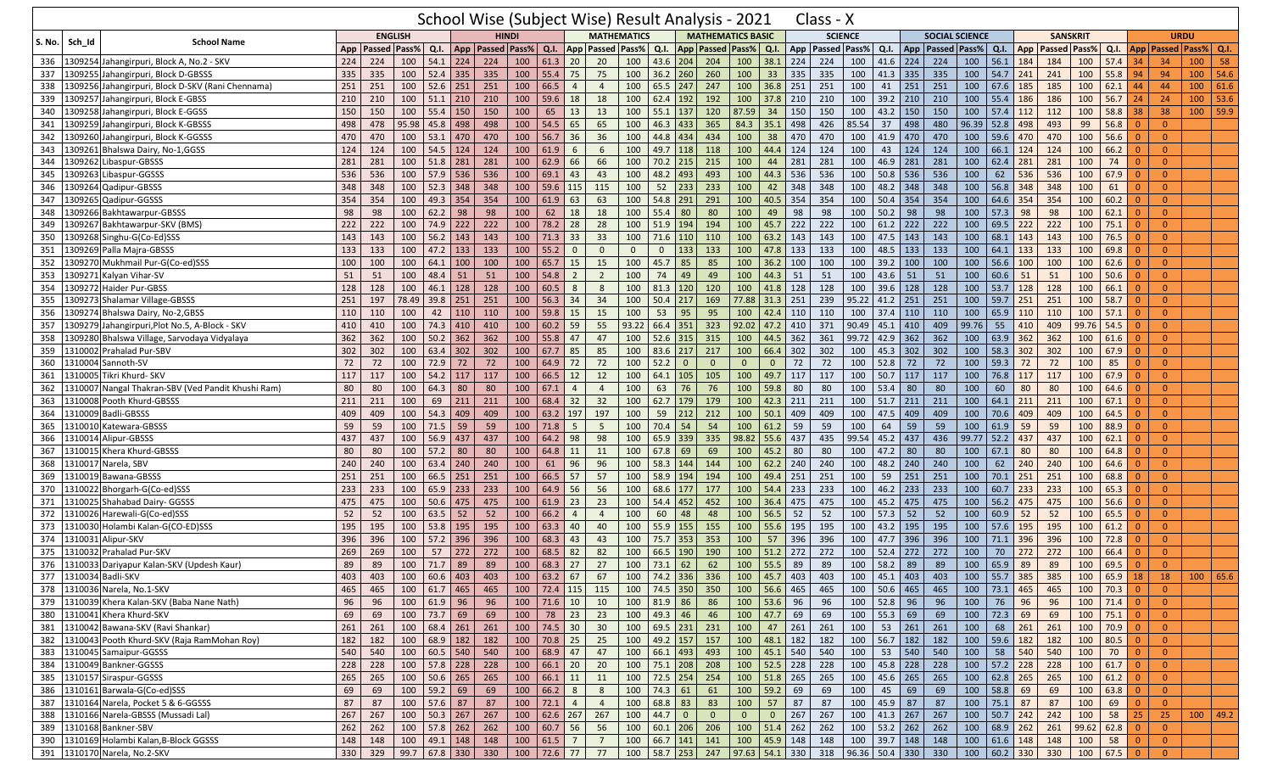|               |         |                                                    |     |                      |                | School Wise (Subject Wise) Result Analysis - 2021                            |                      |              |                        |                |                         |                    |                         |                  |                |                             |                               | Class - X            |                |       |                   |                                       |                             |                        |     |                     |               |                                                                                                                                                                                                                                                                                                                                                                               |                |                                    |             |                 |
|---------------|---------|----------------------------------------------------|-----|----------------------|----------------|------------------------------------------------------------------------------|----------------------|--------------|------------------------|----------------|-------------------------|--------------------|-------------------------|------------------|----------------|-----------------------------|-------------------------------|----------------------|----------------|-------|-------------------|---------------------------------------|-----------------------------|------------------------|-----|---------------------|---------------|-------------------------------------------------------------------------------------------------------------------------------------------------------------------------------------------------------------------------------------------------------------------------------------------------------------------------------------------------------------------------------|----------------|------------------------------------|-------------|-----------------|
| <b>S. No.</b> | Sch Id  | <b>School Name</b>                                 |     |                      | <b>ENGLISH</b> |                                                                              |                      | <b>HINDI</b> |                        |                |                         | <b>MATHEMATICS</b> |                         |                  |                | <b>MATHEMATICS BASIC</b>    |                               |                      | <b>SCIENCE</b> |       |                   |                                       | <b>SOCIAL SCIENCE</b>       |                        |     | <b>SANSKRIT</b>     |               |                                                                                                                                                                                                                                                                                                                                                                               |                |                                    | <b>URDU</b> |                 |
|               |         |                                                    |     | App   Passed   Pass% |                | Q.I.                                                                         | App   Passed   Pass% |              | Q.I.                   |                | <b>App Passed Pass%</b> |                    | Q.I.                    |                  |                | App   Passed   Pass%   Q.I. |                               | App   Passed   Pass% |                |       | Q.I.              | App   Passed   Pass%                  |                             | Q.I.                   | App | <b>Passed Pass%</b> |               |                                                                                                                                                                                                                                                                                                                                                                               |                | Q.I.   App   Passed   Pass%   Q.I. |             |                 |
| 336           |         | 1309254 Jahangirpuri, Block A, No.2 - SKV          | 224 | 224                  | 100            | 54.1<br>224                                                                  | 224                  | 100          | 61.3                   | 20             | 20                      | 100                | 43.6                    | 204              | 204            | 100                         | 38.1                          | 224                  | 224            | 100   | 41.6<br>224       | 224                                   | 100                         | 56.1                   | 184 | 184                 | 100           | $57.4$ 34                                                                                                                                                                                                                                                                                                                                                                     |                | 34                                 | 100         | 58              |
| 337           |         | 1309255 Jahangirpuri, Block D-GBSSS                | 335 | 335                  | 100            | $52.4$ 335                                                                   | 335                  | 100          |                        | $55.4$ 75      | 75                      | 100                | $36.2$ 260              |                  | 260            | 100                         | 33                            | 335                  | 335            | 100   | 41.3<br>335       | 335                                   | 100                         | $54.7$ 241             |     | 241                 | 100           | $55.8$ 94                                                                                                                                                                                                                                                                                                                                                                     |                | 94                                 | 100         | 54.6            |
| 338           |         | 1309256 Jahangirpuri, Block D-SKV (Rani Chennama)  | 251 | 251                  | 100            | 52.6<br>251                                                                  | 251                  | 100          | 66.5                   | $\overline{4}$ | $\overline{4}$          | 100                | $65.5$ 247              |                  | 247            | 100                         | 36.8                          | 251                  | 251            | 100   | 251<br>41         | 251                                   | 100                         | 67.6                   | 185 | 185                 | 100           | 62.1                                                                                                                                                                                                                                                                                                                                                                          | 44             | 44                                 | 100         | 61.6            |
| 339           |         | 1309257 Jahangirpuri, Block E-GBSS                 | 210 | 210                  | 100            | $51.1$ 210                                                                   | 210                  | 100          | 59.6                   | 18             | 18                      | 100                | 62.4                    | 192              | 192            | 100                         | 37.8                          | 210                  | 210            | 100   | 39.2<br>210       | 210                                   | 100                         | 55.4                   | 186 | 186                 | 100           | 56.7                                                                                                                                                                                                                                                                                                                                                                          | 24             | 24                                 | 100         | 53.6            |
| 340           |         | 1309258 Jahangirpuri, Block E-GGSS                 | 150 | 150                  | 100            | 55.4<br>150                                                                  | 150                  | 100          | 65                     | 13             | 13                      | 100                | $55.1$ 137              |                  | 120            | 87.59                       | 34                            | 150                  | 150            | 100   | 150<br>43.2       | 150                                   | 100                         | 57.4                   | 112 | 112                 | 100           | 58.8                                                                                                                                                                                                                                                                                                                                                                          | 38             | 38                                 | 100         | 59.9            |
| 341           |         | 1309259 Jahangirpuri, Block K-GBSSS                | 498 | 478                  | 95.98          | 45.8<br>498                                                                  | 498                  | 100          | 54.5                   | 65             | 65                      | 100                | 46.3                    | 433              | 365            | 84.3                        | 35.1                          | 498                  | 426            | 85.54 | 498<br>37         | 480                                   | 96.39                       | 52.8                   | 498 | 493                 | 99            | 56.8                                                                                                                                                                                                                                                                                                                                                                          |                | $\overline{0}$                     |             |                 |
| 342           |         | 1309260 Jahangirpuri, Block K-GGSSS                | 470 | 470                  | 100            | $53.1$ 470                                                                   | 470                  | 100          |                        | 56.7 36        | 36                      | 100                | 44.8                    | 434              | 434            | 100                         | 38                            | 470                  | 470            | 100   | 470<br>41.9       | 470                                   | 100                         | 59.6                   | 470 | 470                 | 100           | 56.6                                                                                                                                                                                                                                                                                                                                                                          | $\Omega$       | $\overline{0}$                     |             |                 |
| 343           |         | 1309261 Bhalswa Dairy, No-1,GGSS                   | 124 | 124                  | 100            | 54.5                                                                         | 124<br>124           | 100          | 61.9                   | 6              | 6                       | 100                | 49.7                    | 118              | 118            | 100                         | 44.4                          | 124                  | 124            | 100   | 124<br>43         | 124                                   | 100                         | 66.1                   | 124 | 124                 | 100           | 66.2                                                                                                                                                                                                                                                                                                                                                                          | -0             | $\overline{0}$                     |             |                 |
| 344           |         | 1309262 Libaspur-GBSSS                             | 281 | 281                  | 100            | 51.8                                                                         | 281<br>281           | 100          | 62.9                   | 66             | 66                      | 100                | 70.2                    | 215              | 215            | 100                         | 44                            | 281                  | 281            | 100   | 281<br>46.9       | 281                                   | 100                         | 62.4                   | 281 | 281                 | 100           | 74                                                                                                                                                                                                                                                                                                                                                                            | $\Omega$       | $\overline{0}$                     |             |                 |
| 345           |         | 1309263 Libaspur-GGSSS                             | 536 | 536                  | 100            | 57.9 536                                                                     | 536                  | 100          | 69.1                   | 43             | 43                      | 100                | 48.2                    | 493              | 493            | 100                         | 44.3                          | 536                  | 536            | 100   | 50.8<br>536       | 536                                   | 100                         | 62                     | 536 | 536                 | 100           | 67.9                                                                                                                                                                                                                                                                                                                                                                          | $\Omega$       | $\overline{0}$                     |             |                 |
| 346           | 1309264 | Qadipur-GBSSS                                      | 348 | 348                  | 100            | $52.3$ 348                                                                   | 348                  | 100          | 59.6                   | 115            | 115                     | 100                | 52                      | 233              | 233            | 100                         | 42                            | 348                  | 348            | 100   | 48.2<br>348       | 348                                   | 100                         | 56.8                   | 348 | 348                 | 100           | 61                                                                                                                                                                                                                                                                                                                                                                            | -0             | $\overline{0}$                     |             |                 |
| 347           | 1309265 | Qadipur-GGSSS                                      | 354 | 354                  | 100            | 49.3<br>354                                                                  | 354                  | 100          | 61.9                   | 63             | 63                      | 100                | 54.8                    | 291              | 291            | 100                         | 40.5                          | 354                  | 354            | 100   | 50.4<br>354       | 354                                   | 100                         | 64.6                   | 354 | 354                 | 100           | 60.2                                                                                                                                                                                                                                                                                                                                                                          | $\Omega$       | $\overline{0}$                     |             |                 |
| 348           |         | 1309266 Bakhtawarpur-GBSSS                         | 98  | 98                   | 100            | 62.2                                                                         | 98<br>98             | 100          | 62                     | 18             | 18                      | 100                | 55.4                    | 80               | 80             | 100                         | 49                            | 98                   | 98             | 100   | 98<br>50.2        | 98                                    | 100                         | 57.3                   | 98  | 98                  | 100           | 62.1                                                                                                                                                                                                                                                                                                                                                                          | $\overline{0}$ | $\overline{0}$                     |             |                 |
| 349           |         | 1309267 Bakhtawarpur-SKV (BMS)                     | 222 | 222                  | 100            | 74.9                                                                         | 222<br>222           | 100          | 78.2                   | 28             | 28                      | 100                | 51.9                    | 194              | 194            | 100                         | 45.7                          | 222                  | 222            | 100   | 61.2<br>222       | 222                                   | 100                         | 69.5                   | 222 | 222                 | 100           | 75.1                                                                                                                                                                                                                                                                                                                                                                          | -0             | $\overline{0}$                     |             |                 |
| 350           |         | 1309268 Singhu-G(Co-Ed)SSS                         | 143 | 143                  | 100            | 56.2                                                                         | 143<br>143           | 100          | 71.3                   | 33             | 33                      | 100                | 71.6                    | 110              | 110            | 100                         | 63.2                          | 143                  | 143            | 100   | 47.5<br>143       | 143                                   | 100                         | 68.1                   | 143 | 143                 | 100           | 76.5                                                                                                                                                                                                                                                                                                                                                                          |                | $\mathbf{0}$                       |             |                 |
| 351           |         | 1309269 Palla Majra-GBSSS                          | 133 | 133                  | 100            | 47.2<br> 133                                                                 | 133                  | 100          | 55.2                   | $\overline{0}$ | $\mathbf 0$             | $\mathbf{0}$       | $\mathbf 0$             | 133              | 133            | 100                         | 47.8                          | 133                  | 133            | 100   | 48.5<br>133       | 133                                   | 100                         | 64.1                   | 133 | 133                 | 100           | 69.8                                                                                                                                                                                                                                                                                                                                                                          | $\Omega$       | $\overline{0}$                     |             |                 |
| 352           |         | 1309270 Mukhmail Pur-G(Co-ed)SSS                   | 100 | 100                  | 100            | 64.1                                                                         | 100<br>100           | 100          | 65.7                   | 15             | 15                      | 100                | 45.7                    | 85               | 85             | 100                         | 36.2                          | 100                  | 100            | 100   | 39.2<br>100       | 100                                   | 100                         | 56.6                   | 100 | 100                 | 100           | 62.6                                                                                                                                                                                                                                                                                                                                                                          | $\Omega$       | $\overline{0}$                     |             |                 |
| 353           |         | 1309271 Kalyan Vihar-SV                            | 51  | 51                   | 100            | 48.4<br>51                                                                   | 51                   | 100          | 54.8                   | $\overline{2}$ | $\overline{2}$          | 100                | 74                      | 49               | 49             | 100                         | 44.3                          | 51                   | 51             | 100   | 43.6<br>51        | 51                                    | 100                         | 60.6                   | 51  | 51                  | 100           | 50.6                                                                                                                                                                                                                                                                                                                                                                          | -0             | $\overline{0}$                     |             |                 |
| 354           |         | 1309272 Haider Pur-GBSS                            | 128 | 128                  | 100            | 46.1<br>128                                                                  | 128                  | 100          | 60.5                   | 8              | 8                       | 100                | 81.3                    | 120              | 120            | 100                         | 41.8                          | 128                  | 128            | 100   | 39.6<br>128       | 128                                   | 100                         | 53.7                   | 128 | 128                 | 100           | 66.1                                                                                                                                                                                                                                                                                                                                                                          | $\Omega$       | $\overline{0}$                     |             |                 |
| 355           |         | 1309273 Shalamar Village-GBSSS                     | 251 | 197                  | 78.49          | 39.8 251                                                                     | 251                  | 100          | 56.3                   | 34             | 34                      | 100                | 50.4                    | 217              | 169            |                             | 77.88 31.3                    | 251                  | 239            | 95.22 | $41.2$ 251        | 251                                   | 100                         | 59.7                   | 251 | 251                 | 100           | 58.7                                                                                                                                                                                                                                                                                                                                                                          | - 0            | $\overline{0}$                     |             |                 |
| 356           | 1309274 | Bhalswa Dairy, No-2, GBSS                          | 110 | 110                  | 100            | 42<br>110                                                                    | 110                  | 100          | 59.8                   | 15             | 15                      | 100                | 53                      | 95               | 95             | 100                         | 42.4                          | 110                  | 110            | 100   | 110<br>37.4       | 110                                   | 100                         | 65.9                   | 110 | 110                 | 100           | 57.1                                                                                                                                                                                                                                                                                                                                                                          | -0             | $\Omega$                           |             |                 |
| 357           |         | 1309279 Jahangirpuri, Plot No.5, A-Block - SKV     | 410 | 410                  | 100            | 74.3<br>410                                                                  | 410                  | 100          |                        | 60.2 59        | 55                      | 93.22              | 66.4                    | 351              | 323            | 92.02                       | 47.2                          | 410                  | 371            | 90.49 | 410<br>45.1       | 409                                   | 99.76                       | 55                     | 410 | 409                 | 99.76         | 54.5                                                                                                                                                                                                                                                                                                                                                                          | -0             | $\overline{0}$                     |             |                 |
| 358           |         | 1309280 Bhalswa Village, Sarvodaya Vidyalaya       | 362 | 362                  | 100            | 50.2                                                                         | 362<br>362           | 100          | 55.8                   | 47             | 47                      | 100                | 52.6                    | 315              | 315            | 100                         | 44.5                          | 362                  | 361            | 99.72 | 42.9<br>362       | 362                                   | 100                         | 63.9                   | 362 | 362                 | 100           | 61.6                                                                                                                                                                                                                                                                                                                                                                          | $\Omega$       | $\overline{0}$                     |             |                 |
| 359           |         | 1310002 Prahalad Pur-SBV                           | 302 | 302                  | 100            | 63.4                                                                         | 302<br>302           | 100          | 67.7                   | 85             | 85                      | 100                | 83.6 217                |                  | 217            | 100                         | 66.4                          | 302                  | 302            | 100   | 302<br>45.3       | 302                                   | 100                         | 58.3                   | 302 | 302                 | 100           | 67.9                                                                                                                                                                                                                                                                                                                                                                          | $\Omega$       | $\overline{0}$                     |             |                 |
| 360           |         | 1310004 Sannoth-SV                                 | 72  | 72                   | 100            | 72.9                                                                         | 72<br>72             | 100          | 64.9                   | 72             | 72                      | 100                | 52.2                    | $\mathbf{0}$     | $\mathbf{0}$   | $\mathbf{0}$                | $\overline{0}$                | 72                   | 72             | 100   | 52.8<br>72        | 72                                    | 100                         | 59.3                   | 72  | 72                  | 100           | 85                                                                                                                                                                                                                                                                                                                                                                            | $\Omega$       | $\overline{0}$                     |             |                 |
| 361           |         | 1310005 Tikri Khurd- SKV                           | 117 | 117                  | 100            | 54.2<br>117                                                                  | 117                  | 100          | 66.5                   | 12             | 12                      | 100                | 64.1                    | 105              | 105            | 100                         | 49.7                          | 117                  | 117            | 100   | 50.7<br>117       | 117                                   | 100                         | 76.8                   | 117 | 117                 | 100           | 67.9                                                                                                                                                                                                                                                                                                                                                                          | $\Omega$       | $\overline{0}$                     |             |                 |
| 362           |         | 1310007 Nangal Thakran-SBV (Ved Pandit Khushi Ram) | 80  | 80                   | 100            | 64.3                                                                         | 80<br>80             | 100          | 67.1                   | $\overline{4}$ | $\overline{4}$          | 100                | 63                      | 76               | 76             | 100                         | 59.8                          | 80                   | 80             | 100   | 53.4<br>80        | 80                                    | 100                         | 60                     | 80  | 80                  | 100           | 64.6                                                                                                                                                                                                                                                                                                                                                                          | -0             | $\overline{0}$                     |             |                 |
| 363           |         | 1310008 Pooth Khurd-GBSSS                          | 211 | 211                  | 100            | 69                                                                           | 211<br>211           | 100          | 68.4                   | 32             | 32                      | 100                | 62.7                    | 179              | 179            | 100                         | 42.3                          | 211                  | 211            | 100   | 211<br>51.7       | 211                                   | 100                         | 64.1                   | 211 | 211                 | 100           | 67.1                                                                                                                                                                                                                                                                                                                                                                          | $\Omega$       | $\overline{0}$                     |             |                 |
| 364           |         | 1310009 Badli-GBSSS                                | 409 | 409                  | 100            | 54.3                                                                         | 409<br>409           | 100          |                        | 63.2 197       | 197                     | 100                | 59                      | 212              | 212            | 100                         | 50.1                          | 409                  | 409            | 100   | 409<br>47.5       | 409                                   | 100                         | 70.6                   | 409 | 409                 | 100           | 64.5                                                                                                                                                                                                                                                                                                                                                                          | $\Omega$       | $\overline{0}$                     |             |                 |
| 365           | 1310010 | Katewara-GBSSS                                     | 59  | 59                   | 100            | 71.5                                                                         | 59<br>59             | 100          | 71.8                   | -5             | 5                       | 100                | 70.4                    | 54               | 54             | 100                         | 61.2                          | 59                   | 59             | 100   | 59<br>64          | 59                                    | 100                         | 61.9                   | 59  | 59                  | 100           | 88.9                                                                                                                                                                                                                                                                                                                                                                          | $\Omega$       | $\overline{0}$                     |             |                 |
| 366           | 1310014 | Alipur-GBSSS                                       | 437 | 437                  | 100            | 56.9<br>437                                                                  | 437                  | 100          | 64.2                   | 98             | 98                      | 100                | 65.9 339                |                  | 335            |                             | $98.82$ 55.6                  | 437                  | 435            | 99.54 | 437<br>45.2       | 436                                   | 99.77                       | $52.2$ 437             |     | 437                 | 100           | 62.1                                                                                                                                                                                                                                                                                                                                                                          | -0             | $\mathbf{0}$                       |             |                 |
| 367           | 1310015 | Khera Khurd-GBSSS                                  | 80  | 80                   | 100            | 57.2                                                                         | 80<br>80             | 100          | 64.8                   | 11             | 11                      | 100                | 67.8                    | 69               | 69             | 100                         | 45.2                          | 80                   | 80             | 100   | 47.2<br>80        | 80                                    | 100                         | 67.1                   | 80  | 80                  | 100           | 64.8                                                                                                                                                                                                                                                                                                                                                                          | $\Omega$       | $\overline{0}$                     |             |                 |
| 368           | 1310017 | Narela, SBV                                        | 240 | 240                  | 100            | 63.4<br>240                                                                  | 240                  | 100          | 61                     | 96             | 96                      | 100                | 58.3                    | 144              | 144            | 100                         | 62.2                          | 240                  | 240            | 100   | 48.2<br>240       | 240                                   | 100                         | 62                     | 240 | 240                 | 100           | 64.6                                                                                                                                                                                                                                                                                                                                                                          | $\Omega$       | $\overline{0}$                     |             |                 |
| 369           | 1310019 | Bawana-GBSSS                                       | 251 | 251                  | 100            | 66.5<br>251                                                                  | 251                  | 100          | 66.5                   | 57             | 57                      | 100                | 58.9                    | 194              | 194            | 100                         | 49.4                          | 251                  | 251            | 100   | 59<br>251         | 251                                   | 100                         | 70.1                   | 251 | 251                 | 100           | 68.8                                                                                                                                                                                                                                                                                                                                                                          | -C             | $\overline{0}$                     |             |                 |
| 370           | 1310022 | Bhorgarh-G(Co-ed)SSS                               | 233 | 233                  | 100            | 65.9                                                                         | 233<br>233           | 100          | 64.9                   | 56             | 56                      | 100                | 68.6                    | 177              | 177            | 100                         | 54.4                          | 233                  | 233            | 100   | 233<br>46.2       | 233                                   | 100                         | 60.7                   | 233 | 233                 | 100           | 65.3                                                                                                                                                                                                                                                                                                                                                                          | $\Omega$       | $\overline{0}$                     |             |                 |
| 371           |         | 1310025 Shahabad Dairy- GGSSS                      | 475 | 475                  | 100            | 50.6                                                                         | 475<br>475           | 100          | 61.9                   | 23             | 23                      | 100                | 54.4                    | 452              | 452            | 100                         | 36.4                          | 475                  | 475            | 100   | 45.2<br>475       | 475                                   | 100                         | 56.2                   | 475 | 475                 | 100           | 56.6                                                                                                                                                                                                                                                                                                                                                                          | 0              | $\overline{0}$                     |             |                 |
| 372           |         | 1310026 Harewali-G(Co-ed)SSS                       | 52  | 52                   | 100            | 63.5                                                                         | 52<br>52             | 100          | 66.2                   | $\overline{4}$ | $\overline{4}$          | 100                | 60                      | 48               | 48             | 100                         | 56.5                          | 52                   | 52             | 100   | 57.3<br>52        | 52                                    | 100                         | 60.9                   | 52  | 52                  | 100           | 65.5                                                                                                                                                                                                                                                                                                                                                                          | -C             | $\mathbf{0}$                       |             |                 |
| 373           |         | 1310030 Holambi Kalan-G(CO-ED)SSS                  | 195 | 195                  | 100            | 53.8 195                                                                     | 195                  | 100          | 63.3                   | 40             | 40                      | 100                | 55.9 155                |                  | 155            | 100                         | 55.6                          | 195                  | 195            | 100   | 43.2<br>195       | 195                                   | 100                         | $57.6$ 195             |     | 195                 | 100           | 61.2                                                                                                                                                                                                                                                                                                                                                                          | -0             | $\overline{0}$                     |             |                 |
| 374           |         | 1310031 Alipur-SKV                                 | 396 | 396                  | 100            | 57.2<br>396                                                                  | 396                  | 100          | 68.3                   | 43             | 43                      | 100                | 75.7                    | 353              | 353            | 100                         | 57                            | 396                  | 396            | 100   | 47.7<br>396       | 396                                   | 100                         | 71.1                   | 396 | 396                 | 100           | 72.8                                                                                                                                                                                                                                                                                                                                                                          | $\Omega$       | $\overline{0}$                     |             |                 |
| 375           |         | 1310032 Prahalad Pur-SKV                           | 269 | 269                  | 100            | 57<br>272                                                                    | 272                  | 100          | 68.5                   | 82             | 82                      | 100                | 66.5                    | 190              | 190            | 100                         | 51.2                          | 272                  | 272            | 100   | 52.4<br>272       | 272                                   | 100                         | 70                     | 272 | 272                 | 100           | 66.4                                                                                                                                                                                                                                                                                                                                                                          |                | $\overline{0}$                     |             |                 |
| 376           |         | 1310033 Dariyapur Kalan-SKV (Updesh Kaur)          | 89  | 89                   | 100            | 71.7                                                                         | 89<br>89             | 100          | 68.3                   | 27             | 27                      | 100                | 73.1                    | 62               | 62             | 100                         | 55.5                          | 89                   | 89             | 100   | 58.2<br>89        | 89                                    | 100                         | 65.9                   | 89  | 89                  | 100           | 69.5                                                                                                                                                                                                                                                                                                                                                                          | $\overline{0}$ | $\overline{0}$                     |             |                 |
|               |         | 377 1310034 Badli-SKV                              | 403 |                      |                | 403   100   60.6   403   403   100   63.2   67   67   100   74.2   336   336 |                      |              |                        |                |                         |                    |                         |                  |                |                             | $100 \mid 45.7 \mid 403 \mid$ |                      |                |       |                   | 403   100   45.1   403   403          |                             | 100   55.7   385   385 |     |                     | $100$ 65.9 18 |                                                                                                                                                                                                                                                                                                                                                                               |                | 18                                 |             | 100   65.6      |
|               |         | 378 1310036 Narela, No.1-SKV                       | 465 | 465                  | 100            | $61.7$ 465                                                                   | 465                  |              |                        |                | 100 72.4 115 115        |                    |                         | 100 74.5 350 350 |                |                             | 100 56.6 465                  |                      | 465            |       | 100 50.6 465      | 465                                   | 100                         | 73.1 465               |     | 465                 | 100           | $70.3$ 0                                                                                                                                                                                                                                                                                                                                                                      |                | $\overline{0}$                     |             |                 |
|               |         | 379 1310039 Khera Kalan-SKV (Baba Nane Nath)       | 96  | 96                   |                | 100   61.9   96                                                              | 96                   |              | $100$ 71.6 10          |                | 10                      |                    | 100 81.9 86             |                  | 86             |                             | 100 53.6 96                   |                      | 96             |       | $100$ 52.8 96     | 96                                    | 100                         | 76 96                  |     | 96                  | 100           | $71.4 \begin{array}{ c c } \hline 0 \\ \hline \end{array}$                                                                                                                                                                                                                                                                                                                    |                | $\overline{0}$                     |             |                 |
|               |         | 380 1310041 Khera Khurd-SKV                        | 69  | 69                   |                | $100$ 73.7 69                                                                | 69                   |              | 100 78 23 23           |                |                         |                    | 100 49.3 46             |                  | 46             |                             | 100 47.7 69                   |                      | 69             |       | $100$ 55.3 69     | 69                                    | 100                         | $72.3$ 69              |     | 69                  | 100           | $75.1 \begin{array}{ c c } \hline 0 \\ \hline \end{array}$                                                                                                                                                                                                                                                                                                                    |                | $\overline{0}$                     |             |                 |
|               |         | 381   1310042 Bawana-SKV (Ravi Shankar)            | 261 | 261                  |                | $100 \t 68.4 \t 261 \t 261$                                                  |                      |              | 100 74.5 30 30         |                |                         |                    |                         | 100 69.5 231 231 |                | $100 \mid 47$               |                               |                      | 261            | 100   |                   | 53 261 261                            | 100                         | 68 261                 |     | 261                 | 100           | $\begin{array}{ c c c c c } \hline \rule{0pt}{1em} \rule{0pt}{2.5ex} \rule{0pt}{2.5ex} \rule{0pt}{2.5ex} \rule{0pt}{2.5ex} \rule{0pt}{2.5ex} \rule{0pt}{2.5ex} \rule{0pt}{2.5ex} \rule{0pt}{2.5ex} \rule{0pt}{2.5ex} \rule{0pt}{2.5ex} \rule{0pt}{2.5ex} \rule{0pt}{2.5ex} \rule{0pt}{2.5ex} \rule{0pt}{2.5ex} \rule{0pt}{2.5ex} \rule{0pt}{2.5ex} \rule{0pt}{2.5ex} \rule{0$ |                | $\overline{0}$                     |             |                 |
|               |         | 382 1310043 Pooth Khurd-SKV (Raja RamMohan Roy)    | 182 | 182                  |                | $100 \t 68.9 \t 182 \t 182$                                                  |                      |              | 100 70.8 25            |                | 25                      |                    |                         | 100 49.2 157 157 |                |                             | 100 48.1 182                  |                      | 182            |       | 100 56.7 182      | 182                                   |                             | 100 59.6 182           |     | 182                 | 100           | 80.5 0                                                                                                                                                                                                                                                                                                                                                                        |                | $\overline{0}$                     |             |                 |
|               |         | 383 1310045 Samaipur-GGSSS                         | 540 | 540                  |                | $100 \t 60.5 \t 540 \t 540$                                                  |                      |              | 100   68.9   47        |                | 47                      |                    |                         | 100 66.1 493 493 |                |                             | 100 45.1 540                  |                      | 540            | 100   |                   | 53 540 540                            | 100                         | 58 540                 |     | 540                 | 100           | $70$ 0                                                                                                                                                                                                                                                                                                                                                                        |                | $\overline{0}$                     |             |                 |
|               |         | 384 1310049 Bankner-GGSSS                          | 228 | 228                  |                | $100$ 57.8 228 228                                                           |                      |              | 100   66.1   20   20   |                |                         |                    |                         | 100 75.1 208 208 |                |                             | 100 52.5 228                  |                      | 228            |       |                   | 100 45.8 228 228                      | 100                         | $57.2$ 228             |     | 228                 | 100           | $61.7$ 0                                                                                                                                                                                                                                                                                                                                                                      |                | $\overline{0}$                     |             |                 |
|               |         | 385 1310157 Siraspur-GGSSS                         | 265 | 265                  |                | $100$ 50.6 265 265                                                           |                      |              | 100   66.1   11        |                | 11                      |                    |                         | 100 72.5 254 254 |                |                             | 100 51.8 265                  |                      | 265            |       |                   | 100 45.6 265 265                      |                             | 100 62.8 265           |     | 265                 | 100           | $61.2$ 0                                                                                                                                                                                                                                                                                                                                                                      |                | $\overline{0}$                     |             |                 |
|               |         | 386 1310161 Barwala-G(Co-ed)SSS                    | 69  | 69                   |                | $100$ 59.2 69                                                                | 69                   |              | 100   66.2   8         |                | 8                       |                    | $100 \mid 74.3 \mid 61$ |                  | 61             |                             | 100 59.2 69                   |                      | 69             | 100   | $45 \mid 69 \mid$ | 69                                    | 100                         | 58.8 69                |     | 69                  | 100           | $63.8$ 0                                                                                                                                                                                                                                                                                                                                                                      |                | $\overline{0}$                     |             |                 |
|               |         | 387 1310164 Narela, Pocket 5 & 6-GGSSS             | 87  | 87                   |                | $100$ 57.6 87                                                                | 87                   |              | $100$ 72.1 4           |                | $\overline{4}$          |                    | 100 68.8 83             |                  | 83             |                             | 100 57 87                     |                      | 87             |       | 100 45.9 87       | 87                                    |                             | 100 75.1 87            |     | 87                  | 100           | 69 0                                                                                                                                                                                                                                                                                                                                                                          |                | $\overline{0}$                     |             |                 |
|               |         | 388 1310166 Narela-GBSSS (Mussadi Lal)             | 267 | 267                  |                | $100$ 50.3 267 267                                                           |                      |              | 100   62.6   267   267 |                |                         |                    | 100   44.7   0          |                  | $\overline{0}$ | $\overline{0}$              | $\overline{0}$                | 267                  | 267            |       |                   | 100 41.3 267 267                      |                             | 100 50.7 242           |     | 242                 | 100           | $58$ 25                                                                                                                                                                                                                                                                                                                                                                       |                | 25                                 |             | $100 \mid 49.2$ |
|               |         | 389 1310168 Bankner-SBV                            | 262 |                      |                | 262 100 57.8 262 262                                                         |                      |              | 100   60.7   56        |                | 56                      |                    |                         | 100 60.1 206 206 |                |                             | 100 51.4 262                  |                      | 262            |       |                   | 100   53.2   262   262                |                             | 100 68.9 262           |     | 261                 | 99.62 62.8 0  |                                                                                                                                                                                                                                                                                                                                                                               |                | $\overline{0}$                     |             |                 |
|               |         | 390 1310169 Holambi Kalan, B-Block GGSSS           | 148 | 148                  |                | $100$ 49.1 148 148                                                           |                      |              | 100   61.5   7         |                | $\overline{7}$          |                    |                         | 100 66.7 141 141 |                |                             |                               | 100 45.9 148 148     |                |       |                   | 100 39.7 148 148                      |                             | 100 61.6 148 148       |     |                     | 100           | $58$ 0                                                                                                                                                                                                                                                                                                                                                                        |                | $\overline{0}$                     |             |                 |
|               |         | 391 1310170 Narela, No.2-SKV                       |     | 330 329              |                | $99.7$ 67.8 330 330                                                          |                      |              | 100 72.6 77 77         |                |                         |                    |                         | 100 58.7 253 247 |                |                             |                               |                      |                |       |                   | 97.63 54.1 330 318 96.36 50.4 330 330 | $100 \t 60.2 \t 330 \t 330$ |                        |     |                     | $100$ 67.5 0  |                                                                                                                                                                                                                                                                                                                                                                               |                | $\overline{0}$                     |             |                 |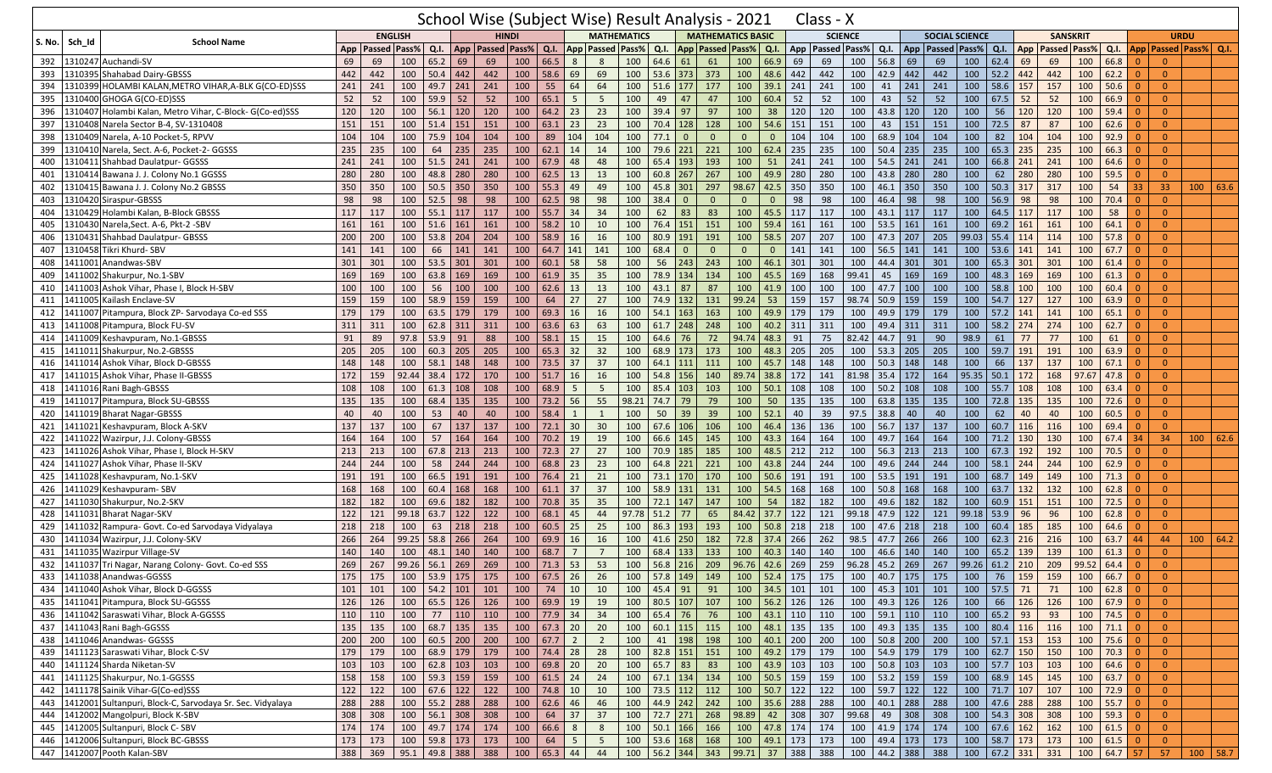|               |                                                               |                 |                                                      |                     |            |                                        |                                          |                |           |                 |                 |                         |         |                |                             | School Wise (Subject Wise) Result Analysis - 2021 |                               | Class - X            |                 |                  |             |                                                                        |       |                        |        |                 |                    |                    |                      |                |            |  |
|---------------|---------------------------------------------------------------|-----------------|------------------------------------------------------|---------------------|------------|----------------------------------------|------------------------------------------|----------------|-----------|-----------------|-----------------|-------------------------|---------|----------------|-----------------------------|---------------------------------------------------|-------------------------------|----------------------|-----------------|------------------|-------------|------------------------------------------------------------------------|-------|------------------------|--------|-----------------|--------------------|--------------------|----------------------|----------------|------------|--|
| <b>S. No.</b> | <b>School Name</b><br>Sch Id                                  |                 | <b>ENGLISH</b>                                       |                     |            |                                        | <b>HINDI</b>                             |                |           |                 |                 | <b>MATHEMATICS</b>      |         |                |                             | <b>MATHEMATICS BASIC</b>                          |                               |                      | <b>SCIENCE</b>  |                  |             | <b>SOCIAL SCIENCE</b>                                                  |       |                        |        | <b>SANSKRIT</b> |                    |                    |                      | <b>URDU</b>    |            |  |
|               |                                                               | App             | Passed Pass%                                         |                     |            |                                        | Q.I.   App   Passed   Pass%              |                | Q.I.      |                 |                 | <b>App Passed Pass%</b> | Q.I.    |                |                             | App   Passed   Pass%   Q.I.                       |                               | App   Passed   Pass% |                 |                  | Q.I.        | App   Passed   Pass%                                                   |       | Q.I.                   | App    | Passed Pass%    |                    | Q.I.               | App Passed Pass% Q.I |                |            |  |
| 392           | 1310247 Auchandi-SV                                           | 69              | 69                                                   | 100                 | 65.2       | 69                                     | 69                                       | 100            | 66.5      | 8               | 8               | 100                     | 64.6 61 |                | 61                          | 100                                               | 66.9                          | 69                   | 69              | 100              | 56.8<br>69  | 69                                                                     | 100   | 62.4                   | 69     | 69              | 100                | 66.8               | $\Omega$             | $\Omega$       |            |  |
| 393           | 1310395 Shahabad Dairy-GBSSS                                  | 442             | 442                                                  | 100                 |            | $50.4$ 442                             | 442                                      | 100            | 58.6      | 69              | 69              | 100                     |         | 53.6 373       | 373                         | 100                                               | 48.6                          | 442                  | 442             | 100              | 42.9<br>442 | 442                                                                    | 100   | 52.2                   | 442    | 442             | 100                | 62.2               | $\Omega$             | $\overline{0}$ |            |  |
| 394           | 310399 HOLAMBI KALAN, METRO VIHAR, A-BLK G(CO-ED)SSS          | 241             | 241                                                  | 100                 |            | 49.7 241                               | 241                                      | 100            | 55        | 64              | 64              | 100                     |         | $51.6$ 177     | 177                         | 100                                               | 39.1                          | 241                  | 241             | 100              | 241<br>41   | 241                                                                    | 100   | 58.6                   | 157    | 157             | 100                | 50.6               |                      | $\Omega$       |            |  |
| 395           | 1310400 GHOGA G(CO-ED)SSS                                     | 52              | 52                                                   | 100                 | 59.9       | 52                                     | 52                                       | 100            | 65.1      | $5\phantom{.0}$ | 5               | 100                     | 49      | 47             | 47                          | 100                                               | 60.4                          | 52                   | 52              | 100              | 52<br>43    | 52                                                                     | 100   | 67.5                   | 52     | 52              | 100                | 66.9               | $\Omega$             | $\overline{0}$ |            |  |
| 396           | 1310407 Holambi Kalan, Metro Vihar, C-Block- G(Co-ed)SSS      | 120             | 120                                                  | 100                 |            | $56.1$ 120                             | 120                                      | 100            | 64.2      | 23              | 23              | 100                     |         | $39.4$ 97      | 97                          | 100                                               | 38                            | 120                  | 120             | 100              | 43.8<br>120 | 120                                                                    | 100   | 56                     | 120    | 120             | 100                | 59.4               | $\Omega$             | $\overline{0}$ |            |  |
| 397           | 310408 Narela Sector B-4, SV-1310408                          | 151             | 151                                                  | 100                 | $51.4$ 151 |                                        | 151                                      | 100            | 63.1      | 23              | 23              | 100                     |         | 70.4 128       | 128                         | 100                                               | 54.6                          | 151                  | 151             | 100              | 151<br>43   | 151                                                                    | 100   | 72.5                   | 87     | 87              | 100                | 62.6               |                      | $\overline{0}$ |            |  |
| 398           | 1310409 Narela, A-10 Pocket-5, RPVV                           | 104             | 104                                                  | 100                 |            | 75.9 104                               | 104                                      | 100            | 89        | 104             | 104             | 100                     | 77.1    | $\overline{0}$ | $\overline{0}$              | $\overline{0}$                                    | $\mathbf{0}$                  | 104                  | 104             | 100              | 68.9<br>104 | 104                                                                    | 100   | 82                     | 104    | 104             | 100                | 92.9               | $\Omega$             | $\overline{0}$ |            |  |
| 399           | 1310410 Narela, Sect. A-6, Pocket-2- GGSSS                    | 235             | 235                                                  | 100                 | 64         | 235                                    | 235                                      | 100            | 62.1      | 14              | 14              | 100                     |         | 79.6 221       | 221                         | 100                                               | 62.4 235                      |                      | 235             | 100              | 50.4<br>235 | 235                                                                    | 100   | 65.3                   | 235    | 235             | 100                | 66.3               |                      | $\overline{0}$ |            |  |
| 400           | 310411 Shahbad Daulatpur- GGSSS                               | 241             | 241                                                  | 100                 | 51.5       | 241                                    | 241                                      | 100            | 67.9      | 48              | 48              | 100                     |         | 65.4 193       | 193                         | 100                                               | 51                            | 241                  | 241             | 100              | 54.5<br>241 | 241                                                                    | 100   | 66.8                   | 241    | 241             | 100                | 64.6               |                      | $\Omega$       |            |  |
| 401           | 1310414 Bawana J. J. Colony No.1 GGSSS                        | 280             | 280                                                  | 100                 |            | 48.8 280                               | 280                                      | 100            | 62.5      | 13              | 13              | 100                     |         | $60.8$ 267     | 267                         | 100                                               | 49.9                          | 280                  | 280             | 100              | 280<br>43.8 | 280                                                                    | 100   | 62                     | 280    | 280             | 100                | 59.5               | $\Omega$             | $\overline{0}$ |            |  |
| 402           | 1310415 Bawana J. J. Colony No.2 GBSSS                        | 350             | 350                                                  | 100                 |            | $50.5$ 350                             | 350                                      | 100            | 55.3      | 49              | 49              | 100                     |         | 45.8 301       | 297                         | 98.67                                             | 42.5                          | 350                  | 350             | 100              | 46.1<br>350 | 350                                                                    | 100   | 50.3                   | 317    | 317             | 100                | 54                 | 33                   | 33             | 100   63.6 |  |
| 403           | 310420 Siraspur-GBSSS                                         | 98              | 98                                                   | 100                 | 52.5       | 98                                     | 98                                       | 100            | 62.5      | 98              | 98              | 100                     | 38.4    | - 0            | $\mathbf{0}$                | $\Omega$                                          |                               | 98                   | 98              | 100              | 46.4<br>98  | 98                                                                     | 100   | 56.9                   | 98     | 98              | 100                | 70.4               |                      | $\Omega$       |            |  |
| 404           | 1310429 Holambi Kalan, B-Block GBSSS                          | 117             | 117                                                  | 100                 |            | 55.1 117                               | 117                                      | 100            |           | 55.7 34         | 34              | 100                     | 62      | 83             | 83                          | 100                                               | 45.5 117                      |                      | 117             | 100              | 43.1<br>117 | 117                                                                    | 100   | 64.5                   | 117    | 117             | 100                | 58                 | $\Omega$             | $\overline{0}$ |            |  |
| 405           | 1310430 Narela, Sect. A-6, Pkt-2 - SBV                        | 161             | 161                                                  | 100                 |            | $51.6$ 161                             | 161                                      | 100            | 58.2      | 10              | 10              | 100                     |         | 76.4 151       | 151                         | 100                                               | 59.4                          | 161                  | 161             | 100              | 53.5<br>161 | 161                                                                    | 100   | 69.2                   | 161    | 161             | 100                | 64.1               | $\Omega$             | $\overline{0}$ |            |  |
| 406           | 310431 Shahbad Daulatpur- GBSSS                               | 200             | 200                                                  | 100                 |            | 53.8 204                               | 204                                      | 100            | 58.9      | 16              | 16              | 100                     |         | 80.9 191       | 191                         | 100                                               | 58.5                          | 207                  | 207             | 100              | 47.3<br>207 | 205                                                                    | 99.03 | 55.4                   | 114    | 114             | 100                | 57.8               |                      | $\Omega$       |            |  |
| 407           | 1310458 Tikri Khurd- SBV                                      | 141             | 141                                                  | 100                 | 66         | 141                                    | 141                                      | 100            | 64.7      | 141             | 141             | 100                     | 68.4    | $\mathbf{0}$   | $\overline{0}$              | $\overline{0}$                                    | $\Omega$                      | 141                  | 141             | 100              | 56.5<br>141 | 141                                                                    | 100   | 53.6                   | 141    | 141             | 100                | 67.7               | $\Omega$             | $\overline{0}$ |            |  |
| 408           | 1411001 Anandwas-SBV                                          | 301             | 301                                                  | 100                 |            | $53.5$ 301                             | 301                                      | 100            | 60.1      | 58              | 58              | 100                     |         | $56$ 243       | 243                         | 100                                               | 46.1                          | 301                  | 301             | 100              | 44.4<br>301 | 301                                                                    | 100   | 65.3                   | 301    | 301             | 100                | 61.4               | $\Omega$             | $\Omega$       |            |  |
| 409           | 411002 Shakurpur, No.1-SBV                                    | 169             | 169                                                  | 100                 |            | 63.8 169                               | 169                                      | 100            | 61.9      | 35              | 35              | 100                     |         | 78.9 134       | 134                         | 100                                               | 45.5                          | 169                  | 168             | 99.41            | 45<br>169   | 169                                                                    | 100   | 48.3                   | 169    | 169             | 100                | 61.3               |                      | $\Omega$       |            |  |
| 410           | 1411003 Ashok Vihar, Phase I, Block H-SBV                     | 100             | 100                                                  | 100                 | 56         | 100                                    | 100                                      | 100            | 62.6      | 13              | 13              | 100                     |         | $43.1$ 87      | 87                          | 100                                               | 41.9                          | 100                  | 100             | 100              | 100<br>47.7 | 100                                                                    | 100   | 58.8                   | 100    | 100             | 100                | 60.4               | $\Omega$             | $\overline{0}$ |            |  |
| 411           | 1411005 Kailash Enclave-SV                                    | 159             | 159                                                  | 100                 | 58.9       | 159                                    | 159                                      | 100            | 64        | 27              | 27              | 100                     |         | 74.9 132       | 131                         | 99.24                                             | 53                            | 159                  | 157             | 98.74            | 50.9<br>159 | 159                                                                    | 100   | 54.7                   | 127    | 127             | 100                | 63.9               | $\Omega$             | $\Omega$       |            |  |
| 412           | 411007 Pitampura, Block ZP- Sarvodaya Co-ed SSS               | 179             | 179                                                  | 100                 |            | 63.5 179                               | 179                                      | 100            | 69.3      | 16              | 16              | 100                     |         | 54.1 163       | 163                         | 100                                               | 49.9                          | 179                  | 179             | 100              | 49.9<br>179 | 179                                                                    | 100   | 57.2                   | 141    | 141             | 100                | 65.1               |                      | $\Omega$       |            |  |
| 413           | 1411008 Pitampura, Block FU-SV                                | 311             | 311                                                  | 100                 |            | 62.8 311                               | 311                                      | 100            | 63.6      | 63              | 63              | 100                     |         | $61.7$ 248     | 248                         | 100                                               | 40.2                          | 311                  | 311             | 100              | 311<br>49.4 | 311                                                                    | 100   | 58.2                   | 274    | 274             | 100                | 62.7               | $\Omega$             | $\mathbf{0}$   |            |  |
| 414           | 1411009 Keshavpuram, No.1-GBSSS                               | 91              | 89                                                   | 97.8                | 53.9       | 91                                     | 88                                       | 100            | 58.1      | 15              | 15              | 100                     |         | 64.6 76        | 72                          | 94.74                                             | 48.3                          | 91                   | 75              | 82.42            | 44.7<br>91  | 90                                                                     | 98.9  | 61                     | 77     | 77              | 100                | 61                 | $\Omega$             | $\overline{0}$ |            |  |
| 415           | 1411011 Shakurpur, No.2-GBSSS                                 | 205             | 205                                                  | 100                 |            | $60.3$ 205                             | 205                                      | 100            | 65.3      | 32              | 32              | 100                     |         | 68.9 173       | 173                         | 100                                               | 48.3                          | 205                  | 205             | 100              | 53.3<br>205 | 205                                                                    | 100   | 59.7                   | 191    | 191             | 100                | 63.9               |                      | $\overline{0}$ |            |  |
| 416           | 1411014 Ashok Vihar, Block D-GBSSS                            | 148             | 148                                                  | 100                 |            | $58.1$ 148                             | 148                                      | 100            | 73.5      | 37              | 37              | 100                     |         | 64.1 111       | 111                         | 100                                               | 45.7                          | 148                  | 148             | 100              | 50.3<br>148 | 148                                                                    | 100   | 66                     | 137    | 137             | 100                | 67.1               | 0                    | $\overline{0}$ |            |  |
| 417           | 1411015 Ashok Vihar, Phase II-GBSSS                           | 172             | 159                                                  | 92.44               | 38.4 172   |                                        | 170                                      | 100            | 51.7      | 16              | 16              | 100                     |         | 54.8 156       | 140                         | 89.74                                             | 38.8                          | 172                  | 141             | 81.98            | 35.4<br>172 | 164                                                                    | 95.35 | 50.1                   | 172    | 168             | 97.67              | 47.8               | $\Omega$             | $\Omega$       |            |  |
| 418           | 1411016 Rani Bagh-GBSSS                                       | 108             | 108                                                  | 100                 |            | $61.3$ 108                             | 108                                      | 100            | 68.9      | -5              | 5               | 100                     |         | 85.4 103       | 103                         | 100                                               | 50.1                          | 108                  | 108             | 100              | 50.2<br>108 | 108                                                                    | 100   | 55.7                   | 108    | 108             | 100                | 63.4               | $\Omega$             | $\Omega$       |            |  |
| 419           | 1411017 Pitampura, Block SU-GBSSS                             | 135             | 135                                                  | 100                 |            | 68.4 135                               | 135                                      | 100            | 73.2      | $\vert$ 56      | 55              | 98.21                   |         | 74.7 79        | 79                          | 100                                               | 50                            | 135                  | 135             | 100              | 63.8<br>135 | 135                                                                    | 100   | 72.8                   | 135    | 135             | 100                | 72.6               | $\Omega$             | $\Omega$       |            |  |
| 420           | 1411019 Bharat Nagar-GBSSS                                    | 40              | 40                                                   | 100                 | 53         | 40                                     | 40                                       | 100            | 58.4      | $\mathbf{1}$    | 1               | 100                     | 50      | 39             | 39                          | 100                                               | 52.1                          | 40                   | 39              | 97.5             | 38.8<br>40  | 40                                                                     | 100   | 62                     | 40     | 40              | 100                | 60.5               | $\Omega$             | $\overline{0}$ |            |  |
| 421           | 1411021 Keshavpuram, Block A-SKV                              | 137             | 137                                                  | 100                 |            | 67   137                               | 137                                      | 100            |           | $72.1$ 30       | 30              | 100                     |         | 67.6 106       | 106                         | 100                                               | 46.4 136                      |                      | 136             | 100              | 56.7<br>137 | 137                                                                    | 100   | 60.7                   | 116    | 116             | 100                | 69.4               | $\Omega$             | $\Omega$       |            |  |
| 422           | 1411022 Wazirpur, J.J. Colony-GBSSS                           | 164             | 164                                                  | 100                 | 57         | 164                                    | 164                                      | 100            | 70.2      | 19              | 19              | 100                     |         | 66.6 145       | 145                         | 100                                               | 43.3                          | 164                  | 164             | 100              | 164<br>49.7 | 164                                                                    | 100   | 71.2                   | 130    | 130             | 100                | 67.4               | 34                   | 34             | 100   62.6 |  |
| 423           | 1411026 Ashok Vihar, Phase I, Block H-SKV                     | 213             | 213                                                  | 100                 |            | $67.8$ 213                             | 213                                      | 100            | 72.3      | $\vert$ 27      | 27              | 100                     |         | 70.9 185       | 185                         | 100                                               | 48.5                          | 212                  | 212             | 100              | 56.3<br>213 | 213                                                                    | 100   | 67.3                   | 192    | 192             | 100                | 70.5               | $\Omega$             | $\Omega$       |            |  |
| 424           | 1411027 Ashok Vihar, Phase II-SKV                             | 244             | 244                                                  | 100                 |            | 58 244                                 | 244                                      | 100            | 68.8      | 23              | 23              | 100                     |         | 64.8 221       | 221                         | 100                                               | 43.8                          | 244                  | 244             | 100              | 49.6<br>244 | 244                                                                    | 100   | $58.1$ 244             |        | 244             | 100                | 62.9               | $\Omega$             | $\overline{0}$ |            |  |
| 425           | 1411028 Keshavpuram, No.1-SKV                                 | 191             | 191                                                  | 100                 | $66.5$ 191 |                                        | 191                                      | 100            | 76.4      | 21              | 21              | 100                     |         | 73.1 170       | 170                         | 100                                               | 50.6                          | 191                  | 191             | 100              | 53.5<br>191 | 191                                                                    | 100   | 68.7                   | 149    | 149             | 100                | 71.3               |                      | $\overline{0}$ |            |  |
| 426           | 1411029 Keshavpuram- SBV                                      | 168             | 168                                                  | 100                 |            | $60.4$ 168                             | 168                                      | 100            | $61.1$ 37 |                 | 37              | 100                     |         | 58.9 131       | 131                         | 100                                               | 54.5                          | 168                  | 168             | 100              | 50.8<br>168 | 168                                                                    | 100   | 63.7                   | 132    | 132             | 100                | 62.8               | $\Omega$             | $\overline{0}$ |            |  |
| 427           | 1411030 Shakurpur, No.2-SKV                                   | 182             | 182                                                  | 100                 |            | 69.6 182                               | 182                                      | 100            | 70.8      | 35              | 35              | 100                     |         | 72.1 147       | 147                         | 100                                               | 54                            | 182                  | 182             | 100              | 49.6<br>182 | 182                                                                    | 100   | 60.9                   | 151    | 151             | 100                | 72.5               | $\Omega$             | $\Omega$       |            |  |
| 428           | 1411031 Bharat Nagar-SKV                                      | 122             | 121                                                  | 99.18               | $63.7$ 122 |                                        | 122                                      | 100            | 68.1      | 45              | 44              | 97.78                   |         | $51.2$ 77      | 65                          | 84.42                                             | 37.7                          | 122                  | 121             | 99.18            | 122<br>47.9 | 121                                                                    | 99.18 | 53.9                   | 96     | 96              | 100                | 62.8               |                      | $\Omega$       |            |  |
| 429           | 1411032 Rampura- Govt. Co-ed Sarvodaya Vidyalaya              | 218             | 218                                                  | 100                 | 63         | 218                                    | 218                                      | 100            | 60.5 25   |                 | 25              | 100                     |         | 86.3 193       | 193                         | 100                                               | $50.8$ 218                    |                      | 218             | 100              | 47.6<br>218 | 218                                                                    | 100   | 60.4                   | 185    | 185             | 100                | 64.6               | $\Omega$             | $\overline{0}$ |            |  |
| 430           | 1411034 Wazirpur, J.J. Colony-SKV                             | 266             | 264                                                  | 99.25               |            | 58.8 266                               | 264                                      | 100            | 69.9      | 16              | 16              | 100                     |         | $41.6$ 250     | 182                         | 72.8                                              | 37.4                          | 266                  | 262             | 98.5             | 266<br>47.7 | 266                                                                    | 100   | 62.3                   | 216    | 216             | 100                | 63.7               | 44                   | 44             | 100   64.2 |  |
| 431           | 1411035 Wazirpur Village-SV                                   | 140             | 140                                                  | 100                 |            | 48.1 140                               | 140                                      | 100            | 68.7      |                 | $\overline{7}$  | 100                     |         | 68.4 133       | 133                         | 100                                               | 40.3                          | 140                  | 140             | 100              | 46.6<br>140 | 140                                                                    | 100   | 65.2                   | 139    | 139             | 100                | 61.3               |                      | $\overline{0}$ |            |  |
| 432           | 1411037 Tri Nagar, Narang Colony- Govt. Co-ed SSS             | 269             | 267                                                  | 99.26               |            | $56.1$ 269                             | 269                                      | 100            | 71.3      | 53              | 53              | 100                     |         | 56.8 216       | 209                         | 96.76                                             | 42.6                          | 269                  | 259             | 96.28            | 45.2<br>269 | 267                                                                    | 99.26 | $61.2$ 210             |        | 209             | 99.52              | 64.4               | $\Omega$             | $\Omega$       |            |  |
|               | 433 1411038 Anandwas-GGSSS                                    |                 | 175   175   100   53.9   175   175   100   67.5   26 |                     |            |                                        |                                          |                |           |                 |                 |                         |         |                | 26   100   57.8   149   149 |                                                   |                               |                      |                 |                  |             | 100   52.4   175   175   100   40.7   175   175   100   76   159   159 |       |                        |        |                 | $100 \ 66.7 \ 0$   |                    |                      | $\overline{0}$ |            |  |
|               | 434 1411040 Ashok Vihar, Block D-GGSSS                        | 101             | 101                                                  |                     |            |                                        | 100   54.2   101   101   100   74   10   |                |           |                 | 10              | 100                     | 45.4 91 |                | 91                          |                                                   |                               | 100 34.5 101 101     |                 | 100 45.3 101 101 |             |                                                                        | 100   | $57.5$ 71              |        | 71              |                    | $100 \t 62.8 \t 0$ |                      | $\overline{0}$ |            |  |
|               | 435 1411041 Pitampura, Block SU-GGSSS                         | 126             | 126                                                  |                     |            |                                        | $100 \mid 65.5 \mid 126 \mid 126$        | 100 69.9 19    |           |                 | 19              | 100                     |         | 80.5 107       | 107                         |                                                   | 100 56.2 126                  |                      | 126             |                  |             | 100 49.3 126 126                                                       | 100   |                        | 66 126 | 126             |                    | $100$ 67.9 0       |                      | $\overline{0}$ |            |  |
|               | 436 1411042 Saraswati Vihar, Block A-GGSSS                    | 110             | 110                                                  |                     |            |                                        | 100 77 110 110 100 77.9 34               |                |           |                 | 34              | 100                     |         | 65.4 76        | 76                          |                                                   | $100 \mid 43.1 \mid 110 \mid$ |                      | 110             |                  |             | 100 59.1 110 110                                                       | 100   | 65.2 93                |        | 93              | $100$ 74.5 0       |                    |                      | $\overline{0}$ |            |  |
|               | 437 1411043 Rani Bagh-GGSSS                                   | 135             | 135                                                  |                     |            |                                        | 100   68.7   135   135   100   67.3   20 |                |           |                 | 20              | 100                     |         | $60.1$ 115     | 115                         |                                                   | 100 48.1 135                  |                      | 135             |                  |             | 100 49.3 135 135                                                       |       | 100 80.4 116           |        | 116             |                    | $100$ 71.1 0       |                      | $\overline{0}$ |            |  |
|               | 438 1411046 Anandwas- GGSSS                                   | 200             | 200                                                  |                     |            | 100 60.5 200 200                       |                                          | 100   67.7   2 |           |                 | $\overline{2}$  | 100                     |         | 41 198         | 198                         |                                                   | 100 40.1 200                  |                      | 200             | 100 50.8 200 200 |             |                                                                        |       | $100$ 57.1 153         |        | 153             |                    | 100 75.6 0         |                      | $\overline{0}$ |            |  |
|               | 439 1411123 Saraswati Vihar, Block C-SV                       | 179             | 179                                                  |                     |            | 100 68.9 179 179                       |                                          | $100$ 74.4 28  |           |                 | $\overline{28}$ | 100                     |         | 82.8 151       | 151                         |                                                   | 100 49.2 179                  |                      | 179             |                  |             | 100 54.9 179 179                                                       | 100   | $62.7$ 150             |        | 150             | 100                |                    |                      | $\overline{0}$ |            |  |
|               | 440 1411124 Sharda Niketan-SV                                 | 103             | 103                                                  |                     |            |                                        | 100   62.8   103   103   100   69.8   20 |                |           |                 | 20              | 100                     | 65.7 83 |                | 83                          |                                                   | 100 43.9 103                  |                      | 103             | 100 50.8 103 103 |             |                                                                        | 100   | $57.7$ 103             |        | 103             | 100                | $64.6$ 0           |                      | $\overline{0}$ |            |  |
|               | 441 1411125 Shakurpur, No.1-GGSSS                             | 158             | 158                                                  |                     |            | 100 59.3 159 159                       |                                          | 100 61.5 24    |           |                 | $\overline{24}$ | 100                     |         | 67.1   134     | 134                         |                                                   | 100 50.5 159                  |                      | 159             | 100 53.2 159 159 |             |                                                                        | $100$ | 68.9 145               |        | 145             |                    | $100 \t 63.7 \t 0$ |                      | $\overline{0}$ |            |  |
|               | 442 1411178 Sainik Vihar-G(Co-ed)SSS                          | $\frac{122}{ }$ | 122                                                  |                     |            | $100 \mid 67.6 \mid 122 \mid 122 \mid$ |                                          | 100            | 74.8 10   |                 | 10              | 100                     |         | 73.5 112       | 112                         |                                                   | 100 50.7 122                  |                      | 122             | $100$ 59.7 122   |             | 122                                                                    |       | 100 71.7 107           |        | 107             | $100$ 72.9 0       |                    |                      | $\overline{0}$ |            |  |
|               | 443 1412001 Sultanpuri, Block-C, Sarvodaya Sr. Sec. Vidyalaya | 288             | 288                                                  |                     |            |                                        | $100$ 55.2 288 288                       | 100 62.6 46    |           |                 | 46              | 100                     |         | 44.9 242 242   |                             |                                                   | 100 35.6 288                  |                      | 288             | 100 40.1 288 288 |             |                                                                        | 100   | 47.6 288               |        | 288             | 100                | $55.7$ 0           |                      | $\overline{0}$ |            |  |
|               | 444 1412002 Mangolpuri, Block K-SBV                           | 308             | 308                                                  |                     |            | 100 56.1 308                           | 308                                      | 100            |           | $64$ 37         | 37              | 100                     |         | 72.7 271       | 268                         | 98.89                                             | 42                            | 308                  | 307             | 99.68            |             | 49 308 308                                                             |       | 100 54.3 308           |        | 308             |                    | $100 \t 59.3 \t 0$ |                      | $\overline{0}$ |            |  |
|               | 445 1412005 Sultanpuri, Block C- SBV                          | 174             | 174                                                  |                     |            |                                        | 100 49.7 174 174                         | 100   66.6   8 |           |                 | 8               | 100                     |         | 50.1   166     | 166                         |                                                   | 100 47.8 174                  |                      | 174             |                  |             | 100 41.9 174 174                                                       |       | 100   67.6   162       |        | 162             |                    | $100 \t 61.5 \t 0$ |                      | $\overline{0}$ |            |  |
|               | 446 1412006 Sultanpuri, Block BC-GBSSS                        | 173             | 173                                                  |                     |            |                                        | 100   59.8   173   173   100             |                | 64 5      |                 | $5\overline{5}$ | 100                     |         | 53.6 168       | 168                         |                                                   | 100 49.1 173                  |                      | 173             | 100 49.4 173 173 |             |                                                                        | 100   | 58.7 173 173           |        |                 | $100 \t 61.5 \t 0$ |                    |                      | $\overline{0}$ |            |  |
|               | 447 1412007 Pooth Kalan-SBV                                   | 388             | 369                                                  | $95.1$ 49.8 388 388 |            |                                        |                                          |                |           | 100   65.3   44 | 44              |                         |         | 100 56.2 344   | 343                         |                                                   | 99.71 37 388                  |                      | $\frac{1}{388}$ | 100 44.2 388 388 |             |                                                                        |       | 100   67.2   331   331 |        |                 | 100 64.7 57        |                    |                      | 57             | $100$ 58.7 |  |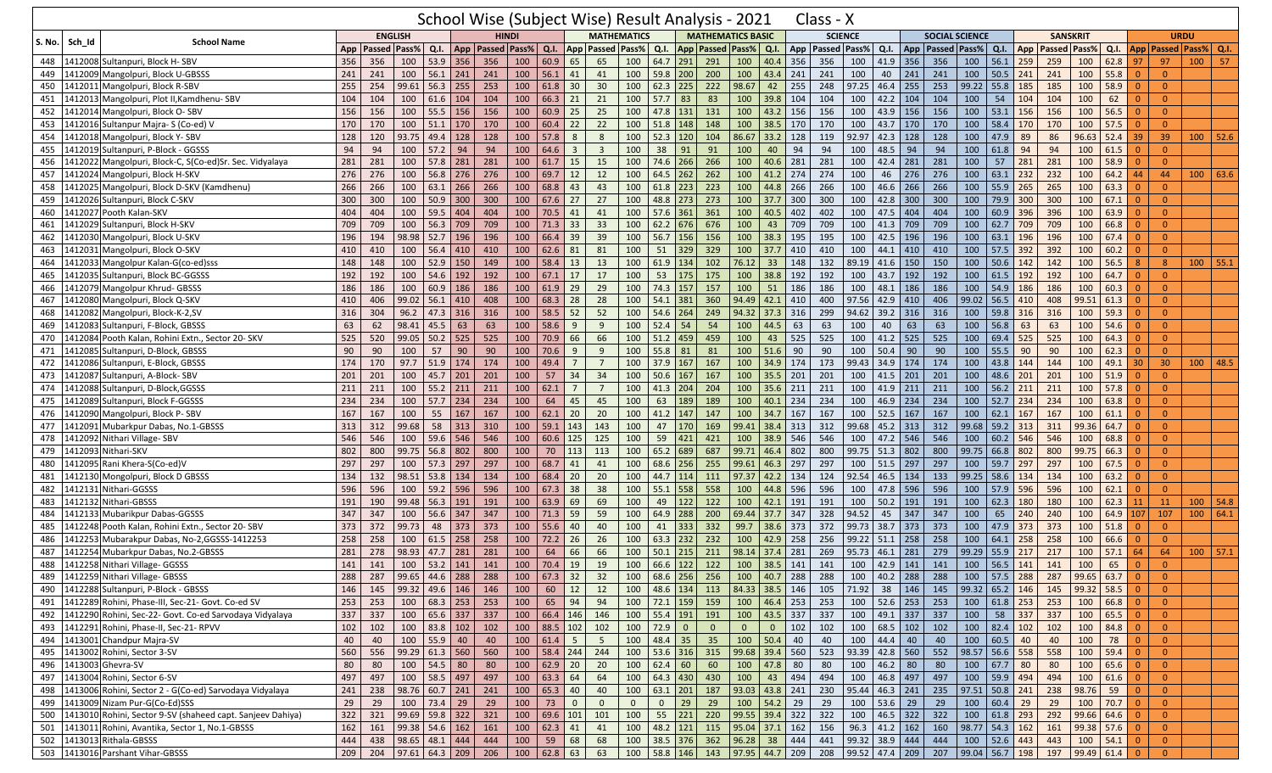|        |         |                                                               |     |                                        |                                |              |     |                             |                  |              |                         |                 |                                                |             |                  |                         | School Wise (Subject Wise) Result Analysis - 2021 |                 |              | Class - X                                                                                   |       |                              |            |                                           |       |                  |               |                     |                        |            |                |                |                             |      |
|--------|---------|---------------------------------------------------------------|-----|----------------------------------------|--------------------------------|--------------|-----|-----------------------------|------------------|--------------|-------------------------|-----------------|------------------------------------------------|-------------|------------------|-------------------------|---------------------------------------------------|-----------------|--------------|---------------------------------------------------------------------------------------------|-------|------------------------------|------------|-------------------------------------------|-------|------------------|---------------|---------------------|------------------------|------------|----------------|----------------|-----------------------------|------|
|        |         |                                                               |     |                                        | <b>ENGLISH</b>                 |              |     | <b>HINDI</b>                |                  |              |                         |                 | <b>MATHEMATICS</b>                             |             |                  |                         | <b>MATHEMATICS BASIC</b>                          |                 |              | <b>SCIENCE</b>                                                                              |       |                              |            | <b>SOCIAL SCIENCE</b>                     |       |                  |               | <b>SANSKRIT</b>     |                        |            |                | <b>URDU</b>    |                             |      |
| S. No. | Sch_Id  | <b>School Name</b>                                            |     | App   Passed   Pass%                   |                                |              |     | Q.I.   App   Passed   Pass% |                  | Q.I.         |                         |                 | <b>App Passed Pass%</b>                        | Q.I.        |                  |                         | App   Passed   Pass%   Q.I.                       |                 |              | App   Passed   Pass%                                                                        |       | Q.I.                         |            | App   Passed   Pass%                      |       | $Q.I.$ App       |               | <b>Passed Pass%</b> |                        | Q.I.       |                |                | App   Passed   Pass%   Q.I. |      |
| 448    |         | 1412008 Sultanpuri, Block H-SBV                               | 356 | 356                                    | 100                            | $53.9$ 356   |     | 356                         | 100              | $60.9$ 65    |                         | 65              | 100                                            | 64.7 291    |                  | 291                     | 100                                               | 40.4            | 356          | 356                                                                                         | 100   | 41.9                         | 356        | 356                                       | 100   | $56.1$ 259       |               | 259                 | 100                    | 62.8       | 97             | 97             | 100                         | - 57 |
| 449    |         | Mangolpuri, Block U-GBSSS<br>1412009                          | 241 | 241                                    | 100                            | $56.1$ 241   |     | 241                         | 100              | $56.1$ 41    |                         | 41              | 100                                            | 59.8 200    |                  | 200                     | 100                                               | 43.4 241        |              | 241                                                                                         | 100   | 40                           | 241        | 241                                       | 100   | $50.5$ 241       |               | 241                 | 100                    | 55.8       | $\Omega$       | $\mathbf{0}$   |                             |      |
| 450    |         | 412011 Mangolpuri, Block R-SBV                                | 255 | 254                                    | 99.61                          | $56.3$ 255   |     | 253                         | 100              | 61.8         | 30                      | 30              | 100                                            | $62.3$ 225  |                  | 222                     | 98.67                                             | 42              | 255          | 248                                                                                         | 97.25 | 46.4                         | 255        | 253                                       | 99.22 | $55.8$ 185       |               | 185                 | 100                    | 58.9       |                | $\overline{0}$ |                             |      |
| 451    | 1412013 | Mangolpuri, Plot II, Kamdhenu-SBV                             | 104 | 104                                    | 100                            | $61.6$ 104   |     | 104                         | 100              | $66.3$ 21    |                         | 21              | 100                                            | 57.7 83     |                  | 83                      | 100                                               | 39.8            | 104          | 104                                                                                         | 100   | 42.2                         | 104        | 104                                       | 100   | 54               | 104           | 104                 | 100                    | 62         | $\Omega$       | $\mathbf{0}$   |                             |      |
| 452    | 1412014 | Mangolpuri, Block O-SBV                                       | 156 | 156                                    | 100                            | 55.5         | 156 | 156                         | 100              | 60.9         | 25                      | 25              | 100                                            | 47.8 131    |                  | 131                     | 100                                               | 43.2            | 156          | 156                                                                                         | 100   | 43.9                         | 156        | 156                                       | 100   | 53.1             | 156           | 156                 | 100                    | 56.5       | $\Omega$       | $\overline{0}$ |                             |      |
| 453    | 1412016 | Sultanpur Majra-S (Co-ed) V                                   | 170 | 170                                    | 100                            | $51.1$ 170   |     | 170                         | 100              | $60.4$ 22    |                         | 22              | 100                                            | 51.8 148    |                  | 148                     | 100                                               | 38.5            | 170          | 170                                                                                         | 100   | 43.7                         | 170        | 170                                       | 100   | 58.4 170         |               | 170                 | 100                    | 57.5       | $\Omega$       | $\Omega$       |                             |      |
| 454    | 1412018 | Mangolpuri, Block Y-SBV                                       | 128 | 120                                    | 93.75                          | 49.4 128     |     | 128                         | 100              | 57.8         | 8                       | 8               | 100                                            | $52.3$ 120  |                  | 104                     | 86.67                                             | 33.2 128        |              | 119                                                                                         | 92.97 | 42.3                         | 128        | 128                                       | 100   | 47.9             | 89            | 86                  | 96.63                  | 52.4       | 39             | 39             | $100$ 52.6                  |      |
| 455    | 1412019 | Sultanpuri, P-Block - GGSSS                                   | 94  | 94                                     | 100                            | 57.2         | 94  | 94                          | 100              | 64.6         | $\overline{\mathbf{3}}$ | $\overline{3}$  | 100                                            | 38          | 91               | 91                      | 100                                               | 40              | 94           | 94                                                                                          | 100   | 48.5                         | 94         | 94                                        | 100   | 61.8             | 94            | 94                  | 100                    | 61.5       | $\Omega$       | $\Omega$       |                             |      |
| 456    | 1412022 | Mangolpuri, Block-C, S(Co-ed)Sr. Sec. Vidyalaya               | 281 | 281                                    | 100                            | 57.8 281     |     | 281                         | 100              | $61.7$ 15    |                         | 15              | 100                                            | 74.6 266    |                  | 266                     | 100                                               | 40.6            | 281          | 281                                                                                         | 100   | 42.4                         | 281        | 281                                       | 100   | 57               | 281           | 281                 | 100                    | 58.9       | $\Omega$       | $\Omega$       |                             |      |
| 457    | 1412024 | Mangolpuri, Block H-SKV                                       | 276 | 276                                    | 100                            | $56.8$ 276   |     | 276                         | 100              | 69.7         | 12                      | 12              | 100                                            | $64.5$ 262  |                  | 262                     | 100                                               | $41.2$ 274      |              | 274                                                                                         | 100   | 46                           | 276        | 276                                       | 100   | $63.1$ 232       |               | 232                 | 100                    | 64.2       | 44             | 44             | 100   63.6                  |      |
| 458    |         | L412025 Mangolpuri, Block D-SKV (Kamdhenu)                    | 266 | 266                                    | 100                            | $63.1$ 266   |     | 266                         | 100              | 68.8         | 43                      | 43              | 100                                            | $61.8$ 223  |                  | 223                     | 100                                               | 44.8            | 266          | 266                                                                                         | 100   | 46.6                         | 266        | 266                                       | 100   | $55.9$ 265       |               | 265                 | 100                    | 63.3       | $\Omega$       | $\overline{0}$ |                             |      |
| 459    |         | 1412026 Sultanpuri, Block C-SKV                               | 300 | 300                                    | 100                            | $50.9$ 300   |     | 300                         | 100              | 67.6         | 27                      | 27              | 100                                            | 48.8 273    |                  | 273                     | 100                                               | 37.7            | 300          | 300                                                                                         | 100   | 42.8                         | 300        | 300                                       | 100   | 79.9 300         |               | 300                 | 100                    | 67.1       | $\Omega$       | $\overline{0}$ |                             |      |
| 460    | 1412027 | Pooth Kalan-SKV                                               | 404 | 404                                    | 100                            | 59.5         | 404 | 404                         | 100              | 70.5         | 41                      | 41              | 100                                            | $57.6$ 361  |                  | 361                     | 100                                               | 40.5            | 402          | 402                                                                                         | 100   | 47.5                         | 404        | 404                                       | 100   | $60.9$ 396       |               | 396                 | 100                    | 63.9       | $\Omega$       | $\overline{0}$ |                             |      |
| 461    | 1412029 | Sultanpuri, Block H-SKV                                       | 709 | 709                                    | 100                            | 56.3 709     |     | 709                         | 100              | $71.3$ 33    |                         | 33              | 100                                            | 62.2   676  |                  | 676                     | 100                                               | 43              | 709          | 709                                                                                         | 100   |                              | $41.3$ 709 | 709                                       | 100   | 62.7 709         |               | 709                 | 100                    | 66.8       | $\Omega$       | $\overline{0}$ |                             |      |
| 462    | 1412030 | Mangolpuri, Block U-SKV                                       | 196 | 194                                    | 98.98                          | $52.7$ 196   |     | 196                         | 100              | 66.4         | 39                      | 39              | 100                                            | 56.7 156    |                  | 156                     | 100                                               | 38.3            | 195          | 195                                                                                         | 100   | 42.5                         | 196        | 196                                       | 100   | $63.1$ 196       |               | 196                 | 100                    | 67.4       | $\Omega$       | $\overline{0}$ |                             |      |
| 463    |         | 1412031 Mangolpuri, Block O-SKV                               | 410 | 410                                    | 100                            | 56.4         | 410 | 410                         | 100              | 62.6         | 81                      | 81              | 100                                            | 51          | 329              | 329                     | 100                                               | 37.7            | 410          | 410                                                                                         | 100   | 44.1                         | 410        | 410                                       | 100   | 57.5             | 392           | 392                 | 100                    | 60.2       |                | $\Omega$       |                             |      |
| 464    |         | 1412033 Mangolpur Kalan-G(co-ed)sss                           | 148 | 148                                    | 100                            | $52.9$ 150   |     | 149                         | 100              | $58.4$ 13    |                         | 13              | 100                                            | $61.9$ 134  |                  | 102                     | 76.12                                             | 33 <sup>°</sup> | 148          | 132                                                                                         | 89.19 | 41.6                         | 150        | 150                                       | 100   | 50.6             | 142           | 142                 | 100                    | 56.5       | 8              | 8              | $100$ 55.1                  |      |
| 465    |         | 1412035 Sultanpuri, Block BC-GGSSS                            | 192 | 192                                    | 100                            | 54.6         | 192 | 192                         | 100              | $67.1$ 17    |                         | 17              | 100                                            | 53          | 175              | 175                     | 100                                               | 38.8            | 192          | 192                                                                                         | 100   | 43.7                         | 192        | 192                                       | 100   | 61.5             | 192           | 192                 | 100                    | 64.7       | $\Omega$       | $\Omega$       |                             |      |
| 466    |         | 1412079 Mangolpur Khrud- GBSSS                                | 186 | 186                                    | 100                            | 60.9         | 186 | 186                         | 100              | 61.9         | 29                      | 29              | 100                                            | 74.3 157    |                  | 157                     | 100                                               | 51              | 186          | 186                                                                                         | 100   | 48.1                         | 186        | 186                                       | 100   | 54.9             | 186           | 186                 | 100                    | 60.3       |                | $\mathbf{0}$   |                             |      |
| 467    |         | Mangolpuri, Block Q-SKV<br>1412080                            | 410 | 406                                    | 99.02                          | $56.1$ 410   |     | 408                         | 100              | 68.3 28      |                         | 28              | 100                                            | 54.1 381    |                  | 360                     | 94.49                                             | 42.1            | 410          | 400                                                                                         | 97.56 | 42.9                         | 410        | 406                                       | 99.02 | 56.5             | $ 410\rangle$ | 408                 | 99.51                  | 61.3       | $\Omega$       | $\overline{0}$ |                             |      |
| 468    | 1412082 | Mangolpuri, Block-K-2,SV                                      | 316 | 304                                    | 96.2                           | $47.3$ 316   |     | 316                         | 100              | 58.5         | 52                      | 52              | 100                                            | 54.6 264    |                  | 249                     | 94.32                                             | 37.3            | 316          | 299                                                                                         | 94.62 | 39.2                         | 316        | 316                                       | 100   | $59.8$ 316       |               | 316                 | 100                    | 59.3       | $\Omega$       | $\Omega$       |                             |      |
| 469    |         | 1412083 Sultanpuri, F-Block, GBSSS                            | 63  | 62                                     | 98.41                          | 45.5         | 63  | 63                          | 100              | 58.6         | 9                       | 9               | 100                                            | $52.4$ 54   |                  | 54                      | 100                                               | 44.5            | 63           | 63                                                                                          | 100   | 40                           | 63         | 63                                        | 100   | 56.8             | 63            | 63                  | 100                    | 54.6       |                | $\overline{0}$ |                             |      |
| 470    | 1412084 | Pooth Kalan, Rohini Extn., Sector 20- SKV                     | 525 | 520                                    | 99.05                          | $50.2$ 525   |     | 525                         | 100              | 70.9 66      |                         | 66              | 100                                            | $51.2$ 459  |                  | 459                     | 100                                               | 43              | 525          | 525                                                                                         | 100   | 41.2                         | 525        | 525                                       | 100   | $69.4$ 525       |               | 525                 | 100                    | 64.3       | $\Omega$       | $\overline{0}$ |                             |      |
| 471    | 1412085 | Sultanpuri, D-Block, GBSSS                                    | 90  | 90                                     | 100                            | 57           | 90  | 90                          | 100              | 70.6         | 9                       | 9               | 100                                            | $55.8$ 81   |                  | 81                      | 100                                               | 51.6            | 90           | 90                                                                                          | 100   | 50.4                         | 90         | 90                                        | 100   | 55.5             | 90            | 90                  | 100                    | 62.3       | $\Omega$       | $\Omega$       |                             |      |
| 472    |         | L412086 Sultanpuri, E-Block, GBSSS                            | 174 | 170                                    | 97.7                           | $51.9$ 174   |     | 174                         | 100              | 49.4         | $\overline{7}$          | $\overline{7}$  | 100                                            | 37.9 167    |                  | 167                     | 100                                               | $34.9$ 174      |              | 173                                                                                         | 99.43 | 34.9                         | 174        | 174                                       | 100   | 43.8 144         |               | 144                 | 100                    | 49.1       | 30             | 30             | $100$ 48.5                  |      |
| 473    | 412087  | Sultanpuri, A-Block-SBV                                       | 201 | 201                                    | 100                            | 45.7 201     |     | 201                         | 100              | 57           | 34                      | 34              | 100                                            | 50.6 167    |                  | 167                     | 100                                               | 35.5            | 201          | 201                                                                                         | 100   | 41.5                         | 201        | 201                                       | 100   | 48.6             | $\vert$ 201   | 201                 | 100                    | 51.9       |                | $\overline{0}$ |                             |      |
| 474    | 1412088 | Sultanpuri, D-Block, GGSSS                                    | 211 | 211                                    | 100                            | $55.2$ 211   |     | 211                         | 100              | 62.1         | $\overline{7}$          | $\overline{7}$  | 100                                            | $41.3$ 204  |                  | 204                     | 100                                               | 35.6            | 211          | 211                                                                                         | 100   | 41.9                         | 211        | 211                                       | 100   | $56.2$ 211       |               | 211                 | 100                    | 57.8       | $\Omega$       | $\overline{0}$ |                             |      |
| 475    | 1412089 | Sultanpuri, Block F-GGSSS                                     | 234 | 234                                    | 100                            | $57.7$ 234   |     | 234                         | 100              | 64           | 45                      | 45              | 100                                            | 63          | 189              | 189                     | 100                                               | 40.1            | 234          | 234                                                                                         | 100   | 46.9                         | 234        | 234                                       | 100   | $52.7$ 234       |               | 234                 | 100                    | 63.8       |                | $\overline{0}$ |                             |      |
| 476    |         | Mangolpuri, Block P-SBV<br>412090                             | 167 | 167                                    | 100                            | 55           | 167 | 167                         | 100              | 62.1         | 20                      | 20              | 100                                            | $41.2$ 147  |                  | 147                     | 100                                               | 34.7            | 167          | 167                                                                                         | 100   | 52.5                         | 167        | 167                                       | 100   | 62.1             | 167           | 167                 | 100                    | 61.1       | $\Omega$       | $\overline{0}$ |                             |      |
| 477    |         | 1412091 Mubarkpur Dabas, No.1-GBSSS                           | 313 | 312                                    | 99.68                          | 58           | 313 | 310                         | 100              | 59.1         | 143                     | 143             | 100                                            | 47          | 170              | 169                     | 99.41                                             | 38.4            | 313          | 312                                                                                         | 99.68 | 45.2                         | 313        | 312                                       | 99.68 | $59.2$ 313       |               | 311                 | 99.36                  | 64.7       | $\Omega$       | $\overline{0}$ |                             |      |
| 478    |         | 1412092 Nithari Village-SBV                                   | 546 | 546                                    | 100                            | $59.6$ 546   |     | 546                         | 100              | 60.6         | 125                     | 125             | 100                                            | 59          | 421              | 421                     | 100                                               | 38.9            | 546          | 546                                                                                         | 100   | 47.2                         | 546        | 546                                       | 100   | 60.2             | 546           | 546                 | 100                    | 68.8       |                | $\overline{0}$ |                             |      |
| 479    |         | Nithari-SKV<br>412093.                                        | 802 | 800                                    | 99.75                          | 56.8         | 802 | 800                         | 100              | 70           | 113                     | 113             | 100                                            | 65.2 689    |                  | 687                     | 99.71                                             | 46.4            | 802          | 800                                                                                         | 99.75 | 51.3                         | 802        | 800                                       | 99.75 | 66.8 802         |               | 800                 | 99.75                  | 66.3       |                | $\Omega$       |                             |      |
| 480    |         | 1412095 Rani Khera-S(Co-ed)V                                  | 297 | 297                                    | 100                            | $57.3$ 297   |     | 297                         | 100              | 68.7         | 41                      | 41              | 100                                            | 68.6 256    |                  | 255                     | 99.61                                             | 46.3            | 297          | 297                                                                                         | 100   | 51.5                         | 297        | 297                                       | 100   | 59.7             | 297           | 297                 | 100                    | 67.5       | $\Omega$       | $\Omega$       |                             |      |
| 481    |         | 1412130 Mongolpuri, Block D GBSSS                             | 134 | 132                                    | 98.51                          | 53.8 134     |     | 134                         | 100              | 68.4 20      |                         | 20              | 100                                            | 44.7 114    |                  | 111                     |                                                   | 97.37 42.2 134  |              | 124                                                                                         | 92.54 | 46.5                         | 134        | 133                                       | 99.25 | $58.6$ 134       |               | 134                 | 100                    | 63.2       | $\Omega$       | $\overline{0}$ |                             |      |
| 482    |         | 1412131 Nithari-GGSSS                                         | 596 | 596                                    | 100                            | 59.2 596     |     | 596                         | 100              | $67.3$ 38    |                         | 38              | 100                                            | $55.1$ 558  |                  | 558                     | 100                                               | 44.8            | 596          | 596                                                                                         | 100   | 47.8                         | 596        | 596                                       | 100   | $57.9$ 596       |               | 596                 | 100                    | 62.1       |                | $\Omega$       |                             |      |
| 483    |         | 1412132 Nithari-GBSSS                                         | 191 | 190                                    | 99.48                          | $56.3$ 191   |     | 191                         | 100              | 63.9         | 69                      | 69              | 100                                            | 49          | 122              | 122                     | 100                                               | 42.1            | 191          | 191                                                                                         | 100   | 50.2                         | 191        | 191                                       | 100   | 62.3             | 180           | 180                 | 100                    | 62.3       | 11             | 11             | $100$ 54.8                  |      |
| 484    |         | 1412133 Mubarikpur Dabas-GGSSS                                | 347 | 347                                    | 100                            | 56.6 347     |     | 347                         | 100              | 71.3         | 59                      | 59              | 100                                            | 64.9 288    |                  | 200                     | 69.44                                             | 37.7 347        |              | 328                                                                                         | 94.52 | 45                           | 347        | 347                                       | 100   | 65               | 240           | 240                 | 100                    | 64.9       | 107            | 107            | 100   64.1                  |      |
| 485    | 412248  | Pooth Kalan, Rohini Extn., Sector 20- SBV                     | 373 | 372                                    | 99.73                          | 48           | 373 | 373                         | 100              | 55.6         | 40                      | 40              | 100                                            | 41          | 333              | 332                     | 99.7                                              | 38.6            | 373          | 372                                                                                         | 99.73 | 38.7                         | 373        | 373                                       | 100   | 47.9             | 373           | 373                 | 100                    | 51.8       |                | $\Omega$       |                             |      |
| 486    | 1412253 | Mubarakpur Dabas, No-2, GGSSS-1412253                         | 258 | 258                                    | 100                            | $61.5$ 258   |     | 258                         | 100              | $72.2$       | 26                      | 26              | 100                                            | $63.3$ 232  |                  | 232                     | 100                                               | 42.9            | 258          | 256                                                                                         | 99.22 | 51.1                         | 258        | 258                                       | 100   | $64.1$ 258       |               | 258                 | 100                    | 66.6       | $\Omega$       | $\Omega$       |                             |      |
| 487    |         | L412254 Mubarkpur Dabas, No.2-GBSSS                           | 281 | 278                                    | 98.93                          | 47.7 281     |     | 281                         | 100              | 64           | 66                      | 66              | 100                                            | $50.1$ 215  |                  | 211                     | 98.14                                             | 37.4            | 281          | 269                                                                                         | 95.73 | 46.1                         | 281        | 279                                       | 99.29 | 55.9 217         |               | 217                 | 100                    | 57.1       | 64             | 64             | $100$ 57.1                  |      |
| 488    |         | 1412258 Nithari Village- GGSSS                                | 141 | 141                                    | 100                            | 53.2         | 141 | 141                         | 100              | 70.4         | 19                      | 19              | 100                                            | 66.6 122    |                  | 122                     | 100                                               | 38.5            | 141          | 141                                                                                         | 100   | 42.9                         | 141        | 141                                       | 100   | 56.5             | 141           | 141                 | 100                    | 65         |                | $\Omega$       |                             |      |
|        |         | 489 1412259 Nithari Village- GBSSS                            |     | 288 287 99.65 44.6 288 288 100 67.3 32 |                                |              |     |                             |                  |              |                         |                 | $32 \mid 100 \mid 68.6 \mid 256 \mid 256 \mid$ |             |                  |                         |                                                   |                 |              | 100   40.7   288   288   100   40.2   288   288   100   57.5   288   287   99.65   63.7   0 |       |                              |            |                                           |       |                  |               |                     |                        |            |                | $\overline{0}$ |                             |      |
|        |         | 490 1412288 Sultanpuri, P-Block - GBSSS                       | 146 |                                        | 145 99.32 49.6 146 146         |              |     |                             | 100              | $60 \mid 12$ |                         | 12              | 100                                            |             | 48.6 134 113     |                         |                                                   |                 |              | 84.33 38.5 146 105                                                                          | 71.92 |                              |            | 38   146   145   99.32   65.2   146   145 |       |                  |               |                     | 99.32 58.5 0           |            |                | $\overline{0}$ |                             |      |
| 491    |         | 1412289 Rohini, Phase-III, Sec-21- Govt. Co-ed SV             | 253 | 253                                    |                                |              |     | 100 68.3 253 253            | 100              | $65$ 94      |                         | 94              | 100                                            |             | 72.1 159         | 159                     |                                                   | 100 46.4 253    |              | 253                                                                                         |       |                              |            | $100$ 52.6 253 253                        |       | 100   61.8   253 |               | $253$               | 100 66.8               |            |                | $\overline{0}$ |                             |      |
|        |         | 492   1412290 Rohini, Sec-22- Govt. Co-ed Sarvodaya Vidyalaya | 337 | 337                                    |                                |              |     | 100 65.6 337 337            | 100 66.4 146 146 |              |                         |                 |                                                |             | 100 55.4 191 191 |                         |                                                   | 100 43.5 337    |              | 337                                                                                         |       |                              |            | 100 49.1 337 337                          | 100   |                  |               | 58 337 337          | $100 \t 65.5 \t 0$     |            |                | $\overline{0}$ |                             |      |
| 493    |         | 1412291 Rohini, Phase-II, Sec-21- RPVV                        | 102 | 102                                    |                                |              |     | 100 83.8 102 102            | 100 88.5 102 102 |              |                         |                 | $100$ 72.9 0                                   |             |                  | $\overline{\mathbf{0}}$ | $\overline{0}$                                    |                 | $0 \mid 102$ | 102                                                                                         |       |                              |            | 100 68.5 102 102                          | 100   | 82.4 102         |               | 102                 | 100                    | 84.8 0     |                | $\overline{0}$ |                             |      |
| 494    |         | 1413001 Chandpur Majra-SV                                     | 40  | 40                                     |                                | 100 55.9 40  |     | 40                          | 100              | $61.4$ 5     |                         | $5\overline{5}$ |                                                | 100 48.4 35 |                  | 35                      |                                                   | 100 50.4 40     |              | 40                                                                                          | 100   |                              | $44.4$ 40  | 40                                        | 100   | $60.5$ 40        |               | 40                  | 100                    | 78         |                | $\overline{0}$ |                             |      |
| 495    |         | 1413002 Rohini, Sector 3-SV                                   | 560 | 556                                    | $99.29$ 61.3 560 560           |              |     |                             | 100   58.4   244 |              |                         | 244             |                                                |             | 100 53.6 316 315 |                         | 99.68 39.4 560                                    |                 |              | 523                                                                                         |       |                              |            | 93.39 42.8 560 552 98.57 56.6 558         |       |                  |               | 558                 | 100                    | $59.4$ 0   |                | $\overline{0}$ |                             |      |
|        |         | 496 1413003 Ghevra-SV                                         | 80  | 80                                     |                                | 100 54.5 80  |     | 80                          | 100              | $62.9$ 20    |                         | 20              | 100                                            | 62.4 60     |                  | 60                      |                                                   | 100 47.8 80     |              | 80                                                                                          |       | $100 \mid 46.2 \mid 80 \mid$ |            | 80                                        | 100   | $67.7$ 80        |               | 80                  | 100                    | $65.6$ $0$ |                | $\overline{0}$ |                             |      |
| 497    |         | 1413004 Rohini, Sector 6-SV                                   | 497 | 497                                    |                                | 100 58.5 497 |     | 497                         | 100              | 63.3 64      |                         | 64              | 100                                            | 64.3 430    |                  | 430                     | 100                                               | 43              | 494          | 494                                                                                         |       | 100 46.8 497                 |            | 497                                       | 100   | 59.9 494         |               | 494                 | 100                    | $61.6$ 0   |                | $\overline{0}$ |                             |      |
| 498    |         | 1413006 Rohini, Sector 2 - G(Co-ed) Sarvodaya Vidyalaya       | 241 | 238                                    | $98.76$ 60.7 241               |              |     | 241                         | 100   65.3   40  |              |                         | 40              | 100                                            | 63.1 201    |                  | 187                     | 93.03 43.8 241                                    |                 |              | 230                                                                                         |       | $95.44$ 46.3 241             |            | 235                                       |       | $97.51$ 50.8 241 |               | 238                 | 98.76 59               |            | $\overline{0}$ | $\overline{0}$ |                             |      |
| 499    |         | 1413009 Nizam Pur-G(Co-Ed)SSS                                 | 29  | 29                                     |                                | 100 73.4 29  |     | 29                          | 100              | 73           |                         | $\mathbf{0}$    | $\overline{0}$                                 |             | $0 \mid 29$      | 29                      |                                                   | 100 54.2 29     |              | 29                                                                                          |       | 100 53.6 29                  |            | 29                                        | 100   | $60.4$ 29        |               | 29                  | 100                    |            |                | $\overline{0}$ |                             |      |
| 500    |         | 1413010 Rohini, Sector 9-SV (shaheed capt. Sanjeev Dahiya)    | 322 | 321                                    | $99.69$ 59.8 322 321           |              |     |                             | 100              | 69.6 101     |                         | 101             | 100                                            |             | $55 \mid 221$    | 220                     | 99.55 39.4 322                                    |                 |              | 322                                                                                         |       |                              |            | 100 46.5 322 322                          |       | 100 61.8 293     |               | 292                 | $99.66$ 64.6           |            |                | $\overline{0}$ |                             |      |
| 501    |         | 1413011 Rohini, Avantika, Sector 1, No.1-GBSSS                | 162 |                                        | 161   99.38   54.6   162   161 |              |     |                             | 100   62.3   41  |              |                         | 41              | 100                                            |             |                  |                         | 48.2 121 115 95.04 37.1 162                       |                 |              | 156                                                                                         |       |                              |            | $96.3$ 41.2 162 160 98.77 54.3 162        |       |                  |               | 161                 | 99.38 57.6 0           |            |                | $\overline{0}$ |                             |      |
|        |         | 502 1413013 Rithala-GBSSS                                     | 444 |                                        | 438 98.65 48.1 444             |              |     | 444                         | 100              | $59 \mid 68$ |                         | 68              | 100                                            |             | 38.5 376 362     |                         | $96.28$ 38 444                                    |                 |              | 441                                                                                         |       |                              |            | 99.32 38.9 444 444 100 52.6 443 443       |       |                  |               |                     | $100 \mid 54.1 \mid 0$ |            |                | $\overline{0}$ |                             |      |
|        |         | 503 1413016 Parshant Vihar-GBSSS                              | 209 | 204                                    | $97.61$ 64.3 209               |              |     | 206                         | 100              | $62.8$ 63    |                         | 63              | 100                                            |             | 58.8 146         | 143                     | 97.95 44.7 209                                    |                 |              |                                                                                             |       |                              |            | 208 99.52 47.4 209 207 99.04 56.7 198 197 |       |                  |               |                     | 99.4961.4              |            | $\overline{0}$ | $\mathbf{0}$   |                             |      |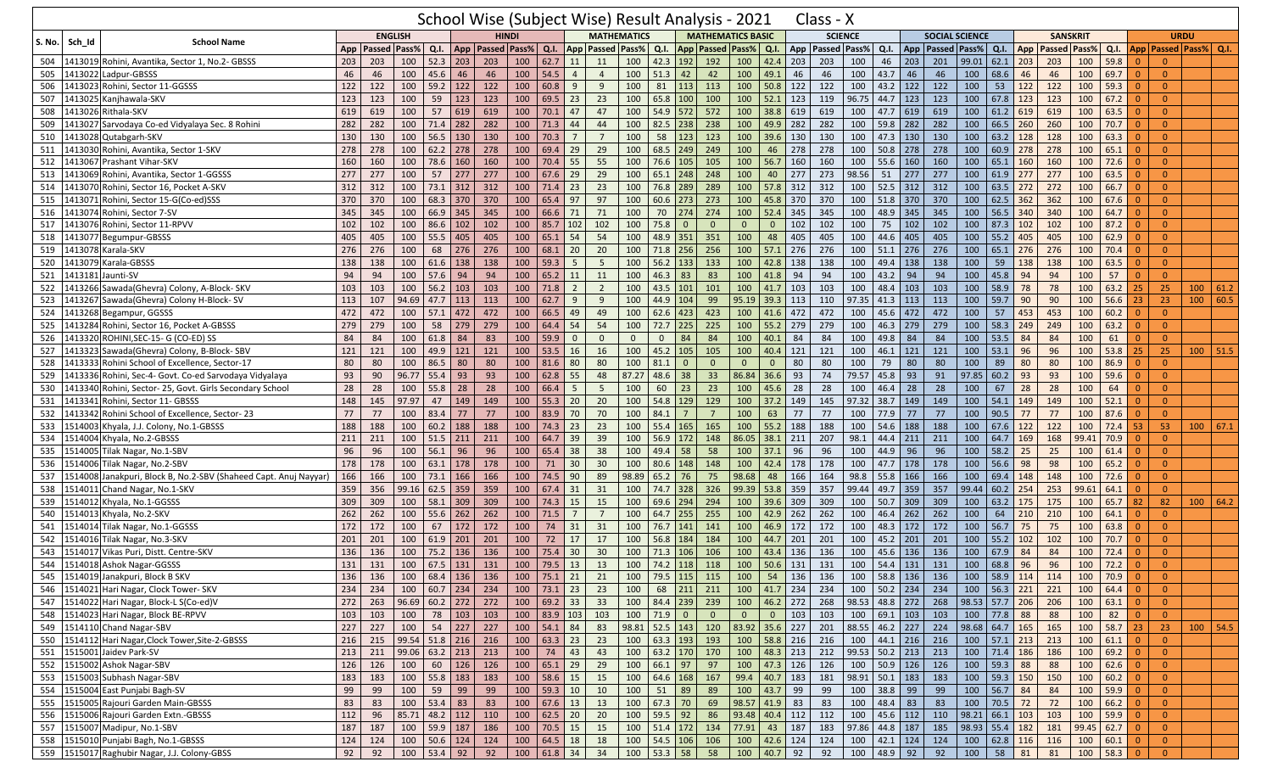|                            |                                                                  |                 |                      |                        |                    |     | School Wise (Subject Wise) Result Analysis - 2021                            |     |                  |                |                |                         |              |                              |                 |                          |                         |     | Class - X                                                                               |                 |            |                                       |                       |      |                      |     |                     |                                                                    |                |                            |            |  |
|----------------------------|------------------------------------------------------------------|-----------------|----------------------|------------------------|--------------------|-----|------------------------------------------------------------------------------|-----|------------------|----------------|----------------|-------------------------|--------------|------------------------------|-----------------|--------------------------|-------------------------|-----|-----------------------------------------------------------------------------------------|-----------------|------------|---------------------------------------|-----------------------|------|----------------------|-----|---------------------|--------------------------------------------------------------------|----------------|----------------------------|------------|--|
| S. No.   Sch Id            | <b>School Name</b>                                               |                 |                      | <b>ENGLISH</b>         |                    |     | <b>HINDI</b>                                                                 |     |                  |                |                | <b>MATHEMATICS</b>      |              |                              |                 | <b>MATHEMATICS BASIC</b> |                         |     | <b>SCIENCE</b>                                                                          |                 |            |                                       | <b>SOCIAL SCIENCE</b> |      |                      |     | <b>SANSKRIT</b>     |                                                                    |                | <b>URDU</b>                |            |  |
|                            |                                                                  |                 | App   Passed   Pass% |                        | Q.I.               |     | App Passed Pass%                                                             |     | Q.I.             |                |                | <b>App Passed Pass%</b> | Q.I.         | App Passed Pass% Q.I.        |                 |                          |                         | App | Passed   Pass%                                                                          |                 | Q.I.       | App   Passed   Pass%                  |                       |      | $Q.I.$ App           |     | <b>Passed Pass%</b> | Q.I.                                                               |                | App   Passed   Pass%   Q.I |            |  |
| 504                        | 1413019 Rohini, Avantika, Sector 1, No.2- GBSSS                  | 203             | 203                  | 100                    | 52.3               | 203 | 203                                                                          | 100 | $62.7$ 11        |                | 11             | 100                     | 42.3         | 192                          | 192             | 100                      | 42.4                    | 203 | 203                                                                                     | 100             | 46         | 203<br>201                            | 99.01                 |      | $62.1$ 203           | 203 | 100                 | 59.8                                                               | $\Omega$       | $\Omega$                   |            |  |
| 505                        | 1413022 Ladpur-GBSSS                                             | 46              | 46                   | 100                    | 45.6               | 46  | 46                                                                           | 100 | 54.5             | $\overline{4}$ | $\overline{4}$ | 100                     | 51.3         | 42                           | 42              | 100                      | 49.1                    | 46  | 46                                                                                      | 100             | 43.7       | 46<br>46                              | 100                   |      | 68.6 46              | 46  | 100                 | 69.7                                                               | $\overline{0}$ | $\overline{0}$             |            |  |
| 506<br>1413023             | Rohini, Sector 11-GGSSS                                          | 122             | 122                  | 100                    | 59.2               | 122 | 122                                                                          | 100 | 60.8             | 9              | 9              | 100                     | 81           | 113                          | 113             | 100                      | 50.8                    | 122 | 122                                                                                     | 100             | 43.2       | 122<br>122                            | 100                   | 53   | 122                  | 122 | 100                 | 59.3                                                               |                | $\overline{0}$             |            |  |
| 507<br>1413025             | Kanjhawala-SKV                                                   | 123             | 123                  | 100                    | 59                 | 123 | 123                                                                          | 100 | $69.5$ 23        |                | 23             | 100                     | 65.8 100     |                              | 100             | 100                      | 52.1                    | 123 | 119                                                                                     | 96.75           | $44.7$ 123 | 123                                   | 100                   |      | $67.8$ 123           | 123 | 100                 | 67.2                                                               | $\Omega$       | $\overline{0}$             |            |  |
| 508<br>1413026             | Rithala-SKV                                                      | 619             | 619                  | 100                    | 57                 | 619 | 619                                                                          | 100 | 70.1             | 47             | 47             | 100                     | 54.9         | 572                          | 572             | 100                      | 38.8                    | 619 | 619                                                                                     | 100             | 47.7       | 619<br>619                            | 100                   |      | $61.2$ 619           | 619 | 100                 | 63.5                                                               | $\Omega$       | $\Omega$                   |            |  |
| 509<br>1413027             | Sarvodaya Co-ed Vidyalaya Sec. 8 Rohini                          | 282             | 282                  | 100                    | 71.4               | 282 | 282                                                                          | 100 | 71.3             | 44             | 44             | 100                     | 82.5         | 238                          | 238             | 100                      | 49.9                    | 282 | 282                                                                                     | 100             | 59.8       | 282<br>282                            | 100                   | 66.5 | 260                  | 260 | 100                 | 70.7                                                               |                | $\Omega$                   |            |  |
| 510                        | 1413028 Qutabgarh-SKV                                            | 130             | 130                  | 100                    | 56.5               | 130 | 130                                                                          | 100 | 70.3             | 7              | $\overline{7}$ | 100                     | 58           | 123                          | 123             | 100                      | 39.6                    | 130 | 130                                                                                     | 100             | 47.3       | 130<br>130                            | 100                   |      | $63.2$ 128           | 128 | 100                 | 63.3                                                               | $\Omega$       | $\overline{0}$             |            |  |
| 511<br>1413030             | Rohini, Avantika, Sector 1-SKV                                   | 278             | 278                  | 100                    | 62.2               | 278 | 278                                                                          | 100 | 69.4             | 29             | 29             | 100                     | 68.5         | 249                          | 249             | 100                      | 46                      | 278 | 278                                                                                     | 100             | 50.8       | 278<br>278                            | 100                   |      | $60.9$ 278           | 278 | 100                 | 65.1                                                               | $\Omega$       | $\Omega$                   |            |  |
| 512<br>1413067             | Prashant Vihar-SKV                                               | 160             | 160                  | 100                    | 78.6               | 160 | 160                                                                          | 100 | 70.4             | 55             | 55             | 100                     | 76.6         | 105                          | 105             | 100                      | 56.7                    | 160 | 160                                                                                     | 100             | 55.6       | 160<br>160                            | 100                   |      | 65.1 160             | 160 | 100                 | 72.6                                                               |                | $\Omega$                   |            |  |
| 513<br>1413069             | Rohini, Avantika, Sector 1-GGSSS                                 | 277             | 277                  | 100                    | 57                 | 277 | 277                                                                          | 100 | 67.6             | 29             | 29             | 100                     | 65.1         | 248                          | 248             | 100                      | 40                      | 277 | 273                                                                                     | 98.56           | 51         | 277<br>277                            | 100                   |      | $61.9$ 277           | 277 | 100                 | 63.5                                                               | $\Omega$       | $\overline{0}$             |            |  |
| 514<br>1413070             | Rohini, Sector 16, Pocket A-SKV                                  | 312             | 312                  | 100                    | 73.1               | 312 | 312                                                                          | 100 | 71.4             | 23             | 23             | 100                     | 76.8         | 289                          | 289             | 100                      | 57.8                    | 312 | 312                                                                                     | 100             | 52.5       | 312<br>312                            | 100                   |      | $63.5$ 272           | 272 | 100                 | 66.7                                                               | $\Omega$       | $\mathbf{0}$               |            |  |
| 515<br>1413071             | Rohini, Sector 15-G(Co-ed)SSS                                    | 370             | 370                  | 100                    | 68.3               | 370 | 370                                                                          | 100 | 65.4             | 97             | 97             | 100                     | 60.6         | 273                          | 273             | 100                      | 45.8                    | 370 | 370                                                                                     | 100             | 51.8       | 370<br>370                            | 100                   |      | $62.5$ 362           | 362 | 100                 | 67.6                                                               |                | $\Omega$                   |            |  |
| 516                        | 1413074 Rohini, Sector 7-SV                                      | 345             | 345                  | 100                    | 66.9               | 345 | 345                                                                          | 100 | 66.6             | 71             | 71             | 100                     | 70           | 274                          | 274             | 100                      | 52.4                    | 345 | 345                                                                                     | 100             | 48.9       | 345<br>345                            | 100                   |      | $56.5$ 340           | 340 | 100                 | 64.7                                                               | $\Omega$       | $\mathbf{0}$               |            |  |
| 517<br>1413076             | Rohini, Sector 11-RPVV                                           | 102             | 102                  | 100                    | 86.6               | 102 | 102                                                                          | 100 | 85.7             | 102            | 102            | 100                     | 75.8         | $\mathbf 0$                  | $\mathbf{0}$    | $\Omega$                 | $\overline{0}$          | 102 | 102                                                                                     | 100             | 75         | 102<br>102                            | 100                   | 87.3 | 102                  | 102 | 100                 | 87.2                                                               | $\Omega$       | $\Omega$                   |            |  |
| 518<br>1413077             | Begumpur-GBSSS                                                   | 405             | 405                  | 100                    | 55.5               | 405 | 405                                                                          | 100 | 65.1             | 54             | 54             | 100                     | 48.9         | 351                          | 351             | 100                      | 48                      | 405 | 405                                                                                     | 100             | 44.6       | 405<br>405                            | 100                   |      | 55.2 405             | 405 | 100                 | 62.9                                                               | $\Omega$       | $\Omega$                   |            |  |
| 519                        | 1413078 Karala-SKV                                               | 276             | 276                  | 100                    | 68                 | 276 | 276                                                                          | 100 | 68.1             | 20             | 20             | 100                     | 71.8         | 256                          | 256             | 100                      | 57.1                    | 276 | 276                                                                                     | 100             | 51.1       | 276<br>276                            | 100                   |      | $65.1$ 276           | 276 | 100                 | 70.4                                                               | $\Omega$       | $\overline{0}$             |            |  |
| 520<br>1413079             | Karala-GBSSS                                                     | 138             | 138                  | 100                    | 61.6               | 138 | 138                                                                          | 100 | 59.3             | -5             | 5              | 100                     | 56.2         | 133                          | 133             | 100                      | 42.8                    | 138 | 138                                                                                     | 100             | 49.4       | 138<br>138                            | 100                   | 59   | 138                  | 138 | 100                 | 63.5                                                               | $\Omega$       | $\Omega$                   |            |  |
| 521<br>1413181             | Jaunti-SV                                                        | 94              | 94                   | 100                    | 57.6               | 94  | 94                                                                           | 100 | 65.2             | 11             | 11             | 100                     | 46.3         | 83                           | 83              | 100                      | 41.8                    | 94  | 94                                                                                      | 100             | 43.2       | 94<br>94                              | 100                   |      | 45.8 94              | 94  | 100                 | 57                                                                 | $\Omega$       | $\Omega$                   |            |  |
| 522                        | 1413266 Sawada(Ghevra) Colony, A-Block- SKV                      | 103             | 103                  | 100                    | 56.2               | 103 | 103                                                                          | 100 | 71.8             | $\overline{2}$ | $\overline{2}$ | 100                     | 43.5         | 101                          | 101             | 100                      | 41.7                    | 103 | 103                                                                                     | 100             | 48.4       | 103<br>103                            | 100                   | 58.9 | 78                   | 78  | 100                 | 63.2                                                               | 25             | 25                         | 100   61.2 |  |
| 523<br>1413267             | Sawada(Ghevra) Colony H-Block-SV                                 | 113             | 107                  | 94.69                  | 47.7               | 113 | 113                                                                          | 100 | 62.7             | 9              | 9              | 100                     | 44.9         | 104                          | 99              | 95.19 39.3               |                         | 113 | 110                                                                                     | 97.35           | $41.3$ 113 | 113                                   | 100                   | 59.7 | 90                   | 90  | 100                 | 56.6                                                               | 23             | 23                         | 100   60.5 |  |
| 524<br>1413268             | Begampur, GGSSS                                                  | 472             | 472                  | 100                    | 57.1               | 472 | 472                                                                          | 100 | 66.5             | 49             | 49             | 100                     | 62.6         | 423                          | 423             |                          | $100$ 41.6              | 472 | 472                                                                                     | 100             | 45.6       | 472<br>472                            | 100                   | 57   | 453                  | 453 | 100                 | 60.2                                                               | $\Omega$       | $\Omega$                   |            |  |
| 525                        | 1413284 Rohini, Sector 16, Pocket A-GBSSS                        | 279             | 279                  | 100                    | 58                 | 279 | 279                                                                          | 100 | 64.4             | 54             | 54             | 100                     | 72.7         | 225                          | 225             | 100                      | 55.2                    | 279 | 279                                                                                     | 100             | 46.3       | 279<br>279                            | 100                   |      | $58.3$ 249           | 249 | 100                 | 63.2                                                               | $\Omega$       | $\overline{0}$             |            |  |
| 526<br>1413320             | ROHINI, SEC-15- G (CO-ED) SS                                     | 84              | 84                   | 100                    | 61.8               | 84  | 83                                                                           | 100 | 59.9             | $\overline{0}$ | $\mathbf 0$    | $\mathbf{0}$            | $\mathbf{0}$ | 84                           | 84              | 100                      | 40.1                    | 84  | 84                                                                                      | 100             | 49.8       | 84<br>84                              | 100                   |      | $53.5$ 84            | 84  | 100                 | 61                                                                 | $\Omega$       | $\overline{0}$             |            |  |
| 527<br>1413323             | Sawada(Ghevra) Colony, B-Block-SBV                               | 121             | 121                  | 100                    | 49.9               | 121 | 121                                                                          | 100 | 53.5             | 16             | 16             | 100                     | 45.2         | 105                          | 105             | 100                      | 40.4                    | 121 | 121                                                                                     | 100             | 46.1       | 121<br>121                            | 100                   |      | $53.1$ 96            | 96  | 100                 | 53.8                                                               | 25             | 25                         | $100$ 51.5 |  |
| 528                        | 1413333 Rohini School of Excellence, Sector-17                   | 80              | 80                   | 100                    | 86.5               | 80  | 80                                                                           | 100 | 81.6             | 80             | 80             | 100                     | 81.1         | $\overline{0}$               | $\mathbf{0}$    | $\Omega$                 | $\Omega$                | 80  | 80                                                                                      | 100             | 79         | 80<br>80                              | 100                   | 89   | 80                   | 80  | 100                 | 86.9                                                               | 0              | $\overline{0}$             |            |  |
| 529<br>1413336             | Rohini, Sec-4- Govt. Co-ed Sarvodaya Vidyalaya                   | 93              | 90                   | 96.77                  | 55.4               | 93  | 93                                                                           | 100 | 62.8             | 55             | 48             | 87.27                   | 48.6         | 38                           | 33              | 86.84 36.6               |                         | 93  | 74                                                                                      | 79.57           | 45.8       | 93<br>91                              | 97.85                 |      | $60.2$ 93            | 93  | 100                 | 59.6                                                               | $\Omega$       | $\overline{0}$             |            |  |
| 530<br>1413340             | Rohini, Sector- 25, Govt. Girls Secondary School                 | 28              | 28                   | 100                    | 55.8               | 28  | 28                                                                           | 100 | 66.4             | -5             | 5              | 100                     | 60           | 23                           | 23              | 100                      | 45.6                    | 28  | 28                                                                                      | 100             | 46.4       | 28<br>28                              | 100                   | 67   | 28                   | 28  | 100                 | 64                                                                 | $\Omega$       | $\Omega$                   |            |  |
| 531<br>1413341             | Rohini, Sector 11- GBSSS                                         | 148             | 145                  | 97.97                  | 47                 | 149 | 149                                                                          | 100 | 55.3             | 20             | 20             | 100                     | 54.8         | 129                          | 129             | 100                      | 37.2                    | 149 | 145                                                                                     | 97.32           | 38.7       | 149<br>149                            | 100                   |      | $54.1$ 149           | 149 | 100                 | 52.1                                                               |                | $\Omega$                   |            |  |
| 532                        | 1413342 Rohini School of Excellence, Sector-23                   | 77              | 77                   | 100                    | 83.4               | 77  | 77                                                                           | 100 | 83.9             | 70             | 70             | 100                     | 84.1         | -7                           | $7\overline{ }$ | 100                      | 63                      | 77  | 77                                                                                      | 100             | 77.9       | 77<br>77                              | 100                   | 90.5 | 77                   | 77  | 100                 | 87.6                                                               | $\Omega$       | $\overline{0}$             |            |  |
| 533<br>1514003             | Khyala, J.J. Colony, No.1-GBSSS                                  | 188             | 188                  | 100                    | 60.2               | 188 | 188                                                                          | 100 | 74.3             | 23             | 23             | 100                     | 55.4         | 165                          | 165             | 100                      | 55.2                    | 188 | 188                                                                                     | 100             | 54.6       | 188<br>188                            | 100                   |      | $67.6$ 122           | 122 | 100                 | 72.4                                                               | 53             | 53                         | $100$ 67.1 |  |
| 534                        | 1514004 Khyala, No.2-GBSSS                                       | 211             | 211                  | 100                    | 51.5               | 211 | 211                                                                          | 100 | 64.7             | 39             | 39             | 100                     | 56.9         | 172                          | 148             | 86.05 38.1               |                         | 211 | 207                                                                                     | 98.1            | 44.4       | 211<br>211                            | 100                   |      | 64.7 169             | 168 | 99.41               | 70.9                                                               |                | $\overline{0}$             |            |  |
| 535                        | 1514005 Tilak Nagar, No.1-SBV                                    | 96              | 96                   | 100                    | 56.1               | 96  | 96                                                                           | 100 | 65.4             | 38             | 38             | 100                     | 49.4         | 58                           | 58              | 100                      | 37.1                    | 96  | 96                                                                                      | 100             | 44.9       | 96<br>96                              | 100                   | 58.2 | 25                   | 25  | 100                 | 61.4                                                               | $\Omega$       | $\overline{0}$             |            |  |
| 536                        | 1514006 Tilak Nagar, No.2-SBV                                    | 178             | 178                  | 100                    | 63.1               | 178 | 178                                                                          | 100 | 71               | 30             | 30             | 100                     | 80.6         | 148                          | 148             | 100                      | 42.4                    | 178 | 178                                                                                     | 100             | 47.7       | 178<br>178                            | 100                   | 56.6 | 98                   | 98  | 100                 | 65.2                                                               | $\Omega$       | $\Omega$                   |            |  |
| 537                        | 1514008 Janakpuri, Block B, No.2-SBV (Shaheed Capt. Anuj Nayyar) | 166             | 166                  | 100                    | 73.1               | 166 | 166                                                                          | 100 | 74.5             | 90             | 89             | 98.89                   | 65.2         | 76                           | 75              | 98.68                    | 48                      | 166 | 164                                                                                     | 98.8            | 55.8       | 166<br>166                            | 100                   |      | 69.4 148             | 148 | 100                 | 72.6                                                               |                | $\Omega$                   |            |  |
| 538                        | 1514011 Chand Nagar, No.1-SKV                                    | 359             | 356                  | 99.16                  | 62.5               | 359 | 359                                                                          | 100 | 67.4             | 31             | 31             | 100                     | 74.7         | 328                          | 326             | 99.39 53.8               |                         | 359 | 357                                                                                     | 99.44           | 49.7       | 359<br>357                            | 99.44                 |      | $60.2$ 254           | 253 | 99.61               | 64.1                                                               | $\Omega$       | $\Omega$                   |            |  |
| 539                        | 1514012 Khyala, No.1-GGSSS                                       | 309             | 309                  | 100                    | 58.1               | 309 | 309                                                                          | 100 | 74.3             | 15             | 15             | 100                     | 69.6         | 294                          | 294             | 100                      | 39.6                    | 309 | 309                                                                                     | 100             | 50.7       | 309<br>309                            | 100                   |      | $63.2$ 175           | 175 | 100                 | 65.7                                                               | 82             | 82                         | 100   64.2 |  |
| 540                        | 1514013 Khyala, No.2-SKV                                         | 262             | 262                  | 100                    | 55.6               | 262 | 262                                                                          | 100 | 71.5             | $\overline{7}$ | $\overline{7}$ | 100                     | 64.7         | 255                          | 255             | 100                      | 42.9                    | 262 | 262                                                                                     | 100             | 46.4       | 262<br>262                            | 100                   | 64   | 210                  | 210 | 100                 | 64.1                                                               |                | $\Omega$                   |            |  |
| 541                        | 1514014 Tilak Nagar, No.1-GGSSS                                  | 172             | 172                  | 100                    | 67                 | 172 | 172                                                                          | 100 | 74               | 31             | 31             | 100                     | 76.7         | 141                          | 141             | 100                      | 46.9                    | 172 | 172                                                                                     | 100             | 48.3       | 172<br>172                            | 100                   | 56.7 | 75                   | 75  | 100                 | 63.8                                                               | $\Omega$       | $\mathbf{0}$               |            |  |
| 542                        | 1514016 Tilak Nagar, No.3-SKV                                    | 201             | 201                  | 100                    | 61.9               | 201 | 201                                                                          | 100 | 72               | 17             | 17             | 100                     | 56.8         | 184                          | 184             | 100                      | 44.7                    | 201 | 201                                                                                     | 100             | 45.2       | 201<br>201                            | 100                   |      | $55.2$ 102           | 102 | 100                 | 70.7                                                               | $\Omega$       | $\Omega$                   |            |  |
| 543                        | 1514017 Vikas Puri, Distt. Centre-SKV                            | 136             | 136                  | 100                    | 75.2               | 136 | 136                                                                          | 100 | 75.4             | 30             | 30             | 100                     | 71.3         | 106                          | 106             | 100                      | 43.4                    | 136 | 136                                                                                     | 100             | 45.6       | 136<br>136                            | 100                   | 67.9 | 84                   | 84  | 100                 | 72.4                                                               | $\Omega$       | $\Omega$                   |            |  |
| 544                        | 1514018 Ashok Nagar-GGSSS                                        | 131             | 131                  | 100                    | 67.5               | 131 | 131                                                                          | 100 | 79.5             | 13             | 13             | 100                     | 74.2         | 118                          | 118             | 100                      | 50.6                    | 131 | 131                                                                                     | 100             | 54.4       | 131<br>131                            | 100                   | 68.8 | 96                   | 96  | 100                 | 72.2                                                               | $\Omega$       | $\Omega$                   |            |  |
|                            | 545   1514019 Janakpuri, Block B SKV                             | 136             |                      |                        |                    |     | 136   100   68.4   136   136   100   75.1   21   21   100   79.5   115   115 |     |                  |                |                |                         |              |                              |                 |                          |                         |     | 100   54   136   136   100   58.8   136   136   100   58.9   114   114   100   70.9   0 |                 |            |                                       |                       |      |                      |     |                     |                                                                    |                | $\mathbf{0}$               |            |  |
|                            | 546 1514021 Hari Nagar, Clock Tower- SKV                         | 234             | 234                  | 100 60.7 234 234       |                    |     |                                                                              |     | $100$ 73.1 23 23 |                |                | 100                     |              | 68 211 211                   |                 |                          |                         |     | 100 41.7 234 234                                                                        |                 |            | $100$ 50.2 234 234 100                |                       |      | 56.3 221 221         |     | 100                 | 64.4 0                                                             |                | $\overline{0}$             |            |  |
|                            | 547 1514022 Hari Nagar, Block-L S(Co-ed)V                        | $\frac{1}{272}$ |                      | 263 96.69 60.2 272 272 |                    |     |                                                                              |     | 100   69.2   33  |                | 33             |                         |              | 100 84.4 239 239             |                 |                          | 100 46.2 272            |     | 268                                                                                     |                 |            | 98.53 48.8 272 268 98.53 57.7 206 206 |                       |      |                      |     |                     | $100 \t 63.1 \t 0$                                                 |                | $\overline{0}$             |            |  |
|                            | 548 1514023 Hari Nagar, Block BE-RPVV                            | 103             | 103                  | 100 78 103             |                    |     | 103                                                                          |     | 100 83.9 103 103 |                |                |                         | $100$ 71.9 0 |                              | $\overline{0}$  | $\overline{0}$           | $\overline{\mathbf{0}}$ | 103 | 103                                                                                     |                 |            | 100 69.1 103 103                      |                       |      | 100 77.8 88          | 88  | 100                 | 82                                                                 | $\overline{0}$ | $\Omega$                   |            |  |
|                            | 549 1514110 Chand Nagar-SBV                                      | 227             | 227                  | 100 54 227 227         |                    |     |                                                                              |     | 100 54.1 84      |                | 83             |                         |              | 98.81 52.5 143 120           |                 | 83.92 35.6 227           |                         |     | 201   88.55   46.2   227   224   98.68   64.7   165   165                               |                 |            |                                       |                       |      |                      |     | 100                 | 58.7 23                                                            |                | 23                         | $100$ 54.5 |  |
|                            | 550 1514112 Hari Nagar, Clock Tower, Site-2-GBSSS                | 216             | 215                  | $99.54$ 51.8 216 216   |                    |     |                                                                              | 100 | $63.3$ 23        |                | 23             |                         |              | 100 63.3 193 193             |                 |                          | 100 58.8 216            |     | 216                                                                                     |                 |            | 100 44.1 216 216                      |                       |      | 100 57.1 213 213     |     |                     | $100 \big  61.1 \big  0$                                           |                | $\overline{0}$             |            |  |
| 551 1515001 Jaidev Park-SV |                                                                  | 213             | 211                  | $99.06$ 63.2 213       |                    |     | 213                                                                          | 100 | $74$ 43          |                | 43             |                         |              | 100 63.2 170 170             |                 |                          | 100 48.3 213            |     | 212 99.53 50.2 213 213                                                                  |                 |            |                                       |                       |      | 100 71.4 186         | 186 |                     | $100 \t 69.2 \t 0$                                                 |                | $\overline{0}$             |            |  |
|                            | 552 1515002 Ashok Nagar-SBV                                      | 126             | 126                  |                        | $100 \t 60 \t 126$ |     | 126                                                                          |     | 100 65.1 29      |                | 29             | $\boxed{100}$           | 66.1 97      |                              | 97              |                          | 100 47.3 126            |     | 126                                                                                     |                 |            | 100 50.9 126 126                      | 100                   |      | $59.3$ 88            | 88  | 100                 | $62.6 \begin{array}{ c c } \hline 62.6 & 0 \\ \hline \end{array}$  |                | $\overline{0}$             |            |  |
|                            | 553 1515003 Subhash Nagar-SBV                                    | 183             | 183                  |                        | 100 55.8 183       |     | 183                                                                          |     | 100 58.6 15      |                | 15             |                         | 100 64.6 168 |                              | 167             |                          | 99.4 40.7 183           |     | 181                                                                                     | 98.91 50.1 183  |            | 183                                   |                       |      | 100 59.3 150 150     |     | 100                 | $\begin{array}{ c c c c c } \hline 60.2 & 0 \\ \hline \end{array}$ |                | $\overline{0}$             |            |  |
|                            | 554 1515004 East Punjabi Bagh-SV                                 | 99              | 99                   | 100                    | 59 99              |     | 99                                                                           |     | 100 59.3 10      |                | 10             |                         | 100 51 89    |                              | 89              |                          | $100 \mid 43.7 \mid 99$ |     | 99                                                                                      | 100 38.8 99     |            | 99                                    |                       |      | 100 56.7 84          | 84  |                     | $100 \t 59.9 \t 0$                                                 |                | $\overline{0}$             |            |  |
|                            | 555 1515005 Rajouri Garden Main-GBSSS                            | 83              | 83                   |                        | 100 53.4 83        |     | 83                                                                           |     | 100   67.6   13  |                | 13             |                         | 100 67.3 70  |                              | 69              | 98.57 41.9 83            |                         |     | 83                                                                                      | 100   48.4   83 |            | 83                                    |                       |      | 100 70.5 72 72       |     | 100                 | $66.2$ 0                                                           |                | $\overline{0}$             |            |  |
|                            | 556 1515006 Rajouri Garden Extn.-GBSSS                           | 112             | 96                   | 85.71 48.2 112         |                    |     | 110                                                                          | 100 | $62.5$ 20        |                | 20             |                         | 100 59.5 92  |                              | 86              | $93.48$ 40.4 112         |                         |     | 112                                                                                     | $100$ 45.6 112  |            | 110                                   |                       |      | $98.21 \ 66.1 \ 103$ | 103 | 100                 | 59.9                                                               |                | $\overline{0}$             |            |  |
|                            | 557 1515007 Madipur, No.1-SBV                                    | 187             | 187                  |                        | 100 59.9 187       |     | 186                                                                          |     | 100 70.5 15      |                | 15             |                         |              | 100 51.4 172 134             |                 | 77.91 43 187             |                         |     | 183                                                                                     | 97.86 44.8 187  |            |                                       | 185 98.93 55.4 182    |      |                      | 181 | $99.45$ 62.7 0      |                                                                    |                | $\overline{0}$             |            |  |
|                            | 558 1515010 Punjabi Bagh, No.1-GBSSS                             | 124             | 124                  |                        | $100$ 50.6 124     |     | 124                                                                          |     | 100 64.5 18      |                | 18             |                         |              | 100 54.5 106 106             |                 |                          | 100 42.6 124            |     | 124                                                                                     |                 |            | 100 42.1 124 124                      |                       |      | 100 62.8 116 116     |     | 100                 | $60.1$ 0                                                           |                | $\overline{0}$             |            |  |
|                            | 559 1515017 Raghubir Nagar, J.J. Colony-GBSS                     | 92              | 92                   |                        | 100 53.4 92        |     | 92                                                                           |     | 100   61.8   34  |                | 34             |                         |              | $100 \mid 53.3 \mid 58 \mid$ | 58              |                          | 100 40.7 92             |     | 92                                                                                      | 100   48.9   92 |            | 92                                    | 100                   |      | 58 81                | 81  | 100 58.3 0          |                                                                    |                | $\overline{0}$             |            |  |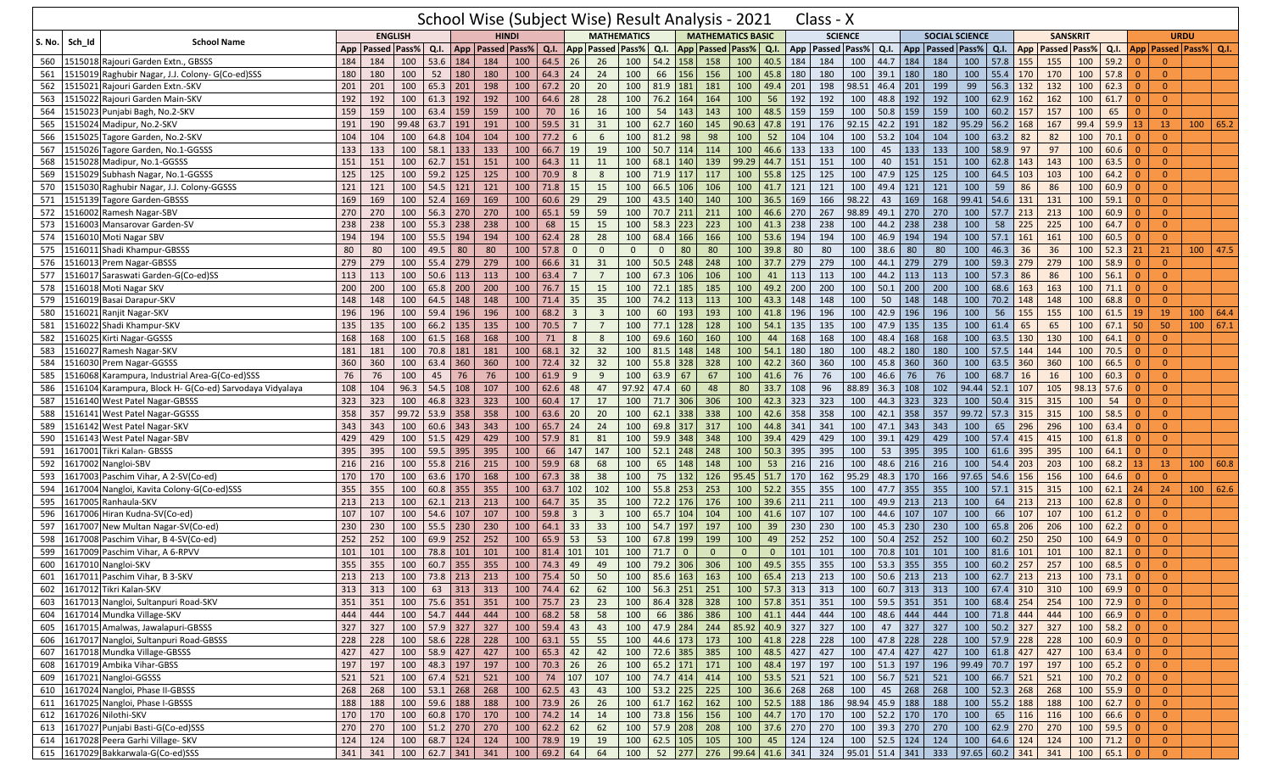|               |         |                                                   |       |                      |                |                        |            |                                                |                         |                 |                |                         |                         |              |                                                           |                 | School Wise (Subject Wise) Result Analysis - 2021 |                    |     | Class - X                                                                |       |                           |            |                                       |             |                    |             |                                                  |                    |                                                                                 |                |                |                             |            |
|---------------|---------|---------------------------------------------------|-------|----------------------|----------------|------------------------|------------|------------------------------------------------|-------------------------|-----------------|----------------|-------------------------|-------------------------|--------------|-----------------------------------------------------------|-----------------|---------------------------------------------------|--------------------|-----|--------------------------------------------------------------------------|-------|---------------------------|------------|---------------------------------------|-------------|--------------------|-------------|--------------------------------------------------|--------------------|---------------------------------------------------------------------------------|----------------|----------------|-----------------------------|------------|
| <b>S. No.</b> | Sch Id  | <b>School Name</b>                                |       |                      | <b>ENGLISH</b> |                        |            | <b>HINDI</b>                                   |                         |                 |                |                         | <b>MATHEMATICS</b>      |              |                                                           |                 | <b>MATHEMATICS BASIC</b>                          |                    |     | <b>SCIENCE</b>                                                           |       |                           |            | <b>SOCIAL SCIENCE</b>                 |             |                    |             | <b>SANSKRIT</b>                                  |                    |                                                                                 |                | <b>URDU</b>    |                             |            |
|               |         |                                                   |       | App   Passed   Pass% |                |                        |            | Q.I.   App   Passed   Pass%                    |                         | Q.I.            |                |                         | <b>App Passed Pass%</b> | Q.I.         |                                                           |                 | App Passed Pass% Q.I.                             |                    | App | Passed   Pass%                                                           |       | Q.I.                      |            | App   Passed   Pass%                  |             |                    |             | Q.I.   App   Passed   Pass%                      |                    | Q.I.                                                                            |                |                | App   Passed   Pass%   Q.I. |            |
| 560           | 1515018 | Rajouri Garden Extn., GBSSS                       | 184   | 184                  | 100            | 53.6 184               |            | 184                                            | 100                     | 64.5            | 26             | 26                      | 100                     |              | $54.2$ 158                                                | 158             | 100                                               | 40.5               | 184 | 184                                                                      | 100   |                           | 44.7 184   | 184                                   | 100         | $57.8$ 155         |             | 155                                              | 100                | 59.2                                                                            | $\overline{0}$ | $\Omega$       |                             |            |
| 561           |         | 1515019 Raghubir Nagar, J.J. Colony- G(Co-ed)SSS  | 180   | 180                  | 100            | 52                     | 180        | 180                                            | 100                     | $64.3$ 24       |                | 24                      | 100                     | 66           | 156                                                       | 156             | 100                                               | 45.8               | 180 | 180                                                                      | 100   | 39.1                      | 180        | 180                                   | 100         | $55.4$ 170         |             | 170                                              | 100                | 57.8                                                                            | $\Omega$       | $\overline{0}$ |                             |            |
| 562           |         | 515021<br>Raiouri Garden Extn.-SKV                | 201   | 201                  | 100            | 65.3                   | 201        | 198                                            | 100                     | 67.2            | 20             | 20                      | 100                     |              | $81.9$ 181                                                | 181             | 100                                               | 49.4               | 201 | 198                                                                      | 98.51 | 46.4                      | 201        | 199                                   | 99          | 56.3               | 132         | 132                                              | 100                | 62.3                                                                            |                | $\mathbf{0}$   |                             |            |
| 563           |         | Rajouri Garden Main-SKV<br>1515022                | 192   | 192                  | 100            | $61.3$ 192             |            | 192                                            | 100                     | 64.6 28         |                | 28                      | 100                     |              | 76.2 164                                                  | 164             | 100                                               | 56                 | 192 | 192                                                                      | 100   | 48.8                      | 192        | 192                                   | 100         | 62.9               | 162         | 162                                              | 100                | 61.7                                                                            | $\Omega$       | $\overline{0}$ |                             |            |
| 564           | 1515023 | Punjabi Bagh, No.2-SKV                            | 159   | 159                  | 100            | 63.4                   | 159        | 159                                            | 100                     | 70              | 16             | 16                      | 100                     | 54           | 143                                                       | 143             | 100                                               | 48.5               | 159 | 159                                                                      | 100   | 50.8                      | 159        | 159                                   | 100         | 60.2               | 157         | 157                                              | 100                | 65                                                                              | $\Omega$       | $\Omega$       |                             |            |
| 565           |         | Madipur, No.2-SKV<br>515024                       | 191   | 190                  | 99.48          | 63.7 191               |            | 191                                            | 100                     | 59.5            | 31             | 31                      | 100                     | 62.7         | 160                                                       | 145             | 90.63                                             | 47.8               | 191 | 176                                                                      | 92.15 | 42.2                      | 191        | 182                                   | 95.29       | 56.2               | 168         | 167                                              | 99.4               | 59.9                                                                            | 13             | 13             |                             | 100   65.2 |
| 566           |         | Tagore Garden, No.2-SKV<br>1515025                | 104   | 104                  | 100            | 64.8 104               |            | 104                                            | 100                     | 77.2            | 6              | 6                       | 100                     | 81.2 98      |                                                           | 98              | 100                                               | 52                 | 104 | 104                                                                      | 100   | 53.2                      | 104        | 104                                   | 100         | $63.2$ 82          |             | 82                                               | 100                | 70.1                                                                            | $\Omega$       | $\overline{0}$ |                             |            |
| 567           |         | Tagore Garden, No.1-GGSSS<br>1515026              | 133   | 133                  | 100            | 58.1 133               |            | 133                                            | 100                     | 66.7            | 19             | 19                      | 100                     |              | $50.7$ 114                                                | 114             | 100                                               | 46.6               | 133 | 133                                                                      | 100   | 45                        | 133        | 133                                   | 100         | 58.9               | $\vert$ 97  | 97                                               | 100                | 60.6                                                                            | $\Omega$       | $\Omega$       |                             |            |
| 568           |         | Madipur, No.1-GGSSS<br>515028                     | 151   | 151                  | 100            | $62.7$ 151             |            | 151                                            | 100                     | 64.3            | 11             | 11                      | 100                     | 68.1         | 140                                                       | 139             | 99.29                                             | 44.7               | 151 | 151                                                                      | 100   | 40                        | 151        | 151                                   | 100         | 62.8               | 143         | 143                                              | 100                | 63.5                                                                            |                | $\overline{0}$ |                             |            |
| 569           |         | 1515029 Subhash Nagar, No.1-GGSSS                 | 125   | 125                  | 100            | $59.2$ 125             |            | 125                                            | 100                     | 70.9            | 8              | 8                       | 100                     |              | 71.9 117                                                  | 117             | 100                                               | 55.8               | 125 | 125                                                                      | 100   | 47.9                      | 125        | 125                                   | 100         | 64.5               | 103         | 103                                              | 100                | 64.2                                                                            | $\Omega$       | $\overline{0}$ |                             |            |
| 570           |         | Raghubir Nagar, J.J. Colony-GGSSS<br>1515030      | 121   | 121                  | 100            | $54.5$ 121             |            | 121                                            | 100                     | 71.8            | 15             | 15                      | 100                     | 66.5 106     |                                                           | 106             | 100                                               | 41.7               | 121 | 121                                                                      | 100   | 49.4                      | 121        | 121                                   | 100         | 59                 | 86          | 86                                               | 100                | 60.9                                                                            | $\Omega$       | $\mathbf{0}$   |                             |            |
| 571           |         | Tagore Garden-GBSSS<br>1515139                    | 169   | 169                  | 100            | $52.4$ 169             |            | 169                                            | 100                     | 60.6            | $\vert$ 29     | 29                      | 100                     |              | 43.5 140                                                  | 140             | 100                                               | 36.5               | 169 | 166                                                                      | 98.22 | 43                        | 169        | 168                                   | 99.41       | 54.6 131           |             | 131                                              | 100                | 59.1                                                                            |                | $\Omega$       |                             |            |
| 572           |         | L516002 Ramesh Nagar-SBV                          | 270   | 270                  | 100            | $56.3$ 270             |            | 270                                            | 100                     | $65.1$ 59       |                | 59                      | 100                     |              | $70.7$ 211                                                | 211             | 100                                               | 46.6               | 270 | 267                                                                      | 98.89 | 49.1                      | 270        | 270                                   | 100         | $57.7$ 213         |             | 213                                              | 100                | 60.9                                                                            | 0              | $\mathbf{0}$   |                             |            |
| 573           |         | 516003<br>Mansarovar Garden-SV                    | 238   | 238                  | 100            | 55.3                   | 238        | 238                                            | 100                     | 68              | 15             | 15                      | 100                     |              | 58.3 223                                                  | 223             | 100                                               | 41.3               | 238 | 238                                                                      | 100   | 44.2                      | 238        | 238                                   | 100         | 58                 | 225         | 225                                              | 100                | 64.7                                                                            | $\Omega$       | $\overline{0}$ |                             |            |
| 574           |         | Moti Nagar SBV<br>1516010                         | 194   | 194                  | 100            | 55.5 194               |            | 194                                            | 100                     | 62.4            | 28             | 28                      | 100                     |              | 68.4 166                                                  | 166             | 100                                               | 53.6               | 194 | 194                                                                      | 100   | 46.9                      | 194        | 194                                   | 100         | $57.1$ 161         |             | 161                                              | 100                | 60.5                                                                            | $\Omega$       | $\Omega$       |                             |            |
| 575           |         | L516011 Shadi Khampur-GBSSS                       | 80    | 80                   | 100            | 49.5                   | 80         | 80                                             | 100                     | 57.8            | $\overline{0}$ | $\mathbf 0$             | $\mathbf{0}$            | $\mathbf{0}$ | 80                                                        | 80              | 100                                               | 39.8               | 80  | 80                                                                       | 100   | 38.6                      | 80         | 80                                    | 100         | 46.3               | 36          | 36                                               | 100                | 52.3                                                                            | 21             | 21             |                             | $100$ 47.5 |
| 576           | 51601.  | Prem Nagar-GBSSS                                  | 279   | 279                  | 100            | 55.4 279               |            | 279                                            | 100                     | 66.6            | 31             | 31                      | 100                     |              | $50.5$ 248                                                | 248             | 100                                               | 37.7               | 279 | 279                                                                      | 100   | 44.1                      | 279        | 279                                   | 100         | 59.3               | 279         | 279                                              | 100                | 58.9                                                                            | $\Omega$       | $\overline{0}$ |                             |            |
| 577           | L51601  | Saraswati Garden-G(Co-ed)SS                       | 113   | 113                  | 100            | $50.6$ 113             |            | 113                                            | 100                     | 63.4            | $\overline{7}$ | $7^{\circ}$             | 100                     |              | 67.3 106                                                  | 106             | 100                                               | 41                 | 113 | 113                                                                      | 100   | 44.2                      | 113        | 113                                   | 100         | 57.3               | 86          | 86                                               | 100                | 56.1                                                                            | $\Omega$       | $\overline{0}$ |                             |            |
| 578           |         | Moti Nagar SKV<br>1516018                         | 200   | 200                  | 100            | 65.8 200               |            | 200                                            | 100                     | 76.7            | 15             | 15                      | 100                     | 72.1         | 185                                                       | 185             | 100                                               | 49.2               | 200 | 200                                                                      | 100   | 50.1                      | 200        | 200                                   | 100         | 68.6               | 163         | 163                                              | 100                | 71.1                                                                            | $\Omega$       | $\overline{0}$ |                             |            |
| 579           |         | Basai Darapur-SKV<br>1516019                      | 148   | 148                  | 100            | 64.5                   | 148        | 148                                            | 100                     | 71.4            | $\vert$ 35     | 35                      | 100                     |              | 74.2 113                                                  | 113             | 100                                               | 43.3               | 148 | 148                                                                      | 100   | 50                        | 148        | 148                                   | 100         | 70.2               | 148         | 148                                              | 100                | 68.8                                                                            | $\Omega$       | $\overline{0}$ |                             |            |
| 580           | 1516021 | Ranjit Nagar-SKV                                  | 196   | 196                  | 100            | 59.4 196               |            | 196                                            | 100                     | 68.2            | $\overline{3}$ | $\overline{\mathbf{3}}$ | 100                     | 60           | 193                                                       | 193             | 100                                               | 41.8               | 196 | 196                                                                      | 100   | 42.9                      | 196        | 196                                   | 100         | 56                 | 155         | 155                                              | 100                | 61.5                                                                            | 19             | 19             |                             | 100   64.4 |
| 581           |         | 1516022 Shadi Khampur-SKV                         | 135   | 135                  | 100            | 66.2 135               |            | 135                                            | 100                     | 70.5            | $\overline{7}$ | $7\overline{ }$         | 100                     |              | $77.1$ 128                                                | 128             | 100                                               | 54.1               | 135 | 135                                                                      | 100   | 47.9                      | 135        | 135                                   | 100         | 61.4               | 65          | 65                                               | 100                | 67.1                                                                            | 50             | 50             | $100$ 67.1                  |            |
| 582           |         | 1516025 Kirti Nagar-GGSSS                         | 168   | 168                  | 100            | 61.5                   | 168        | 168                                            | 100                     | 71              | 8              | 8                       | 100                     |              | 69.6 160                                                  | 160             | 100                                               | 44                 | 168 | 168                                                                      | 100   | 48.4                      | 168        | 168                                   | 100         | $63.5$ 130         |             | 130                                              | 100                | 64.1                                                                            | $\Omega$       | $\overline{0}$ |                             |            |
| 583           | 1516027 | Ramesh Nagar-SKV                                  | 181   | 181                  | 100            | 70.8 181               |            | 181                                            | 100                     | $68.1$ 32       |                | 32                      | 100                     | $81.5$ 148   |                                                           | 148             | 100                                               | 54.1               | 180 | 180                                                                      | 100   | 48.2                      | 180        | 180                                   | 100         | 57.5               | 144         | 144                                              | 100                | 70.5                                                                            | $\Omega$       | $\overline{0}$ |                             |            |
| 584           |         | 516030<br>Prem Nagar-GGSSS                        | 360   | 360                  | 100            | 63.4 360               |            | 360                                            | 100                     | $72.4$ 32       |                | 32                      | 100                     | 55.8 328     |                                                           | 328             | 100                                               | 42.2               | 360 | 360                                                                      | 100   | 45.8                      | 360        | 360                                   | 100         | 63.5               | 360         | 360                                              | 100                | 66.5                                                                            | $\Omega$       | $\overline{0}$ |                             |            |
| 585           |         | Karampura, Industrial Area-G(Co-ed)SSS<br>1516068 | 76    | 76                   | 100            | 45                     | 76         | 76                                             | 100                     | 61.9            | 9              | 9                       | 100                     | 63.9 67      |                                                           | 67              | 100                                               | 41.6               | 76  | 76                                                                       | 100   | 46.6                      | 76         | 76                                    | 100         | 68.7               | 16          | 16                                               | 100                | 60.3                                                                            | $\Omega$       | $\overline{0}$ |                             |            |
| 586           | 1516104 | Karampura, Block H- G(Co-ed) Sarvodaya Vidyalaya  | 108   | 104                  | 96.3           | 54.5                   | 108        | 107                                            | 100                     | 62.6            | 48             | 47                      | 97.92                   | $47.4$ 60    |                                                           | 48              | 80                                                | 33.7               | 108 | 96                                                                       | 88.89 | 36.3                      | 108        | 102                                   | 94.44       | $52.1$ 107         |             | 105                                              | 98.13              | 57.6                                                                            | $\Omega$       | $\Omega$       |                             |            |
| 587           |         | 1516140 West Patel Nagar-GBSSS                    | 323   | 323                  | 100            | 46.8                   | 323        | 323                                            | 100                     | 60.4            | 17             | 17                      | 100                     | 71.7 306     |                                                           | 306             | 100                                               | 42.3               | 323 | 323                                                                      | 100   | 44.3                      | 323        | 323                                   | 100         | 50.4               | 315         | 315                                              | 100                | 54                                                                              |                | $\overline{0}$ |                             |            |
| 588           |         | 1516141 West Patel Nagar-GGSSS                    | 358   | 357                  | 99.72          | 53.9 358               |            | 358                                            | 100                     | 63.6 20         |                | 20                      | 100                     |              | $62.1$ 338                                                | 338             | 100                                               | 42.6 358           |     | 358                                                                      | 100   | 42.1                      | 358        | 357                                   | 99.72       | $57.3$ 315         |             | 315                                              | 100                | 58.5                                                                            | $\Omega$       | $\overline{0}$ |                             |            |
| 589           |         | 1516142 West Patel Nagar-SKV                      | 343   | 343                  | 100            | 60.6                   | 343        | 343                                            | 100                     | 65.7 24         |                | 24                      | 100                     | 69.8 317     |                                                           | 317             | 100                                               | 44.8               | 341 | 341                                                                      | 100   | 47.1                      | 343        | 343                                   | 100         | 65                 | 296         | 296                                              | 100                | 63.4                                                                            | $\Omega$       | $\Omega$       |                             |            |
| 590           |         | 1516143 West Patel Nagar-SBV                      | 429   | 429                  | 100            | $51.5$ 429             |            | 429                                            | 100                     | 57.9            | 81             | 81                      | 100                     | 59.9 348     |                                                           | 348             | 100                                               | 39.4               | 429 | 429                                                                      | 100   | 39.1                      | 429        | 429                                   | 100         | 57.4               | 415         | 415                                              | 100                | 61.8                                                                            |                | $\overline{0}$ |                             |            |
| 591           |         | 1617001 Tikri Kalan- GBSSS                        | 395   | 395                  | 100            | 59.5                   | 395        | 395                                            | 100                     | 66              | 147            | 147                     | 100                     |              | $52.1$ 248                                                | 248             | 100                                               | 50.3               | 395 | 395                                                                      | 100   | 53                        | 395        | 395                                   | 100         | 61.6 395           |             | 395                                              | 100                | 64.1                                                                            | $\Omega$       | $\overline{0}$ |                             |            |
| 592           |         | Nangloi-SBV<br>1617002                            | 216   | 216                  | 100            |                        | $55.8$ 216 | 215                                            | 100                     | 59.9            | 68             | 68                      | 100                     | 65           | 148                                                       | 148             | 100                                               | 53                 | 216 | 216                                                                      | 100   | 48.6                      | 216        | 216                                   | 100         | 54.4               | $\vert$ 203 | 203                                              | 100                | 68.2                                                                            | 13             | 13             |                             | 100   60.8 |
| 593           |         | 1617003<br>Paschim Vihar, A 2-SV(Co-ed)           | 170   | 170                  | 100            | 63.6 170               |            | 168                                            | 100                     | $67.3$ 38       |                | 38                      | 100                     | 75           | 132                                                       | 126             |                                                   | 95.45 51.7 170     |     | 162                                                                      | 95.29 | 48.3                      | 170        | 166                                   | 97.65       | $54.6$ 156         |             | 156                                              | 100                | 64.6                                                                            | $\Omega$       | $\overline{0}$ |                             |            |
| 594           |         | Nangloi, Kavita Colony-G(Co-ed)SSS<br>1617004     | 355   | 355                  | 100            | 60.8 355               |            | 355                                            | 100                     | 63.7 102        |                | 102                     | 100                     |              | $55.8$ 253                                                | 253             | 100                                               | 52.2               | 355 | 355                                                                      | 100   | 47.7                      | 355        | 355                                   | 100         | $57.1$ 315         |             | 315                                              | 100                | 62.1                                                                            | 24             | 24             |                             | 100   62.6 |
| 595           |         | Ranhaula-SKV<br>1617005                           | 213   | 213                  | 100            | $62.1$ 213             |            | 213                                            | 100                     | $64.7$ 35       |                | 35                      | 100                     | 72.2 176     |                                                           | 176             | 100                                               | 39.6               | 211 | 211                                                                      | 100   | 49.9                      | 213        | 213                                   | 100         | 64                 | 213         | 213                                              | 100                | 62.8                                                                            | $\Omega$       | $\mathbf{0}$   |                             |            |
| 596           |         | Hiran Kudna-SV(Co-ed)<br>1617006                  | 107   | 107                  | 100            | 54.6 107               |            | 107                                            | 100                     | 59.8            | $\overline{3}$ | $\overline{\mathbf{3}}$ | 100                     | 65.7 104     |                                                           | 104             | 100                                               | 41.6 107           |     | 107                                                                      | 100   | 44.6                      | 107        | 107                                   | 100         | 66                 | 107         | 107                                              | 100                | 61.2                                                                            | $\Omega$       | $\overline{0}$ |                             |            |
| 597           | 1617007 | New Multan Nagar-SV(Co-ed)                        | 230   | 230                  | 100            | $55.5$ 230             |            | 230                                            | 100                     | $64.1$ 33       |                | 33                      | 100                     | 54.7 197     |                                                           | 197             | 100                                               | 39                 | 230 | 230                                                                      | 100   | 45.3                      | 230        | 230                                   | 100         | $65.8$ 206         |             | 206                                              | 100                | 62.2                                                                            | $\Omega$       | $\mathbf{0}$   |                             |            |
| 598           | 1617008 | Paschim Vihar, B 4-SV(Co-ed)                      | 252   | 252                  | 100            | 69.9                   | 252        | 252                                            | 100                     | 65.9            | 53             | 53                      | 100                     | 67.8 199     |                                                           | 199             | 100                                               | 49                 | 252 | 252                                                                      | 100   | 50.4                      | 252        | 252                                   | 100         | 60.2               | 250         | 250                                              | 100                | 64.9                                                                            | $\Omega$       | $\overline{0}$ |                             |            |
| 599           |         | Paschim Vihar, A 6-RPVV<br>1617009                | 101   | 101                  | 100            | 78.8                   | 101        | 101                                            | 100                     | 81.4 101        |                | 101                     | 100                     | 71.7         | $\mathbf{0}$                                              | $\mathbf{0}$    | $\Omega$                                          | $\Omega$           | 101 | 101                                                                      | 100   | 70.8                      | 101        | 101                                   | 100         | $81.6$ 101         |             | 101                                              | 100                | 82.1                                                                            | $\Omega$       | $\overline{0}$ |                             |            |
| 600           |         | L617010 Nangloi-SKV                               | 355   | 355                  | 100            | $60.7$ 355             |            | 355                                            | 100                     | 74.3            | 49             | 49                      | 100                     |              | 79.2 306                                                  | 306             | 100                                               | 49.5               | 355 | 355                                                                      | 100   | 53.3                      | 355        | 355                                   | 100         | $60.2$ 257         |             | 257                                              | 100                | 68.5                                                                            | $\Omega$       | $\overline{0}$ |                             |            |
|               |         | 601 1617011 Paschim Vihar, B 3-SKV                | 213   |                      |                |                        |            | 213   100   73.8   213   213   100   75.4   50 |                         |                 |                | 50                      | 100   85.6   163   163  |              |                                                           |                 |                                                   |                    |     | 100   65.4   213   213   100   50.6   213   213   100   62.7   213   213 |       |                           |            |                                       |             |                    |             |                                                  | $100$   73.1   0   |                                                                                 |                | $\overline{0}$ |                             |            |
|               |         | 602 1617012 Tikri Kalan-SKV                       | 313   | 313                  |                |                        |            | 100   63   313   313   100   74.4   62         |                         |                 |                | 62                      | 100                     |              | 56.3 251 251                                              |                 |                                                   |                    |     | $100 \mid 57.3 \mid 313 \mid 313$                                        |       | 100 60.7 313 313          |            |                                       | $\vert$ 100 | 67.4 310 310       |             |                                                  | 100                | $69.9$ 0                                                                        |                | $\overline{0}$ |                             |            |
| 603           |         | 1617013 Nangloi, Sultanpuri Road-SKV              | 351   | 351                  |                | 100 75.6 351 351       |            |                                                | 100 75.7 23             |                 |                | 23                      | 100                     |              | 86.4 328 328                                              |                 |                                                   | 100 57.8 351       |     | 351                                                                      |       | 100 59.5 351 351          |            |                                       | 100         | 68.4 254 254       |             |                                                  |                    | 100 72.9 0                                                                      |                | $\overline{0}$ |                             |            |
|               |         | 604 1617014 Mundka Village-SKV                    | 444   | 444                  |                |                        |            | 100 54.7 444 444                               | 100 68.2 58             |                 |                | 58                      | 100                     |              | 66 386 386                                                |                 |                                                   | $100$ 41.1 444     |     | 444                                                                      |       | 100   48.6   444          |            | 444                                   |             | 100 71.8 444       |             | 444                                              | $100 \ 66.9 \ 0$   |                                                                                 |                | $\overline{0}$ |                             |            |
| 605           |         | 1617015 Amalwas, Jawalapuri-GBSSS                 | $327$ | 327                  |                |                        |            | 100 57.9 327 327                               | 100 59.4 43             |                 |                | 43                      | 100                     |              | $\begin{array}{ c c c c c } 47.9 & 284 & 244 \end{array}$ |                 | 85.92 40.9 327                                    |                    |     | 327                                                                      | 100   |                           | 47 327 327 |                                       | 100         | $50.2$ 327         |             | $\begin{array}{ c c }\n\hline\n327\n\end{array}$ | 100                | $\begin{array}{ c c c c c } \hline 58.2 & 0 \\ \hline \end{array}$              |                | $\overline{0}$ |                             |            |
| 606           |         | 1617017 Nangloi, Sultanpuri Road-GBSSS            | 228   | 228                  |                | 100 58.6 228 228       |            |                                                |                         | 100   63.1   55 |                | 55                      | 100                     |              | 44.6 173                                                  | $\frac{173}{ }$ |                                                   | 100 41.8 228       |     | 228                                                                      |       | 100 47.8 228 228          |            |                                       |             | 100 57.9 228 228   |             |                                                  | 100                | $\begin{array}{ c c c c c } \hline \text{60.9} & \text{0} \\\hline \end{array}$ |                | $\overline{0}$ |                             |            |
| 607           |         | 1617018 Mundka Village-GBSSS                      | 427   | 427                  |                | 100 58.9 427 427       |            |                                                | 100   65.3   42         |                 |                | 42                      |                         |              | 100 72.6 385                                              | 385             |                                                   | 100 48.5 427       |     | 427                                                                      |       | $100$ 47.4 427            |            | 427                                   |             | 100 61.8 427       |             | 427                                              |                    | $100 \t 63.4 \t 0$                                                              |                | $\overline{0}$ |                             |            |
| 608           |         | 1617019 Ambika Vihar-GBSS                         | 197   | 197                  |                | 100 48.3 197 197       |            |                                                | $100$ 70.3 26           |                 |                | 26                      | 100                     |              | 65.2 171 171                                              |                 |                                                   | 100 48.4 197       |     | 197                                                                      |       | 100   51.3   197   196    |            |                                       |             | 99.49 70.7 197     |             | 197                                              | 100                | $65.2$ 0                                                                        |                | $\overline{0}$ |                             |            |
| 609           |         | 1617021 Nangloi-GGSSS                             | 521   | 521                  |                | 100 67.4 521 521       |            |                                                | 100                     | 74 107          |                | $\frac{107}{10}$        |                         |              | 100 74.7 414 414                                          |                 |                                                   | 100 53.5 521       |     | 521                                                                      |       | $100$ 56.7 521            |            | 521                                   |             | 100   66.7   521   |             | 521                                              | 100                |                                                                                 |                | $\overline{0}$ |                             |            |
|               |         | 610 1617024 Nangloi, Phase II-GBSSS               | 268   | 268                  |                | 100 53.1 268 268       |            |                                                | $100 \mid 62.5 \mid 43$ |                 |                | 43                      |                         |              | 100 53.2 225 225                                          |                 |                                                   | 100 36.6 268       |     | 268                                                                      | 100   |                           | 45 268     | 268                                   |             | $100$ 52.3 268     |             | 268                                              | $100$ 55.9 0       |                                                                                 |                | $\overline{0}$ |                             |            |
|               |         | 611 1617025 Nangloi, Phase I-GBSSS                | 188   | 188                  |                | 100   59.6   188   188 |            |                                                | 100 73.9 26             |                 |                | 26                      |                         |              | 100 61.7 162 162                                          |                 |                                                   | 100 52.5 188       |     | 186                                                                      |       | 98.94 45.9 188 188        |            |                                       |             | $100$ 55.2 188 188 |             |                                                  | $100 \ 62.7 \ 0$   |                                                                                 |                | $\overline{0}$ |                             |            |
| 612           |         | 1617026 Nilothi-SKV                               | 170   | 170                  |                | 100 60.8 170 170       |            |                                                | 100                     | 74.2 14         |                | 14                      | 100                     |              | 73.8 156                                                  | 156             |                                                   | 100 44.7 170       |     | 170                                                                      |       | 100    52.2    170    170 |            |                                       | 100         | $65$ 116           |             | 116                                              |                    | 100   66.6                                                                      | $\overline{0}$ | $\overline{0}$ |                             |            |
|               |         | 613 1617027 Punjabi Basti-G(Co-ed)SSS             | 270   | 270                  |                | 100   51.2   270   270 |            |                                                | 100   62.2   62         |                 |                | 62                      |                         |              | 100 57.9 208                                              | 208             |                                                   | 100 37.6 270       |     | 270                                                                      |       | 100 39.3 270 270          |            |                                       |             | 100 62.9 270 270   |             |                                                  | $100$ 59.5 0       |                                                                                 |                | $\overline{0}$ |                             |            |
|               |         | 614 1617028 Peera Garhi Village- SKV              |       | 124 124              |                | 100 68.7 124 124       |            |                                                | 100 78.9 19             |                 |                | 19                      | 100                     |              | $62.5$ 105                                                | 105             | 100                                               | $45 \mid 124 \mid$ |     | 124                                                                      |       | $100$ 52.5 124 124        |            |                                       | $\vert$ 100 | 64.6 124 124       |             |                                                  | $100$ 71.2 0       |                                                                                 |                | $\overline{0}$ |                             |            |
|               |         | 615 1617029 Bakkarwala-G(Co-ed)SSS                |       | 341 341              |                | 100 62.7 341 341       |            |                                                | 100 69.2 64             |                 |                | 64                      | 100                     |              | $52$ 277 276                                              |                 | 99.64 41.6 341                                    |                    |     | 324                                                                      |       |                           |            | 95.01 51.4 341 333 97.65 60.2 341 341 |             |                    |             |                                                  | $100 \t 65.1 \t 0$ |                                                                                 |                | $\overline{0}$ |                             |            |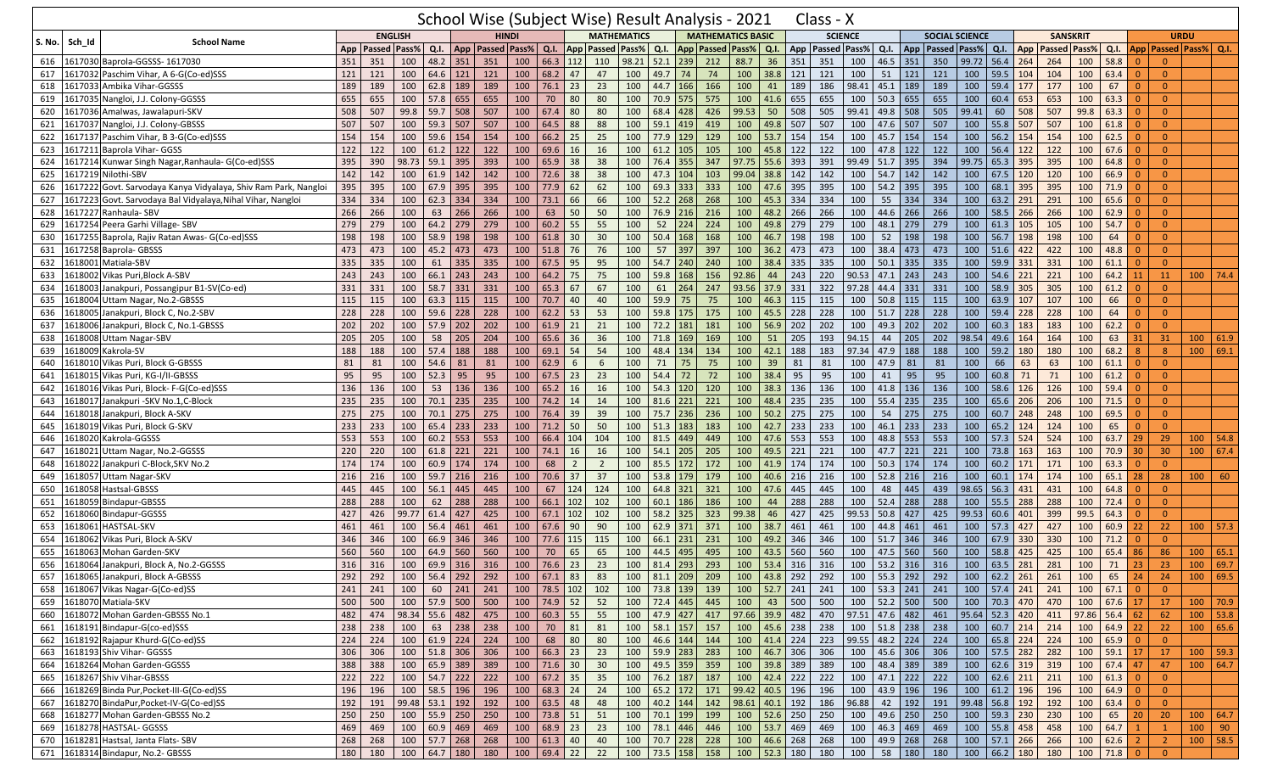|            |         |                                                                    |     |                        |                    |                |     | School Wise (Subject Wise) Result Analysis - 2021 |                              |                   |                |                |                         |              |                  |            |                                 |              |             | Class - X              |              |                  |        |                                           |             |                    |              |                 |                                                                |                         |          |                |                             |    |
|------------|---------|--------------------------------------------------------------------|-----|------------------------|--------------------|----------------|-----|---------------------------------------------------|------------------------------|-------------------|----------------|----------------|-------------------------|--------------|------------------|------------|---------------------------------|--------------|-------------|------------------------|--------------|------------------|--------|-------------------------------------------|-------------|--------------------|--------------|-----------------|----------------------------------------------------------------|-------------------------|----------|----------------|-----------------------------|----|
|            |         |                                                                    |     | <b>ENGLISH</b>         |                    |                |     | <b>HINDI</b>                                      |                              |                   |                |                | <b>MATHEMATICS</b>      |              |                  |            | <b>MATHEMATICS BASIC</b>        |              |             | <b>SCIENCE</b>         |              |                  |        | <b>SOCIAL SCIENCE</b>                     |             |                    |              | <b>SANSKRIT</b> |                                                                |                         |          | <b>URDU</b>    |                             |    |
| S. No.     | Sch_Id  | <b>School Name</b>                                                 |     | App   Passed   Pass%   |                    | Q.I.           |     | App   Passed   Pass%                              |                              | Q.I.              |                |                | <b>App Passed Pass%</b> | Q.I.         |                  |            | App Passed Pass% Q.I.           |              |             | App   Passed   Pass%   |              | Q.I.             |        | App   Passed   Pass%                      |             | $Q.I.$ App         |              |                 | <b>Passed Pass%</b>                                            | Q.I.                    |          |                | App   Passed   Pass%   Q.I. |    |
| 616        |         | Baprola-GGSSS-1617030<br>1617030                                   | 351 | 351                    | 100                | 48.2 351       |     | 351                                               | 100                          | 66.3 112          |                | 110            | 98.21                   | 52.1         | 239              | 212        | 88.7                            | 36           | 351         | 351                    | 100          | 46.5             | 351    | 350                                       | 99.72       | $56.4$ 264         |              | 264             | 100                                                            | 58.8                    | $\Omega$ | $\overline{0}$ |                             |    |
| 617        |         | Paschim Vihar, A 6-G(Co-ed)SSS<br>1617032                          | 121 | 121                    | 100                | 64.6 121       |     | 121                                               | 100                          | 68.2              | 47             | 47             | 100                     | 49.7 74      |                  | 74         | 100                             | 38.8         | 121         | 121                    | 100          | 51               | 121    | 121                                       | 100         | 59.5               | 104          | 104             | 100                                                            | 63.4                    | $\Omega$ | $\mathbf{0}$   |                             |    |
| 618        |         | Ambika Vihar-GGSSS<br>1617033                                      | 189 | 189                    | 100                | 62.8           | 189 | 189                                               | 100                          | $76.1$ 23         |                | 23             | 100                     | 44.7 166     |                  | 166        | 100                             | 41           | 189         | 186                    | 98.41        | 45.1             | 189    | 189                                       | 100         | 59.4               | 177          | 177             | 100                                                            | 67                      |          | $\overline{0}$ |                             |    |
| 619        |         | Nangloi, J.J. Colony-GGSSS<br>1617035                              | 655 | 655                    | 100                | 57.8 655       |     | 655                                               | 100                          | 70                | 80             | 80             | 100                     | 70.9 575     |                  | 575        | 100                             | 41.6         | 655         | 655                    | 100          | 50.3             | 655    | 655                                       | 100         | 60.4               | 653          | 653             | 100                                                            | 63.3                    | $\Omega$ | $\mathbf{0}$   |                             |    |
| 620        |         | Amalwas, Jawalapuri-SKV<br>1617036                                 | 508 | 507                    | 99.8               | 59.7           | 508 | 507                                               | 100                          | 67.4              | 80             | 80             | 100                     | 68.4 428     |                  | 426        | 99.53                           | 50           | 508         | 505                    | 99.41        | 49.8             | 508    | 505                                       | 99.41       | 60                 | 508          | 507             | 99.8                                                           | 63.3                    | $\Omega$ | $\mathbf{0}$   |                             |    |
| 621        | 1617037 | Nangloi, J.J. Colony-GBSSS                                         | 507 | 507                    | 100                | 59.3 507       |     | 507                                               | 100                          | 64.5              | 88             | 88             | 100                     | $59.1$ 419   |                  | 419        | 100                             | 49.8         | 507         | 507                    | 100          | 47.6             | 507    | 507                                       | 100         | 55.8               | 507          | 507             | 100                                                            | 61.8                    | $\Omega$ | $\Omega$       |                             |    |
| 622        |         | Paschim Vihar, B 3-G(Co-ed)SSS<br>1617137                          | 154 | 154                    | 100                | 59.6           | 154 | 154                                               | 100                          | $66.2$ 25         |                | 25             | 100                     | 77.9 129     |                  | 129        | 100                             | 53.7         | 154         | 154                    | 100          | 45.7             | 154    | 154                                       | 100         | $56.2$ 154         |              | 154             | 100                                                            | 62.5                    | 0        | $\overline{0}$ |                             |    |
| 623        |         | Baprola Vihar- GGSS<br>1617211                                     | 122 | 122                    | 100                | 61.2           | 122 | 122                                               | 100                          | 69.6              | 16             | 16             | 100                     | $61.2$ 105   |                  | 105        | 100                             | 45.8         | 122         | 122                    | 100          | 47.8             | 122    | 122                                       | 100         | 56.4               | 122          | 122             | 100                                                            | 67.6                    | $\Omega$ | $\Omega$       |                             |    |
| 624        |         | Kunwar Singh Nagar, Ranhaula- G(Co-ed)SSS<br>1617214               | 395 | 390                    | 98.73              | 59.1 395       |     | 393                                               | 100                          | 65.9              | 38             | 38             | 100                     | 76.4 355     |                  | 347        | 97.75                           | 55.6         | 393         | 391                    | 99.49        | 51.7             | 395    | 394                                       | 99.75       | 65.3               | 395          | 395             | 100                                                            | 64.8                    | $\Omega$ | $\Omega$       |                             |    |
| 625        |         | L617219 Nilothi-SBV                                                | 142 | 142                    | 100                | $61.9$ 142     |     | 142                                               | 100                          | 72.6              | 38             | 38             | 100                     | 47.3 104     |                  | 103        | 99.04                           | 38.8         | 142         | 142                    | 100          | 54.7             | 142    | 142                                       | 100         | 67.5               | 120          | 120             | 100                                                            | 66.9                    | $\Omega$ | $\mathbf{0}$   |                             |    |
| 626        |         | Govt. Sarvodaya Kanya Vidyalaya, Shiv Ram Park, Nangloi<br>1617222 | 395 | 395                    | 100                | $67.9$ 395     |     | 395                                               | 100                          | 77.9              | 62             | 62             | 100                     | 69.3 333     |                  | 333        | 100                             | 47.6         | 395         | 395                    | 100          | 54.2             | 395    | 395                                       | 100         | 68.1 395           |              | 395             | 100                                                            | 71.9                    | $\Omega$ | $\overline{0}$ |                             |    |
| 627        |         | Govt. Sarvodaya Bal Vidyalaya, Nihal Vihar, Nangloi<br>1617223     | 334 | 334                    | 100                | $62.3$ 334     |     | 334                                               | 100                          | 73.1              | 66             | 66             | 100                     | $52.2$ 268   |                  | 268        | 100                             | 45.3         | 334         | 334                    | 100          | 55               | 334    | 334                                       | 100         | 63.2 291           |              | 291             | 100                                                            | 65.6                    | $\Omega$ | $\overline{0}$ |                             |    |
| 628        |         | 1617227 Ranhaula- SBV                                              | 266 | 266                    | 100                | 63             | 266 | 266                                               | 100                          | 63                | 50             | 50             | 100                     | 76.9 216     |                  | 216        | 100                             | 48.2         | 266         | 266                    | 100          | 44.6             | 266    | 266                                       | 100         | 58.5               | 266          | 266             | 100                                                            | 62.9                    | 0        | $\overline{0}$ |                             |    |
| 629        |         | 1617254 Peera Garhi Village- SBV                                   | 279 | 279                    | 100                | 64.2 279       |     | 279                                               | 100                          | $60.2$ 55         |                | 55             | 100                     | 52           | 224              | 224        | 100                             | 49.8         | 279         | 279                    | 100          | 48.1             | 279    | 279                                       | 100         | 61.3               | 105          | 105             | 100                                                            | 54.7                    | $\Omega$ | $\overline{0}$ |                             |    |
| 630        |         | Baprola, Rajiv Ratan Awas- G(Co-ed)SSS<br>1617255                  | 198 | 198                    | 100                | 58.9           | 198 | 198                                               | 100                          | 61.8              | 30             | 30             | 100                     | $50.4$ 168   |                  | 168        | 100                             | 46.7         | 198         | 198                    | 100          | 52               | 198    | 198                                       | 100         | 56.7               | 198          | 198             | 100                                                            | 64                      | $\Omega$ | $\overline{0}$ |                             |    |
| 631        |         | 1617258<br>Baprola-GBSSS                                           | 473 | 473                    | 100                | 45.2           | 473 | 473                                               | 100                          | 51.8              | 76             | 76             | 100                     | 57           | 397              | 397        | 100                             | 36.2         | 473         | 473                    | 100          | 38.4             | 473    | 473                                       | 100         | $51.6$ 422         |              | 422             | 100                                                            | 48.8                    |          | $\overline{0}$ |                             |    |
|            |         | Matiala-SBV                                                        | 335 |                        |                    |                |     | 335                                               |                              |                   |                |                | 100                     | 54.7 240     |                  |            |                                 |              | 335         | 335                    |              |                  | 335    |                                           |             | $59.9$ 331         |              | 331             |                                                                |                         | $\Omega$ | $\overline{0}$ |                             |    |
| 632<br>633 |         | 1618001<br>Vikas Puri, Block A-SBV                                 | 243 | 335<br>243             | 100<br>100         | 61<br>66.1 243 | 335 | 243                                               | 100<br>100                   | 67.5<br>$64.2$ 75 | 95             | 95<br>75       | 100                     | 59.8 168     |                  | 240<br>156 | 100<br>92.86                    | 38.4<br>44   | 243         | 220                    | 100<br>90.53 | 50.1<br>47.1     | 243    | 335<br>243                                | 100<br>100  | $54.6$ 221         |              | 221             | 100<br>100                                                     | 61.1<br>64.2            |          | 11             | $100$ 74.4                  |    |
|            |         | 1618002                                                            |     |                        |                    |                |     |                                                   |                              |                   |                |                |                         |              |                  |            |                                 |              |             |                        |              |                  |        |                                           |             |                    |              |                 |                                                                |                         | 11       |                |                             |    |
| 634        |         | .618003<br>Janakpuri, Possangipur B1-SV(Co-ed)                     | 331 | 331                    | 100                | 58.7 331       |     | 331                                               | 100                          | 65.3              | 67             | 67             | 100                     | 61           | 264              | 247        | 93.56                           | 37.9         | 331         | 322                    | 97.28        | 44.4             | 331    | 331                                       | 100         | 58.9               | 305          | 305             | 100                                                            | 61.2                    | $\Omega$ | $\overline{0}$ |                             |    |
| 635        | 1618004 | Jttam Nagar, No.2-GBSSS                                            | 115 | 115                    | 100                | 63.3 115       |     | 115                                               | 100                          | 70.7              | 40             | 40             | 100                     | $59.9$ 75    |                  | 75         | 100                             | 46.3         | 115         | 115                    | 100          | 50.8             | 115    | 115                                       | 100         | 63.9               | 107          | 107             | 100                                                            | 66                      | $\Omega$ | $\overline{0}$ |                             |    |
| 636        | L61800  | Janakpuri, Block C, No.2-SBV                                       | 228 | 228                    | 100                | 59.6           | 228 | 228                                               | 100                          | 62.2              | 53             | 53             | 100                     | 59.8 175     |                  | 175        | 100                             | 45.5         | 228         | 228                    | 100          | 51.7             | 228    | 228                                       | 100         | $59.4$ 228         |              | 228             | 100                                                            | 64                      | $\Omega$ | $\Omega$       |                             |    |
| 637        |         | Janakpuri, Block C, No.1-GBSSS<br>1618006                          | 202 | 202                    | 100                | 57.9 202       |     | 202                                               | 100                          | $61.9$ 21         |                | 21             | 100                     | 72.2 181     |                  | 181        | 100                             | 56.9         | 202         | 202                    | 100          | 49.3             | 202    | 202                                       | 100         | 60.3               | 183          | 183             | 100                                                            | 62.2                    |          | $\Omega$       |                             |    |
| 638        |         | Jttam Nagar-SBV<br>1618008                                         | 205 | 205                    | 100                | 58             | 205 | 204                                               | 100                          | 65.6              | 36             | 36             | 100                     | 71.8 169     |                  | 169        | 100                             | 51           | 205         | 193                    | 94.15        | 44               | 205    | 202                                       | 98.54       | 49.6               | 164          | 164             | 100                                                            | 63                      | 31       | 31             | 100   61.9                  |    |
| 639        | 1618009 | Kakrola-SV                                                         | 188 | 188                    | 100                | $57.4$ 188     |     | 188                                               | 100                          | $69.1$ 54         |                | 54             | 100                     | 48.4 134     |                  | 134        | 100                             | 42.1         | 188         | 183                    | 97.34        | 47.9             | 188    | 188                                       | 100         | 59.2               | 180          | 180             | 100                                                            | 68.2                    | 8        | $\overline{8}$ | 100   69.1                  |    |
| 640        |         | Vikas Puri, Block G-GBSSS<br>1618010                               | 81  | 81                     | 100                | 54.6           | 81  | 81                                                | 100                          | 62.9              | 6              | 6              | 100                     | 71           | 75               | 75         | 100                             | 39           | 81          | 81                     | 100          | 47.9             | 81     | 81                                        | 100         | 66                 | 63           | 63              | 100                                                            | 61.1                    |          | $\overline{0}$ |                             |    |
| 641        | .61801  | Vikas Puri, KG-I/II-GBSSS                                          | 95  | 95                     | 100                | 52.3           | 95  | 95                                                | 100                          | 67.5              | 23             | 23             | 100                     | 54.4         | $72$             | 72         | 100                             | 38.4         | 95          | 95                     | 100          | 41               | 95     | 95                                        | 100         | 60.8               | 71           | 71              | 100                                                            | 61.2                    | $\Omega$ | $\overline{0}$ |                             |    |
| 642        | .61801  | Vikas Puri, Block- F-G(Co-ed)SSS                                   | 136 | 136                    | 100                | 53             | 136 | 136                                               | 100                          | 65.2              | 16             | 16             | 100                     | $54.3$ 120   |                  | 120        | 100                             | 38.3         | 136         | 136                    | 100          | 41.8             | 136    | 136                                       | 100         | 58.6               | 126          | 126             | 100                                                            | 59.4                    | $\Omega$ | $\overline{0}$ |                             |    |
| 643        | .61801  | lanakpuri -SKV No.1,C-Block                                        | 235 | 235                    | 100                | 70.1 235       |     | 235                                               | 100                          | $74.2$ 14         |                | 14             | 100                     | $81.6$ 221   |                  | 221        | 100                             | 48.4         | 235         | 235                    | 100          | 55.4             | 235    | 235                                       | 100         | 65.6 206           |              | 206             | 100                                                            | 71.5                    | $\Omega$ | $\Omega$       |                             |    |
| 644        | 161801  | Janakpuri, Block A-SKV                                             | 275 | 275                    | 100                | $70.1$ 275     |     | 275                                               | 100                          | 76.4 39           |                | 39             | 100                     | 75.7 236     |                  | 236        | 100                             | 50.2         | 275         | 275                    | 100          | 54               | 275    | 275                                       | 100         | 60.7               | 248          | 248             | 100                                                            | 69.5                    | $\Omega$ | $\Omega$       |                             |    |
| 645        | 1618019 | Vikas Puri, Block G-SKV                                            | 233 | 233                    | 100                | 65.4           | 233 | 233                                               | 100                          | 71.2              | 50             | 50             | 100                     | 51.3         | 183              | 183        | 100                             | 42.7         | 233         | 233                    | 100          | 46.1             | 233    | 233                                       | 100         | 65.2               | 124          | 124             | 100                                                            | 65                      | $\Omega$ | $\Omega$       |                             |    |
| 646        | 1618020 | Kakrola-GGSSS                                                      | 553 | 553                    | 100                | 60.2 553       |     | 553                                               | 100                          | 66.4 104          |                | 104            | 100                     | $81.5$ 449   |                  | 449        | 100                             | 47.6         | 553         | 553                    | 100          | 48.8             | 553    | 553                                       | 100         | $57.3$ 524         |              | 524             | 100                                                            | 63.7                    | 29       | 29             | $100$ 54.8                  |    |
| 647        | .61802  | Jttam Nagar, No.2-GGSSS                                            | 220 | 220                    | 100                | $61.8$ 221     |     | 221                                               | 100                          | 74.1              | 16             | 16             | 100                     | $54.1$ 205   |                  | 205        | 100                             | 49.5         | 221         | 221                    | 100          | 47.7             | 221    | 221                                       | 100         | 73.8               | 163          | 163             | 100                                                            | 70.9                    | 30       | 30             | $100$ 67.4                  |    |
| 648        | 161802  | Janakpuri C-Block, SKV No.2                                        | 174 | 174                    | 100                | 60.9           | 174 | 174                                               | 100                          | 68                | $\overline{2}$ | $\overline{2}$ | 100                     | 85.5 172     |                  | 172        | 100                             | 41.9         | 174         | 174                    | 100          | 50.3             | 174    | 174                                       | 100         | 60.2               | 171          | 171             | 100                                                            | 63.3                    | $\Omega$ | $\Omega$       |                             |    |
| 649        | L61805  | Uttam Nagar-SKV                                                    | 216 | 216                    | 100                | $59.7$ 216     |     | 216                                               | 100                          | 70.6 37           |                | 37             | 100                     | 53.8 179     |                  | 179        | 100                             | 40.6 216     |             | 216                    | 100          | 52.8             | 216    | 216                                       | 100         | 60.1 174           |              | 174             | 100                                                            | 65.1                    | 28       | 28             | 100                         | 60 |
| 650        |         | Hastsal-GBSSS<br>618058                                            | 445 | 445                    | 100                | 56.1           | 445 | 445                                               | 100                          | 67                | 124            | 124            | 100                     | 64.8 321     |                  | 321        | 100                             | 47.6         | 445         | 445                    | 100          | 48               | 445    | 439                                       | 98.65       | 56.3   431         |              | 431             | 100                                                            | 64.8                    |          | $\Omega$       |                             |    |
| 651        | 161805  | Bindapur-GBSSS                                                     | 288 | 288                    | 100                | 62             | 288 | 288                                               | 100                          | 66.1 102          |                | 102            | 100                     | $60.1$ 186   |                  | 186        | 100                             | 44           | 288         | 288                    | 100          | 52.4             | 288    | 288                                       | 100         | $55.5$ 288         |              | 288             | 100                                                            | 72.4                    | $\Omega$ | $\overline{0}$ |                             |    |
| 652        |         | Bindapur-GGSSS<br>1618060                                          | 427 | 426                    | 99.77              | 61.4 427       |     | 425                                               | 100                          | $67.1$ 102        |                | 102            | 100                     | 58.2 325     |                  | 323        | 99.38                           | 46           | 427         | 425                    | 99.53        | 50.8             | 427    | 425                                       | 99.53       | 60.6               | 401          | 399             | 99.5                                                           | 64.3                    |          | $\overline{0}$ |                             |    |
| 653        | 61806   | <b>HASTSAL-SKV</b>                                                 | 461 | 461                    | 100                | 56.4           | 461 | 461                                               | 100                          | 67.6              | 90             | 90             | 100                     | 62.9 371     |                  | 371        | 100                             | 38.7         | 461         | 461                    | 100          | 44.8             | 461    | 461                                       | 100         | 57.3               | 427          | 427             | 100                                                            | 60.9                    | 22       | 22             | $100$ 57.3                  |    |
| 654        | 1618062 | Vikas Puri, Block A-SKV                                            | 346 | 346                    | 100                | 66.9           | 346 | 346                                               | 100                          | 77.6              | 115            | 115            | 100                     | 66.1 231     |                  | 231        | 100                             | 49.2         | 346         | 346                    | 100          | 51.7             | 346    | 346                                       | 100         | 67.9               | 330          | 330             | 100                                                            | 71.2                    | $\Omega$ | $\overline{0}$ |                             |    |
| 655        | 161806  | Mohan Garden-SKV                                                   | 560 | 560                    | 100                | 64.9           | 560 | 560                                               | 100                          | 70                | 65             | 65             | 100                     | 44.5 495     |                  | 495        | 100                             | 43.5         | 560         | 560                    | 100          | 47.5             | 560    | 560                                       | 100         | 58.8               | 425          | 425             | 100                                                            | 65.4                    | 86       | 86             | 100   65.1                  |    |
| 656        |         | 618064<br>Janakpuri, Block A, No.2-GGSSS                           | 316 | 316                    | 100                | 69.9           | 316 | 316                                               | 100                          | 76.6              | 23             | 23             | 100                     | 81.4         | 293              | 293        | 100                             | 53.4         | 316         | 316                    | 100          | 53.2             | 316    | 316                                       | 100         | 63.5               | 281          | 281             | 100                                                            | 71                      | 23       | 23             | 100   69.7                  |    |
|            |         | 657 1618065 Janakpuri, Block A-GBSSS                               | 292 |                        |                    |                |     | 292   100   56.4   292   292   100   67.1   83    |                              |                   |                |                | 83 100 81.1 209 209     |              |                  |            |                                 |              |             |                        |              |                  |        |                                           |             |                    |              |                 | $100$ 43.8 292 292 100 55.3 292 292 100 62.2 261 261 100 65 24 |                         |          | 24             | 100   69.5                  |    |
|            |         | 658 1618067 Vikas Nagar-G(Co-ed)SS                                 | 241 | 241                    |                    |                |     | $100 \t 60 \t 241 \t 241$                         | 100 78.5 102 102             |                   |                |                | 100                     |              | 73.8 139 139     |            |                                 |              |             | 100   52.7   241   241 |              |                  |        | 100   53.3   241   241                    | 100         |                    |              | $57.4$ 241 241  | 100                                                            | $67.1$ 0                |          | $\overline{0}$ |                             |    |
| 659        |         | 1618070 Matiala-SKV                                                | 500 | 500                    |                    | 100 57.9 500   |     | 500                                               | 100                          | 74.9 52           |                | 52             | 100                     | 72.4   445   |                  | 445        | 100                             | 43           | $\vert$ 500 | 500                    |              | $100$ 52.2 500   |        | 500                                       | 100         |                    | 70.3 470 470 |                 |                                                                | 100 67.6 17             |          | 17             | $100$ 70.9                  |    |
|            |         | 660 1618072 Mohan Garden-GBSSS No.1                                | 482 | 474 98.34 55.6 482 475 |                    |                |     |                                                   | 100 60.3 55                  |                   |                | 55             |                         |              |                  |            | 100 47.9 427 417 97.66 39.9 482 |              |             |                        |              |                  |        | 470 97.51 47.6 482 461 95.64 52.3 420 411 |             |                    |              |                 | $97.86$ 56.4 62                                                |                         |          | 62             | $100$ 53.8                  |    |
|            |         | 661 1618191 Bindapur-G(co-ed)SSS                                   | 238 | 238                    |                    |                |     | 100 63 238 238                                    | 100                          | 70 81             |                | 81             |                         |              | 100 58.1 157 157 |            |                                 | 100 45.6 238 |             | 238                    |              |                  |        | 100   51.8   238   238                    | $\vert$ 100 | $60.7$ 214 214     |              |                 |                                                                | 100 64.9 22             |          | 22             | 100   65.6                  |    |
| 662        |         | 1618192 Rajapur Khurd-G(Co-ed)SS                                   | 224 | 224                    |                    |                |     | 100 61.9 224 224                                  | 100                          | 68 80             |                | 80             |                         |              | 100 46.6 144     | 144        |                                 | 100 41.4 224 |             | 223                    |              | $99.55$ 48.2 224 |        | 224                                       |             | 100   65.8   224   |              | 224             | 100   65.9                                                     |                         |          | $\overline{0}$ |                             |    |
|            |         | 663 1618193 Shiv Vihar- GGSSS                                      | 306 | 306                    |                    |                |     | 100   51.8   306   306                            | 100   66.3   23              |                   |                | 23             |                         |              | 100 59.9 283 283 |            |                                 | 100 46.7 306 |             | 306                    |              |                  |        | 100 45.6 306 306                          | 100         | $57.5$ 282         |              | 282             |                                                                | 100 59.1 17             |          | 17             | 100 59.3                    |    |
|            |         | 664 1618264 Mohan Garden-GGSSS                                     | 388 | 388                    | 100 65.9 389 389   |                |     |                                                   | $100$ 71.6 30                |                   |                | 30             |                         |              | 100 49.5 359 359 |            |                                 | 100 39.8 389 |             | 389                    |              |                  |        | 100 48.4 389 389                          | 100         | 62.6 319 319       |              |                 |                                                                | $100 \mid 67.4 \mid 47$ |          | 47             | 100   64.7                  |    |
| 665        |         | 1618267 Shiv Vihar-GBSSS                                           | 222 | 222                    | $100$ 54.7 222 222 |                |     |                                                   | 100 67.2 35                  |                   |                | 35             |                         | 100 76.2 187 |                  | 187        |                                 | 100 42.4 222 |             | 222                    |              | $100$ 47.1 222   |        | 222                                       |             | 100   62.6   211   |              | 211             |                                                                | $100 \t 61.3 \t 0$      |          | $\overline{0}$ |                             |    |
| 666        |         | 1618269 Binda Pur, Pocket-III-G(Co-ed)SS                           | 196 | 196                    |                    | 100 58.5 196   |     | 196                                               | 100   68.3   24              |                   |                | 24             | 100                     |              | $65.2$ 172       | 171        | 99.42 40.5 196                  |              |             | 196                    |              | 100 43.9 196     |        | 196                                       |             | 100   61.2   196   |              | 196             |                                                                | $100 \t 64.9 \t 0$      |          | $\overline{0}$ |                             |    |
|            |         | 667 1618270 BindaPur, Pocket-IV-G(Co-ed)SS                         | 192 | 191                    | 99.48 53.1 192 192 |                |     |                                                   | 100 63.5 48                  |                   |                | 48             |                         |              | 100   40.2   144 | 142        | 98.61 40.1 192                  |              |             | 186                    | 96.88        |                  |        | 42 192 191                                |             | 99.48 56.8 192 192 |              |                 | 100                                                            | $63.4$ 0                |          | $\overline{0}$ |                             |    |
| 668        |         | 1618277 Mohan Garden-GBSSS No.2                                    | 250 | 250                    |                    |                |     | 100 55.9 250 250                                  | 100 73.8 51                  |                   |                | 51             | 100                     | 70.1 199     |                  | 199        |                                 | 100 52.6 250 |             | 250                    |              | 100 49.6 250     |        | 250                                       |             | 100 59.3 230       |              | 230             | 100                                                            | 65                      | 20       | 20             | 100   64.7                  |    |
| 669        |         | 1618278 HASTSAL- GGSSS                                             | 469 | 469                    |                    |                |     | 100 60.9 469 469                                  | 100 68.9 23                  |                   |                | 23             | 100                     |              | 78.1 446 446     |            |                                 | 100 53.7 469 |             | 469                    |              |                  |        | 100 46.3 469 469                          |             | 100 55.8 458       |              | 458             | 100                                                            | $64.7$ 1                |          | $\mathbf{1}$   | $100 \mid 90$               |    |
|            |         | 670 1618281 Hastsal, Janta Flats-SBV                               | 268 | 268                    |                    |                |     | 100 57.7 268 268                                  | $100 \mid 61.3 \mid 40 \mid$ |                   |                | 40             |                         |              | 100 70.7 228 228 |            |                                 | 100 46.6 268 |             | 268                    |              |                  |        | 100 49.9 268 268                          |             | 100 57.1 266 266   |              |                 |                                                                | $100 \t 62.6 \t 2$      |          | $2^{\circ}$    | $100$ 58.5                  |    |
|            |         | 671 1618314 Bindapur, No.2- GBSSS                                  |     | 180 180                | 100 64.7 180       |                |     | 180                                               | 100 69.4 22                  |                   |                | 22             |                         |              | 100 73.5 158     | 158        |                                 | 100 52.3 180 |             | 180                    | 100          |                  | 58 180 | 180                                       |             | 100 66.2 180 180   |              |                 |                                                                | 100 71.8 0              |          | $\overline{0}$ |                             |    |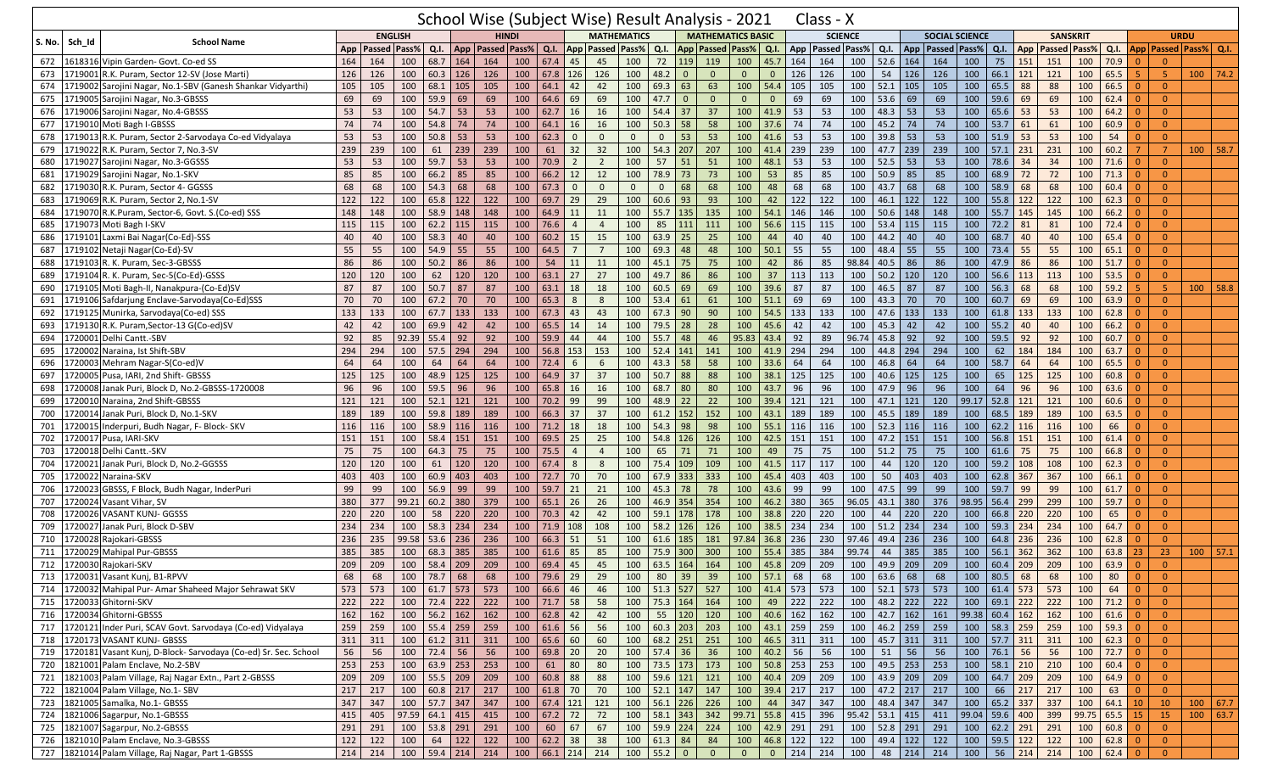|        |         |                                                                 |     |                |                      |                               |            | School Wise (Subject Wise) Result Analysis - 2021 |                         |                          |                         |                    |              |                     |                                  |                          |                |                    |     | Class - X            |            |                              |               |                                        |                     |                          |                |                 |            |                      |                |                       |            |      |
|--------|---------|-----------------------------------------------------------------|-----|----------------|----------------------|-------------------------------|------------|---------------------------------------------------|-------------------------|--------------------------|-------------------------|--------------------|--------------|---------------------|----------------------------------|--------------------------|----------------|--------------------|-----|----------------------|------------|------------------------------|---------------|----------------------------------------|---------------------|--------------------------|----------------|-----------------|------------|----------------------|----------------|-----------------------|------------|------|
|        |         | <b>School Name</b>                                              |     |                | <b>ENGLISH</b>       |                               |            | <b>HINDI</b>                                      |                         |                          |                         | <b>MATHEMATICS</b> |              |                     |                                  | <b>MATHEMATICS BASIC</b> |                |                    |     | <b>SCIENCE</b>       |            |                              |               | <b>SOCIAL SCIENCE</b>                  |                     |                          |                | <b>SANSKRIT</b> |            |                      |                | <b>URDU</b>           |            |      |
| S. No. | Sch Id  |                                                                 | App | Passed   Pass% |                      | Q.I.                          |            | App Passed Pass%                                  |                         | Q.I.                     |                         | App Passed Pass%   |              | Q.I.                |                                  | App Passed Pass% Q.I.    |                |                    |     | App   Passed   Pass% |            | Q.I.                         |               | App Passed Pass% Q.I. App Passed Pass% |                     |                          |                |                 |            | Q.I.                 |                | App Passed Pass% Q.I. |            |      |
| 672    |         | L618316 Vipin Garden- Govt. Co-ed SS                            | 164 | 164            | 100                  | 68.7                          | 164        | 164                                               | 100                     | 67.4                     | 45                      | 45                 | 100          | 72                  | 119                              | 119                      | 100            | 45.7               | 164 | 164                  | 100        | 52.6                         | 164           | 164                                    | 100                 | 75                       | 151            | 151             | 100        | 70.9                 | $\overline{0}$ | $\Omega$              |            |      |
| 673    |         | 1719001 R.K. Puram, Sector 12-SV (Jose Marti                    | 126 | 126            | 100                  |                               | $60.3$ 126 | 126                                               | 100                     |                          | $67.8$ 126              | 126                | 100          | $48.2$ 0            |                                  | $\mathbf{0}$             | $\mathbf{0}$   | $\mathbf{0}$       | 126 | 126                  | 100        | 54                           | 126           | 126                                    | 100                 | $66.1$ 121               |                | 121             | 100        | 65.5<br>5            |                | 5 <sup>°</sup>        | $100$ 74.2 |      |
| 674    | 719002  | Sarojini Nagar, No.1-SBV (Ganesh Shankar Vidyarthi)             | 105 | 105            | 100                  | 68.1                          | 105        | 105                                               | 100                     | 64.1                     | 42                      | 42                 | 100          | 69.3 63             |                                  | 63                       | 100            | 54.4               | 105 | 105                  | 100        | 52.1                         | 105           | 105                                    | 100                 | 65.5                     | 88             | 88              | 100        | 66.5                 |                | $\Omega$              |            |      |
| 675    |         | 1719005 Sarojini Nagar, No.3-GBSSS                              | 69  | 69             | 100                  | 59.9                          | 69         | 69                                                | 100                     | 64.6                     | 69                      | 69                 | 100          | 47.7                | $\overline{0}$                   | $\overline{0}$           | $\mathbf{0}$   | $\mathbf{0}$       | 69  | 69                   | 100        | 53.6                         | 69            | 69                                     | 100                 | 59.6                     | 69             | 69              | 100        | 62.4<br>$\Omega$     |                | $\overline{0}$        |            |      |
| 676    |         | 1719006 Sarojini Nagar, No.4-GBSSS                              | 53  | 53             | 100                  | 54.7                          | 53         | 53                                                | 100                     | $62.7$ 16                |                         | 16                 | 100          | 54.4 37             |                                  | 37                       | 100            | 41.9               | 53  | 53                   | 100        | 48.3                         | 53            | 53                                     | 100                 | 65.6 53                  |                | 53              | 100        | 64.2<br>$\Omega$     |                | $\overline{0}$        |            |      |
| 677    | 719010  | Moti Bagh I-GBSSS                                               | 74  | 74             | 100                  | 54.8                          | 74         | 74                                                | 100                     | 64.1                     | 16                      | 16                 | 100          | $50.3$ 58           |                                  | 58                       | 100            | 37.6               | 74  | 74                   | 100        | 45.2                         | 74            | 74                                     | 100                 | 53.7                     | 61             | 61              | 100        | 60.9                 |                | $\overline{0}$        |            |      |
| 678    |         | 1719013 R.K. Puram, Sector 2-Sarvodaya Co-ed Vidyalaya          | 53  | 53             | 100                  | 50.8                          | 53         | 53                                                | 100                     | 62.3                     | $\overline{\mathbf{0}}$ | $\mathbf{0}$       | $\mathbf{0}$ | $\mathbf{0}$        | 53                               | 53                       | 100            | 41.6               | 53  | 53                   | 100        | 39.8                         | 53            | 53                                     | 100                 | $51.9$ 53                |                | 53              | 100        | 54<br>$\Omega$       |                | $\Omega$              |            |      |
| 679    |         | 1719022 R.K. Puram, Sector 7, No.3-SV                           | 239 | 239            | 100                  | 61                            | 239        | 239                                               | 100                     | 61                       | 32                      | 32                 | 100          |                     | 54.3 207                         | 207                      | 100            | 41.4               | 239 | 239                  | 100        | 47.7                         | 239           | 239                                    | 100                 | $57.1$ 231               |                | 231             | 100        | 60.2                 |                | 7                     | $100$ 58.7 |      |
| 680    | 719027  | Sarojini Nagar, No.3-GGSSS                                      | 53  | 53             | 100                  | 59.7                          | 53         | 53                                                | 100                     | 70.9                     |                         | $\overline{2}$     | 100          | 57                  | 51                               | 51                       | 100            | 48.1               | 53  | 53                   | 100        | 52.5                         | 53            | 53                                     | 100                 | 78.6                     | 34             | 34              | 100        | 71.6                 |                | $\Omega$              |            |      |
| 681    |         | 1719029 Sarojini Nagar, No.1-SKV                                | 85  | 85             | 100                  | 66.2                          | 85         | 85                                                | 100                     | 66.2                     | 12                      | 12                 | 100          | 78.9 73             |                                  | 73                       | 100            | 53                 | 85  | 85                   | 100        | 50.9                         | 85            | 85                                     | 100                 | 68.9                     | 72             | 72              | 100        | 71.3<br>$\Omega$     |                | $\overline{0}$        |            |      |
| 682    |         | 1719030 R.K. Puram, Sector 4- GGSSS                             | 68  | 68             | 100                  | 54.3                          | 68         | 68                                                | 100                     | 67.3                     | $\Omega$                | $\mathbf{0}$       | $\mathbf{0}$ | $\mathbf{0}$        | 68                               | 68                       | 100            | 48                 | 68  | 68                   | 100        | 43.7                         | 68            | 68                                     | 100                 | 58.9                     | 68             | 68              | 100        | 60.4<br>$\Omega$     |                | $\Omega$              |            |      |
| 683    | 719069  | R.K. Puram, Sector 2, No.1-SV                                   | 122 | 122            | 100                  | 65.8                          | 122        | 122                                               | 100                     | 69.7                     | 29                      | 29                 | 100          | 60.6 93             |                                  | 93                       | 100            | 42                 | 122 | 122                  | 100        | 46.1                         | 122           | 122                                    | 100                 | 55.8                     | 122            | 122             | 100        | 62.3                 |                | $\Omega$              |            |      |
| 684    |         | 1719070 R.K.Puram, Sector-6, Govt. S.(Co-ed) SSS                | 148 | 148            | 100                  | 58.9 148                      |            | 148                                               | 100                     | 64.9                     | 11                      | 11                 | 100          | 55.7 135            |                                  | 135                      | 100            | 54.1               | 146 | 146                  | 100        | 50.6                         | 148           | 148                                    | 100                 | $55.7$ 145               |                | 145             | 100        | 66.2<br>$\Omega$     |                | $\overline{0}$        |            |      |
| 685    |         | 1719073 Moti Bagh I-SKV                                         | 115 | 115            | 100                  | 62.2 115                      |            | 115                                               | 100                     | 76.6                     | $\overline{4}$          | $\overline{4}$     | 100          | 85                  | 111                              | 111                      | 100            | 56.6               | 115 | 115                  | 100        | 53.4                         | 115           | 115                                    | 100                 | 72.2                     | 81             | 81              | 100        | 72.4<br>$\Omega$     |                | $\overline{0}$        |            |      |
| 686    | .719101 | Laxmi Bai Nagar(Co-Ed)-SSS                                      | 40  | 40             | 100                  | 58.3                          | 40         | 40                                                | 100                     | 60.2                     | 15                      | 15                 | 100          | $63.9$ 25           |                                  | 25                       | 100            | 44                 | 40  | 40                   | 100        | 44.2                         | 40            | 40                                     | 100                 | 68.7                     | 40             | 40              | 100        | 65.4                 |                | $\Omega$              |            |      |
| 687    |         | 1719102 Netaji Nagar(Co-Ed)-SV                                  | 55  | 55             | 100                  | 54.9                          | 55         | 55                                                | 100                     | 64.5                     | $\overline{7}$          | $7^{\circ}$        | 100          |                     | $69.3$ 48                        | 48                       | 100            | 50.1               | 55  | 55                   | 100        | 48.4                         | 55            | 55                                     | 100                 | 73.4                     | 55             | 55              | 100        | 65.1<br>$\Omega$     |                | $\overline{0}$        |            |      |
| 688    |         | 1719103 R. K. Puram, Sec-3-GBSSS                                | 86  | 86             | 100                  | 50.2                          | 86         | 86                                                | 100                     | 54                       | 11                      | 11                 | 100          | $45.1$ 75           |                                  | 75                       | 100            | 42                 | 86  | 85                   | 98.84      | 40.5                         | 86            | 86                                     | 100                 | 47.9                     | 86             | 86              | 100        | 51.7<br>$\Omega$     |                | $\Omega$              |            |      |
| 689    | .719104 | R. K. Puram, Sec-5(Co-Ed)-GSSS                                  | 120 | 120            | 100                  | 62                            | 120        | 120                                               | 100                     | 63.1                     | 27                      | 27                 | 100          | 49.7 86             |                                  | 86                       | 100            | 37                 | 113 | 113                  | 100        | 50.2                         | 120           | 120                                    | 100                 | 56.6                     | 113            | 113             | 100        | 53.5                 |                | $\Omega$              |            |      |
| 690    |         | 1719105 Moti Bagh-II, Nanakpura-(Co-Ed)SV                       | 87  | 87             | 100                  | 50.7                          | 87         | 87                                                | 100                     | $63.1$ 18                |                         | 18                 | 100          | 60.5 69             |                                  | 69                       | 100            | 39.6               | 87  | 87                   | 100        | 46.5                         | 87            | 87                                     | 100                 | 56.3                     | 68             | 68              | 100        | 59.2<br>-5           |                | 5 <sup>1</sup>        | 100        | 58.8 |
| 691    |         | 1719106 Safdarjung Enclave-Sarvodaya(Co-Ed)SSS                  | 70  | 70             | 100                  | 67.2                          | 70         | 70                                                | 100                     | 65.3                     | 8                       | 8                  | 100          | $53.4$ 61           |                                  | 61                       | 100            | 51.1               | 69  | 69                   | 100        | 43.3                         | 70            | 70                                     | 100                 | 60.7                     | 69             | 69              | 100        | 63.9<br>$\Omega$     |                | $\Omega$              |            |      |
| 692    |         | 1719125 Munirka, Sarvodaya(Co-ed) SSS                           | 133 | 133            | 100                  | $67.7$ 133                    |            | 133                                               | 100                     | 67.3                     | 43                      | 43                 | 100          | 67.3 90             |                                  | 90                       | 100            | 54.5               | 133 | 133                  | 100        | 47.6                         | 133           | 133                                    | 100                 | $61.8$ 133               |                | 133             | 100        | 62.8                 |                | $\Omega$              |            |      |
| 693    |         | 1719130 R.K. Puram, Sector-13 G(Co-ed)SV                        | 42  | 42             | 100                  | 69.9                          | 42         | 42                                                | 100                     | 65.5                     | 14                      | 14                 | 100          | 79.5 28             |                                  | 28                       | 100            | 45.6               | 42  | 42                   | 100        | 45.3                         | 42            | 42                                     | 100                 | 55.2                     | 40             | 40              | 100        | 66.2<br>$\Omega$     |                | $\mathbf{0}$          |            |      |
| 694    |         | L720001 Delhi Cantt.-SBV                                        | 92  | 85             | 92.39                | 55.4                          | 92         | 92                                                | 100                     | 59.9                     | 44                      | 44                 | 100          | $55.7$ 48           |                                  | 46                       | 95.83          | 43.4               | 92  | 89                   | 96.74      | 45.8                         | 92            | 92                                     | 100                 | 59.5                     | 92             | 92              | 100        | 60.7<br>$\Omega$     |                | $\overline{0}$        |            |      |
| 695    | 720002  | Naraina, Ist Shift-SBV                                          | 294 | 294            | 100                  | $57.5$ 294                    |            | 294                                               | 100                     | 56.8                     | 153                     | 153                | 100          | $52.4$ 141          |                                  | 141                      | 100            | 41.9               | 294 | 294                  | 100        | 44.8                         | 294           | 294                                    | 100                 | 62                       | 184            | 184             | 100        | 63.7<br>$\Omega$     |                | $\Omega$              |            |      |
| 696    |         | .720003 Mehram Nagar-S(Co-ed)V                                  | 64  | 64             | 100                  | 64                            | 64         | 64                                                | 100                     | 72.4                     | 6                       | $6\overline{6}$    | 100          | $43.3$ 58           |                                  | 58                       | 100            | 33.6               | 64  | 64                   | 100        | 46.8                         | 64            | 64                                     | 100                 | 58.7                     | 64             | 64              | 100        | 65.5<br>0            |                | $\overline{0}$        |            |      |
| 697    | .720005 | Pusa, IARI, 2nd Shift- GBSSS                                    | 125 | 125            | 100                  | 48.9                          | 125        | 125                                               | 100                     | 64.9 37                  |                         | 37                 | 100          | 50.7 88             |                                  | 88                       | 100            | 38.1               | 125 | 125                  | 100        | 40.6                         | 125           | 125                                    | 100                 | 65                       | 125            | 125             | 100        | 60.8<br>$\Omega$     |                | $\Omega$              |            |      |
| 698    | .720008 | Janak Puri, Block D, No.2-GBSSS-1720008                         | 96  | 96             | 100                  | 59.5                          | 96         | 96                                                | 100                     | 65.8                     | 16                      | 16                 | 100          | 68.7 80             |                                  | 80                       | 100            | 43.7               | 96  | 96                   | 100        | 47.9                         | 96            | 96                                     | 100                 | 64                       | 96             | 96              | 100        | 63.6<br>$\Omega$     |                | $\Omega$              |            |      |
| 699    | 720010  | Naraina, 2nd Shift-GBSSS                                        | 121 | 121            | 100                  | $52.1$ 121                    |            | 121                                               | 100                     | 70.2                     | 99                      | 99                 | 100          | 48.9 22             |                                  | 22                       | 100            | 39.4               | 121 | 121                  | 100        | 47.1                         | 121           | 120                                    | 99.17               | 52.8                     | 121            | 121             | 100        | 60.6<br>$\Omega$     |                | $\Omega$              |            |      |
| 700    | 172001  | Janak Puri, Block D, No.1-SKV                                   | 189 | 189            | 100                  | 59.8                          | 189        | 189                                               | 100                     | 66.3 37                  |                         | 37                 | 100          | $61.2$ 152          |                                  | 152                      | 100            | 43.1               | 189 | 189                  | 100        | 45.5                         | 189           | 189                                    | 100                 | 68.5                     | 189            | 189             | 100        | 63.5<br>$\Omega$     |                | $\overline{0}$        |            |      |
|        |         |                                                                 |     |                |                      |                               |            |                                                   | 100                     |                          |                         |                    |              |                     |                                  |                          |                |                    |     |                      |            |                              |               |                                        | 100                 |                          |                |                 |            |                      |                | $\Omega$              |            |      |
| 701    | L720015 | Inderpuri, Budh Nagar, F- Block- SKV                            | 116 | 116            | 100<br>100           | 58.9 116<br>$58.4$ 151        |            | 116<br>151                                        | 100                     | 71.2<br>69.5             | 18                      | 18                 | 100<br>100   | 54.3 98<br>54.8 126 |                                  | 98<br>126                | 100<br>100     | 55.1<br>$42.5$ 151 | 116 | 116                  | 100<br>100 | 52.3<br>47.2                 | 116<br>151    | 116<br>151                             | 100                 | $62.2$ 116<br>$56.8$ 151 |                | 116             | 100        | 66<br>$\Omega$       |                | $\overline{0}$        |            |      |
| 702    | 1720017 | Pusa, IARI-SKV                                                  | 151 | 151            |                      |                               |            |                                                   |                         |                          | 25                      | 25                 |              |                     |                                  |                          |                |                    |     | 151                  |            |                              |               |                                        |                     |                          |                | 151             | 100        | 61.4<br>0            |                |                       |            |      |
| 703    | 1720018 | Delhi Cantt.-SKV                                                | 75  | 75             | 100                  | 64.3                          | 75         | 75                                                | 100                     | 75.5                     | $\overline{4}$          | $\overline{4}$     | 100          | 65                  | 71                               | 71                       | 100            | 49                 | 75  | 75                   | 100        | 51.2                         | 75            | 75                                     | 100                 | 61.6                     | 75             | 75              | 100        | 66.8<br>$\Omega$     |                | $\overline{0}$        |            |      |
| 704    | .720021 | Janak Puri, Block D, No.2-GGSSS                                 | 120 | 120            | 100                  | 61                            | 120        | 120                                               | 100                     | 67.4                     | 8                       | 8                  | 100          | 75.4 109            |                                  | 109                      | 100            | 41.5               | 117 | 117                  | 100        | 44                           | 120           | 120                                    | 100                 | 59.2                     | 108            | 108             | 100        | 62.3<br>$\Omega$     |                | $\Omega$              |            |      |
| 705    | 720022  | Naraina-SKV                                                     | 403 | 403            | 100                  | 60.9                          | 403        | 403                                               | 100                     | 72.7                     | 70                      | 70                 | 100          | 67.9 333            |                                  | 333                      | 100            | 45.4               | 403 | 403                  | 100        | 50                           | 403           | 403                                    | 100                 | 62.8 367                 |                | 367             | 100        | 66.1                 |                | $\overline{0}$        |            |      |
| 706    | .720023 | GBSSS, F Block, Budh Nagar, InderPuri                           | 99  | 99             | 100                  | 56.9                          | 99         | 99                                                | 100                     | $59.7$ 21                |                         | 21                 | 100          | 45.3 78             |                                  | 78                       | 100            | 43.6               | 99  | 99                   | 100        | 47.5                         | 99            | 99                                     | 100                 | 59.7                     | 99             | 99              | 100        | 61.7<br>$\Omega$     |                | $\overline{0}$        |            |      |
| 707    |         | 1720024 Vasant Vihar, SV                                        | 380 | 377            | 99.21                | 60.2 380                      |            | 379                                               | 100                     | $65.1$ 26                |                         | 26                 | 100          | 46.9 354            |                                  | 354                      | 100            | 46.2               | 380 | 365                  | 96.05      | 43.1                         | 380           | 376                                    | 98.95               | 56.4 299                 |                | 299             | 100        | 59.7<br>$\Omega$     |                | $\Omega$              |            |      |
| 708    | 720026  | <b>VASANT KUNJ- GGSSS</b>                                       | 220 | 220            | 100                  | 58                            | 220        | 220                                               | 100                     | 70.3                     | 42                      | 42                 | 100          | 59.1                | 178                              | 178                      | 100            | 38.8               | 220 | 220                  | 100        | 44                           | 220           | 220                                    | 100                 | 66.8                     | 220            | 220             | 100        | 65                   |                | $\mathbf{0}$          |            |      |
| 709    | .720027 | Janak Puri, Block D-SBV                                         | 234 | 234            | 100                  | 58.3 234                      |            | 234                                               | 100                     | 71.9 108                 |                         | 108                | 100          |                     | 58.2 126                         | 126                      | 100            | 38.5               | 234 | 234                  | 100        | 51.2                         | 234           | 234                                    | 100                 | 59.3                     | 234            | 234             | 100        | 64.7<br>$\Omega$     |                | $\overline{0}$        |            |      |
| 710    | 1720028 | Rajokari-GBSSS                                                  | 236 | 235            | 99.58                | 53.6                          | 236        | 236                                               | 100                     | 66.3 51                  |                         | 51                 | 100          | $61.6$ 185          |                                  | 181                      | 97.84          | 36.8               | 236 | 230                  | 97.46      | 49.4                         | 236           | 236                                    | 100                 | $64.8$ 236               |                | 236             | 100        | 62.8<br>$\Omega$     |                | $\Omega$              |            |      |
| 711    | 720029  | <b>Mahipal Pur-GBSSS</b>                                        | 385 | 385            | 100                  | 68.3                          | 385        | 385                                               | 100                     | 61.6                     | 85                      | 85                 | 100          |                     | 75.9 300                         | 300                      | 100            | 55.4               | 385 | 384                  | 99.74      | 44                           | 385           | 385                                    | 100                 | 56.1                     | 362            | 362             | 100        | 63.8                 | 23             | 23                    | $100$ 57.1 |      |
| 712    |         | 1720030 Rajokari-SKV                                            | 209 | 209            | 100                  | 58.4                          | 209        | 209                                               | 100                     | 69.4                     | 45                      | 45                 | 100          |                     | 63.5 164                         | 164                      | 100            | 45.8               | 209 | 209                  | 100        | 49.9                         | 209           | 209                                    | 100                 | $60.4$ 209               |                | 209             | 100        | 63.9<br>$\Omega$     |                | $\Omega$              |            |      |
|        |         | 713   1720031 Vasant Kunj, B1-RPVV                              | 68  | 68             |                      | $100$ 78.7 68                 |            | 68                                                | 100   79.6   29         |                          |                         | 29                 |              |                     | $100$ 80 39                      | - 39                     |                | $100$   57.1   68  |     | 68                   |            | $100 \mid 63.6 \mid 68 \mid$ |               |                                        |                     | 68   100   80.5   68     |                | 68              | 100        | $\vert$ 80           | $\overline{0}$ | $\overline{0}$        |            |      |
|        |         | 714 1720032 Mahipal Pur- Amar Shaheed Major Sehrawat SKV        | 573 | 573            |                      | $100 \mid 61.7 \mid 573 \mid$ |            | 573                                               | $100 \mid 66.6 \mid 46$ |                          |                         | 46                 | 100          |                     | $51.3$ 527 527                   |                          |                | 100 41.4 573       |     | 573                  |            | 100 52.1 573 573             |               |                                        | 100                 |                          | $61.4$ 573 573 |                 | 100        | 64<br>$\overline{0}$ |                | $\overline{0}$        |            |      |
| 715    |         | 1720033 Ghitorni-SKV                                            | 222 | 222            | 100                  |                               |            | 222                                               |                         | 100 71.7 58              |                         | 58                 | 100          |                     | 75.3 164                         | 164                      | 100            | 49                 |     | 222                  |            | 100 48.2 222 222             |               |                                        | 100                 | $69.1$ 222               |                | 222             | 100        | $71.2$ 0             |                | $\overline{0}$        |            |      |
|        |         | 716 1720034 Ghitorni-GBSSS                                      | 162 | 162            |                      |                               |            | 100 56.2 162 162                                  |                         | 100   62.8   42          |                         | 42                 | 100          |                     | 55 120 120                       |                          |                | 100 40.6 162       |     | 162                  |            |                              |               | 100 42.7 162 161 99.38 60.4 162 162    |                     |                          |                |                 |            | $100 \t 61.6 \t 0$   |                | $\overline{0}$        |            |      |
| 717    |         | 1720121 Inder Puri, SCAV Govt. Sarvodaya (Co-ed) Vidyalaya      | 259 | 259            |                      |                               |            | 100 55.4 259 259                                  | 100 61.6 56             |                          |                         | 56                 | 100          |                     | 60.3 203 203                     |                          |                | $100$ 43.1 259     |     | 259                  |            | 100 46.2 259 259             |               |                                        |                     | 100 58.3 259             |                | 259             |            | 100 59.3 0           |                | $\overline{0}$        |            |      |
| 718    |         | 1720173 VASANT KUNJ- GBSSS                                      | 311 | 311            |                      |                               |            | 100 61.2 311 311                                  |                         | 100   65.6   60          |                         | 60                 |              |                     | 100   68.2   251                 | 251                      |                | 100 46.5 311       |     | 311                  |            | 100 45.7 311 311             |               |                                        |                     | 100 57.7 311             |                | 311             |            | $100 \t 62.3 \t 0$   |                | $\overline{0}$        |            |      |
| 719    |         | 1720181 Vasant Kunj, D-Block- Sarvodaya (Co-ed) Sr. Sec. School | 56  | 56             |                      | $100$ 72.4 56                 |            | 56                                                | 100                     | $69.8$ 20                |                         | 20                 | 100          | $57.4$ 36           |                                  | 36                       |                | 100 40.2 56        |     | 56                   | 100        |                              | $51 \quad 56$ | 56                                     | 100                 | $76.1$ 56                |                | 56              | 100        |                      |                | $\overline{0}$        |            |      |
|        |         | 720 1821001 Palam Enclave, No.2-SBV                             | 253 | 253            |                      |                               |            | $100 \mid 63.9 \mid 253 \mid 253$                 | 100                     | $61$ 80                  |                         | 80                 | 100          |                     | 73.5 173                         | 173                      |                | 100 50.8 253       |     | 253                  |            | $100$ 49.5 253 253           |               |                                        | 100                 |                          | 58.1 210 210   |                 | 100        |                      |                | $\overline{0}$        |            |      |
| 721    |         | 1821003 Palam Village, Raj Nagar Extn., Part 2-GBSSS            | 209 | 209            |                      |                               |            | 100 55.5 209 209                                  |                         | 100 60.8 88              |                         | 88                 |              |                     | 100 59.6 121                     | 121                      |                | 100 40.4 209       |     | 209                  |            | 100 43.9 209 209             |               |                                        |                     | 100 64.7 209             |                | 209             | 100        | $64.9$ 0             |                | $\overline{0}$        |            |      |
| 722    |         | 1821004 Palam Village, No.1- SBV                                | 217 | 217            |                      |                               |            | 100 60.8 217 217                                  | 100                     | 61.8 70                  |                         | 70                 |              |                     | $100 \big  52.1 \big  147 \big $ | 147                      |                | 100 39.4 217       |     | 217                  |            | 100 47.2 217 217             |               |                                        | 100                 | 66 217                   |                | 217             | 100        | 63<br>$\overline{0}$ |                | $\overline{0}$        |            |      |
|        |         | 723 1821005 Samalka, No.1- GBSSS                                | 347 | 347            |                      |                               |            | 100 57.7 347 347                                  |                         | $100 \mid 67.4 \mid 121$ |                         | 121                | 100          |                     | 56.1 226 226                     |                          | 100            | 44                 |     | 347                  |            | 100 48.4 347 347             |               |                                        | $\vert$ 100         |                          | 65.2 337 337   |                 | 100        | $64.1$ 10            |                | 10                    | 100   67.7 |      |
| 724    |         | 1821006 Sagarpur, No.1-GBSSS                                    | 415 | 405            | $97.59$ 64.1 415 415 |                               |            |                                                   | 100                     | $67.2$ 72                |                         | 72                 | 100          | 58.1 343            |                                  | 342                      |                | 99.71 55.8 415     |     | 396                  |            | $95.42$ 53.1 415 411         |               |                                        |                     | 99.04 59.6 400           |                | 399             | 99.75 65.5 | 15                   |                | 15                    | 100   63.7 |      |
| 725    |         | 1821007 Sagarpur, No.2-GBSSS                                    | 291 | 291            |                      |                               |            | 100 53.8 291 291                                  | 100                     |                          | 60 67                   | 67                 |              |                     | 100 59.9 224                     | 224                      |                | 100 42.9 291       |     | 291                  |            | 100   52.8   291   291       |               |                                        |                     | 100 62.2 291             |                | 291             |            | $100 \t 60.8 \t 0$   |                | $\overline{0}$        |            |      |
|        |         | 726 1821010 Palam Enclave, No.3-GBSSS                           | 122 | 122            |                      |                               |            | 100 64 122 122                                    | $100 \mid 62.2 \mid 38$ |                          |                         | 38                 | 100          | 61.3 84             |                                  | 84                       |                | 100 46.8 122       |     | 122                  |            | 100 49.4 122 122             |               |                                        | $\vert$ 100 $\vert$ |                          | 59.5 122 122   |                 |            | $100$ 62.8 0         |                | $\overline{0}$        |            |      |
|        |         | 727 1821014 Palam Village, Raj Nagar, Part 1-GBSSS              |     | 214 214        |                      |                               |            | 100   59.4   214   214                            |                         | 100 66.1 214 214         |                         |                    |              | $100 \t 55.2 \t 0$  |                                  | $\overline{0}$           | $\overline{0}$ | $\overline{0}$     | 214 | 214                  |            |                              |               | 100 48 214 214 100 56 214 214          |                     |                          |                |                 |            | $100 \t 62.4 \t 0$   |                | $\overline{0}$        |            |      |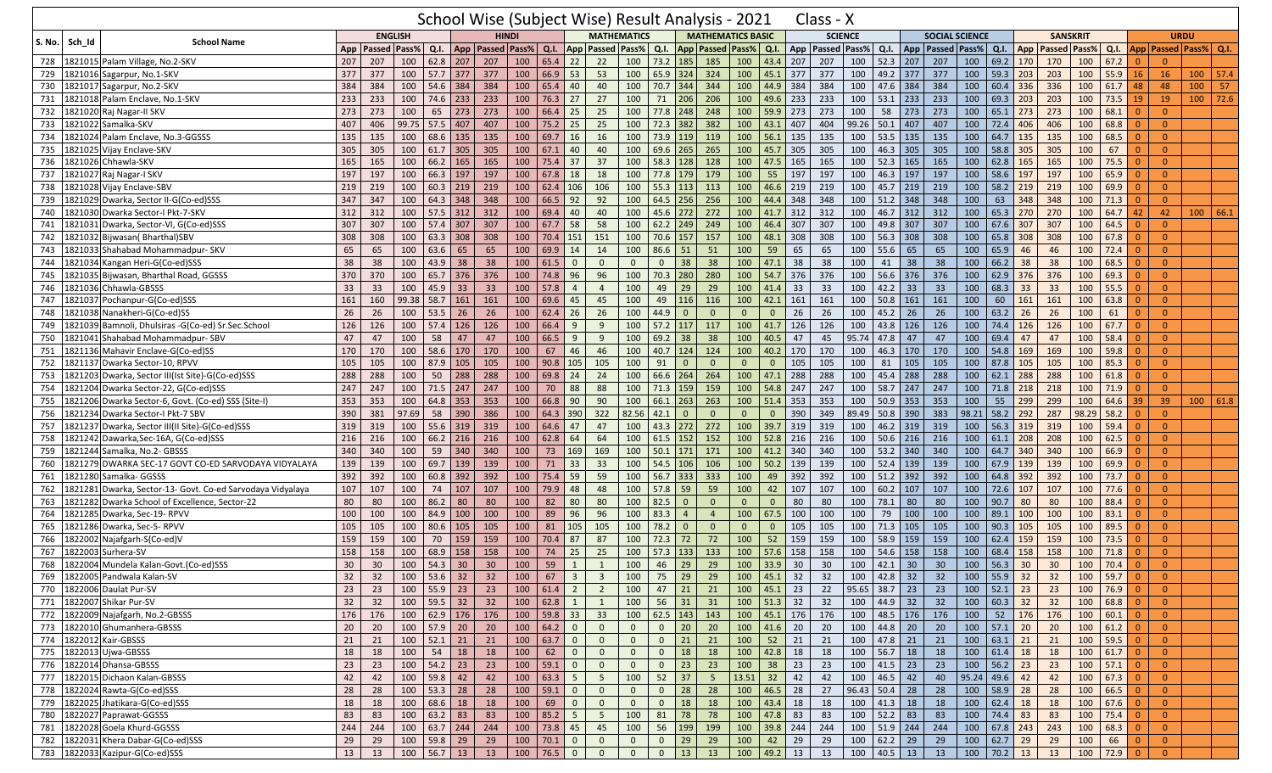| <b>ENGLISH</b><br><b>HINDI</b><br><b>MATHEMATICS</b><br><b>MATHEMATICS BASIC</b><br><b>SCIENCE</b><br><b>SANSKRIT</b><br><b>SOCIAL SCIENCE</b><br><b>URDU</b><br><b>School Name</b><br>Sch_Id<br>S. No.<br>App   Passed   Pass%  <br>$Q.I.$ App<br>App   Passed   Pass%  <br>Q.I.<br>App   Passed   Pass%<br>Q.I.<br><b>App Passed Pass%</b><br>App Passed Pass% Q.I.<br>App   Passed   Pass%  <br>Q.I.<br><b>Passed Pass%</b><br>Q.I.<br>App   Passed   Pass%   Q.I.<br>Q.I.<br>$65.4$ 22<br>69.2 170<br>207<br>22<br>73.2 185<br>100<br>52.3<br>207<br>100<br>170<br>100<br>67.2<br>1821015 Palam Village, No.2-SKV<br>207<br>207<br>100<br>62.8 207<br>100<br>100<br>185<br>100<br>43.4<br>207<br>207<br>207<br>728<br>$\Omega$<br>$\Omega$<br>377<br>$57.7$ 377<br>$66.9$ 53<br>53<br>100<br>$65.9$ 324<br>324<br>100<br>377<br>377<br>49.2<br>100<br>55.9<br>16<br>729<br>1821016 Sagarpur, No.1-SKV<br>377<br>100<br>377<br>100<br>45.1<br>100<br>377<br>377<br>59.3<br>$ 203\rangle$<br>203<br>100<br>$100$   57.4<br><b>16</b><br>384<br>70.7 344<br>384<br>384<br>100<br>336<br>100<br>-57<br>730<br>1821017<br>Sagarpur, No.2-SKV<br>384<br>100<br>54.6 384<br>384<br>100<br>65.4<br>40<br>40<br>100<br>344<br>100<br>44.9<br>384<br>384<br>100<br>47.6<br>$60.4$ 336<br>61.7<br>48<br>48<br>100<br>233<br>$100$ 72.6<br>233<br>100<br>74.6<br>233<br>233<br>100<br>76.3 27<br>27<br>100<br>206<br>206<br>100<br>233<br>233<br>100<br>53.1<br>233<br>233<br>100<br>69.3<br>203<br>100<br>73.5<br>1821018 Palam Enclave, No.1-SKV<br>71<br>49.6<br>$\vert$ 203<br>19<br>731<br>19<br>273<br>100<br>65<br>273<br>66.4<br>25<br>100<br>77.8 248<br>248<br>100<br>59.9<br>273<br>273<br>100<br>58<br>273<br>273<br>100<br>$65.1$ 273<br>273<br>100<br>68.1<br>1821020 Raj Nagar-II SKV<br>273<br>273<br>100<br>25<br>$\overline{0}$<br>732<br>$\Omega$<br>99.75<br>733<br>1821022 Samalka-SKV<br>407<br>406<br>$57.5$ 407<br>407<br>100<br>$75.2$ 25<br>25<br>100<br>72.3 382<br>382<br>100<br>43.1<br>407<br>404<br>99.26<br>50.1<br>407<br>407<br>100<br>72.4<br>406<br>100<br>68.8<br>$\Omega$<br> 406<br>68.5<br>135<br>100<br>68.6<br>135<br>100<br>69.7<br>16<br>16<br>100<br>119<br>100<br>56.1<br>135<br>100<br>53.5<br>135<br>135<br>100<br>64.7 135<br>135<br>100<br>734<br>1821024 Palam Enclave, No.3-GGSSS<br>135<br>135<br>73.9 119<br>135<br>$\overline{0}$<br>$\Omega$<br>305<br>100<br>265<br>305<br>305<br>67<br>735<br>1821025 Vijay Enclave-SKV<br>305<br>100<br>61.7 305<br>305<br>100<br>67.1<br>40<br>40<br>69.6 265<br>100<br>305<br>100<br>46.3<br>305<br>100<br>58.8<br> 305<br>305<br>100<br>$\Omega$<br>45.7<br>$\Omega$<br>37<br>100<br>75.5<br>736<br>1821026 Chhawla-SKV<br>165<br>100<br>66.2 165<br>165<br>100<br>75.4 37<br>100<br>58.3 128<br>128<br>100<br>47.5<br>165<br>165<br>100<br>52.3<br>165<br>165<br>62.8<br>  165<br>165<br>100<br>$\Omega$<br>165<br>$\Omega$<br>197<br>77.8 179<br>179<br>197<br>100<br>66.3 197<br>100<br>18<br>18<br>100<br>100<br>197<br>100<br>46.3<br>197<br>197<br>100<br>58.6<br>197<br>100<br>65.9<br>737<br>1821027 Raj Nagar-I SKV<br>197<br>67.8<br>55<br>197<br> 197<br>$\mathbf{0}$<br>$\Omega$<br>100<br>$60.3$ 219<br>219<br>100<br>100<br>100<br>$58.2$ 219<br>100<br>69.9<br>738<br>1821028 Vijay Enclave-SBV<br>219<br>219<br>62.4 106<br>106<br>55.3 113<br>113<br>46.6<br>219<br>219<br>100<br>45.7 219<br>219<br>100<br>219<br>$\overline{0}$<br>$\Omega$<br>347<br>100<br>92<br>92<br>100<br>$64.5$ 256<br>100<br>63<br>348<br>739<br>Dwarka, Sector II-G(Co-ed)SSS<br>347<br>100<br>64.3 348<br>348<br>66.5<br>256<br>100<br>44.4<br>348<br>348<br>100<br>51.2<br>348<br>348<br>348<br>100<br>71.3<br>$\Omega$<br>1821029<br>$\Omega$<br>272<br>312<br>312<br>100<br>57.5<br>312<br>312<br>100<br>69.4<br>40<br>40<br>100<br>45.6 272<br>100<br>41.7 312<br>312<br>100<br>46.7<br>312<br>312<br>100<br>$65.3$ 270<br>270<br>100<br>64.7<br>740<br>1821030<br>42<br>42<br>100   66.1<br>Dwarka Sector-I Pkt-7-SKV<br>307<br>100<br>$67.7$ 58<br>58<br>100<br>$62.2$ 249<br>249<br>49.8<br>307<br>67.6 307<br>307<br>100<br>64.5<br>Dwarka, Sector-VI, G(Co-ed)SSS<br>307<br>100<br>57.4 307<br>307<br>100<br>46.4<br>307<br>307<br>100<br>307<br>100<br>$\overline{0}$<br>741<br>1821031<br>$\Omega$<br>100<br>100<br>70.6 157<br>157<br>100<br>308<br>67.8<br>Bijwasan(Bharthal)SBV<br>308<br>308<br>100<br>63.3 308<br>308<br>70.4 151<br>151<br>100<br>48.1<br>308<br>308<br>100<br>56.3<br>308<br>308<br>65.8 308<br>100<br>742<br>1821032<br>$\overline{0}$<br>$\Omega$<br>65<br>100<br>63.6<br>100<br>69.9<br>14<br>14<br>100<br>$86.6$ 51<br>51<br>100<br>65<br>100<br>65<br>65<br>65.9<br>46<br>100<br>743<br>Shahabad Mohammadpur- SKV<br>65<br>65<br>65<br>59<br>65<br>55.6<br>100<br>46<br>72.4<br>$\overline{0}$<br>1821033<br>38<br>38<br>38<br>66.2<br>38<br>68.5<br>Kangan Heri-G(Co-ed)SSS<br>38<br>38<br>100<br>43.9 38<br>38<br>100<br>61.5<br>$\mathbf 0$<br>$\mathbf{0}$<br>100<br>38<br>38<br>100<br>41<br>38<br>100<br>38<br>100<br>$\overline{0}$<br>744<br>$\mathbf{0}$<br>47.1<br>1821034<br>$\Omega$<br>370<br>$65.7$ 376<br>100<br>96<br>96<br>100<br>70.3 280<br>280<br>100<br>54.7<br>376<br>100<br>56.6<br>376<br>376<br>100<br>$62.9$ 376<br>376<br>100<br>69.3<br>745<br>Bijwasan, Bharthal Road, GGSSS<br>370<br>100<br>376<br>74.8<br>376<br>1821035<br>$\Omega$<br>$\Omega$<br>33<br>33<br>100<br>45.9<br>33<br>33<br>100<br>57.8<br>100<br>29<br>29<br>100<br>33<br>33<br>100<br>42.2<br>33<br>33<br>100<br>68.3<br>33<br>33<br>100<br>55.5<br>746<br>1821036<br>Chhawla-GBSSS<br>$\overline{4}$<br>49<br>41.4<br>$\mathbf{0}$<br>$\overline{4}$<br>0<br>100<br>100<br>50.8<br>60<br>747<br>Pochanpur-G(Co-ed)SSS<br>161<br>160<br>99.38<br>58.7 161<br>161<br>100<br>69.6<br>45<br>49   116<br>116<br>161<br>161<br>100<br>161<br>161<br>100<br>161<br>100<br>63.8<br>$\overline{0}$<br>1821037<br>42.1<br>161<br>45<br>$\Omega$<br>53.5<br>100<br>26<br>100<br>44.9<br>26<br>100<br>45.2<br>26<br>26<br>100<br>100<br>26<br>26<br>100<br>26<br>26<br>62.4<br>26<br>$\overline{0}$<br>26<br>63.2<br>26<br>26<br>61<br>748<br>1821038<br>Nanakheri-G(Co-ed)SS<br>$\overline{0}$<br>$\overline{0}$<br>$\mathbf{0}$<br>$\Omega$<br>$\Omega$<br>126<br>57.4 126<br>66.4<br>100<br>117<br>126<br>126<br>126<br>100<br>126<br>100<br>67.7<br>749<br>Bamnoli, Dhulsiras -G(Co-ed) Sr.Sec.School<br>126<br>100<br>126<br>100<br>9<br>57.2 117<br>100<br>41.7<br>126<br>100<br>43.8<br>74.4 126<br>$\overline{0}$<br>1821039<br>9<br>100<br>Shahabad Mohammadpur-SBV<br>47<br>100<br>58<br>47<br>100<br>66.5<br>69.2 38<br>38<br>100<br>40.5<br>47<br>45<br>95.74<br>47.8<br>47<br>47<br>100<br>69.4<br>47<br>100<br>58.4<br>$\overline{0}$<br>750<br>47<br>47<br>9<br>9<br>47<br>1821041<br>$\Omega$<br>100<br>67<br>59.8<br>170<br>100<br>58.6<br>170<br>46<br>100<br>$40.7$ 124<br>124<br>100<br>170<br>100<br>46.3<br>170<br>170<br>100<br>54.8<br>169<br>169<br>100<br>751<br>Mahavir Enclave-G(Co-ed)SS<br>170<br>170<br>46<br>40.2<br>170<br>$\Omega$<br>1821136<br>$\Omega$<br>100<br>87.9<br>100<br>90.8<br>105<br>105<br>100<br>105<br>100<br>105<br>105<br>100<br>87.8 105<br>105<br>100<br>85.3<br>752<br>1821137<br>Dwarka Sector-10, RPVV<br>105<br>105<br>105<br>105<br>91<br>$\mathbf{0}$<br>$\mathbf{0}$<br>105<br>81<br>$\Omega$<br>$\overline{0}$<br>$\Omega$<br>100<br>100<br>62.1<br>753<br>288<br>288<br>100<br>50<br>288<br>288<br>100<br>69.8<br>24<br>24<br>100<br>66.6 264<br>264<br>288<br>288<br>288<br>288<br>100<br>288<br>288<br>100<br>61.8<br>$\overline{0}$<br>1821203<br>Dwarka, Sector III(Ist Site)-G(Co-ed)SSS<br>47.1<br>45.4<br>0<br>247<br>247<br>100<br>71.5 247<br>247<br>100<br>70<br>88<br>100<br>159<br>159<br>247<br>247<br>100<br>58.7<br>247<br>247<br>100<br>218<br>100<br>71.9<br>754<br>Dwarka Sector-22, G(Co-ed)SSS<br>88<br>71.3<br>100<br>54.8<br>$71.8$ 218<br>$\Omega$<br>1821204<br>$\Omega$<br>353<br>64.8 353<br>100<br>66.8<br>90<br>90<br>100<br>$66.1$ 263<br>263<br>100<br>353<br>353<br>100<br>50.9<br>353<br>353<br>100<br>55<br>299<br>299<br>100<br>39<br>755<br>Dwarka Sector-6, Govt. (Co-ed) SSS (Site-I)<br>353<br>100<br>353<br>51.4<br>64.6<br>39<br>100   61.8<br>1821206<br>82.56<br>756<br>390<br>97.69<br>58<br>386<br>100<br>64.3 390<br>322<br>390<br>89.49<br>50.8<br>390<br>383<br>98.21<br>58.2<br>287<br>98.29<br>58.2<br>Dwarka Sector-I Pkt-7 SBV<br>381<br>390<br>42.1<br>$\mathbf{0}$<br>$\Omega$<br>349<br>292<br>$\Omega$<br>1821234<br>$\mathbf{0}$<br>$\Omega$<br>0<br>272<br>319<br>55.6<br>319<br>100<br>64.6<br>47<br>47<br>100<br>43.3 272<br>100<br>319<br>319<br>319<br>319<br>100<br>56.3<br>319<br>100<br>59.4<br>319<br>100<br>319<br>39.7<br>100<br>46.2<br>  319<br>$\overline{0}$<br>757<br>1821237<br>Dwarka, Sector III(II Site)-G(Co-ed)SSS<br>$\Omega$<br>64<br>100<br>$61.5$ 152<br>152<br>50.6<br>100<br>208<br>Dawarka, Sec-16A, G(Co-ed) SSS<br>216<br>216<br>100<br>66.2 216<br>216<br>100<br>62.8<br>64<br>100<br>52.8<br>216<br>216<br>100<br>216<br>216<br>$61.1$ 208<br>100<br>62.5<br>$\Omega$<br>758<br>1821242<br>$\Omega$<br>340<br>100<br>59<br>340<br>100<br>73<br>100<br>$50.1$ 171<br>100<br>100<br>340<br>100<br>64.7 340<br>340<br>100<br>66.9<br>759<br>Samalka, No.2- GBSSS<br>340<br>340<br>169<br>169<br>171<br>340<br>340<br>53.2<br>340<br>$\Omega$<br>821244<br>41.2<br>139<br>139<br>100<br>69.7<br>100<br>71<br>33<br>33<br>100<br>$54.5$ 106<br>139<br>139<br>100<br>67.9<br> 139 <br>139<br>100<br>69.9<br>DWARKA SEC-17 GOVT CO-ED SARVODAYA VIDYALAYA<br>139<br>139<br>106<br>100<br>50.2<br>139<br>139<br>100<br>52.4<br>$\Omega$<br>760<br>1821279<br>$\Omega$<br>392<br>75.4 59<br>59<br>Samalka- GGSSS<br>392<br>100<br>60.8<br>392<br>392<br>100<br>100<br>56.7 333<br>333<br>100<br>49<br>392<br>392<br>100<br>51.2<br>392<br>392<br>100<br>64.8 392<br>392<br>100<br>73.7<br>$\overline{0}$<br>761<br>1821280<br>$\Omega$<br>107<br>107<br>100<br>100<br>79.9<br>48<br>100<br>57.8 59<br>59<br>100<br>100<br>60.2<br>100<br>72.6<br>107<br>100<br>762<br>Dwarka, Sector-13- Govt. Co-ed Sarvodaya Vidyalaya<br>74<br>107<br>107<br>48<br>42<br>107<br>107<br>107<br>107<br>107<br>77.6<br>$\Omega$<br>821281<br>$\Omega$<br>80<br>80<br>100<br>82<br>80<br>80<br>100<br>86.2<br>80<br>80<br>80<br>100<br>82.5<br>$\mathbf{0}$<br>$\mathbf{0}$<br>80<br>80<br>100<br>78.1<br>80<br>80<br>100<br>90.7<br>80<br>100<br>88.4<br>$\overline{0}$<br>763<br>1821282<br>Dwarka School of Excellence, Sector-22<br>$\mathbf 0$<br>$\mathbf{0}$<br>$\Omega$<br>89<br>96<br>96<br>100<br>Dwarka, Sec-19- RPVV<br>100<br>100<br>100<br>84.9 100<br>100<br>100<br>100<br>83.3<br>$\overline{4}$<br>100<br>67.5<br>100<br>100<br>100<br>79<br>100<br>100<br>100<br>89.1 100<br>100<br>83.1<br>$\overline{0}$<br>764<br>1821285<br>$\overline{4}$<br>$\Omega$<br>765<br>105<br>100<br>80.6<br>100<br>81<br>105<br>105<br>100<br>78.2<br>$\mathbf{0}$<br>105<br>100<br>105<br>105<br>100<br>90.3<br>100<br>89.5<br>821286<br>105<br>105<br>105<br>$\Omega$<br>105<br>71.3<br>105<br>105<br>$\overline{0}$<br>Dwarka, Sec-5- RPVV<br>$\mathbf 0$<br>159<br>159<br>70.4<br>87<br>72.3<br>72<br>58.9<br>159<br>100<br>62.4<br>159<br>73.5<br>Najafgarh-S(Co-ed)V<br>159<br>100<br>70<br>159<br>100<br>87<br>100<br>$72$<br>100<br>52<br>159<br>159<br>100<br>159<br>159<br>100<br>$\overline{0}$<br>766<br>1822002<br>$\Omega$<br>$57.3$ 133<br>133<br>158<br>158<br>100<br>68.9<br>158<br>158<br>100<br>74<br>25<br>25<br>100<br>100<br>57.6<br>158<br>158<br>100<br>54.6<br>158<br>158<br>100<br>68.4<br>  158<br>158<br>100<br>71.8<br>$\Omega$<br>767<br>1822003<br>Surhera-SV<br>$\Omega$<br>30<br>100<br>54.3<br>30<br>59<br>100<br>46<br>29<br>100<br>33.9<br>30<br>30<br>100<br>30<br>100<br>56.3<br>30<br>70.4<br>768<br>.822004 Mundela Kalan-Govt.(Co-ed)SSS<br>30<br>30<br>100<br>1<br>29<br>42.1<br>30<br>30<br>100<br>$\Omega$<br>32   100   42.8   32   32   100   55.9 <mark>  32   32   100  </mark> 59.7 <mark>  0</mark><br>32<br>  100   53.6   32   32   100   67   3  <br>3   100   75   29   29  <br>100   45.1   32  <br>769 1822005 Pandwala Kalan-SV<br>32<br>$\mathbf{0}$<br>770 1822006 Daulat Pur-SV<br>23<br>21<br>$95.65$ 38.7 23 23<br>$52.1$ 23 23<br>$100$ 55.9 23<br>$100 \mid 61.4 \mid 2$<br>$\overline{2}$<br>100<br>$47$   21  <br>100   45.1   23<br>22<br>$\vert$ 100<br>100<br>$\overline{0}$<br>23<br>23<br>100 51.3 32<br>32<br>100 59.5 32<br>100   62.8   1<br>100<br>$56$ 31<br>32<br>100 44.9 32<br>$60.3$ 32<br>$100 \t 68.8 \t 0$<br>771 1822007 Shikar Pur-SV<br>32<br>32<br>31<br>32<br>100<br>32<br>$\overline{0}$<br>$\mathbf{1}$<br>100 62.5 143 143<br>772 1822009 Najafgarh, No.2-GBSSS<br>100 62.9 176 176<br>$100$ 59.8 33<br>33<br>100 45.1 176 176 100 48.5 176 176<br>100   52   176   176<br>$100 \mid 60.1 \mid 0$<br>$\overline{0}$<br>176<br>176<br>$\overline{0}$<br>$100 \mid 64.2 \mid 0$<br>$\mathbf{0}$<br>$0 \mid 20$<br>20<br>100   44.8   20<br>$\overline{20}$<br>100<br>$57.1$ 20<br>$100 \t 61.2 \t 0$<br>$100$ 57.9 20<br>$\overline{0}$<br>20<br>$100 \mid 41.6 \mid 20$<br>20<br>773 322010 Ghumanhera-GBSSS<br>20<br>20<br>20<br>$100$ 52.1 21<br>$52$ 21<br>100 47.8 21<br>$100$ 59.5 0<br>774 1822012 Kair-GBSSS<br>21<br>100   63.7   0<br>$\mathbf{0}$<br>$0 \mid 21$<br>100<br>21<br>21<br>100<br>63.1 21<br>21<br>$\overline{0}$<br>21<br>21<br>$\mathbf{0}$<br>21<br>100 54 18<br>$100 \mid 56.7 \mid 18 \mid$<br>18<br>62 0<br>$\overline{0}$<br>18<br>100 42.8 18<br>18<br>61.4 18<br>18<br>$100 \t 61.7 \t 0$<br>$\overline{0}$<br>775 1822013 Ujwa-GBSSS<br>18<br>18<br>100<br>$\overline{0}$<br>$0 \mid 18$<br>18<br>100<br>$\overline{0}$<br>23<br>$100 \mid 54.2 \mid 23 \mid$<br>100   59.1   0<br>$0 \mid 23$<br>23<br>38 23<br>23<br>$100 \mid 41.5 \mid 23 \mid$<br>100<br>$56.2$ 23<br>$100$ 57.1 0<br>23<br>23<br>$\overline{0}$<br>$\overline{0}$<br>100<br>23<br>23<br>776 1822014 Dhansa-GBSSS<br>100 59.8 42<br>100<br>$52 \mid 37$<br>13.51 32 42<br>42<br>$95.24$ 49.6 42<br>777<br>1822015 Dichaon Kalan-GBSSS<br>42<br>42<br>100<br>$63.3$ 5<br>$5\overline{)}$<br>5 <sup>5</sup><br>100 46.5 42<br>40<br>42<br>$100 \ 67.3 \ 0$<br>$\overline{0}$<br>42<br>$\overline{0}$<br>$100 \mid 46.5 \mid 28$<br>$58.9$ 28<br>28<br>$100 \t 66.5 \t 0$<br>$\overline{0}$<br>28<br>$100 \mid 53.3 \mid 28 \mid$<br>$100 \big  59.1 \big  0$<br>$\overline{0}$<br>$0 \mid 28$<br>28<br>27<br>$96.43$ 50.4 28<br>28<br>100<br>778<br>1822024 Rawta-G(Co-ed)SSS<br>28<br>28<br>$62.4$ 18<br>779 1822025 Jhatikara-G(Co-ed)SSS<br>100 68.6 18<br>100<br>69<br>$\mathbf 0$<br>$\mathbf{0}$<br>$0 \mid 18$<br>18<br>$100 \mid 43.4 \mid 18$<br>18<br>$100$ 41.3 18<br>18<br>100<br>18<br>$100$ 67.6 0<br>$\overline{0}$<br>18<br>18<br>18<br>$\mathbf{0}$<br>$100 \t 63.2 \t 83$<br>$100$ 85.2 5<br>100 47.8 83<br>100 52.2 83<br>780 1822027 Paprawat-GGSSS<br>83<br>83<br>$5\overline{)}$<br>100<br>81 78<br>78<br>83<br>83<br>100 74.4 83<br>83<br>$75.4$ 0<br>$\overline{0}$<br>83<br>100<br>244<br>$68.3$ 0<br>244<br>100 63.7 244 244<br>100 73.8 45<br>45<br>100<br>56 199<br>199<br>100 39.8 244<br>244<br>$100 \mid 51.9 \mid 244 \mid$<br>244<br>$100 \mid 67.8 \mid 243$<br>243<br>100<br>$\overline{0}$<br>781<br>1822028 Goela Khurd-GGSSS<br>782 1822031 Khera Dabar-G(Co-ed)SSS<br>29<br>100 59.8 29<br>$100$ 70.1 0<br>$0 \mid 29$<br>29<br>42 29<br>29<br>$100 \t 62.2 \t 29$<br>29<br>100<br>$62.7$ 29<br>29<br>66 0<br>$\overline{0}$<br>29<br>29<br>$\mathbf{0}$<br>$\overline{0}$<br>100<br>100<br>783 1822033 Kazipur-G(Co-ed)SSS<br>13<br>100 56.7 13<br>100<br>$\begin{array}{ c c c c c } \hline 76.5 & 0 \\ \hline \end{array}$<br>13<br>100 49.2 13<br>13<br>$100 \mid 40.5 \mid 13 \mid$<br>13<br>$100$ 70.2 13<br>100 72.9 0<br>13<br>13<br>$\mathbf{0}$<br>$\mathbf{0}$<br>$\mathbf{0}$<br> 13<br>13<br>$\overline{0}$ |  | School Wise (Subject Wise) Result Analysis - 2021 |  |  |  |  |  |  |  |  |  |  |  |  |  |  | Class - X |  |  |  |  |  |  |  |
|-------------------------------------------------------------------------------------------------------------------------------------------------------------------------------------------------------------------------------------------------------------------------------------------------------------------------------------------------------------------------------------------------------------------------------------------------------------------------------------------------------------------------------------------------------------------------------------------------------------------------------------------------------------------------------------------------------------------------------------------------------------------------------------------------------------------------------------------------------------------------------------------------------------------------------------------------------------------------------------------------------------------------------------------------------------------------------------------------------------------------------------------------------------------------------------------------------------------------------------------------------------------------------------------------------------------------------------------------------------------------------------------------------------------------------------------------------------------------------------------------------------------------------------------------------------------------------------------------------------------------------------------------------------------------------------------------------------------------------------------------------------------------------------------------------------------------------------------------------------------------------------------------------------------------------------------------------------------------------------------------------------------------------------------------------------------------------------------------------------------------------------------------------------------------------------------------------------------------------------------------------------------------------------------------------------------------------------------------------------------------------------------------------------------------------------------------------------------------------------------------------------------------------------------------------------------------------------------------------------------------------------------------------------------------------------------------------------------------------------------------------------------------------------------------------------------------------------------------------------------------------------------------------------------------------------------------------------------------------------------------------------------------------------------------------------------------------------------------------------------------------------------------------------------------------------------------------------------------------------------------------------------------------------------------------------------------------------------------------------------------------------------------------------------------------------------------------------------------------------------------------------------------------------------------------------------------------------------------------------------------------------------------------------------------------------------------------------------------------------------------------------------------------------------------------------------------------------------------------------------------------------------------------------------------------------------------------------------------------------------------------------------------------------------------------------------------------------------------------------------------------------------------------------------------------------------------------------------------------------------------------------------------------------------------------------------------------------------------------------------------------------------------------------------------------------------------------------------------------------------------------------------------------------------------------------------------------------------------------------------------------------------------------------------------------------------------------------------------------------------------------------------------------------------------------------------------------------------------------------------------------------------------------------------------------------------------------------------------------------------------------------------------------------------------------------------------------------------------------------------------------------------------------------------------------------------------------------------------------------------------------------------------------------------------------------------------------------------------------------------------------------------------------------------------------------------------------------------------------------------------------------------------------------------------------------------------------------------------------------------------------------------------------------------------------------------------------------------------------------------------------------------------------------------------------------------------------------------------------------------------------------------------------------------------------------------------------------------------------------------------------------------------------------------------------------------------------------------------------------------------------------------------------------------------------------------------------------------------------------------------------------------------------------------------------------------------------------------------------------------------------------------------------------------------------------------------------------------------------------------------------------------------------------------------------------------------------------------------------------------------------------------------------------------------------------------------------------------------------------------------------------------------------------------------------------------------------------------------------------------------------------------------------------------------------------------------------------------------------------------------------------------------------------------------------------------------------------------------------------------------------------------------------------------------------------------------------------------------------------------------------------------------------------------------------------------------------------------------------------------------------------------------------------------------------------------------------------------------------------------------------------------------------------------------------------------------------------------------------------------------------------------------------------------------------------------------------------------------------------------------------------------------------------------------------------------------------------------------------------------------------------------------------------------------------------------------------------------------------------------------------------------------------------------------------------------------------------------------------------------------------------------------------------------------------------------------------------------------------------------------------------------------------------------------------------------------------------------------------------------------------------------------------------------------------------------------------------------------------------------------------------------------------------------------------------------------------------------------------------------------------------------------------------------------------------------------------------------------------------------------------------------------------------------------------------------------------------------------------------------------------------------------------------------------------------------------------------------------------------------------------------------------------------------------------------------------------------------------------------------------------------------------------------------------------------------------------------------------------------------------------------------------------------------------------------------------------------------------------------------------------------------------------------------------------------------------------------------------------------------------------------------------------------------------------------------------------------------------------------------------------------------------------------------------------------------------------------------------------------------------------------------------------------------------------------------------------------------------------------------------------------------------------------------------------------------------------------------------------------------------------------------------------------------------------------------------------------------------------------------------------------------------------------------------------------------------------------------------------------------------------------------------------------------------------------------------------------------------------------------------------------------------------------------------------------------------------------------------------------------------------------------------------------------------------------------------------------------------------------------------------------------------------------------------------------------------------------------------------------------------------------------------------------------------------------------------------------------------------------------------------------------------------------------------------------------------------------------------------------------------------------------------------------------------------------------------------------------------------------------------------------------------------------------------------------------------------------------------------------------------------------------------------------------------------------------------------------------------------------------------------------------------------------------------------------------------------------------------------------------------------------------------------------------------------------------------------------------------------------------------------------------------------------------------------------------------------------------------------------------------------------------------------------------------------------------------------------------------------------------------------------------------------------------------------------------------------------------------------------------------------------------------------------------------------------------------------------------------------------------------------------------------------------------------------------------------------------------------------------------------------------------------------------------------------------------------------------------------------------------------------------------------------------------------------------------------------------------------------------------------------------------------------------------------------------------------------------------------------------------------------------------------------------------------------------------------------------------------------------------------------------------------------------------------------------------------------------------------------------------------------------------------------------------------------------------------------------------------------------------------------------------------------------------------------------------------------------------------------------------------------------------------------------------------------------------------------------------------------------------------------------------------------------------------------------------------------------------------------------------------------------------------------------------------------------------------------------------------------------------------------------------------------------------------------------------------------------------------------------------------------------------------------------------------------------------------------------------------------------------------------------------------------------------------------------------------------------------------------------------------------------------------------------------------------------------------------------------------------------------------------------------------------------------------------------------------------------------------------------------------------------------------------------------------------------------------------------------------------------------------------------------------------------------------------------------------------------------------------------------------------------------------------------------------------------------------------------------------------------------------------------------------------------------------------------------------------------------------------------------------------------------------------------------------------------------------------------------------------------------------------------------------------------------------------------------------------------------------------------------------------------------------------------------------------------------------------------------------------------------------------------------------------------------------------------------------------------------------------------------------------------------------------------------------------------------------------------------------------------------------------------------------------------------------------------------------------------------------------------------------------------------------------------------------------------------------------------------------------------------------------------------------------------------------------------------------------------------------------------------------------------------------------------------------------------------------------------------------------------------------------------------------------------------------------------------------------------------------------------------------------------------------------------------------------------------------------------------------------------------------------------|--|---------------------------------------------------|--|--|--|--|--|--|--|--|--|--|--|--|--|--|-----------|--|--|--|--|--|--|--|
|                                                                                                                                                                                                                                                                                                                                                                                                                                                                                                                                                                                                                                                                                                                                                                                                                                                                                                                                                                                                                                                                                                                                                                                                                                                                                                                                                                                                                                                                                                                                                                                                                                                                                                                                                                                                                                                                                                                                                                                                                                                                                                                                                                                                                                                                                                                                                                                                                                                                                                                                                                                                                                                                                                                                                                                                                                                                                                                                                                                                                                                                                                                                                                                                                                                                                                                                                                                                                                                                                                                                                                                                                                                                                                                                                                                                                                                                                                                                                                                                                                                                                                                                                                                                                                                                                                                                                                                                                                                                                                                                                                                                                                                                                                                                                                                                                                                                                                                                                                                                                                                                                                                                                                                                                                                                                                                                                                                                                                                                                                                                                                                                                                                                                                                                                                                                                                                                                                                                                                                                                                                                                                                                                                                                                                                                                                                                                                                                                                                                                                                                                                                                                                                                                                                                                                                                                                                                                                                                                                                                                                                                                                                                                                                                                                                                                                                                                                                                                                                                                                                                                                                                                                                                                                                                                                                                                                                                                                                                                                                                                                                                                                                                                                                                                                                                                                                                                                                                                                                                                                                                                                                                                                                                                                                                                                                                                                                                                                                                                                                                                                                                                                                                                                                                                                                                                                                                                                                                                                                                                                                                                                                                                                                                                                                                                                                                                                                                                                                                                                                                                                                                                                                                                                                                                                                                                                                                                                                                                                                                                                                                                                                                                                                                                                                                                                                                                                                                                                                                                                                                                                                                                                                                                                                                                                                                                                                                                                                                                                                                                                                                                                                                                                                                                                                                                                                                                                                                                                                                                                                                                                                                                                                                                                                                                                                                                                                                                                                                                                                                                                                                                                                                                                                                                                                                                                                                                                                                                                                                                                                                                                                                                                                                                                                                                                                                                                                                                                                                                                                                                                                                                                                                                                                                                                                                                                                                                                                                                                                                                                                                                                                                                                                                                                                                                                                                                                                                                                                                                                                                                                                                                                                                                                                                                                                                                                                                                                                                                                                                                                                                                                                                                                                                                                                                                                                                                                                                                                                                                                                                                                                                                                                                                                                                                                                                                                                                                                                                                                                                                                                                             |  |                                                   |  |  |  |  |  |  |  |  |  |  |  |  |  |  |           |  |  |  |  |  |  |  |
|                                                                                                                                                                                                                                                                                                                                                                                                                                                                                                                                                                                                                                                                                                                                                                                                                                                                                                                                                                                                                                                                                                                                                                                                                                                                                                                                                                                                                                                                                                                                                                                                                                                                                                                                                                                                                                                                                                                                                                                                                                                                                                                                                                                                                                                                                                                                                                                                                                                                                                                                                                                                                                                                                                                                                                                                                                                                                                                                                                                                                                                                                                                                                                                                                                                                                                                                                                                                                                                                                                                                                                                                                                                                                                                                                                                                                                                                                                                                                                                                                                                                                                                                                                                                                                                                                                                                                                                                                                                                                                                                                                                                                                                                                                                                                                                                                                                                                                                                                                                                                                                                                                                                                                                                                                                                                                                                                                                                                                                                                                                                                                                                                                                                                                                                                                                                                                                                                                                                                                                                                                                                                                                                                                                                                                                                                                                                                                                                                                                                                                                                                                                                                                                                                                                                                                                                                                                                                                                                                                                                                                                                                                                                                                                                                                                                                                                                                                                                                                                                                                                                                                                                                                                                                                                                                                                                                                                                                                                                                                                                                                                                                                                                                                                                                                                                                                                                                                                                                                                                                                                                                                                                                                                                                                                                                                                                                                                                                                                                                                                                                                                                                                                                                                                                                                                                                                                                                                                                                                                                                                                                                                                                                                                                                                                                                                                                                                                                                                                                                                                                                                                                                                                                                                                                                                                                                                                                                                                                                                                                                                                                                                                                                                                                                                                                                                                                                                                                                                                                                                                                                                                                                                                                                                                                                                                                                                                                                                                                                                                                                                                                                                                                                                                                                                                                                                                                                                                                                                                                                                                                                                                                                                                                                                                                                                                                                                                                                                                                                                                                                                                                                                                                                                                                                                                                                                                                                                                                                                                                                                                                                                                                                                                                                                                                                                                                                                                                                                                                                                                                                                                                                                                                                                                                                                                                                                                                                                                                                                                                                                                                                                                                                                                                                                                                                                                                                                                                                                                                                                                                                                                                                                                                                                                                                                                                                                                                                                                                                                                                                                                                                                                                                                                                                                                                                                                                                                                                                                                                                                                                                                                                                                                                                                                                                                                                                                                                                                                                                                                                                                                                             |  |                                                   |  |  |  |  |  |  |  |  |  |  |  |  |  |  |           |  |  |  |  |  |  |  |
|                                                                                                                                                                                                                                                                                                                                                                                                                                                                                                                                                                                                                                                                                                                                                                                                                                                                                                                                                                                                                                                                                                                                                                                                                                                                                                                                                                                                                                                                                                                                                                                                                                                                                                                                                                                                                                                                                                                                                                                                                                                                                                                                                                                                                                                                                                                                                                                                                                                                                                                                                                                                                                                                                                                                                                                                                                                                                                                                                                                                                                                                                                                                                                                                                                                                                                                                                                                                                                                                                                                                                                                                                                                                                                                                                                                                                                                                                                                                                                                                                                                                                                                                                                                                                                                                                                                                                                                                                                                                                                                                                                                                                                                                                                                                                                                                                                                                                                                                                                                                                                                                                                                                                                                                                                                                                                                                                                                                                                                                                                                                                                                                                                                                                                                                                                                                                                                                                                                                                                                                                                                                                                                                                                                                                                                                                                                                                                                                                                                                                                                                                                                                                                                                                                                                                                                                                                                                                                                                                                                                                                                                                                                                                                                                                                                                                                                                                                                                                                                                                                                                                                                                                                                                                                                                                                                                                                                                                                                                                                                                                                                                                                                                                                                                                                                                                                                                                                                                                                                                                                                                                                                                                                                                                                                                                                                                                                                                                                                                                                                                                                                                                                                                                                                                                                                                                                                                                                                                                                                                                                                                                                                                                                                                                                                                                                                                                                                                                                                                                                                                                                                                                                                                                                                                                                                                                                                                                                                                                                                                                                                                                                                                                                                                                                                                                                                                                                                                                                                                                                                                                                                                                                                                                                                                                                                                                                                                                                                                                                                                                                                                                                                                                                                                                                                                                                                                                                                                                                                                                                                                                                                                                                                                                                                                                                                                                                                                                                                                                                                                                                                                                                                                                                                                                                                                                                                                                                                                                                                                                                                                                                                                                                                                                                                                                                                                                                                                                                                                                                                                                                                                                                                                                                                                                                                                                                                                                                                                                                                                                                                                                                                                                                                                                                                                                                                                                                                                                                                                                                                                                                                                                                                                                                                                                                                                                                                                                                                                                                                                                                                                                                                                                                                                                                                                                                                                                                                                                                                                                                                                                                                                                                                                                                                                                                                                                                                                                                                                                                                                                                                                             |  |                                                   |  |  |  |  |  |  |  |  |  |  |  |  |  |  |           |  |  |  |  |  |  |  |
|                                                                                                                                                                                                                                                                                                                                                                                                                                                                                                                                                                                                                                                                                                                                                                                                                                                                                                                                                                                                                                                                                                                                                                                                                                                                                                                                                                                                                                                                                                                                                                                                                                                                                                                                                                                                                                                                                                                                                                                                                                                                                                                                                                                                                                                                                                                                                                                                                                                                                                                                                                                                                                                                                                                                                                                                                                                                                                                                                                                                                                                                                                                                                                                                                                                                                                                                                                                                                                                                                                                                                                                                                                                                                                                                                                                                                                                                                                                                                                                                                                                                                                                                                                                                                                                                                                                                                                                                                                                                                                                                                                                                                                                                                                                                                                                                                                                                                                                                                                                                                                                                                                                                                                                                                                                                                                                                                                                                                                                                                                                                                                                                                                                                                                                                                                                                                                                                                                                                                                                                                                                                                                                                                                                                                                                                                                                                                                                                                                                                                                                                                                                                                                                                                                                                                                                                                                                                                                                                                                                                                                                                                                                                                                                                                                                                                                                                                                                                                                                                                                                                                                                                                                                                                                                                                                                                                                                                                                                                                                                                                                                                                                                                                                                                                                                                                                                                                                                                                                                                                                                                                                                                                                                                                                                                                                                                                                                                                                                                                                                                                                                                                                                                                                                                                                                                                                                                                                                                                                                                                                                                                                                                                                                                                                                                                                                                                                                                                                                                                                                                                                                                                                                                                                                                                                                                                                                                                                                                                                                                                                                                                                                                                                                                                                                                                                                                                                                                                                                                                                                                                                                                                                                                                                                                                                                                                                                                                                                                                                                                                                                                                                                                                                                                                                                                                                                                                                                                                                                                                                                                                                                                                                                                                                                                                                                                                                                                                                                                                                                                                                                                                                                                                                                                                                                                                                                                                                                                                                                                                                                                                                                                                                                                                                                                                                                                                                                                                                                                                                                                                                                                                                                                                                                                                                                                                                                                                                                                                                                                                                                                                                                                                                                                                                                                                                                                                                                                                                                                                                                                                                                                                                                                                                                                                                                                                                                                                                                                                                                                                                                                                                                                                                                                                                                                                                                                                                                                                                                                                                                                                                                                                                                                                                                                                                                                                                                                                                                                                                                                                                                                             |  |                                                   |  |  |  |  |  |  |  |  |  |  |  |  |  |  |           |  |  |  |  |  |  |  |
|                                                                                                                                                                                                                                                                                                                                                                                                                                                                                                                                                                                                                                                                                                                                                                                                                                                                                                                                                                                                                                                                                                                                                                                                                                                                                                                                                                                                                                                                                                                                                                                                                                                                                                                                                                                                                                                                                                                                                                                                                                                                                                                                                                                                                                                                                                                                                                                                                                                                                                                                                                                                                                                                                                                                                                                                                                                                                                                                                                                                                                                                                                                                                                                                                                                                                                                                                                                                                                                                                                                                                                                                                                                                                                                                                                                                                                                                                                                                                                                                                                                                                                                                                                                                                                                                                                                                                                                                                                                                                                                                                                                                                                                                                                                                                                                                                                                                                                                                                                                                                                                                                                                                                                                                                                                                                                                                                                                                                                                                                                                                                                                                                                                                                                                                                                                                                                                                                                                                                                                                                                                                                                                                                                                                                                                                                                                                                                                                                                                                                                                                                                                                                                                                                                                                                                                                                                                                                                                                                                                                                                                                                                                                                                                                                                                                                                                                                                                                                                                                                                                                                                                                                                                                                                                                                                                                                                                                                                                                                                                                                                                                                                                                                                                                                                                                                                                                                                                                                                                                                                                                                                                                                                                                                                                                                                                                                                                                                                                                                                                                                                                                                                                                                                                                                                                                                                                                                                                                                                                                                                                                                                                                                                                                                                                                                                                                                                                                                                                                                                                                                                                                                                                                                                                                                                                                                                                                                                                                                                                                                                                                                                                                                                                                                                                                                                                                                                                                                                                                                                                                                                                                                                                                                                                                                                                                                                                                                                                                                                                                                                                                                                                                                                                                                                                                                                                                                                                                                                                                                                                                                                                                                                                                                                                                                                                                                                                                                                                                                                                                                                                                                                                                                                                                                                                                                                                                                                                                                                                                                                                                                                                                                                                                                                                                                                                                                                                                                                                                                                                                                                                                                                                                                                                                                                                                                                                                                                                                                                                                                                                                                                                                                                                                                                                                                                                                                                                                                                                                                                                                                                                                                                                                                                                                                                                                                                                                                                                                                                                                                                                                                                                                                                                                                                                                                                                                                                                                                                                                                                                                                                                                                                                                                                                                                                                                                                                                                                                                                                                                                                                                             |  |                                                   |  |  |  |  |  |  |  |  |  |  |  |  |  |  |           |  |  |  |  |  |  |  |
|                                                                                                                                                                                                                                                                                                                                                                                                                                                                                                                                                                                                                                                                                                                                                                                                                                                                                                                                                                                                                                                                                                                                                                                                                                                                                                                                                                                                                                                                                                                                                                                                                                                                                                                                                                                                                                                                                                                                                                                                                                                                                                                                                                                                                                                                                                                                                                                                                                                                                                                                                                                                                                                                                                                                                                                                                                                                                                                                                                                                                                                                                                                                                                                                                                                                                                                                                                                                                                                                                                                                                                                                                                                                                                                                                                                                                                                                                                                                                                                                                                                                                                                                                                                                                                                                                                                                                                                                                                                                                                                                                                                                                                                                                                                                                                                                                                                                                                                                                                                                                                                                                                                                                                                                                                                                                                                                                                                                                                                                                                                                                                                                                                                                                                                                                                                                                                                                                                                                                                                                                                                                                                                                                                                                                                                                                                                                                                                                                                                                                                                                                                                                                                                                                                                                                                                                                                                                                                                                                                                                                                                                                                                                                                                                                                                                                                                                                                                                                                                                                                                                                                                                                                                                                                                                                                                                                                                                                                                                                                                                                                                                                                                                                                                                                                                                                                                                                                                                                                                                                                                                                                                                                                                                                                                                                                                                                                                                                                                                                                                                                                                                                                                                                                                                                                                                                                                                                                                                                                                                                                                                                                                                                                                                                                                                                                                                                                                                                                                                                                                                                                                                                                                                                                                                                                                                                                                                                                                                                                                                                                                                                                                                                                                                                                                                                                                                                                                                                                                                                                                                                                                                                                                                                                                                                                                                                                                                                                                                                                                                                                                                                                                                                                                                                                                                                                                                                                                                                                                                                                                                                                                                                                                                                                                                                                                                                                                                                                                                                                                                                                                                                                                                                                                                                                                                                                                                                                                                                                                                                                                                                                                                                                                                                                                                                                                                                                                                                                                                                                                                                                                                                                                                                                                                                                                                                                                                                                                                                                                                                                                                                                                                                                                                                                                                                                                                                                                                                                                                                                                                                                                                                                                                                                                                                                                                                                                                                                                                                                                                                                                                                                                                                                                                                                                                                                                                                                                                                                                                                                                                                                                                                                                                                                                                                                                                                                                                                                                                                                                                                                                                             |  |                                                   |  |  |  |  |  |  |  |  |  |  |  |  |  |  |           |  |  |  |  |  |  |  |
|                                                                                                                                                                                                                                                                                                                                                                                                                                                                                                                                                                                                                                                                                                                                                                                                                                                                                                                                                                                                                                                                                                                                                                                                                                                                                                                                                                                                                                                                                                                                                                                                                                                                                                                                                                                                                                                                                                                                                                                                                                                                                                                                                                                                                                                                                                                                                                                                                                                                                                                                                                                                                                                                                                                                                                                                                                                                                                                                                                                                                                                                                                                                                                                                                                                                                                                                                                                                                                                                                                                                                                                                                                                                                                                                                                                                                                                                                                                                                                                                                                                                                                                                                                                                                                                                                                                                                                                                                                                                                                                                                                                                                                                                                                                                                                                                                                                                                                                                                                                                                                                                                                                                                                                                                                                                                                                                                                                                                                                                                                                                                                                                                                                                                                                                                                                                                                                                                                                                                                                                                                                                                                                                                                                                                                                                                                                                                                                                                                                                                                                                                                                                                                                                                                                                                                                                                                                                                                                                                                                                                                                                                                                                                                                                                                                                                                                                                                                                                                                                                                                                                                                                                                                                                                                                                                                                                                                                                                                                                                                                                                                                                                                                                                                                                                                                                                                                                                                                                                                                                                                                                                                                                                                                                                                                                                                                                                                                                                                                                                                                                                                                                                                                                                                                                                                                                                                                                                                                                                                                                                                                                                                                                                                                                                                                                                                                                                                                                                                                                                                                                                                                                                                                                                                                                                                                                                                                                                                                                                                                                                                                                                                                                                                                                                                                                                                                                                                                                                                                                                                                                                                                                                                                                                                                                                                                                                                                                                                                                                                                                                                                                                                                                                                                                                                                                                                                                                                                                                                                                                                                                                                                                                                                                                                                                                                                                                                                                                                                                                                                                                                                                                                                                                                                                                                                                                                                                                                                                                                                                                                                                                                                                                                                                                                                                                                                                                                                                                                                                                                                                                                                                                                                                                                                                                                                                                                                                                                                                                                                                                                                                                                                                                                                                                                                                                                                                                                                                                                                                                                                                                                                                                                                                                                                                                                                                                                                                                                                                                                                                                                                                                                                                                                                                                                                                                                                                                                                                                                                                                                                                                                                                                                                                                                                                                                                                                                                                                                                                                                                                                                                             |  |                                                   |  |  |  |  |  |  |  |  |  |  |  |  |  |  |           |  |  |  |  |  |  |  |
|                                                                                                                                                                                                                                                                                                                                                                                                                                                                                                                                                                                                                                                                                                                                                                                                                                                                                                                                                                                                                                                                                                                                                                                                                                                                                                                                                                                                                                                                                                                                                                                                                                                                                                                                                                                                                                                                                                                                                                                                                                                                                                                                                                                                                                                                                                                                                                                                                                                                                                                                                                                                                                                                                                                                                                                                                                                                                                                                                                                                                                                                                                                                                                                                                                                                                                                                                                                                                                                                                                                                                                                                                                                                                                                                                                                                                                                                                                                                                                                                                                                                                                                                                                                                                                                                                                                                                                                                                                                                                                                                                                                                                                                                                                                                                                                                                                                                                                                                                                                                                                                                                                                                                                                                                                                                                                                                                                                                                                                                                                                                                                                                                                                                                                                                                                                                                                                                                                                                                                                                                                                                                                                                                                                                                                                                                                                                                                                                                                                                                                                                                                                                                                                                                                                                                                                                                                                                                                                                                                                                                                                                                                                                                                                                                                                                                                                                                                                                                                                                                                                                                                                                                                                                                                                                                                                                                                                                                                                                                                                                                                                                                                                                                                                                                                                                                                                                                                                                                                                                                                                                                                                                                                                                                                                                                                                                                                                                                                                                                                                                                                                                                                                                                                                                                                                                                                                                                                                                                                                                                                                                                                                                                                                                                                                                                                                                                                                                                                                                                                                                                                                                                                                                                                                                                                                                                                                                                                                                                                                                                                                                                                                                                                                                                                                                                                                                                                                                                                                                                                                                                                                                                                                                                                                                                                                                                                                                                                                                                                                                                                                                                                                                                                                                                                                                                                                                                                                                                                                                                                                                                                                                                                                                                                                                                                                                                                                                                                                                                                                                                                                                                                                                                                                                                                                                                                                                                                                                                                                                                                                                                                                                                                                                                                                                                                                                                                                                                                                                                                                                                                                                                                                                                                                                                                                                                                                                                                                                                                                                                                                                                                                                                                                                                                                                                                                                                                                                                                                                                                                                                                                                                                                                                                                                                                                                                                                                                                                                                                                                                                                                                                                                                                                                                                                                                                                                                                                                                                                                                                                                                                                                                                                                                                                                                                                                                                                                                                                                                                                                                                                                             |  |                                                   |  |  |  |  |  |  |  |  |  |  |  |  |  |  |           |  |  |  |  |  |  |  |
|                                                                                                                                                                                                                                                                                                                                                                                                                                                                                                                                                                                                                                                                                                                                                                                                                                                                                                                                                                                                                                                                                                                                                                                                                                                                                                                                                                                                                                                                                                                                                                                                                                                                                                                                                                                                                                                                                                                                                                                                                                                                                                                                                                                                                                                                                                                                                                                                                                                                                                                                                                                                                                                                                                                                                                                                                                                                                                                                                                                                                                                                                                                                                                                                                                                                                                                                                                                                                                                                                                                                                                                                                                                                                                                                                                                                                                                                                                                                                                                                                                                                                                                                                                                                                                                                                                                                                                                                                                                                                                                                                                                                                                                                                                                                                                                                                                                                                                                                                                                                                                                                                                                                                                                                                                                                                                                                                                                                                                                                                                                                                                                                                                                                                                                                                                                                                                                                                                                                                                                                                                                                                                                                                                                                                                                                                                                                                                                                                                                                                                                                                                                                                                                                                                                                                                                                                                                                                                                                                                                                                                                                                                                                                                                                                                                                                                                                                                                                                                                                                                                                                                                                                                                                                                                                                                                                                                                                                                                                                                                                                                                                                                                                                                                                                                                                                                                                                                                                                                                                                                                                                                                                                                                                                                                                                                                                                                                                                                                                                                                                                                                                                                                                                                                                                                                                                                                                                                                                                                                                                                                                                                                                                                                                                                                                                                                                                                                                                                                                                                                                                                                                                                                                                                                                                                                                                                                                                                                                                                                                                                                                                                                                                                                                                                                                                                                                                                                                                                                                                                                                                                                                                                                                                                                                                                                                                                                                                                                                                                                                                                                                                                                                                                                                                                                                                                                                                                                                                                                                                                                                                                                                                                                                                                                                                                                                                                                                                                                                                                                                                                                                                                                                                                                                                                                                                                                                                                                                                                                                                                                                                                                                                                                                                                                                                                                                                                                                                                                                                                                                                                                                                                                                                                                                                                                                                                                                                                                                                                                                                                                                                                                                                                                                                                                                                                                                                                                                                                                                                                                                                                                                                                                                                                                                                                                                                                                                                                                                                                                                                                                                                                                                                                                                                                                                                                                                                                                                                                                                                                                                                                                                                                                                                                                                                                                                                                                                                                                                                                                                                                                                             |  |                                                   |  |  |  |  |  |  |  |  |  |  |  |  |  |  |           |  |  |  |  |  |  |  |
|                                                                                                                                                                                                                                                                                                                                                                                                                                                                                                                                                                                                                                                                                                                                                                                                                                                                                                                                                                                                                                                                                                                                                                                                                                                                                                                                                                                                                                                                                                                                                                                                                                                                                                                                                                                                                                                                                                                                                                                                                                                                                                                                                                                                                                                                                                                                                                                                                                                                                                                                                                                                                                                                                                                                                                                                                                                                                                                                                                                                                                                                                                                                                                                                                                                                                                                                                                                                                                                                                                                                                                                                                                                                                                                                                                                                                                                                                                                                                                                                                                                                                                                                                                                                                                                                                                                                                                                                                                                                                                                                                                                                                                                                                                                                                                                                                                                                                                                                                                                                                                                                                                                                                                                                                                                                                                                                                                                                                                                                                                                                                                                                                                                                                                                                                                                                                                                                                                                                                                                                                                                                                                                                                                                                                                                                                                                                                                                                                                                                                                                                                                                                                                                                                                                                                                                                                                                                                                                                                                                                                                                                                                                                                                                                                                                                                                                                                                                                                                                                                                                                                                                                                                                                                                                                                                                                                                                                                                                                                                                                                                                                                                                                                                                                                                                                                                                                                                                                                                                                                                                                                                                                                                                                                                                                                                                                                                                                                                                                                                                                                                                                                                                                                                                                                                                                                                                                                                                                                                                                                                                                                                                                                                                                                                                                                                                                                                                                                                                                                                                                                                                                                                                                                                                                                                                                                                                                                                                                                                                                                                                                                                                                                                                                                                                                                                                                                                                                                                                                                                                                                                                                                                                                                                                                                                                                                                                                                                                                                                                                                                                                                                                                                                                                                                                                                                                                                                                                                                                                                                                                                                                                                                                                                                                                                                                                                                                                                                                                                                                                                                                                                                                                                                                                                                                                                                                                                                                                                                                                                                                                                                                                                                                                                                                                                                                                                                                                                                                                                                                                                                                                                                                                                                                                                                                                                                                                                                                                                                                                                                                                                                                                                                                                                                                                                                                                                                                                                                                                                                                                                                                                                                                                                                                                                                                                                                                                                                                                                                                                                                                                                                                                                                                                                                                                                                                                                                                                                                                                                                                                                                                                                                                                                                                                                                                                                                                                                                                                                                                                                                                                             |  |                                                   |  |  |  |  |  |  |  |  |  |  |  |  |  |  |           |  |  |  |  |  |  |  |
|                                                                                                                                                                                                                                                                                                                                                                                                                                                                                                                                                                                                                                                                                                                                                                                                                                                                                                                                                                                                                                                                                                                                                                                                                                                                                                                                                                                                                                                                                                                                                                                                                                                                                                                                                                                                                                                                                                                                                                                                                                                                                                                                                                                                                                                                                                                                                                                                                                                                                                                                                                                                                                                                                                                                                                                                                                                                                                                                                                                                                                                                                                                                                                                                                                                                                                                                                                                                                                                                                                                                                                                                                                                                                                                                                                                                                                                                                                                                                                                                                                                                                                                                                                                                                                                                                                                                                                                                                                                                                                                                                                                                                                                                                                                                                                                                                                                                                                                                                                                                                                                                                                                                                                                                                                                                                                                                                                                                                                                                                                                                                                                                                                                                                                                                                                                                                                                                                                                                                                                                                                                                                                                                                                                                                                                                                                                                                                                                                                                                                                                                                                                                                                                                                                                                                                                                                                                                                                                                                                                                                                                                                                                                                                                                                                                                                                                                                                                                                                                                                                                                                                                                                                                                                                                                                                                                                                                                                                                                                                                                                                                                                                                                                                                                                                                                                                                                                                                                                                                                                                                                                                                                                                                                                                                                                                                                                                                                                                                                                                                                                                                                                                                                                                                                                                                                                                                                                                                                                                                                                                                                                                                                                                                                                                                                                                                                                                                                                                                                                                                                                                                                                                                                                                                                                                                                                                                                                                                                                                                                                                                                                                                                                                                                                                                                                                                                                                                                                                                                                                                                                                                                                                                                                                                                                                                                                                                                                                                                                                                                                                                                                                                                                                                                                                                                                                                                                                                                                                                                                                                                                                                                                                                                                                                                                                                                                                                                                                                                                                                                                                                                                                                                                                                                                                                                                                                                                                                                                                                                                                                                                                                                                                                                                                                                                                                                                                                                                                                                                                                                                                                                                                                                                                                                                                                                                                                                                                                                                                                                                                                                                                                                                                                                                                                                                                                                                                                                                                                                                                                                                                                                                                                                                                                                                                                                                                                                                                                                                                                                                                                                                                                                                                                                                                                                                                                                                                                                                                                                                                                                                                                                                                                                                                                                                                                                                                                                                                                                                                                                                                                                             |  |                                                   |  |  |  |  |  |  |  |  |  |  |  |  |  |  |           |  |  |  |  |  |  |  |
|                                                                                                                                                                                                                                                                                                                                                                                                                                                                                                                                                                                                                                                                                                                                                                                                                                                                                                                                                                                                                                                                                                                                                                                                                                                                                                                                                                                                                                                                                                                                                                                                                                                                                                                                                                                                                                                                                                                                                                                                                                                                                                                                                                                                                                                                                                                                                                                                                                                                                                                                                                                                                                                                                                                                                                                                                                                                                                                                                                                                                                                                                                                                                                                                                                                                                                                                                                                                                                                                                                                                                                                                                                                                                                                                                                                                                                                                                                                                                                                                                                                                                                                                                                                                                                                                                                                                                                                                                                                                                                                                                                                                                                                                                                                                                                                                                                                                                                                                                                                                                                                                                                                                                                                                                                                                                                                                                                                                                                                                                                                                                                                                                                                                                                                                                                                                                                                                                                                                                                                                                                                                                                                                                                                                                                                                                                                                                                                                                                                                                                                                                                                                                                                                                                                                                                                                                                                                                                                                                                                                                                                                                                                                                                                                                                                                                                                                                                                                                                                                                                                                                                                                                                                                                                                                                                                                                                                                                                                                                                                                                                                                                                                                                                                                                                                                                                                                                                                                                                                                                                                                                                                                                                                                                                                                                                                                                                                                                                                                                                                                                                                                                                                                                                                                                                                                                                                                                                                                                                                                                                                                                                                                                                                                                                                                                                                                                                                                                                                                                                                                                                                                                                                                                                                                                                                                                                                                                                                                                                                                                                                                                                                                                                                                                                                                                                                                                                                                                                                                                                                                                                                                                                                                                                                                                                                                                                                                                                                                                                                                                                                                                                                                                                                                                                                                                                                                                                                                                                                                                                                                                                                                                                                                                                                                                                                                                                                                                                                                                                                                                                                                                                                                                                                                                                                                                                                                                                                                                                                                                                                                                                                                                                                                                                                                                                                                                                                                                                                                                                                                                                                                                                                                                                                                                                                                                                                                                                                                                                                                                                                                                                                                                                                                                                                                                                                                                                                                                                                                                                                                                                                                                                                                                                                                                                                                                                                                                                                                                                                                                                                                                                                                                                                                                                                                                                                                                                                                                                                                                                                                                                                                                                                                                                                                                                                                                                                                                                                                                                                                                                                                             |  |                                                   |  |  |  |  |  |  |  |  |  |  |  |  |  |  |           |  |  |  |  |  |  |  |
|                                                                                                                                                                                                                                                                                                                                                                                                                                                                                                                                                                                                                                                                                                                                                                                                                                                                                                                                                                                                                                                                                                                                                                                                                                                                                                                                                                                                                                                                                                                                                                                                                                                                                                                                                                                                                                                                                                                                                                                                                                                                                                                                                                                                                                                                                                                                                                                                                                                                                                                                                                                                                                                                                                                                                                                                                                                                                                                                                                                                                                                                                                                                                                                                                                                                                                                                                                                                                                                                                                                                                                                                                                                                                                                                                                                                                                                                                                                                                                                                                                                                                                                                                                                                                                                                                                                                                                                                                                                                                                                                                                                                                                                                                                                                                                                                                                                                                                                                                                                                                                                                                                                                                                                                                                                                                                                                                                                                                                                                                                                                                                                                                                                                                                                                                                                                                                                                                                                                                                                                                                                                                                                                                                                                                                                                                                                                                                                                                                                                                                                                                                                                                                                                                                                                                                                                                                                                                                                                                                                                                                                                                                                                                                                                                                                                                                                                                                                                                                                                                                                                                                                                                                                                                                                                                                                                                                                                                                                                                                                                                                                                                                                                                                                                                                                                                                                                                                                                                                                                                                                                                                                                                                                                                                                                                                                                                                                                                                                                                                                                                                                                                                                                                                                                                                                                                                                                                                                                                                                                                                                                                                                                                                                                                                                                                                                                                                                                                                                                                                                                                                                                                                                                                                                                                                                                                                                                                                                                                                                                                                                                                                                                                                                                                                                                                                                                                                                                                                                                                                                                                                                                                                                                                                                                                                                                                                                                                                                                                                                                                                                                                                                                                                                                                                                                                                                                                                                                                                                                                                                                                                                                                                                                                                                                                                                                                                                                                                                                                                                                                                                                                                                                                                                                                                                                                                                                                                                                                                                                                                                                                                                                                                                                                                                                                                                                                                                                                                                                                                                                                                                                                                                                                                                                                                                                                                                                                                                                                                                                                                                                                                                                                                                                                                                                                                                                                                                                                                                                                                                                                                                                                                                                                                                                                                                                                                                                                                                                                                                                                                                                                                                                                                                                                                                                                                                                                                                                                                                                                                                                                                                                                                                                                                                                                                                                                                                                                                                                                                                                                                                                             |  |                                                   |  |  |  |  |  |  |  |  |  |  |  |  |  |  |           |  |  |  |  |  |  |  |
|                                                                                                                                                                                                                                                                                                                                                                                                                                                                                                                                                                                                                                                                                                                                                                                                                                                                                                                                                                                                                                                                                                                                                                                                                                                                                                                                                                                                                                                                                                                                                                                                                                                                                                                                                                                                                                                                                                                                                                                                                                                                                                                                                                                                                                                                                                                                                                                                                                                                                                                                                                                                                                                                                                                                                                                                                                                                                                                                                                                                                                                                                                                                                                                                                                                                                                                                                                                                                                                                                                                                                                                                                                                                                                                                                                                                                                                                                                                                                                                                                                                                                                                                                                                                                                                                                                                                                                                                                                                                                                                                                                                                                                                                                                                                                                                                                                                                                                                                                                                                                                                                                                                                                                                                                                                                                                                                                                                                                                                                                                                                                                                                                                                                                                                                                                                                                                                                                                                                                                                                                                                                                                                                                                                                                                                                                                                                                                                                                                                                                                                                                                                                                                                                                                                                                                                                                                                                                                                                                                                                                                                                                                                                                                                                                                                                                                                                                                                                                                                                                                                                                                                                                                                                                                                                                                                                                                                                                                                                                                                                                                                                                                                                                                                                                                                                                                                                                                                                                                                                                                                                                                                                                                                                                                                                                                                                                                                                                                                                                                                                                                                                                                                                                                                                                                                                                                                                                                                                                                                                                                                                                                                                                                                                                                                                                                                                                                                                                                                                                                                                                                                                                                                                                                                                                                                                                                                                                                                                                                                                                                                                                                                                                                                                                                                                                                                                                                                                                                                                                                                                                                                                                                                                                                                                                                                                                                                                                                                                                                                                                                                                                                                                                                                                                                                                                                                                                                                                                                                                                                                                                                                                                                                                                                                                                                                                                                                                                                                                                                                                                                                                                                                                                                                                                                                                                                                                                                                                                                                                                                                                                                                                                                                                                                                                                                                                                                                                                                                                                                                                                                                                                                                                                                                                                                                                                                                                                                                                                                                                                                                                                                                                                                                                                                                                                                                                                                                                                                                                                                                                                                                                                                                                                                                                                                                                                                                                                                                                                                                                                                                                                                                                                                                                                                                                                                                                                                                                                                                                                                                                                                                                                                                                                                                                                                                                                                                                                                                                                                                                                                                                             |  |                                                   |  |  |  |  |  |  |  |  |  |  |  |  |  |  |           |  |  |  |  |  |  |  |
|                                                                                                                                                                                                                                                                                                                                                                                                                                                                                                                                                                                                                                                                                                                                                                                                                                                                                                                                                                                                                                                                                                                                                                                                                                                                                                                                                                                                                                                                                                                                                                                                                                                                                                                                                                                                                                                                                                                                                                                                                                                                                                                                                                                                                                                                                                                                                                                                                                                                                                                                                                                                                                                                                                                                                                                                                                                                                                                                                                                                                                                                                                                                                                                                                                                                                                                                                                                                                                                                                                                                                                                                                                                                                                                                                                                                                                                                                                                                                                                                                                                                                                                                                                                                                                                                                                                                                                                                                                                                                                                                                                                                                                                                                                                                                                                                                                                                                                                                                                                                                                                                                                                                                                                                                                                                                                                                                                                                                                                                                                                                                                                                                                                                                                                                                                                                                                                                                                                                                                                                                                                                                                                                                                                                                                                                                                                                                                                                                                                                                                                                                                                                                                                                                                                                                                                                                                                                                                                                                                                                                                                                                                                                                                                                                                                                                                                                                                                                                                                                                                                                                                                                                                                                                                                                                                                                                                                                                                                                                                                                                                                                                                                                                                                                                                                                                                                                                                                                                                                                                                                                                                                                                                                                                                                                                                                                                                                                                                                                                                                                                                                                                                                                                                                                                                                                                                                                                                                                                                                                                                                                                                                                                                                                                                                                                                                                                                                                                                                                                                                                                                                                                                                                                                                                                                                                                                                                                                                                                                                                                                                                                                                                                                                                                                                                                                                                                                                                                                                                                                                                                                                                                                                                                                                                                                                                                                                                                                                                                                                                                                                                                                                                                                                                                                                                                                                                                                                                                                                                                                                                                                                                                                                                                                                                                                                                                                                                                                                                                                                                                                                                                                                                                                                                                                                                                                                                                                                                                                                                                                                                                                                                                                                                                                                                                                                                                                                                                                                                                                                                                                                                                                                                                                                                                                                                                                                                                                                                                                                                                                                                                                                                                                                                                                                                                                                                                                                                                                                                                                                                                                                                                                                                                                                                                                                                                                                                                                                                                                                                                                                                                                                                                                                                                                                                                                                                                                                                                                                                                                                                                                                                                                                                                                                                                                                                                                                                                                                                                                                                                                                                             |  |                                                   |  |  |  |  |  |  |  |  |  |  |  |  |  |  |           |  |  |  |  |  |  |  |
|                                                                                                                                                                                                                                                                                                                                                                                                                                                                                                                                                                                                                                                                                                                                                                                                                                                                                                                                                                                                                                                                                                                                                                                                                                                                                                                                                                                                                                                                                                                                                                                                                                                                                                                                                                                                                                                                                                                                                                                                                                                                                                                                                                                                                                                                                                                                                                                                                                                                                                                                                                                                                                                                                                                                                                                                                                                                                                                                                                                                                                                                                                                                                                                                                                                                                                                                                                                                                                                                                                                                                                                                                                                                                                                                                                                                                                                                                                                                                                                                                                                                                                                                                                                                                                                                                                                                                                                                                                                                                                                                                                                                                                                                                                                                                                                                                                                                                                                                                                                                                                                                                                                                                                                                                                                                                                                                                                                                                                                                                                                                                                                                                                                                                                                                                                                                                                                                                                                                                                                                                                                                                                                                                                                                                                                                                                                                                                                                                                                                                                                                                                                                                                                                                                                                                                                                                                                                                                                                                                                                                                                                                                                                                                                                                                                                                                                                                                                                                                                                                                                                                                                                                                                                                                                                                                                                                                                                                                                                                                                                                                                                                                                                                                                                                                                                                                                                                                                                                                                                                                                                                                                                                                                                                                                                                                                                                                                                                                                                                                                                                                                                                                                                                                                                                                                                                                                                                                                                                                                                                                                                                                                                                                                                                                                                                                                                                                                                                                                                                                                                                                                                                                                                                                                                                                                                                                                                                                                                                                                                                                                                                                                                                                                                                                                                                                                                                                                                                                                                                                                                                                                                                                                                                                                                                                                                                                                                                                                                                                                                                                                                                                                                                                                                                                                                                                                                                                                                                                                                                                                                                                                                                                                                                                                                                                                                                                                                                                                                                                                                                                                                                                                                                                                                                                                                                                                                                                                                                                                                                                                                                                                                                                                                                                                                                                                                                                                                                                                                                                                                                                                                                                                                                                                                                                                                                                                                                                                                                                                                                                                                                                                                                                                                                                                                                                                                                                                                                                                                                                                                                                                                                                                                                                                                                                                                                                                                                                                                                                                                                                                                                                                                                                                                                                                                                                                                                                                                                                                                                                                                                                                                                                                                                                                                                                                                                                                                                                                                                                                                                                                                             |  |                                                   |  |  |  |  |  |  |  |  |  |  |  |  |  |  |           |  |  |  |  |  |  |  |
|                                                                                                                                                                                                                                                                                                                                                                                                                                                                                                                                                                                                                                                                                                                                                                                                                                                                                                                                                                                                                                                                                                                                                                                                                                                                                                                                                                                                                                                                                                                                                                                                                                                                                                                                                                                                                                                                                                                                                                                                                                                                                                                                                                                                                                                                                                                                                                                                                                                                                                                                                                                                                                                                                                                                                                                                                                                                                                                                                                                                                                                                                                                                                                                                                                                                                                                                                                                                                                                                                                                                                                                                                                                                                                                                                                                                                                                                                                                                                                                                                                                                                                                                                                                                                                                                                                                                                                                                                                                                                                                                                                                                                                                                                                                                                                                                                                                                                                                                                                                                                                                                                                                                                                                                                                                                                                                                                                                                                                                                                                                                                                                                                                                                                                                                                                                                                                                                                                                                                                                                                                                                                                                                                                                                                                                                                                                                                                                                                                                                                                                                                                                                                                                                                                                                                                                                                                                                                                                                                                                                                                                                                                                                                                                                                                                                                                                                                                                                                                                                                                                                                                                                                                                                                                                                                                                                                                                                                                                                                                                                                                                                                                                                                                                                                                                                                                                                                                                                                                                                                                                                                                                                                                                                                                                                                                                                                                                                                                                                                                                                                                                                                                                                                                                                                                                                                                                                                                                                                                                                                                                                                                                                                                                                                                                                                                                                                                                                                                                                                                                                                                                                                                                                                                                                                                                                                                                                                                                                                                                                                                                                                                                                                                                                                                                                                                                                                                                                                                                                                                                                                                                                                                                                                                                                                                                                                                                                                                                                                                                                                                                                                                                                                                                                                                                                                                                                                                                                                                                                                                                                                                                                                                                                                                                                                                                                                                                                                                                                                                                                                                                                                                                                                                                                                                                                                                                                                                                                                                                                                                                                                                                                                                                                                                                                                                                                                                                                                                                                                                                                                                                                                                                                                                                                                                                                                                                                                                                                                                                                                                                                                                                                                                                                                                                                                                                                                                                                                                                                                                                                                                                                                                                                                                                                                                                                                                                                                                                                                                                                                                                                                                                                                                                                                                                                                                                                                                                                                                                                                                                                                                                                                                                                                                                                                                                                                                                                                                                                                                                                                                                                             |  |                                                   |  |  |  |  |  |  |  |  |  |  |  |  |  |  |           |  |  |  |  |  |  |  |
|                                                                                                                                                                                                                                                                                                                                                                                                                                                                                                                                                                                                                                                                                                                                                                                                                                                                                                                                                                                                                                                                                                                                                                                                                                                                                                                                                                                                                                                                                                                                                                                                                                                                                                                                                                                                                                                                                                                                                                                                                                                                                                                                                                                                                                                                                                                                                                                                                                                                                                                                                                                                                                                                                                                                                                                                                                                                                                                                                                                                                                                                                                                                                                                                                                                                                                                                                                                                                                                                                                                                                                                                                                                                                                                                                                                                                                                                                                                                                                                                                                                                                                                                                                                                                                                                                                                                                                                                                                                                                                                                                                                                                                                                                                                                                                                                                                                                                                                                                                                                                                                                                                                                                                                                                                                                                                                                                                                                                                                                                                                                                                                                                                                                                                                                                                                                                                                                                                                                                                                                                                                                                                                                                                                                                                                                                                                                                                                                                                                                                                                                                                                                                                                                                                                                                                                                                                                                                                                                                                                                                                                                                                                                                                                                                                                                                                                                                                                                                                                                                                                                                                                                                                                                                                                                                                                                                                                                                                                                                                                                                                                                                                                                                                                                                                                                                                                                                                                                                                                                                                                                                                                                                                                                                                                                                                                                                                                                                                                                                                                                                                                                                                                                                                                                                                                                                                                                                                                                                                                                                                                                                                                                                                                                                                                                                                                                                                                                                                                                                                                                                                                                                                                                                                                                                                                                                                                                                                                                                                                                                                                                                                                                                                                                                                                                                                                                                                                                                                                                                                                                                                                                                                                                                                                                                                                                                                                                                                                                                                                                                                                                                                                                                                                                                                                                                                                                                                                                                                                                                                                                                                                                                                                                                                                                                                                                                                                                                                                                                                                                                                                                                                                                                                                                                                                                                                                                                                                                                                                                                                                                                                                                                                                                                                                                                                                                                                                                                                                                                                                                                                                                                                                                                                                                                                                                                                                                                                                                                                                                                                                                                                                                                                                                                                                                                                                                                                                                                                                                                                                                                                                                                                                                                                                                                                                                                                                                                                                                                                                                                                                                                                                                                                                                                                                                                                                                                                                                                                                                                                                                                                                                                                                                                                                                                                                                                                                                                                                                                                                                                                                                             |  |                                                   |  |  |  |  |  |  |  |  |  |  |  |  |  |  |           |  |  |  |  |  |  |  |
|                                                                                                                                                                                                                                                                                                                                                                                                                                                                                                                                                                                                                                                                                                                                                                                                                                                                                                                                                                                                                                                                                                                                                                                                                                                                                                                                                                                                                                                                                                                                                                                                                                                                                                                                                                                                                                                                                                                                                                                                                                                                                                                                                                                                                                                                                                                                                                                                                                                                                                                                                                                                                                                                                                                                                                                                                                                                                                                                                                                                                                                                                                                                                                                                                                                                                                                                                                                                                                                                                                                                                                                                                                                                                                                                                                                                                                                                                                                                                                                                                                                                                                                                                                                                                                                                                                                                                                                                                                                                                                                                                                                                                                                                                                                                                                                                                                                                                                                                                                                                                                                                                                                                                                                                                                                                                                                                                                                                                                                                                                                                                                                                                                                                                                                                                                                                                                                                                                                                                                                                                                                                                                                                                                                                                                                                                                                                                                                                                                                                                                                                                                                                                                                                                                                                                                                                                                                                                                                                                                                                                                                                                                                                                                                                                                                                                                                                                                                                                                                                                                                                                                                                                                                                                                                                                                                                                                                                                                                                                                                                                                                                                                                                                                                                                                                                                                                                                                                                                                                                                                                                                                                                                                                                                                                                                                                                                                                                                                                                                                                                                                                                                                                                                                                                                                                                                                                                                                                                                                                                                                                                                                                                                                                                                                                                                                                                                                                                                                                                                                                                                                                                                                                                                                                                                                                                                                                                                                                                                                                                                                                                                                                                                                                                                                                                                                                                                                                                                                                                                                                                                                                                                                                                                                                                                                                                                                                                                                                                                                                                                                                                                                                                                                                                                                                                                                                                                                                                                                                                                                                                                                                                                                                                                                                                                                                                                                                                                                                                                                                                                                                                                                                                                                                                                                                                                                                                                                                                                                                                                                                                                                                                                                                                                                                                                                                                                                                                                                                                                                                                                                                                                                                                                                                                                                                                                                                                                                                                                                                                                                                                                                                                                                                                                                                                                                                                                                                                                                                                                                                                                                                                                                                                                                                                                                                                                                                                                                                                                                                                                                                                                                                                                                                                                                                                                                                                                                                                                                                                                                                                                                                                                                                                                                                                                                                                                                                                                                                                                                                                                                                                             |  |                                                   |  |  |  |  |  |  |  |  |  |  |  |  |  |  |           |  |  |  |  |  |  |  |
|                                                                                                                                                                                                                                                                                                                                                                                                                                                                                                                                                                                                                                                                                                                                                                                                                                                                                                                                                                                                                                                                                                                                                                                                                                                                                                                                                                                                                                                                                                                                                                                                                                                                                                                                                                                                                                                                                                                                                                                                                                                                                                                                                                                                                                                                                                                                                                                                                                                                                                                                                                                                                                                                                                                                                                                                                                                                                                                                                                                                                                                                                                                                                                                                                                                                                                                                                                                                                                                                                                                                                                                                                                                                                                                                                                                                                                                                                                                                                                                                                                                                                                                                                                                                                                                                                                                                                                                                                                                                                                                                                                                                                                                                                                                                                                                                                                                                                                                                                                                                                                                                                                                                                                                                                                                                                                                                                                                                                                                                                                                                                                                                                                                                                                                                                                                                                                                                                                                                                                                                                                                                                                                                                                                                                                                                                                                                                                                                                                                                                                                                                                                                                                                                                                                                                                                                                                                                                                                                                                                                                                                                                                                                                                                                                                                                                                                                                                                                                                                                                                                                                                                                                                                                                                                                                                                                                                                                                                                                                                                                                                                                                                                                                                                                                                                                                                                                                                                                                                                                                                                                                                                                                                                                                                                                                                                                                                                                                                                                                                                                                                                                                                                                                                                                                                                                                                                                                                                                                                                                                                                                                                                                                                                                                                                                                                                                                                                                                                                                                                                                                                                                                                                                                                                                                                                                                                                                                                                                                                                                                                                                                                                                                                                                                                                                                                                                                                                                                                                                                                                                                                                                                                                                                                                                                                                                                                                                                                                                                                                                                                                                                                                                                                                                                                                                                                                                                                                                                                                                                                                                                                                                                                                                                                                                                                                                                                                                                                                                                                                                                                                                                                                                                                                                                                                                                                                                                                                                                                                                                                                                                                                                                                                                                                                                                                                                                                                                                                                                                                                                                                                                                                                                                                                                                                                                                                                                                                                                                                                                                                                                                                                                                                                                                                                                                                                                                                                                                                                                                                                                                                                                                                                                                                                                                                                                                                                                                                                                                                                                                                                                                                                                                                                                                                                                                                                                                                                                                                                                                                                                                                                                                                                                                                                                                                                                                                                                                                                                                                                                                                                                             |  |                                                   |  |  |  |  |  |  |  |  |  |  |  |  |  |  |           |  |  |  |  |  |  |  |
|                                                                                                                                                                                                                                                                                                                                                                                                                                                                                                                                                                                                                                                                                                                                                                                                                                                                                                                                                                                                                                                                                                                                                                                                                                                                                                                                                                                                                                                                                                                                                                                                                                                                                                                                                                                                                                                                                                                                                                                                                                                                                                                                                                                                                                                                                                                                                                                                                                                                                                                                                                                                                                                                                                                                                                                                                                                                                                                                                                                                                                                                                                                                                                                                                                                                                                                                                                                                                                                                                                                                                                                                                                                                                                                                                                                                                                                                                                                                                                                                                                                                                                                                                                                                                                                                                                                                                                                                                                                                                                                                                                                                                                                                                                                                                                                                                                                                                                                                                                                                                                                                                                                                                                                                                                                                                                                                                                                                                                                                                                                                                                                                                                                                                                                                                                                                                                                                                                                                                                                                                                                                                                                                                                                                                                                                                                                                                                                                                                                                                                                                                                                                                                                                                                                                                                                                                                                                                                                                                                                                                                                                                                                                                                                                                                                                                                                                                                                                                                                                                                                                                                                                                                                                                                                                                                                                                                                                                                                                                                                                                                                                                                                                                                                                                                                                                                                                                                                                                                                                                                                                                                                                                                                                                                                                                                                                                                                                                                                                                                                                                                                                                                                                                                                                                                                                                                                                                                                                                                                                                                                                                                                                                                                                                                                                                                                                                                                                                                                                                                                                                                                                                                                                                                                                                                                                                                                                                                                                                                                                                                                                                                                                                                                                                                                                                                                                                                                                                                                                                                                                                                                                                                                                                                                                                                                                                                                                                                                                                                                                                                                                                                                                                                                                                                                                                                                                                                                                                                                                                                                                                                                                                                                                                                                                                                                                                                                                                                                                                                                                                                                                                                                                                                                                                                                                                                                                                                                                                                                                                                                                                                                                                                                                                                                                                                                                                                                                                                                                                                                                                                                                                                                                                                                                                                                                                                                                                                                                                                                                                                                                                                                                                                                                                                                                                                                                                                                                                                                                                                                                                                                                                                                                                                                                                                                                                                                                                                                                                                                                                                                                                                                                                                                                                                                                                                                                                                                                                                                                                                                                                                                                                                                                                                                                                                                                                                                                                                                                                                                                                                                                             |  |                                                   |  |  |  |  |  |  |  |  |  |  |  |  |  |  |           |  |  |  |  |  |  |  |
|                                                                                                                                                                                                                                                                                                                                                                                                                                                                                                                                                                                                                                                                                                                                                                                                                                                                                                                                                                                                                                                                                                                                                                                                                                                                                                                                                                                                                                                                                                                                                                                                                                                                                                                                                                                                                                                                                                                                                                                                                                                                                                                                                                                                                                                                                                                                                                                                                                                                                                                                                                                                                                                                                                                                                                                                                                                                                                                                                                                                                                                                                                                                                                                                                                                                                                                                                                                                                                                                                                                                                                                                                                                                                                                                                                                                                                                                                                                                                                                                                                                                                                                                                                                                                                                                                                                                                                                                                                                                                                                                                                                                                                                                                                                                                                                                                                                                                                                                                                                                                                                                                                                                                                                                                                                                                                                                                                                                                                                                                                                                                                                                                                                                                                                                                                                                                                                                                                                                                                                                                                                                                                                                                                                                                                                                                                                                                                                                                                                                                                                                                                                                                                                                                                                                                                                                                                                                                                                                                                                                                                                                                                                                                                                                                                                                                                                                                                                                                                                                                                                                                                                                                                                                                                                                                                                                                                                                                                                                                                                                                                                                                                                                                                                                                                                                                                                                                                                                                                                                                                                                                                                                                                                                                                                                                                                                                                                                                                                                                                                                                                                                                                                                                                                                                                                                                                                                                                                                                                                                                                                                                                                                                                                                                                                                                                                                                                                                                                                                                                                                                                                                                                                                                                                                                                                                                                                                                                                                                                                                                                                                                                                                                                                                                                                                                                                                                                                                                                                                                                                                                                                                                                                                                                                                                                                                                                                                                                                                                                                                                                                                                                                                                                                                                                                                                                                                                                                                                                                                                                                                                                                                                                                                                                                                                                                                                                                                                                                                                                                                                                                                                                                                                                                                                                                                                                                                                                                                                                                                                                                                                                                                                                                                                                                                                                                                                                                                                                                                                                                                                                                                                                                                                                                                                                                                                                                                                                                                                                                                                                                                                                                                                                                                                                                                                                                                                                                                                                                                                                                                                                                                                                                                                                                                                                                                                                                                                                                                                                                                                                                                                                                                                                                                                                                                                                                                                                                                                                                                                                                                                                                                                                                                                                                                                                                                                                                                                                                                                                                                                                                                             |  |                                                   |  |  |  |  |  |  |  |  |  |  |  |  |  |  |           |  |  |  |  |  |  |  |
|                                                                                                                                                                                                                                                                                                                                                                                                                                                                                                                                                                                                                                                                                                                                                                                                                                                                                                                                                                                                                                                                                                                                                                                                                                                                                                                                                                                                                                                                                                                                                                                                                                                                                                                                                                                                                                                                                                                                                                                                                                                                                                                                                                                                                                                                                                                                                                                                                                                                                                                                                                                                                                                                                                                                                                                                                                                                                                                                                                                                                                                                                                                                                                                                                                                                                                                                                                                                                                                                                                                                                                                                                                                                                                                                                                                                                                                                                                                                                                                                                                                                                                                                                                                                                                                                                                                                                                                                                                                                                                                                                                                                                                                                                                                                                                                                                                                                                                                                                                                                                                                                                                                                                                                                                                                                                                                                                                                                                                                                                                                                                                                                                                                                                                                                                                                                                                                                                                                                                                                                                                                                                                                                                                                                                                                                                                                                                                                                                                                                                                                                                                                                                                                                                                                                                                                                                                                                                                                                                                                                                                                                                                                                                                                                                                                                                                                                                                                                                                                                                                                                                                                                                                                                                                                                                                                                                                                                                                                                                                                                                                                                                                                                                                                                                                                                                                                                                                                                                                                                                                                                                                                                                                                                                                                                                                                                                                                                                                                                                                                                                                                                                                                                                                                                                                                                                                                                                                                                                                                                                                                                                                                                                                                                                                                                                                                                                                                                                                                                                                                                                                                                                                                                                                                                                                                                                                                                                                                                                                                                                                                                                                                                                                                                                                                                                                                                                                                                                                                                                                                                                                                                                                                                                                                                                                                                                                                                                                                                                                                                                                                                                                                                                                                                                                                                                                                                                                                                                                                                                                                                                                                                                                                                                                                                                                                                                                                                                                                                                                                                                                                                                                                                                                                                                                                                                                                                                                                                                                                                                                                                                                                                                                                                                                                                                                                                                                                                                                                                                                                                                                                                                                                                                                                                                                                                                                                                                                                                                                                                                                                                                                                                                                                                                                                                                                                                                                                                                                                                                                                                                                                                                                                                                                                                                                                                                                                                                                                                                                                                                                                                                                                                                                                                                                                                                                                                                                                                                                                                                                                                                                                                                                                                                                                                                                                                                                                                                                                                                                                                                                                                             |  |                                                   |  |  |  |  |  |  |  |  |  |  |  |  |  |  |           |  |  |  |  |  |  |  |
|                                                                                                                                                                                                                                                                                                                                                                                                                                                                                                                                                                                                                                                                                                                                                                                                                                                                                                                                                                                                                                                                                                                                                                                                                                                                                                                                                                                                                                                                                                                                                                                                                                                                                                                                                                                                                                                                                                                                                                                                                                                                                                                                                                                                                                                                                                                                                                                                                                                                                                                                                                                                                                                                                                                                                                                                                                                                                                                                                                                                                                                                                                                                                                                                                                                                                                                                                                                                                                                                                                                                                                                                                                                                                                                                                                                                                                                                                                                                                                                                                                                                                                                                                                                                                                                                                                                                                                                                                                                                                                                                                                                                                                                                                                                                                                                                                                                                                                                                                                                                                                                                                                                                                                                                                                                                                                                                                                                                                                                                                                                                                                                                                                                                                                                                                                                                                                                                                                                                                                                                                                                                                                                                                                                                                                                                                                                                                                                                                                                                                                                                                                                                                                                                                                                                                                                                                                                                                                                                                                                                                                                                                                                                                                                                                                                                                                                                                                                                                                                                                                                                                                                                                                                                                                                                                                                                                                                                                                                                                                                                                                                                                                                                                                                                                                                                                                                                                                                                                                                                                                                                                                                                                                                                                                                                                                                                                                                                                                                                                                                                                                                                                                                                                                                                                                                                                                                                                                                                                                                                                                                                                                                                                                                                                                                                                                                                                                                                                                                                                                                                                                                                                                                                                                                                                                                                                                                                                                                                                                                                                                                                                                                                                                                                                                                                                                                                                                                                                                                                                                                                                                                                                                                                                                                                                                                                                                                                                                                                                                                                                                                                                                                                                                                                                                                                                                                                                                                                                                                                                                                                                                                                                                                                                                                                                                                                                                                                                                                                                                                                                                                                                                                                                                                                                                                                                                                                                                                                                                                                                                                                                                                                                                                                                                                                                                                                                                                                                                                                                                                                                                                                                                                                                                                                                                                                                                                                                                                                                                                                                                                                                                                                                                                                                                                                                                                                                                                                                                                                                                                                                                                                                                                                                                                                                                                                                                                                                                                                                                                                                                                                                                                                                                                                                                                                                                                                                                                                                                                                                                                                                                                                                                                                                                                                                                                                                                                                                                                                                                                                                                                                             |  |                                                   |  |  |  |  |  |  |  |  |  |  |  |  |  |  |           |  |  |  |  |  |  |  |
|                                                                                                                                                                                                                                                                                                                                                                                                                                                                                                                                                                                                                                                                                                                                                                                                                                                                                                                                                                                                                                                                                                                                                                                                                                                                                                                                                                                                                                                                                                                                                                                                                                                                                                                                                                                                                                                                                                                                                                                                                                                                                                                                                                                                                                                                                                                                                                                                                                                                                                                                                                                                                                                                                                                                                                                                                                                                                                                                                                                                                                                                                                                                                                                                                                                                                                                                                                                                                                                                                                                                                                                                                                                                                                                                                                                                                                                                                                                                                                                                                                                                                                                                                                                                                                                                                                                                                                                                                                                                                                                                                                                                                                                                                                                                                                                                                                                                                                                                                                                                                                                                                                                                                                                                                                                                                                                                                                                                                                                                                                                                                                                                                                                                                                                                                                                                                                                                                                                                                                                                                                                                                                                                                                                                                                                                                                                                                                                                                                                                                                                                                                                                                                                                                                                                                                                                                                                                                                                                                                                                                                                                                                                                                                                                                                                                                                                                                                                                                                                                                                                                                                                                                                                                                                                                                                                                                                                                                                                                                                                                                                                                                                                                                                                                                                                                                                                                                                                                                                                                                                                                                                                                                                                                                                                                                                                                                                                                                                                                                                                                                                                                                                                                                                                                                                                                                                                                                                                                                                                                                                                                                                                                                                                                                                                                                                                                                                                                                                                                                                                                                                                                                                                                                                                                                                                                                                                                                                                                                                                                                                                                                                                                                                                                                                                                                                                                                                                                                                                                                                                                                                                                                                                                                                                                                                                                                                                                                                                                                                                                                                                                                                                                                                                                                                                                                                                                                                                                                                                                                                                                                                                                                                                                                                                                                                                                                                                                                                                                                                                                                                                                                                                                                                                                                                                                                                                                                                                                                                                                                                                                                                                                                                                                                                                                                                                                                                                                                                                                                                                                                                                                                                                                                                                                                                                                                                                                                                                                                                                                                                                                                                                                                                                                                                                                                                                                                                                                                                                                                                                                                                                                                                                                                                                                                                                                                                                                                                                                                                                                                                                                                                                                                                                                                                                                                                                                                                                                                                                                                                                                                                                                                                                                                                                                                                                                                                                                                                                                                                                                                                                                             |  |                                                   |  |  |  |  |  |  |  |  |  |  |  |  |  |  |           |  |  |  |  |  |  |  |
|                                                                                                                                                                                                                                                                                                                                                                                                                                                                                                                                                                                                                                                                                                                                                                                                                                                                                                                                                                                                                                                                                                                                                                                                                                                                                                                                                                                                                                                                                                                                                                                                                                                                                                                                                                                                                                                                                                                                                                                                                                                                                                                                                                                                                                                                                                                                                                                                                                                                                                                                                                                                                                                                                                                                                                                                                                                                                                                                                                                                                                                                                                                                                                                                                                                                                                                                                                                                                                                                                                                                                                                                                                                                                                                                                                                                                                                                                                                                                                                                                                                                                                                                                                                                                                                                                                                                                                                                                                                                                                                                                                                                                                                                                                                                                                                                                                                                                                                                                                                                                                                                                                                                                                                                                                                                                                                                                                                                                                                                                                                                                                                                                                                                                                                                                                                                                                                                                                                                                                                                                                                                                                                                                                                                                                                                                                                                                                                                                                                                                                                                                                                                                                                                                                                                                                                                                                                                                                                                                                                                                                                                                                                                                                                                                                                                                                                                                                                                                                                                                                                                                                                                                                                                                                                                                                                                                                                                                                                                                                                                                                                                                                                                                                                                                                                                                                                                                                                                                                                                                                                                                                                                                                                                                                                                                                                                                                                                                                                                                                                                                                                                                                                                                                                                                                                                                                                                                                                                                                                                                                                                                                                                                                                                                                                                                                                                                                                                                                                                                                                                                                                                                                                                                                                                                                                                                                                                                                                                                                                                                                                                                                                                                                                                                                                                                                                                                                                                                                                                                                                                                                                                                                                                                                                                                                                                                                                                                                                                                                                                                                                                                                                                                                                                                                                                                                                                                                                                                                                                                                                                                                                                                                                                                                                                                                                                                                                                                                                                                                                                                                                                                                                                                                                                                                                                                                                                                                                                                                                                                                                                                                                                                                                                                                                                                                                                                                                                                                                                                                                                                                                                                                                                                                                                                                                                                                                                                                                                                                                                                                                                                                                                                                                                                                                                                                                                                                                                                                                                                                                                                                                                                                                                                                                                                                                                                                                                                                                                                                                                                                                                                                                                                                                                                                                                                                                                                                                                                                                                                                                                                                                                                                                                                                                                                                                                                                                                                                                                                                                                                                                                             |  |                                                   |  |  |  |  |  |  |  |  |  |  |  |  |  |  |           |  |  |  |  |  |  |  |
|                                                                                                                                                                                                                                                                                                                                                                                                                                                                                                                                                                                                                                                                                                                                                                                                                                                                                                                                                                                                                                                                                                                                                                                                                                                                                                                                                                                                                                                                                                                                                                                                                                                                                                                                                                                                                                                                                                                                                                                                                                                                                                                                                                                                                                                                                                                                                                                                                                                                                                                                                                                                                                                                                                                                                                                                                                                                                                                                                                                                                                                                                                                                                                                                                                                                                                                                                                                                                                                                                                                                                                                                                                                                                                                                                                                                                                                                                                                                                                                                                                                                                                                                                                                                                                                                                                                                                                                                                                                                                                                                                                                                                                                                                                                                                                                                                                                                                                                                                                                                                                                                                                                                                                                                                                                                                                                                                                                                                                                                                                                                                                                                                                                                                                                                                                                                                                                                                                                                                                                                                                                                                                                                                                                                                                                                                                                                                                                                                                                                                                                                                                                                                                                                                                                                                                                                                                                                                                                                                                                                                                                                                                                                                                                                                                                                                                                                                                                                                                                                                                                                                                                                                                                                                                                                                                                                                                                                                                                                                                                                                                                                                                                                                                                                                                                                                                                                                                                                                                                                                                                                                                                                                                                                                                                                                                                                                                                                                                                                                                                                                                                                                                                                                                                                                                                                                                                                                                                                                                                                                                                                                                                                                                                                                                                                                                                                                                                                                                                                                                                                                                                                                                                                                                                                                                                                                                                                                                                                                                                                                                                                                                                                                                                                                                                                                                                                                                                                                                                                                                                                                                                                                                                                                                                                                                                                                                                                                                                                                                                                                                                                                                                                                                                                                                                                                                                                                                                                                                                                                                                                                                                                                                                                                                                                                                                                                                                                                                                                                                                                                                                                                                                                                                                                                                                                                                                                                                                                                                                                                                                                                                                                                                                                                                                                                                                                                                                                                                                                                                                                                                                                                                                                                                                                                                                                                                                                                                                                                                                                                                                                                                                                                                                                                                                                                                                                                                                                                                                                                                                                                                                                                                                                                                                                                                                                                                                                                                                                                                                                                                                                                                                                                                                                                                                                                                                                                                                                                                                                                                                                                                                                                                                                                                                                                                                                                                                                                                                                                                                                                                                                             |  |                                                   |  |  |  |  |  |  |  |  |  |  |  |  |  |  |           |  |  |  |  |  |  |  |
|                                                                                                                                                                                                                                                                                                                                                                                                                                                                                                                                                                                                                                                                                                                                                                                                                                                                                                                                                                                                                                                                                                                                                                                                                                                                                                                                                                                                                                                                                                                                                                                                                                                                                                                                                                                                                                                                                                                                                                                                                                                                                                                                                                                                                                                                                                                                                                                                                                                                                                                                                                                                                                                                                                                                                                                                                                                                                                                                                                                                                                                                                                                                                                                                                                                                                                                                                                                                                                                                                                                                                                                                                                                                                                                                                                                                                                                                                                                                                                                                                                                                                                                                                                                                                                                                                                                                                                                                                                                                                                                                                                                                                                                                                                                                                                                                                                                                                                                                                                                                                                                                                                                                                                                                                                                                                                                                                                                                                                                                                                                                                                                                                                                                                                                                                                                                                                                                                                                                                                                                                                                                                                                                                                                                                                                                                                                                                                                                                                                                                                                                                                                                                                                                                                                                                                                                                                                                                                                                                                                                                                                                                                                                                                                                                                                                                                                                                                                                                                                                                                                                                                                                                                                                                                                                                                                                                                                                                                                                                                                                                                                                                                                                                                                                                                                                                                                                                                                                                                                                                                                                                                                                                                                                                                                                                                                                                                                                                                                                                                                                                                                                                                                                                                                                                                                                                                                                                                                                                                                                                                                                                                                                                                                                                                                                                                                                                                                                                                                                                                                                                                                                                                                                                                                                                                                                                                                                                                                                                                                                                                                                                                                                                                                                                                                                                                                                                                                                                                                                                                                                                                                                                                                                                                                                                                                                                                                                                                                                                                                                                                                                                                                                                                                                                                                                                                                                                                                                                                                                                                                                                                                                                                                                                                                                                                                                                                                                                                                                                                                                                                                                                                                                                                                                                                                                                                                                                                                                                                                                                                                                                                                                                                                                                                                                                                                                                                                                                                                                                                                                                                                                                                                                                                                                                                                                                                                                                                                                                                                                                                                                                                                                                                                                                                                                                                                                                                                                                                                                                                                                                                                                                                                                                                                                                                                                                                                                                                                                                                                                                                                                                                                                                                                                                                                                                                                                                                                                                                                                                                                                                                                                                                                                                                                                                                                                                                                                                                                                                                                                                                                                             |  |                                                   |  |  |  |  |  |  |  |  |  |  |  |  |  |  |           |  |  |  |  |  |  |  |
|                                                                                                                                                                                                                                                                                                                                                                                                                                                                                                                                                                                                                                                                                                                                                                                                                                                                                                                                                                                                                                                                                                                                                                                                                                                                                                                                                                                                                                                                                                                                                                                                                                                                                                                                                                                                                                                                                                                                                                                                                                                                                                                                                                                                                                                                                                                                                                                                                                                                                                                                                                                                                                                                                                                                                                                                                                                                                                                                                                                                                                                                                                                                                                                                                                                                                                                                                                                                                                                                                                                                                                                                                                                                                                                                                                                                                                                                                                                                                                                                                                                                                                                                                                                                                                                                                                                                                                                                                                                                                                                                                                                                                                                                                                                                                                                                                                                                                                                                                                                                                                                                                                                                                                                                                                                                                                                                                                                                                                                                                                                                                                                                                                                                                                                                                                                                                                                                                                                                                                                                                                                                                                                                                                                                                                                                                                                                                                                                                                                                                                                                                                                                                                                                                                                                                                                                                                                                                                                                                                                                                                                                                                                                                                                                                                                                                                                                                                                                                                                                                                                                                                                                                                                                                                                                                                                                                                                                                                                                                                                                                                                                                                                                                                                                                                                                                                                                                                                                                                                                                                                                                                                                                                                                                                                                                                                                                                                                                                                                                                                                                                                                                                                                                                                                                                                                                                                                                                                                                                                                                                                                                                                                                                                                                                                                                                                                                                                                                                                                                                                                                                                                                                                                                                                                                                                                                                                                                                                                                                                                                                                                                                                                                                                                                                                                                                                                                                                                                                                                                                                                                                                                                                                                                                                                                                                                                                                                                                                                                                                                                                                                                                                                                                                                                                                                                                                                                                                                                                                                                                                                                                                                                                                                                                                                                                                                                                                                                                                                                                                                                                                                                                                                                                                                                                                                                                                                                                                                                                                                                                                                                                                                                                                                                                                                                                                                                                                                                                                                                                                                                                                                                                                                                                                                                                                                                                                                                                                                                                                                                                                                                                                                                                                                                                                                                                                                                                                                                                                                                                                                                                                                                                                                                                                                                                                                                                                                                                                                                                                                                                                                                                                                                                                                                                                                                                                                                                                                                                                                                                                                                                                                                                                                                                                                                                                                                                                                                                                                                                                                                                                                             |  |                                                   |  |  |  |  |  |  |  |  |  |  |  |  |  |  |           |  |  |  |  |  |  |  |
|                                                                                                                                                                                                                                                                                                                                                                                                                                                                                                                                                                                                                                                                                                                                                                                                                                                                                                                                                                                                                                                                                                                                                                                                                                                                                                                                                                                                                                                                                                                                                                                                                                                                                                                                                                                                                                                                                                                                                                                                                                                                                                                                                                                                                                                                                                                                                                                                                                                                                                                                                                                                                                                                                                                                                                                                                                                                                                                                                                                                                                                                                                                                                                                                                                                                                                                                                                                                                                                                                                                                                                                                                                                                                                                                                                                                                                                                                                                                                                                                                                                                                                                                                                                                                                                                                                                                                                                                                                                                                                                                                                                                                                                                                                                                                                                                                                                                                                                                                                                                                                                                                                                                                                                                                                                                                                                                                                                                                                                                                                                                                                                                                                                                                                                                                                                                                                                                                                                                                                                                                                                                                                                                                                                                                                                                                                                                                                                                                                                                                                                                                                                                                                                                                                                                                                                                                                                                                                                                                                                                                                                                                                                                                                                                                                                                                                                                                                                                                                                                                                                                                                                                                                                                                                                                                                                                                                                                                                                                                                                                                                                                                                                                                                                                                                                                                                                                                                                                                                                                                                                                                                                                                                                                                                                                                                                                                                                                                                                                                                                                                                                                                                                                                                                                                                                                                                                                                                                                                                                                                                                                                                                                                                                                                                                                                                                                                                                                                                                                                                                                                                                                                                                                                                                                                                                                                                                                                                                                                                                                                                                                                                                                                                                                                                                                                                                                                                                                                                                                                                                                                                                                                                                                                                                                                                                                                                                                                                                                                                                                                                                                                                                                                                                                                                                                                                                                                                                                                                                                                                                                                                                                                                                                                                                                                                                                                                                                                                                                                                                                                                                                                                                                                                                                                                                                                                                                                                                                                                                                                                                                                                                                                                                                                                                                                                                                                                                                                                                                                                                                                                                                                                                                                                                                                                                                                                                                                                                                                                                                                                                                                                                                                                                                                                                                                                                                                                                                                                                                                                                                                                                                                                                                                                                                                                                                                                                                                                                                                                                                                                                                                                                                                                                                                                                                                                                                                                                                                                                                                                                                                                                                                                                                                                                                                                                                                                                                                                                                                                                                                                                                             |  |                                                   |  |  |  |  |  |  |  |  |  |  |  |  |  |  |           |  |  |  |  |  |  |  |
|                                                                                                                                                                                                                                                                                                                                                                                                                                                                                                                                                                                                                                                                                                                                                                                                                                                                                                                                                                                                                                                                                                                                                                                                                                                                                                                                                                                                                                                                                                                                                                                                                                                                                                                                                                                                                                                                                                                                                                                                                                                                                                                                                                                                                                                                                                                                                                                                                                                                                                                                                                                                                                                                                                                                                                                                                                                                                                                                                                                                                                                                                                                                                                                                                                                                                                                                                                                                                                                                                                                                                                                                                                                                                                                                                                                                                                                                                                                                                                                                                                                                                                                                                                                                                                                                                                                                                                                                                                                                                                                                                                                                                                                                                                                                                                                                                                                                                                                                                                                                                                                                                                                                                                                                                                                                                                                                                                                                                                                                                                                                                                                                                                                                                                                                                                                                                                                                                                                                                                                                                                                                                                                                                                                                                                                                                                                                                                                                                                                                                                                                                                                                                                                                                                                                                                                                                                                                                                                                                                                                                                                                                                                                                                                                                                                                                                                                                                                                                                                                                                                                                                                                                                                                                                                                                                                                                                                                                                                                                                                                                                                                                                                                                                                                                                                                                                                                                                                                                                                                                                                                                                                                                                                                                                                                                                                                                                                                                                                                                                                                                                                                                                                                                                                                                                                                                                                                                                                                                                                                                                                                                                                                                                                                                                                                                                                                                                                                                                                                                                                                                                                                                                                                                                                                                                                                                                                                                                                                                                                                                                                                                                                                                                                                                                                                                                                                                                                                                                                                                                                                                                                                                                                                                                                                                                                                                                                                                                                                                                                                                                                                                                                                                                                                                                                                                                                                                                                                                                                                                                                                                                                                                                                                                                                                                                                                                                                                                                                                                                                                                                                                                                                                                                                                                                                                                                                                                                                                                                                                                                                                                                                                                                                                                                                                                                                                                                                                                                                                                                                                                                                                                                                                                                                                                                                                                                                                                                                                                                                                                                                                                                                                                                                                                                                                                                                                                                                                                                                                                                                                                                                                                                                                                                                                                                                                                                                                                                                                                                                                                                                                                                                                                                                                                                                                                                                                                                                                                                                                                                                                                                                                                                                                                                                                                                                                                                                                                                                                                                                                                                                                             |  |                                                   |  |  |  |  |  |  |  |  |  |  |  |  |  |  |           |  |  |  |  |  |  |  |
|                                                                                                                                                                                                                                                                                                                                                                                                                                                                                                                                                                                                                                                                                                                                                                                                                                                                                                                                                                                                                                                                                                                                                                                                                                                                                                                                                                                                                                                                                                                                                                                                                                                                                                                                                                                                                                                                                                                                                                                                                                                                                                                                                                                                                                                                                                                                                                                                                                                                                                                                                                                                                                                                                                                                                                                                                                                                                                                                                                                                                                                                                                                                                                                                                                                                                                                                                                                                                                                                                                                                                                                                                                                                                                                                                                                                                                                                                                                                                                                                                                                                                                                                                                                                                                                                                                                                                                                                                                                                                                                                                                                                                                                                                                                                                                                                                                                                                                                                                                                                                                                                                                                                                                                                                                                                                                                                                                                                                                                                                                                                                                                                                                                                                                                                                                                                                                                                                                                                                                                                                                                                                                                                                                                                                                                                                                                                                                                                                                                                                                                                                                                                                                                                                                                                                                                                                                                                                                                                                                                                                                                                                                                                                                                                                                                                                                                                                                                                                                                                                                                                                                                                                                                                                                                                                                                                                                                                                                                                                                                                                                                                                                                                                                                                                                                                                                                                                                                                                                                                                                                                                                                                                                                                                                                                                                                                                                                                                                                                                                                                                                                                                                                                                                                                                                                                                                                                                                                                                                                                                                                                                                                                                                                                                                                                                                                                                                                                                                                                                                                                                                                                                                                                                                                                                                                                                                                                                                                                                                                                                                                                                                                                                                                                                                                                                                                                                                                                                                                                                                                                                                                                                                                                                                                                                                                                                                                                                                                                                                                                                                                                                                                                                                                                                                                                                                                                                                                                                                                                                                                                                                                                                                                                                                                                                                                                                                                                                                                                                                                                                                                                                                                                                                                                                                                                                                                                                                                                                                                                                                                                                                                                                                                                                                                                                                                                                                                                                                                                                                                                                                                                                                                                                                                                                                                                                                                                                                                                                                                                                                                                                                                                                                                                                                                                                                                                                                                                                                                                                                                                                                                                                                                                                                                                                                                                                                                                                                                                                                                                                                                                                                                                                                                                                                                                                                                                                                                                                                                                                                                                                                                                                                                                                                                                                                                                                                                                                                                                                                                                                                                                             |  |                                                   |  |  |  |  |  |  |  |  |  |  |  |  |  |  |           |  |  |  |  |  |  |  |
|                                                                                                                                                                                                                                                                                                                                                                                                                                                                                                                                                                                                                                                                                                                                                                                                                                                                                                                                                                                                                                                                                                                                                                                                                                                                                                                                                                                                                                                                                                                                                                                                                                                                                                                                                                                                                                                                                                                                                                                                                                                                                                                                                                                                                                                                                                                                                                                                                                                                                                                                                                                                                                                                                                                                                                                                                                                                                                                                                                                                                                                                                                                                                                                                                                                                                                                                                                                                                                                                                                                                                                                                                                                                                                                                                                                                                                                                                                                                                                                                                                                                                                                                                                                                                                                                                                                                                                                                                                                                                                                                                                                                                                                                                                                                                                                                                                                                                                                                                                                                                                                                                                                                                                                                                                                                                                                                                                                                                                                                                                                                                                                                                                                                                                                                                                                                                                                                                                                                                                                                                                                                                                                                                                                                                                                                                                                                                                                                                                                                                                                                                                                                                                                                                                                                                                                                                                                                                                                                                                                                                                                                                                                                                                                                                                                                                                                                                                                                                                                                                                                                                                                                                                                                                                                                                                                                                                                                                                                                                                                                                                                                                                                                                                                                                                                                                                                                                                                                                                                                                                                                                                                                                                                                                                                                                                                                                                                                                                                                                                                                                                                                                                                                                                                                                                                                                                                                                                                                                                                                                                                                                                                                                                                                                                                                                                                                                                                                                                                                                                                                                                                                                                                                                                                                                                                                                                                                                                                                                                                                                                                                                                                                                                                                                                                                                                                                                                                                                                                                                                                                                                                                                                                                                                                                                                                                                                                                                                                                                                                                                                                                                                                                                                                                                                                                                                                                                                                                                                                                                                                                                                                                                                                                                                                                                                                                                                                                                                                                                                                                                                                                                                                                                                                                                                                                                                                                                                                                                                                                                                                                                                                                                                                                                                                                                                                                                                                                                                                                                                                                                                                                                                                                                                                                                                                                                                                                                                                                                                                                                                                                                                                                                                                                                                                                                                                                                                                                                                                                                                                                                                                                                                                                                                                                                                                                                                                                                                                                                                                                                                                                                                                                                                                                                                                                                                                                                                                                                                                                                                                                                                                                                                                                                                                                                                                                                                                                                                                                                                                                                                                                             |  |                                                   |  |  |  |  |  |  |  |  |  |  |  |  |  |  |           |  |  |  |  |  |  |  |
|                                                                                                                                                                                                                                                                                                                                                                                                                                                                                                                                                                                                                                                                                                                                                                                                                                                                                                                                                                                                                                                                                                                                                                                                                                                                                                                                                                                                                                                                                                                                                                                                                                                                                                                                                                                                                                                                                                                                                                                                                                                                                                                                                                                                                                                                                                                                                                                                                                                                                                                                                                                                                                                                                                                                                                                                                                                                                                                                                                                                                                                                                                                                                                                                                                                                                                                                                                                                                                                                                                                                                                                                                                                                                                                                                                                                                                                                                                                                                                                                                                                                                                                                                                                                                                                                                                                                                                                                                                                                                                                                                                                                                                                                                                                                                                                                                                                                                                                                                                                                                                                                                                                                                                                                                                                                                                                                                                                                                                                                                                                                                                                                                                                                                                                                                                                                                                                                                                                                                                                                                                                                                                                                                                                                                                                                                                                                                                                                                                                                                                                                                                                                                                                                                                                                                                                                                                                                                                                                                                                                                                                                                                                                                                                                                                                                                                                                                                                                                                                                                                                                                                                                                                                                                                                                                                                                                                                                                                                                                                                                                                                                                                                                                                                                                                                                                                                                                                                                                                                                                                                                                                                                                                                                                                                                                                                                                                                                                                                                                                                                                                                                                                                                                                                                                                                                                                                                                                                                                                                                                                                                                                                                                                                                                                                                                                                                                                                                                                                                                                                                                                                                                                                                                                                                                                                                                                                                                                                                                                                                                                                                                                                                                                                                                                                                                                                                                                                                                                                                                                                                                                                                                                                                                                                                                                                                                                                                                                                                                                                                                                                                                                                                                                                                                                                                                                                                                                                                                                                                                                                                                                                                                                                                                                                                                                                                                                                                                                                                                                                                                                                                                                                                                                                                                                                                                                                                                                                                                                                                                                                                                                                                                                                                                                                                                                                                                                                                                                                                                                                                                                                                                                                                                                                                                                                                                                                                                                                                                                                                                                                                                                                                                                                                                                                                                                                                                                                                                                                                                                                                                                                                                                                                                                                                                                                                                                                                                                                                                                                                                                                                                                                                                                                                                                                                                                                                                                                                                                                                                                                                                                                                                                                                                                                                                                                                                                                                                                                                                                                                                                                                             |  |                                                   |  |  |  |  |  |  |  |  |  |  |  |  |  |  |           |  |  |  |  |  |  |  |
|                                                                                                                                                                                                                                                                                                                                                                                                                                                                                                                                                                                                                                                                                                                                                                                                                                                                                                                                                                                                                                                                                                                                                                                                                                                                                                                                                                                                                                                                                                                                                                                                                                                                                                                                                                                                                                                                                                                                                                                                                                                                                                                                                                                                                                                                                                                                                                                                                                                                                                                                                                                                                                                                                                                                                                                                                                                                                                                                                                                                                                                                                                                                                                                                                                                                                                                                                                                                                                                                                                                                                                                                                                                                                                                                                                                                                                                                                                                                                                                                                                                                                                                                                                                                                                                                                                                                                                                                                                                                                                                                                                                                                                                                                                                                                                                                                                                                                                                                                                                                                                                                                                                                                                                                                                                                                                                                                                                                                                                                                                                                                                                                                                                                                                                                                                                                                                                                                                                                                                                                                                                                                                                                                                                                                                                                                                                                                                                                                                                                                                                                                                                                                                                                                                                                                                                                                                                                                                                                                                                                                                                                                                                                                                                                                                                                                                                                                                                                                                                                                                                                                                                                                                                                                                                                                                                                                                                                                                                                                                                                                                                                                                                                                                                                                                                                                                                                                                                                                                                                                                                                                                                                                                                                                                                                                                                                                                                                                                                                                                                                                                                                                                                                                                                                                                                                                                                                                                                                                                                                                                                                                                                                                                                                                                                                                                                                                                                                                                                                                                                                                                                                                                                                                                                                                                                                                                                                                                                                                                                                                                                                                                                                                                                                                                                                                                                                                                                                                                                                                                                                                                                                                                                                                                                                                                                                                                                                                                                                                                                                                                                                                                                                                                                                                                                                                                                                                                                                                                                                                                                                                                                                                                                                                                                                                                                                                                                                                                                                                                                                                                                                                                                                                                                                                                                                                                                                                                                                                                                                                                                                                                                                                                                                                                                                                                                                                                                                                                                                                                                                                                                                                                                                                                                                                                                                                                                                                                                                                                                                                                                                                                                                                                                                                                                                                                                                                                                                                                                                                                                                                                                                                                                                                                                                                                                                                                                                                                                                                                                                                                                                                                                                                                                                                                                                                                                                                                                                                                                                                                                                                                                                                                                                                                                                                                                                                                                                                                                                                                                                                                                                             |  |                                                   |  |  |  |  |  |  |  |  |  |  |  |  |  |  |           |  |  |  |  |  |  |  |
|                                                                                                                                                                                                                                                                                                                                                                                                                                                                                                                                                                                                                                                                                                                                                                                                                                                                                                                                                                                                                                                                                                                                                                                                                                                                                                                                                                                                                                                                                                                                                                                                                                                                                                                                                                                                                                                                                                                                                                                                                                                                                                                                                                                                                                                                                                                                                                                                                                                                                                                                                                                                                                                                                                                                                                                                                                                                                                                                                                                                                                                                                                                                                                                                                                                                                                                                                                                                                                                                                                                                                                                                                                                                                                                                                                                                                                                                                                                                                                                                                                                                                                                                                                                                                                                                                                                                                                                                                                                                                                                                                                                                                                                                                                                                                                                                                                                                                                                                                                                                                                                                                                                                                                                                                                                                                                                                                                                                                                                                                                                                                                                                                                                                                                                                                                                                                                                                                                                                                                                                                                                                                                                                                                                                                                                                                                                                                                                                                                                                                                                                                                                                                                                                                                                                                                                                                                                                                                                                                                                                                                                                                                                                                                                                                                                                                                                                                                                                                                                                                                                                                                                                                                                                                                                                                                                                                                                                                                                                                                                                                                                                                                                                                                                                                                                                                                                                                                                                                                                                                                                                                                                                                                                                                                                                                                                                                                                                                                                                                                                                                                                                                                                                                                                                                                                                                                                                                                                                                                                                                                                                                                                                                                                                                                                                                                                                                                                                                                                                                                                                                                                                                                                                                                                                                                                                                                                                                                                                                                                                                                                                                                                                                                                                                                                                                                                                                                                                                                                                                                                                                                                                                                                                                                                                                                                                                                                                                                                                                                                                                                                                                                                                                                                                                                                                                                                                                                                                                                                                                                                                                                                                                                                                                                                                                                                                                                                                                                                                                                                                                                                                                                                                                                                                                                                                                                                                                                                                                                                                                                                                                                                                                                                                                                                                                                                                                                                                                                                                                                                                                                                                                                                                                                                                                                                                                                                                                                                                                                                                                                                                                                                                                                                                                                                                                                                                                                                                                                                                                                                                                                                                                                                                                                                                                                                                                                                                                                                                                                                                                                                                                                                                                                                                                                                                                                                                                                                                                                                                                                                                                                                                                                                                                                                                                                                                                                                                                                                                                                                                                                                                             |  |                                                   |  |  |  |  |  |  |  |  |  |  |  |  |  |  |           |  |  |  |  |  |  |  |
|                                                                                                                                                                                                                                                                                                                                                                                                                                                                                                                                                                                                                                                                                                                                                                                                                                                                                                                                                                                                                                                                                                                                                                                                                                                                                                                                                                                                                                                                                                                                                                                                                                                                                                                                                                                                                                                                                                                                                                                                                                                                                                                                                                                                                                                                                                                                                                                                                                                                                                                                                                                                                                                                                                                                                                                                                                                                                                                                                                                                                                                                                                                                                                                                                                                                                                                                                                                                                                                                                                                                                                                                                                                                                                                                                                                                                                                                                                                                                                                                                                                                                                                                                                                                                                                                                                                                                                                                                                                                                                                                                                                                                                                                                                                                                                                                                                                                                                                                                                                                                                                                                                                                                                                                                                                                                                                                                                                                                                                                                                                                                                                                                                                                                                                                                                                                                                                                                                                                                                                                                                                                                                                                                                                                                                                                                                                                                                                                                                                                                                                                                                                                                                                                                                                                                                                                                                                                                                                                                                                                                                                                                                                                                                                                                                                                                                                                                                                                                                                                                                                                                                                                                                                                                                                                                                                                                                                                                                                                                                                                                                                                                                                                                                                                                                                                                                                                                                                                                                                                                                                                                                                                                                                                                                                                                                                                                                                                                                                                                                                                                                                                                                                                                                                                                                                                                                                                                                                                                                                                                                                                                                                                                                                                                                                                                                                                                                                                                                                                                                                                                                                                                                                                                                                                                                                                                                                                                                                                                                                                                                                                                                                                                                                                                                                                                                                                                                                                                                                                                                                                                                                                                                                                                                                                                                                                                                                                                                                                                                                                                                                                                                                                                                                                                                                                                                                                                                                                                                                                                                                                                                                                                                                                                                                                                                                                                                                                                                                                                                                                                                                                                                                                                                                                                                                                                                                                                                                                                                                                                                                                                                                                                                                                                                                                                                                                                                                                                                                                                                                                                                                                                                                                                                                                                                                                                                                                                                                                                                                                                                                                                                                                                                                                                                                                                                                                                                                                                                                                                                                                                                                                                                                                                                                                                                                                                                                                                                                                                                                                                                                                                                                                                                                                                                                                                                                                                                                                                                                                                                                                                                                                                                                                                                                                                                                                                                                                                                                                                                                                                                                                             |  |                                                   |  |  |  |  |  |  |  |  |  |  |  |  |  |  |           |  |  |  |  |  |  |  |
|                                                                                                                                                                                                                                                                                                                                                                                                                                                                                                                                                                                                                                                                                                                                                                                                                                                                                                                                                                                                                                                                                                                                                                                                                                                                                                                                                                                                                                                                                                                                                                                                                                                                                                                                                                                                                                                                                                                                                                                                                                                                                                                                                                                                                                                                                                                                                                                                                                                                                                                                                                                                                                                                                                                                                                                                                                                                                                                                                                                                                                                                                                                                                                                                                                                                                                                                                                                                                                                                                                                                                                                                                                                                                                                                                                                                                                                                                                                                                                                                                                                                                                                                                                                                                                                                                                                                                                                                                                                                                                                                                                                                                                                                                                                                                                                                                                                                                                                                                                                                                                                                                                                                                                                                                                                                                                                                                                                                                                                                                                                                                                                                                                                                                                                                                                                                                                                                                                                                                                                                                                                                                                                                                                                                                                                                                                                                                                                                                                                                                                                                                                                                                                                                                                                                                                                                                                                                                                                                                                                                                                                                                                                                                                                                                                                                                                                                                                                                                                                                                                                                                                                                                                                                                                                                                                                                                                                                                                                                                                                                                                                                                                                                                                                                                                                                                                                                                                                                                                                                                                                                                                                                                                                                                                                                                                                                                                                                                                                                                                                                                                                                                                                                                                                                                                                                                                                                                                                                                                                                                                                                                                                                                                                                                                                                                                                                                                                                                                                                                                                                                                                                                                                                                                                                                                                                                                                                                                                                                                                                                                                                                                                                                                                                                                                                                                                                                                                                                                                                                                                                                                                                                                                                                                                                                                                                                                                                                                                                                                                                                                                                                                                                                                                                                                                                                                                                                                                                                                                                                                                                                                                                                                                                                                                                                                                                                                                                                                                                                                                                                                                                                                                                                                                                                                                                                                                                                                                                                                                                                                                                                                                                                                                                                                                                                                                                                                                                                                                                                                                                                                                                                                                                                                                                                                                                                                                                                                                                                                                                                                                                                                                                                                                                                                                                                                                                                                                                                                                                                                                                                                                                                                                                                                                                                                                                                                                                                                                                                                                                                                                                                                                                                                                                                                                                                                                                                                                                                                                                                                                                                                                                                                                                                                                                                                                                                                                                                                                                                                                                                                                                             |  |                                                   |  |  |  |  |  |  |  |  |  |  |  |  |  |  |           |  |  |  |  |  |  |  |
|                                                                                                                                                                                                                                                                                                                                                                                                                                                                                                                                                                                                                                                                                                                                                                                                                                                                                                                                                                                                                                                                                                                                                                                                                                                                                                                                                                                                                                                                                                                                                                                                                                                                                                                                                                                                                                                                                                                                                                                                                                                                                                                                                                                                                                                                                                                                                                                                                                                                                                                                                                                                                                                                                                                                                                                                                                                                                                                                                                                                                                                                                                                                                                                                                                                                                                                                                                                                                                                                                                                                                                                                                                                                                                                                                                                                                                                                                                                                                                                                                                                                                                                                                                                                                                                                                                                                                                                                                                                                                                                                                                                                                                                                                                                                                                                                                                                                                                                                                                                                                                                                                                                                                                                                                                                                                                                                                                                                                                                                                                                                                                                                                                                                                                                                                                                                                                                                                                                                                                                                                                                                                                                                                                                                                                                                                                                                                                                                                                                                                                                                                                                                                                                                                                                                                                                                                                                                                                                                                                                                                                                                                                                                                                                                                                                                                                                                                                                                                                                                                                                                                                                                                                                                                                                                                                                                                                                                                                                                                                                                                                                                                                                                                                                                                                                                                                                                                                                                                                                                                                                                                                                                                                                                                                                                                                                                                                                                                                                                                                                                                                                                                                                                                                                                                                                                                                                                                                                                                                                                                                                                                                                                                                                                                                                                                                                                                                                                                                                                                                                                                                                                                                                                                                                                                                                                                                                                                                                                                                                                                                                                                                                                                                                                                                                                                                                                                                                                                                                                                                                                                                                                                                                                                                                                                                                                                                                                                                                                                                                                                                                                                                                                                                                                                                                                                                                                                                                                                                                                                                                                                                                                                                                                                                                                                                                                                                                                                                                                                                                                                                                                                                                                                                                                                                                                                                                                                                                                                                                                                                                                                                                                                                                                                                                                                                                                                                                                                                                                                                                                                                                                                                                                                                                                                                                                                                                                                                                                                                                                                                                                                                                                                                                                                                                                                                                                                                                                                                                                                                                                                                                                                                                                                                                                                                                                                                                                                                                                                                                                                                                                                                                                                                                                                                                                                                                                                                                                                                                                                                                                                                                                                                                                                                                                                                                                                                                                                                                                                                                                                                                                             |  |                                                   |  |  |  |  |  |  |  |  |  |  |  |  |  |  |           |  |  |  |  |  |  |  |
|                                                                                                                                                                                                                                                                                                                                                                                                                                                                                                                                                                                                                                                                                                                                                                                                                                                                                                                                                                                                                                                                                                                                                                                                                                                                                                                                                                                                                                                                                                                                                                                                                                                                                                                                                                                                                                                                                                                                                                                                                                                                                                                                                                                                                                                                                                                                                                                                                                                                                                                                                                                                                                                                                                                                                                                                                                                                                                                                                                                                                                                                                                                                                                                                                                                                                                                                                                                                                                                                                                                                                                                                                                                                                                                                                                                                                                                                                                                                                                                                                                                                                                                                                                                                                                                                                                                                                                                                                                                                                                                                                                                                                                                                                                                                                                                                                                                                                                                                                                                                                                                                                                                                                                                                                                                                                                                                                                                                                                                                                                                                                                                                                                                                                                                                                                                                                                                                                                                                                                                                                                                                                                                                                                                                                                                                                                                                                                                                                                                                                                                                                                                                                                                                                                                                                                                                                                                                                                                                                                                                                                                                                                                                                                                                                                                                                                                                                                                                                                                                                                                                                                                                                                                                                                                                                                                                                                                                                                                                                                                                                                                                                                                                                                                                                                                                                                                                                                                                                                                                                                                                                                                                                                                                                                                                                                                                                                                                                                                                                                                                                                                                                                                                                                                                                                                                                                                                                                                                                                                                                                                                                                                                                                                                                                                                                                                                                                                                                                                                                                                                                                                                                                                                                                                                                                                                                                                                                                                                                                                                                                                                                                                                                                                                                                                                                                                                                                                                                                                                                                                                                                                                                                                                                                                                                                                                                                                                                                                                                                                                                                                                                                                                                                                                                                                                                                                                                                                                                                                                                                                                                                                                                                                                                                                                                                                                                                                                                                                                                                                                                                                                                                                                                                                                                                                                                                                                                                                                                                                                                                                                                                                                                                                                                                                                                                                                                                                                                                                                                                                                                                                                                                                                                                                                                                                                                                                                                                                                                                                                                                                                                                                                                                                                                                                                                                                                                                                                                                                                                                                                                                                                                                                                                                                                                                                                                                                                                                                                                                                                                                                                                                                                                                                                                                                                                                                                                                                                                                                                                                                                                                                                                                                                                                                                                                                                                                                                                                                                                                                                                                                                             |  |                                                   |  |  |  |  |  |  |  |  |  |  |  |  |  |  |           |  |  |  |  |  |  |  |
|                                                                                                                                                                                                                                                                                                                                                                                                                                                                                                                                                                                                                                                                                                                                                                                                                                                                                                                                                                                                                                                                                                                                                                                                                                                                                                                                                                                                                                                                                                                                                                                                                                                                                                                                                                                                                                                                                                                                                                                                                                                                                                                                                                                                                                                                                                                                                                                                                                                                                                                                                                                                                                                                                                                                                                                                                                                                                                                                                                                                                                                                                                                                                                                                                                                                                                                                                                                                                                                                                                                                                                                                                                                                                                                                                                                                                                                                                                                                                                                                                                                                                                                                                                                                                                                                                                                                                                                                                                                                                                                                                                                                                                                                                                                                                                                                                                                                                                                                                                                                                                                                                                                                                                                                                                                                                                                                                                                                                                                                                                                                                                                                                                                                                                                                                                                                                                                                                                                                                                                                                                                                                                                                                                                                                                                                                                                                                                                                                                                                                                                                                                                                                                                                                                                                                                                                                                                                                                                                                                                                                                                                                                                                                                                                                                                                                                                                                                                                                                                                                                                                                                                                                                                                                                                                                                                                                                                                                                                                                                                                                                                                                                                                                                                                                                                                                                                                                                                                                                                                                                                                                                                                                                                                                                                                                                                                                                                                                                                                                                                                                                                                                                                                                                                                                                                                                                                                                                                                                                                                                                                                                                                                                                                                                                                                                                                                                                                                                                                                                                                                                                                                                                                                                                                                                                                                                                                                                                                                                                                                                                                                                                                                                                                                                                                                                                                                                                                                                                                                                                                                                                                                                                                                                                                                                                                                                                                                                                                                                                                                                                                                                                                                                                                                                                                                                                                                                                                                                                                                                                                                                                                                                                                                                                                                                                                                                                                                                                                                                                                                                                                                                                                                                                                                                                                                                                                                                                                                                                                                                                                                                                                                                                                                                                                                                                                                                                                                                                                                                                                                                                                                                                                                                                                                                                                                                                                                                                                                                                                                                                                                                                                                                                                                                                                                                                                                                                                                                                                                                                                                                                                                                                                                                                                                                                                                                                                                                                                                                                                                                                                                                                                                                                                                                                                                                                                                                                                                                                                                                                                                                                                                                                                                                                                                                                                                                                                                                                                                                                                                                                                                             |  |                                                   |  |  |  |  |  |  |  |  |  |  |  |  |  |  |           |  |  |  |  |  |  |  |
|                                                                                                                                                                                                                                                                                                                                                                                                                                                                                                                                                                                                                                                                                                                                                                                                                                                                                                                                                                                                                                                                                                                                                                                                                                                                                                                                                                                                                                                                                                                                                                                                                                                                                                                                                                                                                                                                                                                                                                                                                                                                                                                                                                                                                                                                                                                                                                                                                                                                                                                                                                                                                                                                                                                                                                                                                                                                                                                                                                                                                                                                                                                                                                                                                                                                                                                                                                                                                                                                                                                                                                                                                                                                                                                                                                                                                                                                                                                                                                                                                                                                                                                                                                                                                                                                                                                                                                                                                                                                                                                                                                                                                                                                                                                                                                                                                                                                                                                                                                                                                                                                                                                                                                                                                                                                                                                                                                                                                                                                                                                                                                                                                                                                                                                                                                                                                                                                                                                                                                                                                                                                                                                                                                                                                                                                                                                                                                                                                                                                                                                                                                                                                                                                                                                                                                                                                                                                                                                                                                                                                                                                                                                                                                                                                                                                                                                                                                                                                                                                                                                                                                                                                                                                                                                                                                                                                                                                                                                                                                                                                                                                                                                                                                                                                                                                                                                                                                                                                                                                                                                                                                                                                                                                                                                                                                                                                                                                                                                                                                                                                                                                                                                                                                                                                                                                                                                                                                                                                                                                                                                                                                                                                                                                                                                                                                                                                                                                                                                                                                                                                                                                                                                                                                                                                                                                                                                                                                                                                                                                                                                                                                                                                                                                                                                                                                                                                                                                                                                                                                                                                                                                                                                                                                                                                                                                                                                                                                                                                                                                                                                                                                                                                                                                                                                                                                                                                                                                                                                                                                                                                                                                                                                                                                                                                                                                                                                                                                                                                                                                                                                                                                                                                                                                                                                                                                                                                                                                                                                                                                                                                                                                                                                                                                                                                                                                                                                                                                                                                                                                                                                                                                                                                                                                                                                                                                                                                                                                                                                                                                                                                                                                                                                                                                                                                                                                                                                                                                                                                                                                                                                                                                                                                                                                                                                                                                                                                                                                                                                                                                                                                                                                                                                                                                                                                                                                                                                                                                                                                                                                                                                                                                                                                                                                                                                                                                                                                                                                                                                                                                                                             |  |                                                   |  |  |  |  |  |  |  |  |  |  |  |  |  |  |           |  |  |  |  |  |  |  |
|                                                                                                                                                                                                                                                                                                                                                                                                                                                                                                                                                                                                                                                                                                                                                                                                                                                                                                                                                                                                                                                                                                                                                                                                                                                                                                                                                                                                                                                                                                                                                                                                                                                                                                                                                                                                                                                                                                                                                                                                                                                                                                                                                                                                                                                                                                                                                                                                                                                                                                                                                                                                                                                                                                                                                                                                                                                                                                                                                                                                                                                                                                                                                                                                                                                                                                                                                                                                                                                                                                                                                                                                                                                                                                                                                                                                                                                                                                                                                                                                                                                                                                                                                                                                                                                                                                                                                                                                                                                                                                                                                                                                                                                                                                                                                                                                                                                                                                                                                                                                                                                                                                                                                                                                                                                                                                                                                                                                                                                                                                                                                                                                                                                                                                                                                                                                                                                                                                                                                                                                                                                                                                                                                                                                                                                                                                                                                                                                                                                                                                                                                                                                                                                                                                                                                                                                                                                                                                                                                                                                                                                                                                                                                                                                                                                                                                                                                                                                                                                                                                                                                                                                                                                                                                                                                                                                                                                                                                                                                                                                                                                                                                                                                                                                                                                                                                                                                                                                                                                                                                                                                                                                                                                                                                                                                                                                                                                                                                                                                                                                                                                                                                                                                                                                                                                                                                                                                                                                                                                                                                                                                                                                                                                                                                                                                                                                                                                                                                                                                                                                                                                                                                                                                                                                                                                                                                                                                                                                                                                                                                                                                                                                                                                                                                                                                                                                                                                                                                                                                                                                                                                                                                                                                                                                                                                                                                                                                                                                                                                                                                                                                                                                                                                                                                                                                                                                                                                                                                                                                                                                                                                                                                                                                                                                                                                                                                                                                                                                                                                                                                                                                                                                                                                                                                                                                                                                                                                                                                                                                                                                                                                                                                                                                                                                                                                                                                                                                                                                                                                                                                                                                                                                                                                                                                                                                                                                                                                                                                                                                                                                                                                                                                                                                                                                                                                                                                                                                                                                                                                                                                                                                                                                                                                                                                                                                                                                                                                                                                                                                                                                                                                                                                                                                                                                                                                                                                                                                                                                                                                                                                                                                                                                                                                                                                                                                                                                                                                                                                                                                                                                             |  |                                                   |  |  |  |  |  |  |  |  |  |  |  |  |  |  |           |  |  |  |  |  |  |  |
|                                                                                                                                                                                                                                                                                                                                                                                                                                                                                                                                                                                                                                                                                                                                                                                                                                                                                                                                                                                                                                                                                                                                                                                                                                                                                                                                                                                                                                                                                                                                                                                                                                                                                                                                                                                                                                                                                                                                                                                                                                                                                                                                                                                                                                                                                                                                                                                                                                                                                                                                                                                                                                                                                                                                                                                                                                                                                                                                                                                                                                                                                                                                                                                                                                                                                                                                                                                                                                                                                                                                                                                                                                                                                                                                                                                                                                                                                                                                                                                                                                                                                                                                                                                                                                                                                                                                                                                                                                                                                                                                                                                                                                                                                                                                                                                                                                                                                                                                                                                                                                                                                                                                                                                                                                                                                                                                                                                                                                                                                                                                                                                                                                                                                                                                                                                                                                                                                                                                                                                                                                                                                                                                                                                                                                                                                                                                                                                                                                                                                                                                                                                                                                                                                                                                                                                                                                                                                                                                                                                                                                                                                                                                                                                                                                                                                                                                                                                                                                                                                                                                                                                                                                                                                                                                                                                                                                                                                                                                                                                                                                                                                                                                                                                                                                                                                                                                                                                                                                                                                                                                                                                                                                                                                                                                                                                                                                                                                                                                                                                                                                                                                                                                                                                                                                                                                                                                                                                                                                                                                                                                                                                                                                                                                                                                                                                                                                                                                                                                                                                                                                                                                                                                                                                                                                                                                                                                                                                                                                                                                                                                                                                                                                                                                                                                                                                                                                                                                                                                                                                                                                                                                                                                                                                                                                                                                                                                                                                                                                                                                                                                                                                                                                                                                                                                                                                                                                                                                                                                                                                                                                                                                                                                                                                                                                                                                                                                                                                                                                                                                                                                                                                                                                                                                                                                                                                                                                                                                                                                                                                                                                                                                                                                                                                                                                                                                                                                                                                                                                                                                                                                                                                                                                                                                                                                                                                                                                                                                                                                                                                                                                                                                                                                                                                                                                                                                                                                                                                                                                                                                                                                                                                                                                                                                                                                                                                                                                                                                                                                                                                                                                                                                                                                                                                                                                                                                                                                                                                                                                                                                                                                                                                                                                                                                                                                                                                                                                                                                                                                                                                                             |  |                                                   |  |  |  |  |  |  |  |  |  |  |  |  |  |  |           |  |  |  |  |  |  |  |
|                                                                                                                                                                                                                                                                                                                                                                                                                                                                                                                                                                                                                                                                                                                                                                                                                                                                                                                                                                                                                                                                                                                                                                                                                                                                                                                                                                                                                                                                                                                                                                                                                                                                                                                                                                                                                                                                                                                                                                                                                                                                                                                                                                                                                                                                                                                                                                                                                                                                                                                                                                                                                                                                                                                                                                                                                                                                                                                                                                                                                                                                                                                                                                                                                                                                                                                                                                                                                                                                                                                                                                                                                                                                                                                                                                                                                                                                                                                                                                                                                                                                                                                                                                                                                                                                                                                                                                                                                                                                                                                                                                                                                                                                                                                                                                                                                                                                                                                                                                                                                                                                                                                                                                                                                                                                                                                                                                                                                                                                                                                                                                                                                                                                                                                                                                                                                                                                                                                                                                                                                                                                                                                                                                                                                                                                                                                                                                                                                                                                                                                                                                                                                                                                                                                                                                                                                                                                                                                                                                                                                                                                                                                                                                                                                                                                                                                                                                                                                                                                                                                                                                                                                                                                                                                                                                                                                                                                                                                                                                                                                                                                                                                                                                                                                                                                                                                                                                                                                                                                                                                                                                                                                                                                                                                                                                                                                                                                                                                                                                                                                                                                                                                                                                                                                                                                                                                                                                                                                                                                                                                                                                                                                                                                                                                                                                                                                                                                                                                                                                                                                                                                                                                                                                                                                                                                                                                                                                                                                                                                                                                                                                                                                                                                                                                                                                                                                                                                                                                                                                                                                                                                                                                                                                                                                                                                                                                                                                                                                                                                                                                                                                                                                                                                                                                                                                                                                                                                                                                                                                                                                                                                                                                                                                                                                                                                                                                                                                                                                                                                                                                                                                                                                                                                                                                                                                                                                                                                                                                                                                                                                                                                                                                                                                                                                                                                                                                                                                                                                                                                                                                                                                                                                                                                                                                                                                                                                                                                                                                                                                                                                                                                                                                                                                                                                                                                                                                                                                                                                                                                                                                                                                                                                                                                                                                                                                                                                                                                                                                                                                                                                                                                                                                                                                                                                                                                                                                                                                                                                                                                                                                                                                                                                                                                                                                                                                                                                                                                                                                                                                                                             |  |                                                   |  |  |  |  |  |  |  |  |  |  |  |  |  |  |           |  |  |  |  |  |  |  |
|                                                                                                                                                                                                                                                                                                                                                                                                                                                                                                                                                                                                                                                                                                                                                                                                                                                                                                                                                                                                                                                                                                                                                                                                                                                                                                                                                                                                                                                                                                                                                                                                                                                                                                                                                                                                                                                                                                                                                                                                                                                                                                                                                                                                                                                                                                                                                                                                                                                                                                                                                                                                                                                                                                                                                                                                                                                                                                                                                                                                                                                                                                                                                                                                                                                                                                                                                                                                                                                                                                                                                                                                                                                                                                                                                                                                                                                                                                                                                                                                                                                                                                                                                                                                                                                                                                                                                                                                                                                                                                                                                                                                                                                                                                                                                                                                                                                                                                                                                                                                                                                                                                                                                                                                                                                                                                                                                                                                                                                                                                                                                                                                                                                                                                                                                                                                                                                                                                                                                                                                                                                                                                                                                                                                                                                                                                                                                                                                                                                                                                                                                                                                                                                                                                                                                                                                                                                                                                                                                                                                                                                                                                                                                                                                                                                                                                                                                                                                                                                                                                                                                                                                                                                                                                                                                                                                                                                                                                                                                                                                                                                                                                                                                                                                                                                                                                                                                                                                                                                                                                                                                                                                                                                                                                                                                                                                                                                                                                                                                                                                                                                                                                                                                                                                                                                                                                                                                                                                                                                                                                                                                                                                                                                                                                                                                                                                                                                                                                                                                                                                                                                                                                                                                                                                                                                                                                                                                                                                                                                                                                                                                                                                                                                                                                                                                                                                                                                                                                                                                                                                                                                                                                                                                                                                                                                                                                                                                                                                                                                                                                                                                                                                                                                                                                                                                                                                                                                                                                                                                                                                                                                                                                                                                                                                                                                                                                                                                                                                                                                                                                                                                                                                                                                                                                                                                                                                                                                                                                                                                                                                                                                                                                                                                                                                                                                                                                                                                                                                                                                                                                                                                                                                                                                                                                                                                                                                                                                                                                                                                                                                                                                                                                                                                                                                                                                                                                                                                                                                                                                                                                                                                                                                                                                                                                                                                                                                                                                                                                                                                                                                                                                                                                                                                                                                                                                                                                                                                                                                                                                                                                                                                                                                                                                                                                                                                                                                                                                                                                                                                                                                             |  |                                                   |  |  |  |  |  |  |  |  |  |  |  |  |  |  |           |  |  |  |  |  |  |  |
|                                                                                                                                                                                                                                                                                                                                                                                                                                                                                                                                                                                                                                                                                                                                                                                                                                                                                                                                                                                                                                                                                                                                                                                                                                                                                                                                                                                                                                                                                                                                                                                                                                                                                                                                                                                                                                                                                                                                                                                                                                                                                                                                                                                                                                                                                                                                                                                                                                                                                                                                                                                                                                                                                                                                                                                                                                                                                                                                                                                                                                                                                                                                                                                                                                                                                                                                                                                                                                                                                                                                                                                                                                                                                                                                                                                                                                                                                                                                                                                                                                                                                                                                                                                                                                                                                                                                                                                                                                                                                                                                                                                                                                                                                                                                                                                                                                                                                                                                                                                                                                                                                                                                                                                                                                                                                                                                                                                                                                                                                                                                                                                                                                                                                                                                                                                                                                                                                                                                                                                                                                                                                                                                                                                                                                                                                                                                                                                                                                                                                                                                                                                                                                                                                                                                                                                                                                                                                                                                                                                                                                                                                                                                                                                                                                                                                                                                                                                                                                                                                                                                                                                                                                                                                                                                                                                                                                                                                                                                                                                                                                                                                                                                                                                                                                                                                                                                                                                                                                                                                                                                                                                                                                                                                                                                                                                                                                                                                                                                                                                                                                                                                                                                                                                                                                                                                                                                                                                                                                                                                                                                                                                                                                                                                                                                                                                                                                                                                                                                                                                                                                                                                                                                                                                                                                                                                                                                                                                                                                                                                                                                                                                                                                                                                                                                                                                                                                                                                                                                                                                                                                                                                                                                                                                                                                                                                                                                                                                                                                                                                                                                                                                                                                                                                                                                                                                                                                                                                                                                                                                                                                                                                                                                                                                                                                                                                                                                                                                                                                                                                                                                                                                                                                                                                                                                                                                                                                                                                                                                                                                                                                                                                                                                                                                                                                                                                                                                                                                                                                                                                                                                                                                                                                                                                                                                                                                                                                                                                                                                                                                                                                                                                                                                                                                                                                                                                                                                                                                                                                                                                                                                                                                                                                                                                                                                                                                                                                                                                                                                                                                                                                                                                                                                                                                                                                                                                                                                                                                                                                                                                                                                                                                                                                                                                                                                                                                                                                                                                                                                                                                                             |  |                                                   |  |  |  |  |  |  |  |  |  |  |  |  |  |  |           |  |  |  |  |  |  |  |
|                                                                                                                                                                                                                                                                                                                                                                                                                                                                                                                                                                                                                                                                                                                                                                                                                                                                                                                                                                                                                                                                                                                                                                                                                                                                                                                                                                                                                                                                                                                                                                                                                                                                                                                                                                                                                                                                                                                                                                                                                                                                                                                                                                                                                                                                                                                                                                                                                                                                                                                                                                                                                                                                                                                                                                                                                                                                                                                                                                                                                                                                                                                                                                                                                                                                                                                                                                                                                                                                                                                                                                                                                                                                                                                                                                                                                                                                                                                                                                                                                                                                                                                                                                                                                                                                                                                                                                                                                                                                                                                                                                                                                                                                                                                                                                                                                                                                                                                                                                                                                                                                                                                                                                                                                                                                                                                                                                                                                                                                                                                                                                                                                                                                                                                                                                                                                                                                                                                                                                                                                                                                                                                                                                                                                                                                                                                                                                                                                                                                                                                                                                                                                                                                                                                                                                                                                                                                                                                                                                                                                                                                                                                                                                                                                                                                                                                                                                                                                                                                                                                                                                                                                                                                                                                                                                                                                                                                                                                                                                                                                                                                                                                                                                                                                                                                                                                                                                                                                                                                                                                                                                                                                                                                                                                                                                                                                                                                                                                                                                                                                                                                                                                                                                                                                                                                                                                                                                                                                                                                                                                                                                                                                                                                                                                                                                                                                                                                                                                                                                                                                                                                                                                                                                                                                                                                                                                                                                                                                                                                                                                                                                                                                                                                                                                                                                                                                                                                                                                                                                                                                                                                                                                                                                                                                                                                                                                                                                                                                                                                                                                                                                                                                                                                                                                                                                                                                                                                                                                                                                                                                                                                                                                                                                                                                                                                                                                                                                                                                                                                                                                                                                                                                                                                                                                                                                                                                                                                                                                                                                                                                                                                                                                                                                                                                                                                                                                                                                                                                                                                                                                                                                                                                                                                                                                                                                                                                                                                                                                                                                                                                                                                                                                                                                                                                                                                                                                                                                                                                                                                                                                                                                                                                                                                                                                                                                                                                                                                                                                                                                                                                                                                                                                                                                                                                                                                                                                                                                                                                                                                                                                                                                                                                                                                                                                                                                                                                                                                                                                                                                                                             |  |                                                   |  |  |  |  |  |  |  |  |  |  |  |  |  |  |           |  |  |  |  |  |  |  |
|                                                                                                                                                                                                                                                                                                                                                                                                                                                                                                                                                                                                                                                                                                                                                                                                                                                                                                                                                                                                                                                                                                                                                                                                                                                                                                                                                                                                                                                                                                                                                                                                                                                                                                                                                                                                                                                                                                                                                                                                                                                                                                                                                                                                                                                                                                                                                                                                                                                                                                                                                                                                                                                                                                                                                                                                                                                                                                                                                                                                                                                                                                                                                                                                                                                                                                                                                                                                                                                                                                                                                                                                                                                                                                                                                                                                                                                                                                                                                                                                                                                                                                                                                                                                                                                                                                                                                                                                                                                                                                                                                                                                                                                                                                                                                                                                                                                                                                                                                                                                                                                                                                                                                                                                                                                                                                                                                                                                                                                                                                                                                                                                                                                                                                                                                                                                                                                                                                                                                                                                                                                                                                                                                                                                                                                                                                                                                                                                                                                                                                                                                                                                                                                                                                                                                                                                                                                                                                                                                                                                                                                                                                                                                                                                                                                                                                                                                                                                                                                                                                                                                                                                                                                                                                                                                                                                                                                                                                                                                                                                                                                                                                                                                                                                                                                                                                                                                                                                                                                                                                                                                                                                                                                                                                                                                                                                                                                                                                                                                                                                                                                                                                                                                                                                                                                                                                                                                                                                                                                                                                                                                                                                                                                                                                                                                                                                                                                                                                                                                                                                                                                                                                                                                                                                                                                                                                                                                                                                                                                                                                                                                                                                                                                                                                                                                                                                                                                                                                                                                                                                                                                                                                                                                                                                                                                                                                                                                                                                                                                                                                                                                                                                                                                                                                                                                                                                                                                                                                                                                                                                                                                                                                                                                                                                                                                                                                                                                                                                                                                                                                                                                                                                                                                                                                                                                                                                                                                                                                                                                                                                                                                                                                                                                                                                                                                                                                                                                                                                                                                                                                                                                                                                                                                                                                                                                                                                                                                                                                                                                                                                                                                                                                                                                                                                                                                                                                                                                                                                                                                                                                                                                                                                                                                                                                                                                                                                                                                                                                                                                                                                                                                                                                                                                                                                                                                                                                                                                                                                                                                                                                                                                                                                                                                                                                                                                                                                                                                                                                                                                                                                             |  |                                                   |  |  |  |  |  |  |  |  |  |  |  |  |  |  |           |  |  |  |  |  |  |  |
|                                                                                                                                                                                                                                                                                                                                                                                                                                                                                                                                                                                                                                                                                                                                                                                                                                                                                                                                                                                                                                                                                                                                                                                                                                                                                                                                                                                                                                                                                                                                                                                                                                                                                                                                                                                                                                                                                                                                                                                                                                                                                                                                                                                                                                                                                                                                                                                                                                                                                                                                                                                                                                                                                                                                                                                                                                                                                                                                                                                                                                                                                                                                                                                                                                                                                                                                                                                                                                                                                                                                                                                                                                                                                                                                                                                                                                                                                                                                                                                                                                                                                                                                                                                                                                                                                                                                                                                                                                                                                                                                                                                                                                                                                                                                                                                                                                                                                                                                                                                                                                                                                                                                                                                                                                                                                                                                                                                                                                                                                                                                                                                                                                                                                                                                                                                                                                                                                                                                                                                                                                                                                                                                                                                                                                                                                                                                                                                                                                                                                                                                                                                                                                                                                                                                                                                                                                                                                                                                                                                                                                                                                                                                                                                                                                                                                                                                                                                                                                                                                                                                                                                                                                                                                                                                                                                                                                                                                                                                                                                                                                                                                                                                                                                                                                                                                                                                                                                                                                                                                                                                                                                                                                                                                                                                                                                                                                                                                                                                                                                                                                                                                                                                                                                                                                                                                                                                                                                                                                                                                                                                                                                                                                                                                                                                                                                                                                                                                                                                                                                                                                                                                                                                                                                                                                                                                                                                                                                                                                                                                                                                                                                                                                                                                                                                                                                                                                                                                                                                                                                                                                                                                                                                                                                                                                                                                                                                                                                                                                                                                                                                                                                                                                                                                                                                                                                                                                                                                                                                                                                                                                                                                                                                                                                                                                                                                                                                                                                                                                                                                                                                                                                                                                                                                                                                                                                                                                                                                                                                                                                                                                                                                                                                                                                                                                                                                                                                                                                                                                                                                                                                                                                                                                                                                                                                                                                                                                                                                                                                                                                                                                                                                                                                                                                                                                                                                                                                                                                                                                                                                                                                                                                                                                                                                                                                                                                                                                                                                                                                                                                                                                                                                                                                                                                                                                                                                                                                                                                                                                                                                                                                                                                                                                                                                                                                                                                                                                                                                                                                                                                                             |  |                                                   |  |  |  |  |  |  |  |  |  |  |  |  |  |  |           |  |  |  |  |  |  |  |
|                                                                                                                                                                                                                                                                                                                                                                                                                                                                                                                                                                                                                                                                                                                                                                                                                                                                                                                                                                                                                                                                                                                                                                                                                                                                                                                                                                                                                                                                                                                                                                                                                                                                                                                                                                                                                                                                                                                                                                                                                                                                                                                                                                                                                                                                                                                                                                                                                                                                                                                                                                                                                                                                                                                                                                                                                                                                                                                                                                                                                                                                                                                                                                                                                                                                                                                                                                                                                                                                                                                                                                                                                                                                                                                                                                                                                                                                                                                                                                                                                                                                                                                                                                                                                                                                                                                                                                                                                                                                                                                                                                                                                                                                                                                                                                                                                                                                                                                                                                                                                                                                                                                                                                                                                                                                                                                                                                                                                                                                                                                                                                                                                                                                                                                                                                                                                                                                                                                                                                                                                                                                                                                                                                                                                                                                                                                                                                                                                                                                                                                                                                                                                                                                                                                                                                                                                                                                                                                                                                                                                                                                                                                                                                                                                                                                                                                                                                                                                                                                                                                                                                                                                                                                                                                                                                                                                                                                                                                                                                                                                                                                                                                                                                                                                                                                                                                                                                                                                                                                                                                                                                                                                                                                                                                                                                                                                                                                                                                                                                                                                                                                                                                                                                                                                                                                                                                                                                                                                                                                                                                                                                                                                                                                                                                                                                                                                                                                                                                                                                                                                                                                                                                                                                                                                                                                                                                                                                                                                                                                                                                                                                                                                                                                                                                                                                                                                                                                                                                                                                                                                                                                                                                                                                                                                                                                                                                                                                                                                                                                                                                                                                                                                                                                                                                                                                                                                                                                                                                                                                                                                                                                                                                                                                                                                                                                                                                                                                                                                                                                                                                                                                                                                                                                                                                                                                                                                                                                                                                                                                                                                                                                                                                                                                                                                                                                                                                                                                                                                                                                                                                                                                                                                                                                                                                                                                                                                                                                                                                                                                                                                                                                                                                                                                                                                                                                                                                                                                                                                                                                                                                                                                                                                                                                                                                                                                                                                                                                                                                                                                                                                                                                                                                                                                                                                                                                                                                                                                                                                                                                                                                                                                                                                                                                                                                                                                                                                                                                                                                                                                                                             |  |                                                   |  |  |  |  |  |  |  |  |  |  |  |  |  |  |           |  |  |  |  |  |  |  |
|                                                                                                                                                                                                                                                                                                                                                                                                                                                                                                                                                                                                                                                                                                                                                                                                                                                                                                                                                                                                                                                                                                                                                                                                                                                                                                                                                                                                                                                                                                                                                                                                                                                                                                                                                                                                                                                                                                                                                                                                                                                                                                                                                                                                                                                                                                                                                                                                                                                                                                                                                                                                                                                                                                                                                                                                                                                                                                                                                                                                                                                                                                                                                                                                                                                                                                                                                                                                                                                                                                                                                                                                                                                                                                                                                                                                                                                                                                                                                                                                                                                                                                                                                                                                                                                                                                                                                                                                                                                                                                                                                                                                                                                                                                                                                                                                                                                                                                                                                                                                                                                                                                                                                                                                                                                                                                                                                                                                                                                                                                                                                                                                                                                                                                                                                                                                                                                                                                                                                                                                                                                                                                                                                                                                                                                                                                                                                                                                                                                                                                                                                                                                                                                                                                                                                                                                                                                                                                                                                                                                                                                                                                                                                                                                                                                                                                                                                                                                                                                                                                                                                                                                                                                                                                                                                                                                                                                                                                                                                                                                                                                                                                                                                                                                                                                                                                                                                                                                                                                                                                                                                                                                                                                                                                                                                                                                                                                                                                                                                                                                                                                                                                                                                                                                                                                                                                                                                                                                                                                                                                                                                                                                                                                                                                                                                                                                                                                                                                                                                                                                                                                                                                                                                                                                                                                                                                                                                                                                                                                                                                                                                                                                                                                                                                                                                                                                                                                                                                                                                                                                                                                                                                                                                                                                                                                                                                                                                                                                                                                                                                                                                                                                                                                                                                                                                                                                                                                                                                                                                                                                                                                                                                                                                                                                                                                                                                                                                                                                                                                                                                                                                                                                                                                                                                                                                                                                                                                                                                                                                                                                                                                                                                                                                                                                                                                                                                                                                                                                                                                                                                                                                                                                                                                                                                                                                                                                                                                                                                                                                                                                                                                                                                                                                                                                                                                                                                                                                                                                                                                                                                                                                                                                                                                                                                                                                                                                                                                                                                                                                                                                                                                                                                                                                                                                                                                                                                                                                                                                                                                                                                                                                                                                                                                                                                                                                                                                                                                                                                                                                                                                             |  |                                                   |  |  |  |  |  |  |  |  |  |  |  |  |  |  |           |  |  |  |  |  |  |  |
|                                                                                                                                                                                                                                                                                                                                                                                                                                                                                                                                                                                                                                                                                                                                                                                                                                                                                                                                                                                                                                                                                                                                                                                                                                                                                                                                                                                                                                                                                                                                                                                                                                                                                                                                                                                                                                                                                                                                                                                                                                                                                                                                                                                                                                                                                                                                                                                                                                                                                                                                                                                                                                                                                                                                                                                                                                                                                                                                                                                                                                                                                                                                                                                                                                                                                                                                                                                                                                                                                                                                                                                                                                                                                                                                                                                                                                                                                                                                                                                                                                                                                                                                                                                                                                                                                                                                                                                                                                                                                                                                                                                                                                                                                                                                                                                                                                                                                                                                                                                                                                                                                                                                                                                                                                                                                                                                                                                                                                                                                                                                                                                                                                                                                                                                                                                                                                                                                                                                                                                                                                                                                                                                                                                                                                                                                                                                                                                                                                                                                                                                                                                                                                                                                                                                                                                                                                                                                                                                                                                                                                                                                                                                                                                                                                                                                                                                                                                                                                                                                                                                                                                                                                                                                                                                                                                                                                                                                                                                                                                                                                                                                                                                                                                                                                                                                                                                                                                                                                                                                                                                                                                                                                                                                                                                                                                                                                                                                                                                                                                                                                                                                                                                                                                                                                                                                                                                                                                                                                                                                                                                                                                                                                                                                                                                                                                                                                                                                                                                                                                                                                                                                                                                                                                                                                                                                                                                                                                                                                                                                                                                                                                                                                                                                                                                                                                                                                                                                                                                                                                                                                                                                                                                                                                                                                                                                                                                                                                                                                                                                                                                                                                                                                                                                                                                                                                                                                                                                                                                                                                                                                                                                                                                                                                                                                                                                                                                                                                                                                                                                                                                                                                                                                                                                                                                                                                                                                                                                                                                                                                                                                                                                                                                                                                                                                                                                                                                                                                                                                                                                                                                                                                                                                                                                                                                                                                                                                                                                                                                                                                                                                                                                                                                                                                                                                                                                                                                                                                                                                                                                                                                                                                                                                                                                                                                                                                                                                                                                                                                                                                                                                                                                                                                                                                                                                                                                                                                                                                                                                                                                                                                                                                                                                                                                                                                                                                                                                                                                                                                                                                                             |  |                                                   |  |  |  |  |  |  |  |  |  |  |  |  |  |  |           |  |  |  |  |  |  |  |
|                                                                                                                                                                                                                                                                                                                                                                                                                                                                                                                                                                                                                                                                                                                                                                                                                                                                                                                                                                                                                                                                                                                                                                                                                                                                                                                                                                                                                                                                                                                                                                                                                                                                                                                                                                                                                                                                                                                                                                                                                                                                                                                                                                                                                                                                                                                                                                                                                                                                                                                                                                                                                                                                                                                                                                                                                                                                                                                                                                                                                                                                                                                                                                                                                                                                                                                                                                                                                                                                                                                                                                                                                                                                                                                                                                                                                                                                                                                                                                                                                                                                                                                                                                                                                                                                                                                                                                                                                                                                                                                                                                                                                                                                                                                                                                                                                                                                                                                                                                                                                                                                                                                                                                                                                                                                                                                                                                                                                                                                                                                                                                                                                                                                                                                                                                                                                                                                                                                                                                                                                                                                                                                                                                                                                                                                                                                                                                                                                                                                                                                                                                                                                                                                                                                                                                                                                                                                                                                                                                                                                                                                                                                                                                                                                                                                                                                                                                                                                                                                                                                                                                                                                                                                                                                                                                                                                                                                                                                                                                                                                                                                                                                                                                                                                                                                                                                                                                                                                                                                                                                                                                                                                                                                                                                                                                                                                                                                                                                                                                                                                                                                                                                                                                                                                                                                                                                                                                                                                                                                                                                                                                                                                                                                                                                                                                                                                                                                                                                                                                                                                                                                                                                                                                                                                                                                                                                                                                                                                                                                                                                                                                                                                                                                                                                                                                                                                                                                                                                                                                                                                                                                                                                                                                                                                                                                                                                                                                                                                                                                                                                                                                                                                                                                                                                                                                                                                                                                                                                                                                                                                                                                                                                                                                                                                                                                                                                                                                                                                                                                                                                                                                                                                                                                                                                                                                                                                                                                                                                                                                                                                                                                                                                                                                                                                                                                                                                                                                                                                                                                                                                                                                                                                                                                                                                                                                                                                                                                                                                                                                                                                                                                                                                                                                                                                                                                                                                                                                                                                                                                                                                                                                                                                                                                                                                                                                                                                                                                                                                                                                                                                                                                                                                                                                                                                                                                                                                                                                                                                                                                                                                                                                                                                                                                                                                                                                                                                                                                                                                                                                                                             |  |                                                   |  |  |  |  |  |  |  |  |  |  |  |  |  |  |           |  |  |  |  |  |  |  |
|                                                                                                                                                                                                                                                                                                                                                                                                                                                                                                                                                                                                                                                                                                                                                                                                                                                                                                                                                                                                                                                                                                                                                                                                                                                                                                                                                                                                                                                                                                                                                                                                                                                                                                                                                                                                                                                                                                                                                                                                                                                                                                                                                                                                                                                                                                                                                                                                                                                                                                                                                                                                                                                                                                                                                                                                                                                                                                                                                                                                                                                                                                                                                                                                                                                                                                                                                                                                                                                                                                                                                                                                                                                                                                                                                                                                                                                                                                                                                                                                                                                                                                                                                                                                                                                                                                                                                                                                                                                                                                                                                                                                                                                                                                                                                                                                                                                                                                                                                                                                                                                                                                                                                                                                                                                                                                                                                                                                                                                                                                                                                                                                                                                                                                                                                                                                                                                                                                                                                                                                                                                                                                                                                                                                                                                                                                                                                                                                                                                                                                                                                                                                                                                                                                                                                                                                                                                                                                                                                                                                                                                                                                                                                                                                                                                                                                                                                                                                                                                                                                                                                                                                                                                                                                                                                                                                                                                                                                                                                                                                                                                                                                                                                                                                                                                                                                                                                                                                                                                                                                                                                                                                                                                                                                                                                                                                                                                                                                                                                                                                                                                                                                                                                                                                                                                                                                                                                                                                                                                                                                                                                                                                                                                                                                                                                                                                                                                                                                                                                                                                                                                                                                                                                                                                                                                                                                                                                                                                                                                                                                                                                                                                                                                                                                                                                                                                                                                                                                                                                                                                                                                                                                                                                                                                                                                                                                                                                                                                                                                                                                                                                                                                                                                                                                                                                                                                                                                                                                                                                                                                                                                                                                                                                                                                                                                                                                                                                                                                                                                                                                                                                                                                                                                                                                                                                                                                                                                                                                                                                                                                                                                                                                                                                                                                                                                                                                                                                                                                                                                                                                                                                                                                                                                                                                                                                                                                                                                                                                                                                                                                                                                                                                                                                                                                                                                                                                                                                                                                                                                                                                                                                                                                                                                                                                                                                                                                                                                                                                                                                                                                                                                                                                                                                                                                                                                                                                                                                                                                                                                                                                                                                                                                                                                                                                                                                                                                                                                                                                                                                                                                             |  |                                                   |  |  |  |  |  |  |  |  |  |  |  |  |  |  |           |  |  |  |  |  |  |  |
|                                                                                                                                                                                                                                                                                                                                                                                                                                                                                                                                                                                                                                                                                                                                                                                                                                                                                                                                                                                                                                                                                                                                                                                                                                                                                                                                                                                                                                                                                                                                                                                                                                                                                                                                                                                                                                                                                                                                                                                                                                                                                                                                                                                                                                                                                                                                                                                                                                                                                                                                                                                                                                                                                                                                                                                                                                                                                                                                                                                                                                                                                                                                                                                                                                                                                                                                                                                                                                                                                                                                                                                                                                                                                                                                                                                                                                                                                                                                                                                                                                                                                                                                                                                                                                                                                                                                                                                                                                                                                                                                                                                                                                                                                                                                                                                                                                                                                                                                                                                                                                                                                                                                                                                                                                                                                                                                                                                                                                                                                                                                                                                                                                                                                                                                                                                                                                                                                                                                                                                                                                                                                                                                                                                                                                                                                                                                                                                                                                                                                                                                                                                                                                                                                                                                                                                                                                                                                                                                                                                                                                                                                                                                                                                                                                                                                                                                                                                                                                                                                                                                                                                                                                                                                                                                                                                                                                                                                                                                                                                                                                                                                                                                                                                                                                                                                                                                                                                                                                                                                                                                                                                                                                                                                                                                                                                                                                                                                                                                                                                                                                                                                                                                                                                                                                                                                                                                                                                                                                                                                                                                                                                                                                                                                                                                                                                                                                                                                                                                                                                                                                                                                                                                                                                                                                                                                                                                                                                                                                                                                                                                                                                                                                                                                                                                                                                                                                                                                                                                                                                                                                                                                                                                                                                                                                                                                                                                                                                                                                                                                                                                                                                                                                                                                                                                                                                                                                                                                                                                                                                                                                                                                                                                                                                                                                                                                                                                                                                                                                                                                                                                                                                                                                                                                                                                                                                                                                                                                                                                                                                                                                                                                                                                                                                                                                                                                                                                                                                                                                                                                                                                                                                                                                                                                                                                                                                                                                                                                                                                                                                                                                                                                                                                                                                                                                                                                                                                                                                                                                                                                                                                                                                                                                                                                                                                                                                                                                                                                                                                                                                                                                                                                                                                                                                                                                                                                                                                                                                                                                                                                                                                                                                                                                                                                                                                                                                                                                                                                                                                                                                                             |  |                                                   |  |  |  |  |  |  |  |  |  |  |  |  |  |  |           |  |  |  |  |  |  |  |
|                                                                                                                                                                                                                                                                                                                                                                                                                                                                                                                                                                                                                                                                                                                                                                                                                                                                                                                                                                                                                                                                                                                                                                                                                                                                                                                                                                                                                                                                                                                                                                                                                                                                                                                                                                                                                                                                                                                                                                                                                                                                                                                                                                                                                                                                                                                                                                                                                                                                                                                                                                                                                                                                                                                                                                                                                                                                                                                                                                                                                                                                                                                                                                                                                                                                                                                                                                                                                                                                                                                                                                                                                                                                                                                                                                                                                                                                                                                                                                                                                                                                                                                                                                                                                                                                                                                                                                                                                                                                                                                                                                                                                                                                                                                                                                                                                                                                                                                                                                                                                                                                                                                                                                                                                                                                                                                                                                                                                                                                                                                                                                                                                                                                                                                                                                                                                                                                                                                                                                                                                                                                                                                                                                                                                                                                                                                                                                                                                                                                                                                                                                                                                                                                                                                                                                                                                                                                                                                                                                                                                                                                                                                                                                                                                                                                                                                                                                                                                                                                                                                                                                                                                                                                                                                                                                                                                                                                                                                                                                                                                                                                                                                                                                                                                                                                                                                                                                                                                                                                                                                                                                                                                                                                                                                                                                                                                                                                                                                                                                                                                                                                                                                                                                                                                                                                                                                                                                                                                                                                                                                                                                                                                                                                                                                                                                                                                                                                                                                                                                                                                                                                                                                                                                                                                                                                                                                                                                                                                                                                                                                                                                                                                                                                                                                                                                                                                                                                                                                                                                                                                                                                                                                                                                                                                                                                                                                                                                                                                                                                                                                                                                                                                                                                                                                                                                                                                                                                                                                                                                                                                                                                                                                                                                                                                                                                                                                                                                                                                                                                                                                                                                                                                                                                                                                                                                                                                                                                                                                                                                                                                                                                                                                                                                                                                                                                                                                                                                                                                                                                                                                                                                                                                                                                                                                                                                                                                                                                                                                                                                                                                                                                                                                                                                                                                                                                                                                                                                                                                                                                                                                                                                                                                                                                                                                                                                                                                                                                                                                                                                                                                                                                                                                                                                                                                                                                                                                                                                                                                                                                                                                                                                                                                                                                                                                                                                                                                                                                                                                                                                                                             |  |                                                   |  |  |  |  |  |  |  |  |  |  |  |  |  |  |           |  |  |  |  |  |  |  |
|                                                                                                                                                                                                                                                                                                                                                                                                                                                                                                                                                                                                                                                                                                                                                                                                                                                                                                                                                                                                                                                                                                                                                                                                                                                                                                                                                                                                                                                                                                                                                                                                                                                                                                                                                                                                                                                                                                                                                                                                                                                                                                                                                                                                                                                                                                                                                                                                                                                                                                                                                                                                                                                                                                                                                                                                                                                                                                                                                                                                                                                                                                                                                                                                                                                                                                                                                                                                                                                                                                                                                                                                                                                                                                                                                                                                                                                                                                                                                                                                                                                                                                                                                                                                                                                                                                                                                                                                                                                                                                                                                                                                                                                                                                                                                                                                                                                                                                                                                                                                                                                                                                                                                                                                                                                                                                                                                                                                                                                                                                                                                                                                                                                                                                                                                                                                                                                                                                                                                                                                                                                                                                                                                                                                                                                                                                                                                                                                                                                                                                                                                                                                                                                                                                                                                                                                                                                                                                                                                                                                                                                                                                                                                                                                                                                                                                                                                                                                                                                                                                                                                                                                                                                                                                                                                                                                                                                                                                                                                                                                                                                                                                                                                                                                                                                                                                                                                                                                                                                                                                                                                                                                                                                                                                                                                                                                                                                                                                                                                                                                                                                                                                                                                                                                                                                                                                                                                                                                                                                                                                                                                                                                                                                                                                                                                                                                                                                                                                                                                                                                                                                                                                                                                                                                                                                                                                                                                                                                                                                                                                                                                                                                                                                                                                                                                                                                                                                                                                                                                                                                                                                                                                                                                                                                                                                                                                                                                                                                                                                                                                                                                                                                                                                                                                                                                                                                                                                                                                                                                                                                                                                                                                                                                                                                                                                                                                                                                                                                                                                                                                                                                                                                                                                                                                                                                                                                                                                                                                                                                                                                                                                                                                                                                                                                                                                                                                                                                                                                                                                                                                                                                                                                                                                                                                                                                                                                                                                                                                                                                                                                                                                                                                                                                                                                                                                                                                                                                                                                                                                                                                                                                                                                                                                                                                                                                                                                                                                                                                                                                                                                                                                                                                                                                                                                                                                                                                                                                                                                                                                                                                                                                                                                                                                                                                                                                                                                                                                                                                                                                                                                             |  |                                                   |  |  |  |  |  |  |  |  |  |  |  |  |  |  |           |  |  |  |  |  |  |  |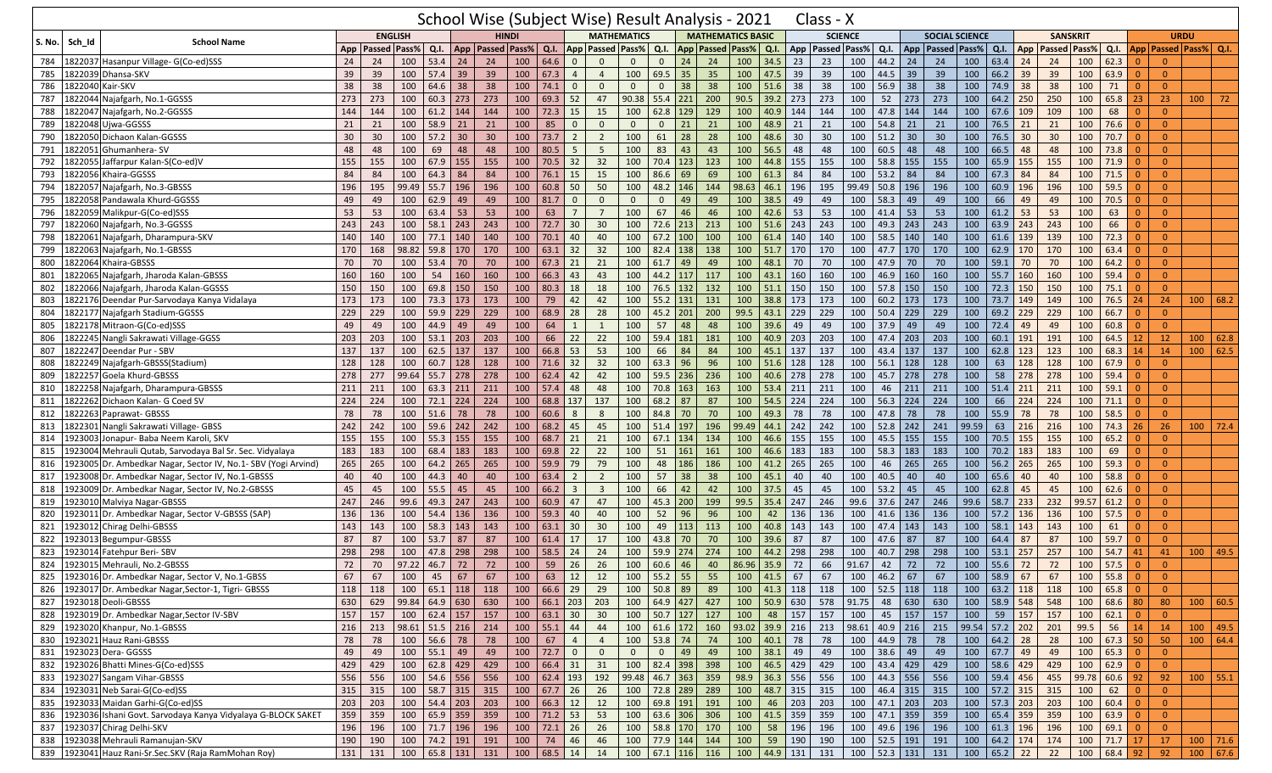|               |        |                                                                    |     |                      |                                     |      |                              |                                          |                  |       |                |                         |                    |                  |             | School Wise (Subject Wise) Result Analysis - 2021 |                  |            |     | Class - X                              |                      |                  |     |                       |       |                   |     |                  |              |                                                                   |                |                 |                            |              |
|---------------|--------|--------------------------------------------------------------------|-----|----------------------|-------------------------------------|------|------------------------------|------------------------------------------|------------------|-------|----------------|-------------------------|--------------------|------------------|-------------|---------------------------------------------------|------------------|------------|-----|----------------------------------------|----------------------|------------------|-----|-----------------------|-------|-------------------|-----|------------------|--------------|-------------------------------------------------------------------|----------------|-----------------|----------------------------|--------------|
| <b>S. No.</b> | Sch Id | <b>School Name</b>                                                 |     |                      | <b>ENGLISH</b>                      |      |                              |                                          | <b>HINDI</b>     |       |                |                         | <b>MATHEMATICS</b> |                  |             | <b>MATHEMATICS BASIC</b>                          |                  |            |     | <b>SCIENCE</b>                         |                      |                  |     | <b>SOCIAL SCIENCE</b> |       |                   |     | <b>SANSKRIT</b>  |              |                                                                   |                |                 | <b>URDU</b>                |              |
|               |        |                                                                    |     | App   Passed   Pass% |                                     |      |                              | Q.I.   App   Passed   Pass%              |                  | Q.I.  |                | App Passed              | Pass%              | Q.I.             |             | App Passed Pass%                                  |                  | Q.I.       |     | App   Passed   Pass%                   |                      | Q.I. $App$       |     | <b>Passed Pass%</b>   |       | Q.I.              |     | App Passed Pass% |              |                                                                   |                |                 | Q.I. App Passed Pass% Q.I. |              |
| 784           |        | 1822037 Hasanpur Village- G(Co-ed)SSS                              | 24  | 24                   | 100                                 | 53.4 | 24                           | 24                                       | 100              | 64.6  | $\overline{0}$ | $\mathbf{0}$            | $\mathbf{0}$       | $\mathbf{0}$     | 24          | 24                                                | 100              | 34.5       | 23  | 23                                     | 100                  | 44.2 24          |     | 24                    | 100   | 63.4              | 24  | 24               | 100          | 62.3                                                              | $\Omega$       | $\Omega$        |                            |              |
| 785           |        | 1822039 Dhansa-SKV                                                 | 39  | 39                   | 100                                 | 57.4 | 39                           | 39                                       | 100              | 67.3  | $\overline{4}$ | $\overline{4}$          | 100                | $69.5$ 35        |             | 35                                                | 100              | 47.5       | 39  | 39                                     | 100                  | 44.5 39          |     | 39                    | 100   | 66.2              | 39  | 39               | 100          | 63.9                                                              | $\Omega$       | $\overline{0}$  |                            |              |
| 786           |        | 1822040 Kair-SKV                                                   | 38  | 38                   | 100                                 | 64.6 | 38                           | 38                                       | 100              | 74.1  | $\overline{0}$ | $\Omega$                | $\mathbf{0}$       | $\mathbf{0}$     | 38          | 38                                                | 100              | 51.6       | 38  | 38                                     | 100                  | 56.9             | 38  | 38                    | 100   | 74.9              | 38  | 38               | 100          | 71                                                                | $\Omega$       | $\overline{0}$  |                            |              |
| 787           |        | 1822044 Najafgarh, No.1-GGSSS                                      | 273 | 273                  | 100                                 |      | $60.3$ 273                   | 273                                      | 100              | 69.3  | $\vert$ 52     | 47                      | 90.38              |                  | $55.4$ 221  | 200                                               | 90.5             | 39.2       | 273 | 273                                    | 100                  | 52               | 273 | 273                   | 100   | $64.2$ 250        |     | 250              | 100          | 65.8                                                              | 23             | 23              | 100                        | 72           |
| 788           |        | 1822047 Najafgarh, No.2-GGSSS                                      | 144 | 144                  | 100                                 | 61.2 | 144                          | 144                                      | 100              | 72.3  | 15             | 15                      | 100                |                  | $62.8$ 129  | 129                                               | 100              | 40.9       | 144 | 144                                    | 100                  | 47.8 144         |     | 144                   | 100   | 67.6              | 109 | 109              | 100          | 68                                                                | $\Omega$       | $\overline{0}$  |                            |              |
| 789           |        | 1822048 Ujwa-GGSSS                                                 | 21  | 21                   | 100                                 | 58.9 | 21                           | 21                                       | 100              | 85    | $\overline{0}$ | $\Omega$                | $\mathbf{0}$       | $\mathbf 0$      | 21          | 21                                                | 100              | 48.9       | 21  | 21                                     | 100                  | 54.8             | 21  | 21                    | 100   | 76.5              | 21  | 21               | 100          | 76.6                                                              | $\Omega$       | $\mathbf{0}$    |                            |              |
| 790           |        | 1822050 Dichaon Kalan-GGSSS                                        | 30  | 30                   | 100                                 | 57.2 | 30                           | 30                                       | 100              | 73.7  | $\overline{2}$ | $\overline{2}$          | 100                | 61               | 28          | 28                                                | 100              | 48.6       | 30  | 30                                     | 100                  | 51.2             | 30  | 30                    | 100   | 76.5              | 30  | 30               | 100          | 70.7                                                              | $\Omega$       | $\overline{0}$  |                            |              |
| 791           |        | 1822051 Ghumanhera- SV                                             | 48  | 48                   | 100                                 | 69   | 48                           | 48                                       | 100              | 80.5  | 5              | 5                       | 100                | 83               | 43          | 43                                                | 100              | 56.5       | 48  | 48                                     | 100                  | 60.5             | 48  | 48                    | 100   | 66.5              | 48  | 48               | 100          | 73.8                                                              | $\Omega$       | $\overline{0}$  |                            |              |
| 792           |        | 1822055 Jaffarpur Kalan-S(Co-ed)V                                  | 155 | 155                  | 100                                 | 67.9 | 155                          | 155                                      | 100              | 70.5  | 32             | 32                      | 100                | 70.4 123         |             | 123                                               | 100              | 44.8       | 155 | 155                                    | 100                  | 58.8             | 155 | 155                   | 100   | 65.9              | 155 | 155              | 100          | 71.9                                                              | $\Omega$       | $\mathbf{0}$    |                            |              |
| 793           |        | 1822056 Khaira-GGSSS                                               | 84  | 84                   | 100                                 | 64.3 | 84                           | 84                                       | 100              | 76.1  | 15             | 15                      | 100                | 86.6             | 69          | 69                                                | 100              | 61.3       | 84  | 84                                     | 100                  | 53.2             | 84  | 84                    | 100   | 67.3              | 84  | 84               | 100          | 71.5                                                              | $\Omega$       | $\overline{0}$  |                            |              |
| 794           |        | 1822057 Najafgarh, No.3-GBSSS                                      | 196 | 195                  | 99.49                               |      | $55.7$ 196                   | 196                                      | 100              | 60.8  | 50             | 50                      | 100                |                  | 48.2 146    | 144                                               | 98.63            | 46.1       | 196 | 195                                    | 99.49                | $50.8$ 196       |     | 196                   | 100   | 60.9              | 196 | 196              | 100          | 59.5                                                              | $\Omega$       | $\overline{0}$  |                            |              |
| 795           |        | 1822058 Pandawala Khurd-GGSSS                                      | 49  | 49                   | 100                                 | 62.9 | 49                           | 49                                       | 100              | 81.7  | $\mathbf{0}$   | $\Omega$                | $\mathbf{0}$       | $\mathbf{0}$     | 49          | 49                                                | 100              | 38.5       | 49  | 49                                     | 100                  | 58.3             | 49  | 49                    | 100   | 66                | 49  | 49               | 100          | 70.5                                                              | $\Omega$       | $\overline{0}$  |                            |              |
| 796           |        | 1822059 Malikpur-G(Co-ed)SSS                                       | 53  | 53                   | 100                                 | 63.4 | 53                           | 53                                       | 100              | 63    | $\overline{7}$ | $7\overline{ }$         | 100                | 67               | 46          | 46                                                | 100              | 42.6       | 53  | 53                                     | 100                  | 41.4             | 53  | 53                    | 100   | 61.2              | 53  | 53               | 100          | 63                                                                | -0             | $\overline{0}$  |                            |              |
| 797           |        | 1822060 Najafgarh, No.3-GGSSS                                      | 243 | 243                  | 100                                 | 58.1 | 243                          | 243                                      | 100              | 72.7  | 30             | 30                      | 100                | 72.6 213         |             | 213                                               | 100              | 51.6       | 243 | 243                                    | 100                  | 49.3             | 243 | 243                   | 100   | 63.9              | 243 | 243              | 100          | 66                                                                | $\Omega$       | $\overline{0}$  |                            |              |
| 798           |        | 1822061 Najafgarh, Dharampura-SKV                                  | 140 | 140                  | 100                                 |      | $77.1$ 140                   | 140                                      | 100              | 70.1  | 40             | 40                      | 100                |                  | $67.2$ 100  | 100                                               | 100              | 61.4       | 140 | 140                                    | 100                  | 58.5             | 140 | 140                   | 100   | 61.6              | 139 | 139              | 100          | 72.3                                                              | $\Omega$       | $\overline{0}$  |                            |              |
| 799           |        | 1822063 Najafgarh, No.1-GBSSS                                      | 170 | 168                  | 98.82                               | 59.8 | 170                          | 170                                      | 100              | 63.1  | 32             | 32                      | 100                | 82.4             | 138         | 138                                               | 100              | 51.7       | 170 | 170                                    | 100                  | 47.7             | 170 | 170                   | 100   | 62.9              | 170 | 170              | 100          | 63.4                                                              | -0             | $\overline{0}$  |                            |              |
| 800           |        | 1822064 Khaira-GBSSS                                               | 70  | 70                   | 100                                 | 53.4 | 70                           | 70                                       | 100              | 67.3  | 21             | 21                      | 100                | 61.7             | 49          | 49                                                | 100              | 48.1       | 70  | 70                                     | 100                  | 47.9             | 70  | 70                    | 100   | 59.1              | 70  | 70               | 100          | 64.2                                                              | $\Omega$       | $\overline{0}$  |                            |              |
| 801           |        | 1822065 Najafgarh, Jharoda Kalan-GBSSS                             | 160 | 160                  | 100                                 | 54   | 160                          | 160                                      | 100              | 66.3  | 43             | 43                      | 100                | 44.2 117         |             | 117                                               | 100              | 43.1       | 160 | 160                                    | 100                  | $46.9$ 160       |     | 160                   | 100   | 55.7              | 160 | 160              | 100          | 59.4                                                              | $\Omega$       | $\overline{0}$  |                            |              |
| 802           |        | 1822066 Najafgarh, Jharoda Kalan-GGSSS                             | 150 | 150                  | 100                                 | 69.8 | 150                          | 150                                      | 100              | 80.3  | 18             | 18                      | 100                | $76.5$ 132       |             | 132                                               | 100              | 51.1       | 150 | 150                                    | 100                  | $57.8$ 150       |     | 150                   | 100   | 72.3              | 150 | 150              | 100          | 75.1                                                              | $\Omega$       | $\overline{0}$  |                            |              |
| 803           |        | 1822176 Deendar Pur-Sarvodaya Kanya Vidalaya                       | 173 | 173                  | 100                                 |      | $73.3$ 173                   | 173                                      | 100              | 79    | 42             | 42                      | 100                | 55.2 131         |             | 131                                               | 100              | 38.8       | 173 | 173                                    | 100                  | 60.2             | 173 | 173                   | 100   | 73.7              | 149 | 149              | 100          | 76.5                                                              | 24             | 24              | 100                        | 68.2         |
| 804           |        | 1822177 Najafgarh Stadium-GGSSS                                    | 229 | 229                  | 100                                 | 59.9 | 229                          | 229                                      | 100              | 68.9  | 28             | 28                      | 100                | 45.2 201         |             | 200                                               | 99.5             | 43.1       | 229 | 229                                    | 100                  | 50.4             | 229 | 229                   | 100   | 69.2              | 229 | 229              | 100          | 66.7                                                              | $\Omega$       | $\overline{0}$  |                            |              |
| 805           |        | 1822178 Mitraon-G(Co-ed)SSS                                        | 49  | 49                   | 100                                 | 44.9 | 49                           | 49                                       | 100              | 64    | $\mathbf{1}$   | 1                       | 100                | 57               | 48          | 48                                                | 100              | 39.6       | 49  | 49                                     | 100                  | 37.9             | 49  | 49                    | 100   | 72.4              | 49  | 49               | 100          | 60.8                                                              | -0             | $\mathbf{0}$    |                            |              |
|               |        | 1822245 Nangli Sakrawati Village-GGSS                              |     |                      | 100                                 |      | $53.1$ 203                   | 203                                      | 100              |       |                |                         | 100                | 59.4 181         |             |                                                   |                  |            | 203 | 203                                    | 100                  | 47.4 203         |     | 203                   |       | 60.1              |     |                  | 100          | 64.5                                                              |                | 12 <sup>°</sup> |                            | 62.8         |
| 806           |        |                                                                    | 203 | 203                  |                                     |      |                              |                                          |                  | 66    | 22             | 22                      |                    |                  |             | 181                                               | 100              | 40.9       |     |                                        |                      |                  |     |                       | 100   |                   | 191 | 191              |              |                                                                   | 12             |                 | 100                        |              |
| 807           |        | 1822247 Deendar Pur - SBV                                          | 137 | 137                  | 100                                 |      | $62.5$ 137                   | 137                                      | 100              | 66.8  | 53             | 53                      | 100                | 66               | 84          | 84                                                | 100              | 45.1       | 137 | 137                                    | 100                  | 43.4             | 137 | 137                   | 100   | 62.8              | 123 | 123              | 100          | 68.3                                                              | 14             | 14              | 100                        | 62.5         |
| 808           |        | 1822249 Najafgarh-GBSSS(Stadium)                                   | 128 | 128                  | 100                                 | 60.7 | 128                          | 128                                      | 100              | 71.6  | 32             | 32                      | 100                | 63.3             | 96          | 96                                                | 100              | 51.6       | 128 | 128                                    | 100                  | 56.1             | 128 | 128                   | 100   | 63                | 128 | 128              | 100          | 67.9                                                              |                | $\mathbf{0}$    |                            |              |
| 809           |        | 1822257 Goela Khurd-GBSSS                                          | 278 | 277                  | 99.64                               |      | $55.7$ 278                   | 278                                      | 100              | 62.4  | 42             | 42                      | 100                | $59.5$ 236       |             | 236                                               | 100              | 40.6       | 278 | 278                                    | 100                  | $45.7$ 278       |     | 278                   | 100   | 58                | 278 | 278              | 100          | 59.4                                                              | $\Omega$       | $\overline{0}$  |                            |              |
| 810           |        | 1822258 Najafgarh, Dharampura-GBSSS                                | 211 | 211                  | 100                                 |      | $63.3$ 211                   | 211                                      | 100              | 57.4  | 48             | 48                      | 100                | 70.8 163         |             | 163                                               | 100              | 53.4       | 211 | 211                                    | 100                  | 46               | 211 | 211                   | 100   | 51.4              | 211 | 211              | 100          | 59.1                                                              | $\Omega$       | $\overline{0}$  |                            |              |
| 811           |        | 1822262 Dichaon Kalan- G Coed SV                                   | 224 | 224                  | 100                                 |      | $72.1$ 224                   | 224                                      | 100              | 68.8  | 137            | 137                     | 100                | 68.2             | 87          | 87                                                | 100              | 54.5       | 224 | 224                                    | 100                  | $56.3$ 224       |     | 224                   | 100   | 66                | 224 | 224              | 100          | 71.1                                                              |                | $\overline{0}$  |                            |              |
| 812           |        | 1822263 Paprawat- GBSSS                                            | 78  | 78                   | 100                                 | 51.6 | 78                           | 78                                       | 100              | 60.6  | 8              | 8                       | 100                | 84.8             | 70          | 70                                                | 100              | 49.3       | 78  | 78                                     | 100                  | 47.8             | 78  | 78                    | 100   | 55.9              | 78  | 78               | 100          | 58.5                                                              | $\overline{0}$ | $\overline{0}$  |                            |              |
| 813           |        | 1822301 Nangli Sakrawati Village- GBSS                             | 242 | 242                  | 100                                 |      | $59.6$ 242                   | 242                                      | 100              | 68.2  | 45             | 45                      | 100                | 51.4 197         |             | 196                                               | 99.49            | 44.1       | 242 | 242                                    | 100                  | $52.8$ 242       |     | 241                   | 99.59 | 63                | 216 | 216              | 100          | 74.3                                                              | 26             | 26              | 100                        | 72.4         |
| 814           |        | 1923003 Jonapur- Baba Neem Karoli, SKV                             | 155 | 155                  | 100                                 | 55.3 | 155                          | 155                                      | 100              | 68.7  | 21             | 21                      | 100                | $67.1$ 134       |             | 134                                               | 100              | 46.6       | 155 | 155                                    | 100                  | 45.5             | 155 | 155                   | 100   | 70.5              | 155 | 155              | 100          | 65.2                                                              |                | $\overline{0}$  |                            |              |
| 815           |        | 1923004 Mehrauli Qutab, Sarvodaya Bal Sr. Sec. Vidyalaya           | 183 | 183                  | 100                                 |      | 68.4 183                     | 183                                      | 100              | 69.8  | 22             | 22                      | 100                | 51               | 161         | 161                                               | 100              | 46.6       | 183 | 183                                    | 100                  | 58.3             | 183 | 183                   | 100   | 70.2              | 183 | 183              | 100          | 69                                                                | $\Omega$       | $\overline{0}$  |                            |              |
| 816           |        | 923005 Dr. Ambedkar Nagar, Sector IV, No.1- SBV (Yogi Arvind)      | 265 | 265                  | 100                                 | 64.2 | 265                          | 265                                      | 100              | 59.9  | 79             | 79                      | 100                | 48               | 186         | 186                                               | 100              | 41.2       | 265 | 265                                    | 100                  | 46               | 265 | 265                   | 100   | 56.2              | 265 | 265              | 100          | 59.3                                                              | $\Omega$       | $\overline{0}$  |                            |              |
| 817           |        | 1923008 Dr. Ambedkar Nagar, Sector IV, No.1-GBSSS                  | 40  | 40                   | 100                                 | 44.3 | 40                           | 40                                       | 100              | 63.4  | $\overline{2}$ | $\overline{2}$          | 100                | 57               | 38          | 38                                                | 100              | 45.1       | 40  | 40                                     | 100                  | 40.5             | 40  | 40                    | 100   | 65.6              | 40  | 40               | 100          | 58.8                                                              |                | $\overline{0}$  |                            |              |
| 818           |        | 1923009 Dr. Ambedkar Nagar, Sector IV, No.2-GBSSS                  | 45  | 45                   | 100                                 | 55.5 | 45                           | 45                                       | 100              | 66.2  | $\overline{3}$ | $\overline{\mathbf{3}}$ | 100                | 66               | 42          | 42                                                | 100              | 37.5       | 45  | 45                                     | 100                  | 53.2             | 45  | 45                    | 100   | 62.8              | 45  | 45               | 100          | 62.6                                                              | $\Omega$       | $\overline{0}$  |                            |              |
| 819           |        | 1923010 Malviya Nagar-GBSSS                                        | 247 | 246                  | 99.6                                | 49.3 | 247                          | 243                                      | 100              | 60.9  | 47             | 47                      | 100                |                  | 45.3 200    | 199                                               | 99.5             | 35.4       | 247 | 246                                    | 99.6                 | $37.6$ 247       |     | 246                   | 99.6  | 58.7              | 233 | 232              | 99.57        | 61.2                                                              | $\Omega$       | $\overline{0}$  |                            |              |
| 820           |        | 1923011 Dr. Ambedkar Nagar, Sector V-GBSSS (SAP)                   | 136 | 136                  | 100                                 | 54.4 | 136                          | 136                                      | 100              | 59.3  | 40             | 40                      | 100                | 52               | 96          | 96                                                | 100              | 42         | 136 | 136                                    | 100                  | $41.6$ 136       |     | 136                   | 100   | 57.2              | 136 | 136              | 100          | 57.5                                                              | $\Omega$       | $\overline{0}$  |                            |              |
| 821           |        | 1923012 Chirag Delhi-GBSSS                                         | 143 | 143                  | 100                                 |      | $58.3$ 143                   | 143                                      | 100              | 63.1  | 30             | 30                      | 100                | 49               | 113         | 113                                               | 100              | 40.8       | 143 | 143                                    | 100                  | 47.4             | 143 | 143                   | 100   | 58.1              | 143 | 143              | 100          | 61                                                                | -0             | $\overline{0}$  |                            |              |
| 822           |        | 1923013 Begumpur-GBSSS                                             | 87  | 87                   | 100                                 | 53.7 | 87                           | 87                                       | 100              | 61.4  | 17             | 17                      | 100                | 43.8             | 70          | 70                                                | 100              | 39.6       | 87  | 87                                     | 100                  | 47.6             | 87  | 87                    | 100   | 64.4              | 87  | 87               | 100          | 59.7                                                              | $\Omega$       | $\overline{0}$  |                            |              |
| 823           |        | 1923014 Fatehpur Beri- SBV                                         | 298 | 298                  | 100                                 | 47.8 | 298                          | 298                                      | 100              | 58.5  | 24             | 24                      | 100                | 59.9 274         |             | 274                                               | 100              | 44.2       | 298 | 298                                    | 100                  | 40.7             | 298 | 298                   | 100   | 53.1              | 257 | 257              | 100          | 54.7                                                              | 41             | 41              | 100                        | 49.5         |
| 824           |        | 1923015 Mehrauli, No.2-GBSSS                                       | 72  | 70                   | 97.22                               | 46.7 | 72                           | 72                                       | 100              | 59    | 26             | 26                      | 100                | 60.6             | 46          | 40                                                | 86.96            | 35.9       | 72  | 66                                     | 91.67                | 42               | 72  | 72                    | 100   | 55.6              | 72  | 72               | 100          | 57.5                                                              | $\Omega$       | $\overline{0}$  |                            |              |
|               |        | 825   1923016 Dr. Ambedkar Nagar, Sector V, No.1-GBSS              | 67  | 67                   |                                     |      |                              | 100   45   67   67   100   63   12       |                  |       |                | 12                      | $100$   55.2   55  |                  |             | - 55                                              |                  |            |     | 100   41.5   67   67   100   46.2   67 |                      |                  |     | -67                   |       | $100$   58.9   67 |     | 67               | $100$ 55.8 0 |                                                                   |                | $\overline{0}$  |                            |              |
|               |        | 826   1923017 Dr. Ambedkar Nagar, Sector-1, Tigri- GBSSS           | 118 | 118                  |                                     |      |                              | 100   65.1   118   118   100   66.6   29 |                  |       |                | 29                      | 100                | $50.8$ 89        |             | 89                                                |                  |            |     | 100 41.3 118 118 100                   |                      | 52.5 118 118     |     |                       |       | 100 63.2 118      |     | 118              | 100          | $65.8$ 0                                                          |                | $\overline{0}$  |                            |              |
|               |        | 827 1923018 Deoli-GBSSS                                            | 630 | 629                  | $99.84 \mid 64.9 \mid 630 \mid 630$ |      |                              |                                          | 100 66.1 203 203 |       |                |                         | 100                | 64.9 427         |             | 427                                               | 100 50.9 630 578 |            |     |                                        | 91.75                |                  |     | 48 630 630            |       | 100 58.9 548      |     | 548              | 100          | 68.6 80                                                           |                | 80              |                            | 100   60.5   |
|               |        | 828 1923019 Dr. Ambedkar Nagar, Sector IV-SBV                      | 157 | 157                  |                                     |      | 100 62.4 157 157             |                                          | 100 63.1 30      |       |                | 30                      | 100                | $50.7$ 127       |             | 127                                               | 100              | 48 157     |     | 157                                    | 100                  | 45 157 157       |     |                       |       | 100 59 157        |     | 157              | 100          | $62.1 \begin{array}{ c c } \hline 62.1 & 0 \\ \hline \end{array}$ |                | $\overline{0}$  |                            |              |
|               |        | 829 1923020 Khanpur, No.1-GBSSS                                    | 216 | 213                  | 98.61 51.5 216 214                  |      |                              |                                          | 100 55.1 44      |       |                | 44                      | $\boxed{100}$      |                  |             | 61.6 172 160                                      | 93.02 39.9 216   |            |     | 213                                    | $98.61$ 40.9 216 215 |                  |     |                       |       | 99.54 57.2 202    |     | 201              | 99.5         | 56 14                                                             |                | 14              | 100                        | 49.5         |
|               |        | 830 1923021 Hauz Rani-GBSSS                                        | 78  | 78                   |                                     |      | $100 \mid 56.6 \mid 78 \mid$ | 78                                       | 100              | 67    | $\overline{4}$ | $\overline{4}$          | 100                | $53.8$ 74        |             | 74                                                | 100              | $40.1$ 78  |     | 78                                     |                      | 100 44.9 78      |     | 78                    |       | 100 64.2 28       |     | 28               | 100          | 67.3 50                                                           |                | 50              |                            | 100   64.4   |
|               |        | 831 1923023 Dera- GGSSS                                            | 49  | 49                   |                                     |      | $100$ 55.1 49                | 49                                       | $100$ 72.7 0     |       |                | $\overline{0}$          | $\mathbf{0}$       |                  | $0 \mid 49$ | 49                                                | 100 38.1 49      |            |     | 49                                     |                      | 100 38.6 49      |     | 49                    |       | 100 67.7 49       |     | 49               | 100          | $65.3$ 0                                                          |                | $\overline{0}$  |                            |              |
|               |        | 832 1923026 Bhatti Mines-G(Co-ed)SSS                               | 429 | 429                  |                                     |      | 100 62.8 429 429             |                                          | 100 66.4 31      |       |                | 31                      | 100                |                  | 82.4 398    | 398                                               | 100 46.5 429     |            |     | 429                                    | 100                  | 43.4 429 429     |     |                       | 100   | 58.6 429          |     | 429              | 100          | $62.9$ 0                                                          |                | $\overline{0}$  |                            |              |
| 833           |        | 1923027 Sangam Vihar-GBSSS                                         | 556 | 556                  |                                     |      | 100    54.6    556    556    |                                          | 100 62.4 193     |       |                | 192                     | 99.48              | $46.7$ 363       |             | 359                                               | 98.9 36.3 556    |            |     | 556                                    |                      | 100 44.3 556 556 |     |                       |       | 100 59.4 456      |     | 455              | 99.78        | $60.6$ 92                                                         |                | 92              | 100                        | 55.1         |
|               |        | 834 1923031 Neb Sarai-G(Co-ed)SS                                   | 315 | 315                  |                                     |      | 100   58.7   315   315       |                                          | 100   67.7   26  |       |                | 26                      | 100                | 72.8 289         |             | 289                                               | 100 48.7 315     |            |     | 315                                    |                      | 100 46.4 315 315 |     |                       |       | 100 57.2 315      |     | 315              | 100          | 62                                                                | $\overline{0}$ | $\overline{0}$  |                            |              |
|               |        | 835 1923033 Maidan Garhi-G(Co-ed)SS                                | 203 | 203                  |                                     |      |                              |                                          | 100   66.3   12  |       |                | 12                      | 100                | 69.8 191 191     |             |                                                   | 100              | 46 203     |     | 203                                    |                      | 100 47.1 203 203 |     |                       |       | 100 57.3 203      |     | 203              | 100          | $60.4 \begin{array}{ c c } \hline 60.4 & 0 \\ \hline \end{array}$ |                | $\overline{0}$  |                            |              |
|               |        | 836   1923036 Ishani Govt. Sarvodaya Kanya Vidyalaya G-BLOCK SAKET | 359 | 359                  | 100                                 |      | 65.9 359 359                 |                                          | $100$ 71.2 53    |       |                | 53                      | 100                |                  | 63.6 306    | 306                                               | 100              | $41.5$ 359 |     | 359                                    |                      | 100 47.1 359 359 |     |                       |       | 100 65.4 359      |     | 359              | 100          | $63.9$ 0                                                          |                | $\overline{0}$  |                            |              |
|               |        | 837 1923037 Chirag Delhi-SKV                                       | 196 | 196                  |                                     |      | 100 71.7 196 196             |                                          | $100$ 72.1 26    |       |                | 26                      |                    | 100 58.8 170 170 |             |                                                   | 100              | 58 196     |     | 196                                    |                      | 100 49.6 196 196 |     |                       |       | 100 61.3 196      |     | 196              | 100          | $69.1$ 0                                                          |                | $\overline{0}$  |                            |              |
|               |        | 838 1923038 Mehrauli Ramanujan-SKV                                 | 190 | 190                  |                                     |      | 100 74.2 191 191             |                                          | 100              | 74 46 |                | 46                      | 100                | 77.9 144 144     |             |                                                   | 100              | 59 190     |     | 190                                    |                      | 100 52.5 191 191 |     |                       | 100   | $64.2$ 174        |     | 174              | 100          | $71.7$ 17                                                         |                | 17              |                            | $100$   71.6 |
|               |        | 839 1923041 Hauz Rani-Sr.Sec.SKV (Raja RamMohan Roy)               | 131 | 131                  |                                     |      | $100 \ 65.8 \ 131 \ 131$     |                                          | 100   68.5   14  |       |                | 14                      | $\boxed{100}$      | 67.1 116 116     |             |                                                   | 100 44.9 131 131 |            |     |                                        |                      | 100 52.3 131 131 |     |                       |       | 100   65.2   22   |     | 22               | 100          | 68.4 92                                                           |                | 92              |                            | 100   67.6   |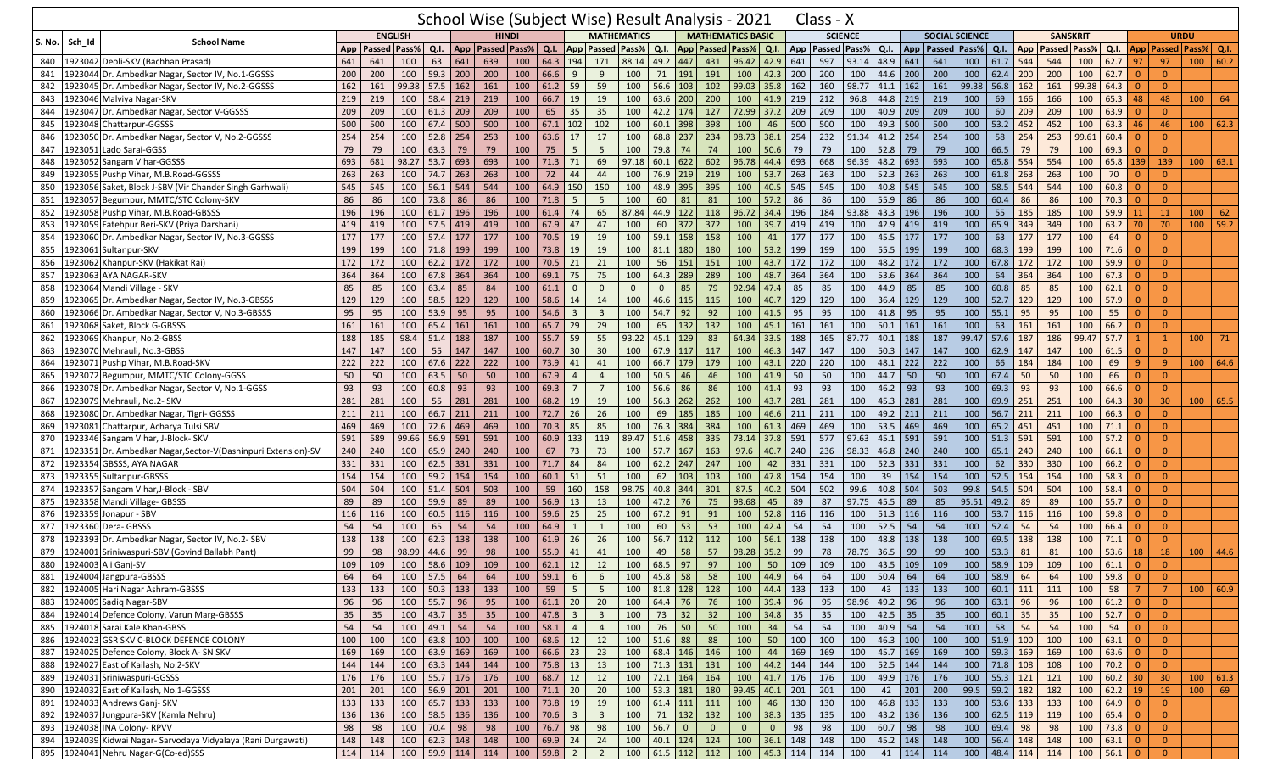|        |                                                                  |     |                |                |                  |     | School Wise (Subject Wise) Result Analysis - 2021 |              |                  |                         |                         |                         |              |                               |                |                             |                               |             | Class - X           |       |                 |        |                       |       |                  |              |                     |                    |                     |                         |                             |            |              |
|--------|------------------------------------------------------------------|-----|----------------|----------------|------------------|-----|---------------------------------------------------|--------------|------------------|-------------------------|-------------------------|-------------------------|--------------|-------------------------------|----------------|-----------------------------|-------------------------------|-------------|---------------------|-------|-----------------|--------|-----------------------|-------|------------------|--------------|---------------------|--------------------|---------------------|-------------------------|-----------------------------|------------|--------------|
|        | <b>School Name</b><br>Sch Id                                     |     |                | <b>ENGLISH</b> |                  |     |                                                   | <b>HINDI</b> |                  |                         |                         | <b>MATHEMATICS</b>      |              |                               |                | <b>MATHEMATICS BASIC</b>    |                               |             | <b>SCIENCE</b>      |       |                 |        | <b>SOCIAL SCIENCE</b> |       |                  |              | <b>SANSKRIT</b>     |                    |                     |                         | <b>URDU</b>                 |            |              |
| S. No. |                                                                  | App | Passed   Pass% |                | Q.I.             |     | App   Passed   Pass%                              |              | Q.I.             |                         |                         | <b>App Passed Pass%</b> | Q.I.         |                               |                | App   Passed   Pass%   Q.I. |                               | App         | <b>Passed Pass%</b> |       | Q.I.            |        | App   Passed   Pass%  |       | Q.I. $App$       |              | <b>Passed Pass%</b> |                    | Q.I.                |                         | App   Passed   Pass%   Q.I. |            |              |
| 840    | Deoli-SKV (Bachhan Prasad)<br>1923042                            | 641 | 641            | 100            | 63               | 641 | 639                                               | 100          | 64.3 194         |                         | 171                     | 88.14                   | 49.2         | 447                           | 431            | 96.42                       | 42.9                          | 641         | 597                 | 93.14 | 48.9            | 641    | 641                   | 100   | $61.7$ 544       |              | 544                 | 100                | 62.7                | 97                      | 97                          | 100        | 60.2         |
| 841    | Dr. Ambedkar Nagar, Sector IV, No.1-GGSSS<br>1923044             | 200 | 200            | 100            | $59.3$ 200       |     | 200                                               | 100          | 66.6             | 9                       | 9                       | 100                     | 71           | 191                           | 191            | 100                         | 42.3                          | 200         | 200                 | 100   | 44.6            | 200    | 200                   | 100   | $62.4$ 200       |              | 200                 | 100                | 62.7                | $\Omega$                | $\overline{0}$              |            |              |
| 842    | .923045<br>Dr. Ambedkar Nagar, Sector IV, No.2-GGSSS             | 162 | 161            | 99.38          | 57.5             | 162 | 161                                               | 100          | $61.2$ 59        |                         | 59                      | 100                     | $56.6$ 103   |                               | 102            | 99.03                       | 35.8                          | 162         | 160                 | 98.77 | 41.1            | 162    | 161                   | 99.38 | 56.8             | 162          | 161                 | 99.38              | 64.3                |                         | $\Omega$                    |            |              |
| 843    | 1923046 Malviya Nagar-SKV                                        | 219 | 219            | 100            | 58.4 219         |     | 219                                               | 100          | 66.7 19          |                         | 19                      | 100                     | $63.6$ 200   |                               | 200            | 100                         | 41.9                          | 219         | 212                 | 96.8  | 44.8            | 219    | 219                   | 100   | 69               | 166          | 166                 | 100                | 65.3                | 48                      | 48                          | 100        | 64           |
| 844    | Dr. Ambedkar Nagar, Sector V-GGSSS<br>1923047                    | 209 | 209            | 100            | $61.3$ 209       |     | 209                                               | 100          | 65               | 35                      | 35                      | 100                     | 42.2 174     |                               | 127            | 72.99                       | 37.2                          | 209         | 209                 | 100   | 40.9            | 209    | 209                   | 100   | 60               | 209          | 209                 | 100                | 63.9                |                         | $\Omega$                    |            |              |
| 845    | 923048<br>Chattarpur-GGSSS                                       | 500 | 500            | 100            | 67.4 500         |     | 500                                               | 100          | 67.1 102         |                         | 102                     | 100                     | $60.1$ 398   |                               | 398            | 100                         | 46                            | 500         | 500                 | 100   | 49.3            | 500    | 500                   | 100   | 53.2             | 452          | 452                 | 100                | 63.3                | 46                      | 46                          | 100   62.3 |              |
| 846    | 1923050<br>Dr. Ambedkar Nagar, Sector V, No.2-GGSSS              | 254 | 254            | 100            | $52.8$ 254       |     | 253                                               | 100          | 63.6             | 17                      | 17                      | 100                     | 68.8 237     |                               | 234            | 98.73                       | 38.1                          | 254         | 232                 | 91.34 | 41.2            | 254    | 254                   | 100   | 58               | 254          | 253                 | 99.61              | 60.4                | $\Omega$                | $\overline{0}$              |            |              |
| 847    | Lado Sarai-GGSS<br>1923051                                       | 79  | 79             | 100            | 63.3             | 79  | 79                                                | 100          | 75               | -5                      | 5                       | 100                     | 79.8 74      |                               | 74             | 100                         | 50.6                          | 79          | 79                  | 100   | 52.8            | 79     | 79                    | 100   | 66.5             | 79           | 79                  | 100                | 69.3                | $\Omega$                | $\overline{0}$              |            |              |
| 848    | 923052<br>Sangam Vihar-GGSSS                                     | 693 | 681            | 98.27          | 53.7             | 693 | 693                                               | 100          | 71.3             | 71                      | 69                      | 97.18                   | 60.1         | 622                           | 602            | 96.78                       | 44.4                          | 693         | 668                 | 96.39 | 48.2            | 693    | 693                   | 100   | 65.8             | 554          | 554                 | 100                | 65.8                | L39                     | 139                         | 100   63.1 |              |
| 849    | Pushp Vihar, M.B.Road-GGSSS<br>1923055                           | 263 | 263            | 100            | 74.7 263         |     | 263                                               | 100          | 72               | 44                      | 44                      | 100                     |              | 76.9 219                      | 219            | 100                         | 53.7                          | 263         | 263                 | 100   | 52.3            | 263    | 263                   | 100   | 61.8             | 263          | 263                 | 100                | 70                  | $\Omega$                | $\overline{0}$              |            |              |
| 850    | 1923056 Saket, Block J-SBV (Vir Chander Singh Garhwali)          | 545 | 545            | 100            | 56.1             | 544 | 544                                               | 100          | 64.9             | 150                     | 150                     | 100                     |              | 48.9 395                      | 395            | 100                         | 40.5                          | 545         | 545                 | 100   | 40.8            | 545    | 545                   | 100   | 58.5             | 544          | 544                 | 100                | 60.8                | $\Omega$                | $\Omega$                    |            |              |
| 851    | Begumpur, MMTC/STC Colony-SKV<br>.92305                          | 86  | 86             | 100            | 73.8             | 86  | 86                                                | 100          | 71.8             |                         | 5                       | 100                     | 60           | 81                            | 81             | 100                         | 57.2                          | 86          | 86                  | 100   | 55.9            | 86     | 86                    | 100   | 60.4             | 86           | 86                  | 100                | 70.3                |                         | $\Omega$                    |            |              |
| 852    | 1923058 Pushp Vihar, M.B.Road-GBSSS                              | 196 | 196            | 100            | 61.7 196         |     | 196                                               | 100          | 61.4 74          |                         | 65                      | 87.84                   |              | 44.9 122                      | 118            | 96.72 34.4                  |                               | 196         | 184                 | 93.88 | 43.3            | 196    | 196                   | 100   | 55               | 185          | 185                 | 100                | 59.9                | 11                      | 11                          | 100        | 62           |
| 853    | 1923059<br>Fatehpur Beri-SKV (Priya Darshani)                    | 419 | 419            | 100            | 57.5 419         |     | 419                                               | 100          | 67.9             | 47                      | 47                      | 100                     | 60           | 372                           | 372            | 100                         | 39.7                          | 419         | 419                 | 100   | 42.9            | 419    | 419                   | 100   | 65.9             | 349          | 349                 | 100                | 63.2                | 70                      | 70                          | $100$ 59.2 |              |
| 854    | 1923060 Dr. Ambedkar Nagar, Sector IV, No.3-GGSSS                | 177 | 177            | 100            | 57.4             | 177 | 177                                               | 100          | 70.5             | 19                      | 19                      | 100                     | 59.1         | 158                           | 158            | 100                         | 41                            | 177         | 177                 | 100   | 45.5            | 177    | 177                   | 100   | 63               | 177          | 177                 | 100                | 64                  |                         | $\Omega$                    |            |              |
| 855    | 1923061 Sultanpur-SKV                                            | 199 | 199            | 100            | 71.8 199         |     | 199                                               | 100          | 73.8             | 19                      | 19                      | 100                     | 81.1         | 180                           | 180            | 100                         | 53.2                          | 199         | 199                 | 100   | 55.5            | 199    | 199                   | 100   | 68.3             | 199          | 199                 | 100                | 71.6                | $\Omega$                | $\overline{0}$              |            |              |
| 856    | Khanpur-SKV (Hakikat Rai)<br>1923062                             | 172 | 172            | 100            | 62.2 172         |     | 172                                               | 100          | 70.5             | 21                      | 21                      | 100                     | 56           | 151                           | 151            | 100                         | 43.7                          | 172         | 172                 | 100   | 48.2            | 172    | 172                   | 100   | 67.8 172         |              | 172                 | 100                | 59.9                | $\Omega$                | $\Omega$                    |            |              |
| 857    | 1923063<br><b>AYA NAGAR-SKV</b>                                  | 364 | 364            | 100            | 67.8 364         |     | 364                                               | 100          | 69.1             | 75                      | 75                      | 100                     | 64.3         | 289                           | 289            | 100                         | 48.7                          | 364         | 364                 | 100   | 53.6            | 364    | 364                   | 100   | 64               | 364          | 364                 | 100                | 67.3                |                         | $\Omega$                    |            |              |
| 858    | 1923064 Mandi Village - SKV                                      | 85  | 85             | 100            | 63.4             | 85  | 84                                                | 100          | 61.1             | $\Omega$                | $\mathbf 0$             | $\mathbf{0}$            | $\mathbf{0}$ | 85                            | 79             | 92.94                       | 47.4                          | 85          | 85                  | 100   | 44.9            | 85     | 85                    | 100   | 60.8             | 85           | 85                  | 100                | 62.1                | $\Omega$                | $\overline{0}$              |            |              |
| 859    | 1923065 Dr. Ambedkar Nagar, Sector IV, No.3-GBSSS                | 129 | 129            | 100            | 58.5             | 129 | 129                                               | 100          | 58.6             | 14                      | 14                      | 100                     |              | 46.6 115                      | 115            | 100                         | 40.7                          | 129         | 129                 | 100   | 36.4            | 129    | 129                   | 100   | $52.7$ 129       |              | 129                 | 100                | 57.9                | $\Omega$                | $\Omega$                    |            |              |
| 860    | Dr. Ambedkar Nagar, Sector V, No.3-GBSSS<br>1923066              | 95  | 95             | 100            | 53.9             | 95  | 95                                                | 100          | 54.6             | $\overline{3}$          | $\overline{3}$          | 100                     | 54.7 92      |                               | 92             | 100                         | 41.5                          | 95          | 95                  | 100   | 41.8            | 95     | 95                    | 100   | 55.1             | 95           | 95                  | 100                | 55                  |                         | $\Omega$                    |            |              |
| 861    | 1923068 Saket, Block G-GBSSS                                     | 161 | 161            | 100            | 65.4             | 161 | 161                                               | 100          | 65.7             | 29                      | 29                      | 100                     | 65           | 132                           | 132            | 100                         | 45.1                          | 161         | 161                 | 100   | 50.1            | 161    | 161                   | 100   | 63               | 161          | 161                 | 100                | 66.2                | $\Omega$                | $\overline{0}$              |            |              |
| 862    | 1923069<br>Khanpur, No.2-GBSS                                    | 188 | 185            | 98.4           | 51.4             | 188 | 187                                               | 100          | 55.7             | 59                      | 55                      | 93.22                   | $45.1$ 129   |                               | 83             | 64.34                       | 33.5                          | 188         | 165                 | 87.77 | 40.1            | 188    | 187                   | 99.47 | 57.6             | 187          | 186                 | 99.47              | 57.7                |                         | $\mathbf{1}$                | 100        | 71           |
| 863    | 1923070<br>Mehrauli, No.3-GBSS                                   | 147 | 147            | 100            | 55               | 147 | 147                                               | 100          | 60.7             | 30                      | 30                      | 100                     | 67.9 117     |                               | 117            | 100                         | 46.3                          | 147         | 147                 | 100   | 50.3            | 147    | 147                   | 100   | 62.9             | 147          | 147                 | 100                | 61.5                |                         | $\Omega$                    |            |              |
| 864    | 1923071 Pushp Vihar, M.B.Road-SKV                                | 222 | 222            | 100            | $67.6$ 222       |     | 222                                               | 100          | 73.9             | 41                      | 41                      | 100                     |              | 66.7 179                      | 179            | 100                         | 43.1                          | 220         | 220                 | 100   | 48.1            | 222    | 222                   | 100   | 66               | 184          | 184                 | 100                | 69                  | -q                      | $\overline{9}$              | 100   64.6 |              |
| 865    | Begumpur, MMTC/STC Colony-GGSS<br>192307                         | 50  | 50             | 100            | 63.5             | 50  | 50                                                | 100          | 67.9             | $\overline{4}$          | $\overline{4}$          | 100                     | 50.5         | 46                            | 46             | 100                         | 41.9                          | 50          | 50                  | 100   | 44.7            | 50     | 50                    | 100   | 67.4             | 50           | 50                  | 100                | 66                  | $\Omega$                | $\Omega$                    |            |              |
| 866    | Dr. Ambedkar Nagar, Sector V, No.1-GGSS<br>1923078               | 93  | 93             | 100            | 60.8             | 93  | 93                                                | 100          | 69.3             |                         | $\overline{7}$          | 100                     | 56.6 86      |                               | 86             | 100                         | 41.4                          | 93          | 93                  | 100   | 46.2            | 93     | 93                    | 100   | 69.3             | 93           | 93                  | 100                | 66.6                | $\Omega$                | $\Omega$                    |            |              |
| 867    | 1923079<br>Mehrauli, No.2- SKV                                   | 281 | 281            | 100            | 55               | 281 | 281                                               | 100          | 68.2             | 19                      | 19                      | 100                     |              | 56.3 262                      | 262            | 100                         | 43.7                          | 281         | 281                 | 100   | 45.3            | 281    | 281                   | 100   | 69.9             | 251          | 251                 | 100                | 64.3                | 30                      | 30                          | 100   65.5 |              |
| 868    | 1923080<br>Dr. Ambedkar Nagar, Tigri- GGSSS                      | 211 | 211            | 100            | 66.7 211         |     | 211                                               | 100          | $72.7$ 26        |                         | 26                      | 100                     | 69           | 185                           | 185            | 100                         | 46.6                          | 211         | 211                 | 100   | 49.2 211        |        | 211                   | 100   | $56.7$ 211       |              | 211                 | 100                | 66.3                | $\Omega$                | $\overline{0}$              |            |              |
| 869    | Chattarpur, Acharya Tulsi SBV<br>1923081                         | 469 | 469            | 100            | 72.6 469         |     | 469                                               | 100          | 70.3             | 85                      | 85                      | 100                     | 76.3 384     |                               | 384            | 100                         | 61.3                          | 469         | 469                 | 100   | 53.5            | 469    | 469                   | 100   | 65.2             | 451          | 451                 | 100                | 71.1                | $\Omega$                | $\Omega$                    |            |              |
| 870    | 1923346 Sangam Vihar, J-Block-SKV                                | 591 | 589            | 99.66          | 56.9 591         |     | 591                                               | 100          | 60.9 133         |                         | 119                     | 89.47                   | $51.6$ 458   |                               | 335            | 73.14 37.8                  |                               | 591         | 577                 | 97.63 | 45.1            | 591    | 591                   | 100   | $51.3$ 591       |              | 591                 | 100                | 57.2                | $\Omega$                | $\overline{0}$              |            |              |
| 871    | Dr. Ambedkar Nagar, Sector-V(Dashinpuri Extension)-SV<br>1923351 | 240 | 240            | 100            | 65.9 240         |     | 240                                               | 100          | 67               | 73                      | 73                      | 100                     | $57.7$ 167   |                               | 163            | 97.6                        | 40.7                          | 240         | 236                 | 98.33 | 46.8            | 240    | 240                   | 100   | $65.1$ 240       |              | 240                 | 100                | 66.1                | $\Omega$                | $\overline{0}$              |            |              |
| 872    | 1923354<br><b>GBSSS, AYA NAGAR</b>                               | 331 | 331            | 100            | $62.5$ 331       |     | 331                                               | 100          | 71.7             | 84                      | 84                      | 100                     | $62.2$ 247   |                               | 247            | 100                         | 42                            | 331         | 331                 | 100   | 52.3            | 331    | 331                   | 100   | 62               | 330          | 330                 | 100                | 66.2                |                         | $\Omega$                    |            |              |
| 873    | 1923355 Sultanpur-GBSSS                                          | 154 | 154            | 100            | 59.2             | 154 | 154                                               | 100          | $60.1$ 51        |                         | 51                      | 100                     | 62           | 103                           | 103            | 100                         | 47.8                          | 154         | 154                 | 100   | 39              | 154    | 154                   | 100   | 52.5             | 154          | 154                 | 100                | 58.3                |                         | $\overline{0}$              |            |              |
| 874    | 1923357 Sangam Vihar, J-Block - SBV                              | 504 | 504            | 100            | 51.4 504         |     | 503                                               | 100          | 59               | 160                     | 158                     | 98.75                   |              | 40.8 344                      | 301            | 87.5                        | 40.2                          | 504         | 502                 | 99.6  | 40.8            | 504    | 503                   | 99.8  | 54.5             | 504          | 504                 | 100                | 58.4                | $\Omega$                | $\overline{0}$              |            |              |
| 875    | 1923358 Mandi Village- GBSSS                                     | 89  | 89             | 100            | 59.9             | 89  | 89                                                | 100          | 56.9             | 13                      | 13                      | 100                     | $47.2$ 76    |                               | 75             | 98.68                       | 45                            | 89          | 87                  | 97.75 | 45.5            | 89     | 85                    | 95.51 | 49.2             | 89           | 89                  | 100                | 55.7                | $\Omega$                | $\Omega$                    |            |              |
| 876    | 1923359 Jonapur - SBV                                            | 116 | 116            | 100            | 60.5             | 116 | 116                                               | 100          | 59.6             | 25                      | 25                      | 100                     | 67.2 91      |                               | 91             | 100                         | 52.8                          | 116         | 116                 | 100   | 51.3            | 116    | 116                   | 100   | $53.7$ 116       |              | 116                 | 100                | 59.8                |                         | $\overline{0}$              |            |              |
| 877    | Dera-GBSSS<br>1923360                                            | 54  | 54             | 100            | 65               | 54  | 54                                                | 100          | 64.9             |                         | 1                       | 100                     | 60           | 53                            | 53             | 100                         | 42.4                          | 54          | 54                  | 100   | 52.5            | 54     | 54                    | 100   | 52.4             | 54           | 54                  | 100                | 66.4                | $\Omega$                | $\overline{0}$              |            |              |
| 878    | 1923393<br>Dr. Ambedkar Nagar, Sector IV, No.2- SBV              | 138 | 138            | 100            | 62.3             | 138 | 138                                               | 100          | 61.9             | 26                      | 26                      | 100                     |              | 56.7 112                      | 112            | 100                         | 56.1                          | 138         | 138                 | 100   | 48.8            | 138    | 138                   | 100   | 69.5             | 138          | 138                 | 100                | 71.1                | $\Omega$                | $\Omega$                    |            |              |
| 879    | 1924001 Sriniwaspuri-SBV (Govind Ballabh Pant)                   | 99  | 98             | 98.99          | 44.6             | 99  | 98                                                | 100          | 55.9             | 41                      | 41                      | 100                     | 49           | 58                            | 57             | 98.28                       | 35.2                          | 99          | 78                  | 78.79 | 36.5            | 99     | 99                    | 100   | 53.3             | 81           | 81                  | 100                | 53.6                | 18                      | 18                          |            | $100$   44.6 |
| 880    | 1924003 Ali Ganj-SV                                              | 109 | 109            | 100            | 58.6             | 109 | 109                                               | 100          | 62.1             | 12                      | 12                      | 100                     | 68.5 97      |                               | 97             | 100                         | 50                            | 109         | 109                 | 100   | 43.5            | 109    | 109                   | 100   | 58.9             | 109          | 109                 | 100                | 61.1                | $\Omega$                | $\Omega$                    |            |              |
|        | 881   1924004 Jangpura-GBSSS                                     | 64  | 64             |                | $100$ 57.5 64    |     | 64                                                |              | $100$   59.1   6 |                         | 6                       |                         |              | $100$ 45.8 58                 | - 58           |                             | $100 \mid 44.9 \mid 64$       |             | 64                  |       | $100$ 50.4 64   |        | 64                    |       | 100   58.9   64  |              | 64                  | 100 59.8           |                     | $\overline{\mathbf{0}}$ | $\mathbf{0}$                |            |              |
|        | 882 1924005 Hari Nagar Ashram-GBSSS                              | 133 | 133            |                | $100$ 50.3 133   |     | 133                                               | 100          | $59 \mid 5$      |                         | $5\overline{5}$         | 100                     |              | 81.8 128                      | 128            |                             | 100 44.4 133                  |             | 133                 | 100   |                 | 43 133 | 133                   | 100   | $60.1$ 111       |              | 111                 | 100                | 58                  |                         | $7^{\circ}$                 | 100   60.9 |              |
| 883    | 1924009 Sadiq Nagar-SBV                                          | 96  | 96             |                | 100 55.7 96      |     | 95                                                |              | 100   61.1   20  |                         | 20                      | 100                     | 64.4 76      |                               | 76             |                             | 100 39.4 96                   |             | 95                  |       | 98.96 49.2 96   |        | 96                    | 100   | $63.1$ 96        |              | 96                  | 100                | $61.2$ 0            |                         | $\overline{0}$              |            |              |
|        | 884 1924014 Defence Colony, Varun Marg-GBSSS                     | 35  | 35             |                | $100$ 43.7 35    |     | 35                                                |              | 100   47.8   3   |                         | $\overline{\mathbf{3}}$ | 100                     | $73$ 32      |                               | 32             |                             | 100 34.8 35                   |             | 35                  |       | 100   42.5   35 |        | 35                    | 100   | $60.1$ 35        |              | 35                  |                    | $100$ 52.7 0        |                         | $\overline{0}$              |            |              |
| 885    | 1924018 Sarai Kale Khan-GBSS                                     | 54  | 54             |                | 100 49.1 54      |     | 54                                                |              | $100$ 58.1 4     |                         | $\overline{4}$          | 100                     | 76 50        |                               | 50             | 100                         | 34                            | $\vert$ 54  | 54                  |       | 100 40.9 54     |        | 54                    | 100   | 58 54            |              | 54                  | 100                | 54                  |                         | $\overline{0}$              |            |              |
| 886    | 1924023 GSR SKV C-BLOCK DEFENCE COLONY                           | 100 | 100            |                | 100 63.8 100     |     | 100                                               |              | 100 68.6 12      |                         | 12                      | 100                     | 51.6 88      |                               | 88             | $\boxed{100}$               | 50                            | $\vert$ 100 | 100                 |       |                 |        | 100 46.3 100 100      |       | 100 51.9 100     |              | 100                 |                    | $100 \t 63.1 \t 0$  |                         | $\overline{0}$              |            |              |
| 887    | 1924025 Defence Colony, Block A- SN SKV                          | 169 | 169            |                | 100 63.9 169     |     | 169                                               | 100          | $66.6$ 23        |                         | 23                      | 100                     |              | 68.4 146                      | 146            | 100                         | 44                            | 169         | 169                 |       | 100 45.7 169    |        | 169                   | 100   | 59.3 169         |              | 169                 | 100                | $63.6$ 0            |                         | $\overline{0}$              |            |              |
| 888    | 1924027 East of Kailash, No.2-SKV                                | 144 | 144            |                |                  |     | $100 \mid 63.3 \mid 144 \mid 144$                 |              | $100$ 75.8 13    |                         | 13                      | 100                     | 71.3 131     |                               | 131            |                             | 100 44.2 144                  |             | 144                 |       |                 |        | 100 52.5 144 144      | 100   | 71.8 108         |              | 108                 | 100                |                     |                         | $\overline{0}$              |            |              |
| 889    | 1924031 Sriniwaspuri-GGSSS                                       | 176 | 176            |                |                  |     | 100 55.7 176 176                                  |              | 100   68.7   12  |                         | 12                      | 100                     |              | 72.1 164                      | 164            |                             | 100 41.7 176                  |             | 176                 |       |                 |        | 100 49.9 176 176      |       | 100 55.3 121     |              | 121                 |                    | $100 \t 60.2 \t 30$ |                         | 30 <sup>°</sup>             | 100   61.3 |              |
| 890    | 1924032 East of Kailash, No.1-GGSSS                              | 201 | 201            |                | 100 56.9 201 201 |     |                                                   | 100 71.1 20  |                  |                         | 20                      | 100                     | 53.3 181     |                               | 180            | 99.45 40.1 201              |                               |             | 201                 | 100   |                 | 42 201 | 200                   |       | 99.5 59.2 182    |              | 182                 | 100                | $62.2$ 19           |                         | 19                          | 100        | 69           |
|        | 891 1924033 Andrews Ganj- SKV                                    | 133 | 133            |                |                  |     | 100 65.7 133 133                                  |              | 100 73.8 19      |                         | 19                      | 100                     |              | $61.4$ 111 111                |                | 100                         | 46 130                        |             | 130                 |       |                 |        | 100 46.8 133 133      | 100   | 53.6 133 133     |              |                     | 100                | $64.9$ 0            |                         | $\overline{0}$              |            |              |
| 892    | 1924037 Jungpura-SKV (Kamla Nehru)                               | 136 | 136            | 100            | $58.5$ 136       |     | 136                                               | 100          | 70.6             | $\overline{\mathbf{3}}$ | $\overline{3}$          | 100                     |              | 71 132                        | 132            |                             | 100 38.3 135                  |             | 135                 |       |                 |        | 100 43.2 136 136      | 100   | 62.5 119         |              | 119                 | 100                | $65.4$ 0            |                         | $\overline{0}$              |            |              |
| 893    | 1924038 INA Colony-RPVV                                          | 98  | 98             |                | 100 70.4 98      |     | 98                                                | 100          | $76.7$ 98        |                         | 98                      | 100                     | $56.7$ 0     |                               | $\overline{0}$ | $\overline{0}$              | $\overline{0}$                | 98          | 98                  |       | 100   60.7   98 |        | 98                    | 100   | $69.4$ 98        |              | 98                  |                    | 100 73.8 0          |                         | $\overline{0}$              |            |              |
|        | 894   1924039 Kidwai Nagar- Sarvodaya Vidyalaya (Rani Durgawati) | 148 | 148            |                | 100 62.3 148 148 |     |                                                   |              | 100   69.9   24  |                         | 24                      | 100                     |              | $124$ 124 124                 |                |                             | 100 36.1 148                  |             | 148                 |       |                 |        | 100 45.2 148 148      | 100   |                  | 56.4 148 148 |                     | $100 \t 63.1 \t 0$ |                     |                         | $\overline{0}$              |            |              |
|        | 895   1924041 Nehru Nagar-G(Co-ed)SSS                            | 114 | 114            |                |                  |     | 100 59.9 114 114                                  |              | 100 59.8 2       |                         | $\overline{2}$          |                         |              | $100 \mid 61.5 \mid 112 \mid$ | 112            |                             | $100 \mid 45.3 \mid 114 \mid$ |             | 114                 | 100   |                 |        | 41 114 114            |       | 100 48.4 114 114 |              |                     | $100 \t 56.1 \t 0$ |                     |                         | $\overline{0}$              |            |              |
|        |                                                                  |     |                |                |                  |     |                                                   |              |                  |                         |                         |                         |              |                               |                |                             |                               |             |                     |       |                 |        |                       |       |                  |              |                     |                    |                     |                         |                             |            |              |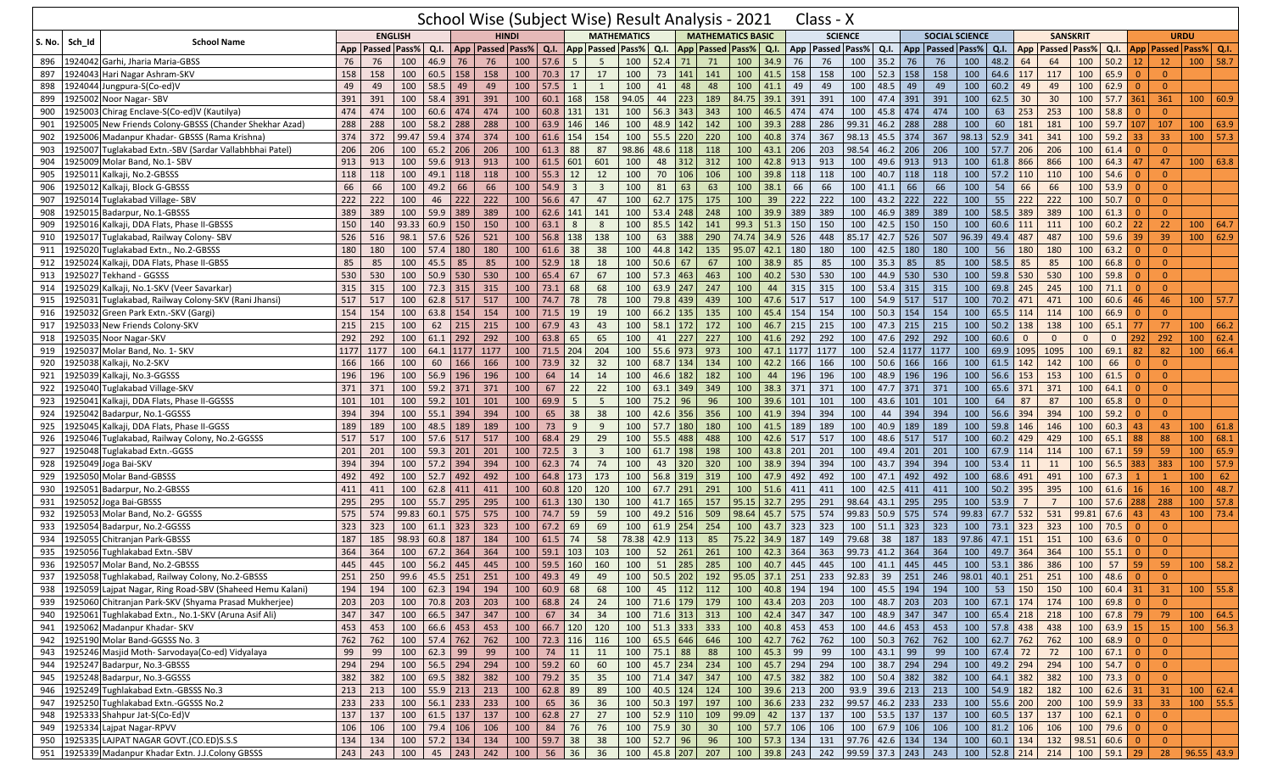|            |                                                                  | School Wise (Subject Wise) Result Analysis - 2021<br><b>ENGLISH</b><br><b>HINDI</b><br><b>School Name</b><br>Q.I.<br>App   Passed   Pass%  <br>App   Passed   Pass% |            |       |              |           |                                                 |                  |                    |                         |                |                         |            |                          |            |                             |                                |      | Class - X                                                                             |                |                                           |     |                       |            |                              |                |                 |                |                                                                                                                                                                                                                                                                                                                                                                               |                |                                  |                             |      |
|------------|------------------------------------------------------------------|---------------------------------------------------------------------------------------------------------------------------------------------------------------------|------------|-------|--------------|-----------|-------------------------------------------------|------------------|--------------------|-------------------------|----------------|-------------------------|------------|--------------------------|------------|-----------------------------|--------------------------------|------|---------------------------------------------------------------------------------------|----------------|-------------------------------------------|-----|-----------------------|------------|------------------------------|----------------|-----------------|----------------|-------------------------------------------------------------------------------------------------------------------------------------------------------------------------------------------------------------------------------------------------------------------------------------------------------------------------------------------------------------------------------|----------------|----------------------------------|-----------------------------|------|
|            |                                                                  |                                                                                                                                                                     |            |       |              |           |                                                 |                  |                    |                         |                |                         |            |                          |            | <b>MATHEMATICS BASIC</b>    |                                |      |                                                                                       | <b>SCIENCE</b> |                                           |     | <b>SOCIAL SCIENCE</b> |            |                              |                | <b>SANSKRIT</b> |                |                                                                                                                                                                                                                                                                                                                                                                               |                | <b>URDU</b>                      |                             |      |
| S. No.     | Sch_Id                                                           |                                                                                                                                                                     |            |       |              |           |                                                 |                  | Q.I.               |                         |                | <b>App Passed Pass%</b> | Q.I.       |                          |            | App   Passed   Pass%   Q.I. |                                |      | App   Passed   Pass%                                                                  |                | Q.I.                                      |     | App   Passed   Pass%  |            | $Q.I.$ App                   |                | Passed Pass%    |                | Q.I.                                                                                                                                                                                                                                                                                                                                                                          |                |                                  | App   Passed   Pass%   Q.I. |      |
| 896        | Garhi, Jharia Maria-GBSS<br>1924042                              | 76                                                                                                                                                                  | 76         | 100   | 46.9         | 76        | 76                                              | 100              | 57.6               | 5                       | 5              | 100                     | 52.4       | 71                       | 71         | 100                         | 34.9                           | 76   | 76                                                                                    | 100            | 35.2                                      | 76  | 76                    | 100        | 48.2                         | 64             | 64              | 100            | 50.2                                                                                                                                                                                                                                                                                                                                                                          | 12             | 12                               | $100$ 58.7                  |      |
| 897        | Hari Nagar Ashram-SKV<br>1924043                                 | 158                                                                                                                                                                 | 158        | 100   | 60.5         | 158       | 158                                             | 100              | 70.3               | 17                      | 17             | 100                     |            | 73 141                   | 141        | 100                         | 41.5                           | 158  | 158                                                                                   | 100            | 52.3                                      | 158 | 158                   | 100        | 64.6 117                     |                | 117             | 100            | 65.9                                                                                                                                                                                                                                                                                                                                                                          | $\Omega$       | $\mathbf{0}$                     |                             |      |
| 898        | 924044<br>Jungpura-S(Co-ed)V                                     | 49                                                                                                                                                                  | 49         | 100   | 58.5         | 49        | 49                                              | 100              | 57.5               | 1                       | 1              | 100                     | 41         | 48                       | 48         | 100                         | 41.1                           | 49   | 49                                                                                    | 100            | 48.5                                      | 49  | 49                    | 100        | 60.2                         | 49             | 49              | 100            | 62.9                                                                                                                                                                                                                                                                                                                                                                          |                | $\Omega$                         |                             |      |
| 899        | 1925002<br>Noor Nagar-SBV                                        | 391                                                                                                                                                                 | 391        | 100   | 58.4 391     |           | 391                                             | 100              | $60.1$ 168         |                         | 158            | 94.05                   | 44         | 223                      | 189        | 84.75 39.1                  |                                | 391  | 391                                                                                   | 100            | 47.4                                      | 391 | 391                   | 100        | 62.5                         | 30             | 30              | 100            | 57.7                                                                                                                                                                                                                                                                                                                                                                          | 361            | 361                              | 100                         | 60.9 |
| 900        | Chirag Enclave-S(Co-ed)V (Kautilya)<br>l925003                   | 474                                                                                                                                                                 | 474        | 100   | 60.6         | 474       | 474                                             | 100              | 60.8               | 131                     | 131            | 100                     | $56.3$ 343 |                          | 343        | 100                         | 46.5                           | 474  | 474                                                                                   | 100            | 45.8                                      | 474 | 474                   | 100        | 63                           | 253            | 253             | 100            | 58.8                                                                                                                                                                                                                                                                                                                                                                          | $\Omega$       | $\overline{0}$                   |                             |      |
| 901        | New Friends Colony-GBSSS (Chander Shekhar Azad)<br>1925005       | 288                                                                                                                                                                 | 288        | 100   | 58.2 288     |           | 288                                             | 100              | 63.9 146           |                         | 146            | 100                     | 48.9 142   |                          | 142        | 100                         | 39.3                           | 288  | 286                                                                                   | 99.31          | 46.2                                      | 288 | 288                   | 100        | 60                           | 181            | 181             | 100            | 59.7                                                                                                                                                                                                                                                                                                                                                                          | 107            | 107                              | 100   63.9                  |      |
| 902        | Madanpur Khadar- GBSSS (Rama Krishna)<br>1925006                 | 374                                                                                                                                                                 | 372        | 99.47 | 59.4 374     |           | 374                                             | 100              | 61.6               | 154                     | 154            | 100                     | $55.5$ 220 |                          | 220        | 100                         | 40.8 374                       |      | 367                                                                                   | 98.13          | 45.5                                      | 374 | 367                   | 98.13      | $52.9$ 341                   |                | 341             | 100            | 59.2                                                                                                                                                                                                                                                                                                                                                                          | 33             | 33                               | $100$ 57.3                  |      |
| 903        | Tuglakabad Extn.-SBV (Sardar Vallabhbhai Patel)<br>1925007       | 206                                                                                                                                                                 | 206        | 100   | 65.2         | 206       | 206                                             | 100              | 61.3               | 88                      | 87             | 98.86                   | 48.6 118   |                          | 118        | 100                         | 43.1                           | 206  | 203                                                                                   | 98.54          | 46.2                                      | 206 | 206                   | 100        | 57.7                         | 206            | 206             | 100            | 61.4                                                                                                                                                                                                                                                                                                                                                                          | $\Omega$       | $\Omega$                         |                             |      |
| 904        | Molar Band, No.1- SBV<br>1925009                                 | 913                                                                                                                                                                 | 913        | 100   | 59.6 913     |           | 913                                             | 100              | 61.5 601           |                         | 601            | 100                     | 48         | 312                      | 312        | 100                         | 42.8                           | 913  | 913                                                                                   | 100            | 49.6                                      | 913 | 913                   | 100        | 61.8 866                     |                | 866             | 100            | 64.3                                                                                                                                                                                                                                                                                                                                                                          | 47             | 47                               | $100$ 63.8                  |      |
| 905        | Kalkaji, No.2-GBSSS<br>1925011                                   | 118                                                                                                                                                                 | 118        | 100   | 49.1 118     |           | 118                                             | 100              | 55.3               | 12                      | 12             | 100                     | 70         | 106                      | 106        | 100                         | 39.8 118                       |      | 118                                                                                   | 100            | 40.7                                      | 118 | 118                   | 100        | $57.2$ 110                   |                | 110             | 100            | 54.6                                                                                                                                                                                                                                                                                                                                                                          | $\Omega$       | $\mathbf{0}$                     |                             |      |
| 906        | Kalkaji, Block G-GBSSS<br>1925012                                | 66                                                                                                                                                                  | 66         | 100   | 49.2         | 66        | 66                                              | 100              | 54.9               | $\overline{\mathbf{3}}$ | $\overline{3}$ | 100                     | 81         | 63                       | 63         | 100                         | 38.1                           | 66   | 66                                                                                    | 100            | 41.1                                      | 66  | 66                    | 100        | 54                           | 66             | 66              | 100            | 53.9                                                                                                                                                                                                                                                                                                                                                                          | $\Omega$       | $\overline{0}$                   |                             |      |
| 907        | Tuglakabad Village- SBV<br>1925014                               | 222                                                                                                                                                                 | 222        | 100   | 46           | 222       | 222                                             | 100              | 56.6               | 47                      | 47             | 100                     | $62.7$ 175 |                          | 175        | 100                         | 39                             | 222  | 222                                                                                   | 100            | 43.2                                      | 222 | 222                   | 100        | 55                           | 222            | 222             | 100            | 50.7                                                                                                                                                                                                                                                                                                                                                                          | $\Omega$       | $\overline{0}$                   |                             |      |
| 908        | 1925015<br>Badarpur, No.1-GBSSS                                  | 389                                                                                                                                                                 | 389        | 100   | 59.9         | 389       | 389                                             | 100              | 62.6               | 141                     | 141            | 100                     | $53.4$ 248 |                          | 248        | 100                         | 39.9                           | 389  | 389                                                                                   | 100            | 46.9                                      | 389 | 389                   | 100        | 58.5                         | 389            | 389             | 100            | 61.3                                                                                                                                                                                                                                                                                                                                                                          | 0              | $\Omega$                         |                             |      |
| 909        | Kalkaji, DDA Flats, Phase II-GBSSS<br>192501                     | 150                                                                                                                                                                 | 140        | 93.33 | $60.9$ 150   |           | 150                                             | 100              | 63.1               | 8                       | 8              | 100                     | 85.5 142   |                          | 141        | 99.3                        | 51.3                           | 150  | 150                                                                                   | 100            | 42.5                                      | 150 | 150                   | 100        | 60.6                         | 111            | 111             | 100            | 60.2                                                                                                                                                                                                                                                                                                                                                                          | 22             | 22                               | 100   64.7                  |      |
| 910        | Tuglakabad, Railway Colony- SBV<br>1925017                       | 526                                                                                                                                                                 | 516        | 98.1  | $57.6$ 526   |           | 521                                             | 100              | 56.8               | 138                     | 138            | 100                     | 63         | 388                      | 290        | 74.74                       | 34.9                           | 526  | 448                                                                                   | 85.17          | 42.7                                      | 526 | 507                   | 96.39      | 49.4                         | 487            | 487             | 100            | 59.6                                                                                                                                                                                                                                                                                                                                                                          | 39             | 39                               | 100   62.9                  |      |
| 911        | Tuglakabad Extn., No.2-GBSSS<br>1925020                          | 180                                                                                                                                                                 | 180        | 100   | 57.4         | 180       | 180                                             | 100              | 61.6               | 38                      | 38             | 100                     | 44.8 142   |                          | 135        | 95.07                       | 42.1                           | 180  | 180                                                                                   | 100            | 42.5                                      | 180 | 180                   | 100        | 56                           | 180            | 180             | 100            | 63.2                                                                                                                                                                                                                                                                                                                                                                          |                | $\mathbf{0}$                     |                             |      |
| 912        | Kalkaji, DDA Flats, Phase II-GBSS<br>1925024                     | 85                                                                                                                                                                  | 85         | 100   | 45.5         | 85        | 85                                              | 100              | $52.9$ 18          |                         | 18             | 100                     | $50.6$ 67  |                          | 67         | 100                         | 38.9                           | 85   | 85                                                                                    | 100            | 35.3                                      | 85  | 85                    | 100        | 58.5                         | 85             | 85              | 100            | 66.8                                                                                                                                                                                                                                                                                                                                                                          | $\Omega$       | $\overline{0}$                   |                             |      |
| 913        | Tekhand - GGSSS<br>1925027                                       | 530                                                                                                                                                                 | 530        | 100   | $50.9$ 530   |           | 530                                             | 100              | $65.4$ 67          |                         | 67             | 100                     | $57.3$ 463 |                          | 463        | 100                         | 40.2                           | 530  | 530                                                                                   | 100            | 44.9                                      | 530 | 530                   | 100        | $59.8$ 530                   |                | 530             | 100            | 59.8                                                                                                                                                                                                                                                                                                                                                                          | $\Omega$       | $\Omega$                         |                             |      |
| 914        | 1925029<br>Kalkaji, No.1-SKV (Veer Savarkar                      | 315                                                                                                                                                                 | 315        | 100   | 72.3 315     |           | 315                                             | 100              | 73.1               | 68                      | 68             | 100                     | 63.9 247   |                          | 247        | 100                         | 44                             | 315  | 315                                                                                   | 100            | 53.4                                      | 315 | 315                   | 100        | 69.8 245                     |                | 245             | 100            | 71.1                                                                                                                                                                                                                                                                                                                                                                          |                | $\Omega$                         |                             |      |
| 915        | Tuglakabad, Railway Colony-SKV (Rani Jhansi)<br>1925031          | 517                                                                                                                                                                 | 517        | 100   | 62.8 517     |           | 517                                             | 100              | 74.7 78            |                         | 78             | 100                     | 79.8 439   |                          | 439        | 100                         | 47.6                           | 517  | 517                                                                                   | 100            | 54.9                                      | 517 | 517                   | 100        | 70.2 471                     |                | 471             | 100            | 60.6                                                                                                                                                                                                                                                                                                                                                                          | 46             | 46                               | $100$ 57.7                  |      |
| 916        | Green Park Extn.-SKV (Gargi)<br>1925032                          | 154                                                                                                                                                                 | 154        | 100   | 63.8         | 154       | 154                                             | 100              | 71.5               | 19                      | 19             | 100                     | $66.2$ 135 |                          | 135        | 100                         | 45.4                           | 154  | 154                                                                                   | 100            | 50.3                                      | 154 | 154                   | 100        | 65.5                         | 114            | 114             | 100            | 66.9                                                                                                                                                                                                                                                                                                                                                                          | $\Omega$       | $\Omega$                         |                             |      |
| 917        | 1925033<br>New Friends Colony-SKV                                | 215                                                                                                                                                                 | 215        | 100   | 62           | 215       | 215                                             | 100              | 67.9               | 43                      | 43             | 100                     | 58.1 172   |                          | 172        | 100                         | 46.7                           | 215  | 215                                                                                   | 100            | 47.3                                      | 215 | 215                   | 100        | $50.2$ 138                   |                | 138             | 100            | 65.1                                                                                                                                                                                                                                                                                                                                                                          | 77             | 77                               | 100   66.2                  |      |
| 918        | Noor Nagar-SKV<br>1925035                                        | 292                                                                                                                                                                 | 292        | 100   | $61.1$ 292   |           | 292                                             | 100              | 63.8 65            |                         | 65             | 100                     | 41         | 227                      | 227        | 100                         | 41.6 292                       |      | 292                                                                                   | 100            | 47.6                                      | 292 | 292                   | 100        | 60.6                         | $\mathbf{0}$   | $\mathbf{0}$    | $\mathbf{0}$   | $\mathbf{0}$                                                                                                                                                                                                                                                                                                                                                                  | 292            | 292                              | 100   62.4                  |      |
| 919        | Molar Band, No. 1- SKV<br>1925037                                | 1177                                                                                                                                                                | 1177       | 100   |              | 64.1 1177 | 1177                                            | 100              | 71.5 204           |                         | 204            | 100                     | 55.6 973   |                          | 973        | 100                         | 47.1                           | 1177 | 1177                                                                                  | 100            | 52.4 1177                                 |     | 1177                  | 100        | 69.9                         | 1095           | 1095            | 100            | 69.1                                                                                                                                                                                                                                                                                                                                                                          | 82             | 82                               | 100   66.4                  |      |
| 920        | 1925038<br>Kalkaii, No.2-SKV                                     | 166                                                                                                                                                                 | 166        | 100   | 60           | 166       | 166                                             | 100              | 73.9               | 32                      | 32             | 100                     | 68.7 134   |                          | 134        | 100                         | 42.2 166                       |      | 166                                                                                   | 100            | 50.6                                      | 166 | 166                   | 100        | $61.5$ 142                   |                | 142             | 100            | 66                                                                                                                                                                                                                                                                                                                                                                            |                | $\overline{0}$                   |                             |      |
| 921        | Kalkaji, No.3-GGSSS<br>.925039                                   | 196                                                                                                                                                                 | 196        | 100   | 56.9 196     |           | 196                                             | 100              | 64                 | 14                      | 14             | 100                     | 46.6 182   |                          | 182        | 100                         | 44                             | 196  | 196                                                                                   | 100            | 48.9                                      | 196 | 196                   | 100        | 56.6                         | 153            | 153             | 100            | 61.5                                                                                                                                                                                                                                                                                                                                                                          | $\Omega$       | $\overline{0}$                   |                             |      |
| 922        | 1925040<br>Tuglakabad Village-SKV                                | 371                                                                                                                                                                 | 371        | 100   | 59.2 371     |           | 371                                             | 100              | 67                 | 22                      | 22             | 100                     | $63.1$ 349 |                          | 349        | 100                         | 38.3                           | 371  | 371                                                                                   | 100            | 47.7                                      | 371 | 371                   | 100        | 65.6 371                     |                | 371             | 100            | 64.1                                                                                                                                                                                                                                                                                                                                                                          | $\Omega$       | $\overline{0}$                   |                             |      |
| 923        | 1925041<br>Kalkaji, DDA Flats, Phase II-GGSSS                    | 101                                                                                                                                                                 | 101        | 100   | $59.2$ 101   |           | 101                                             | 100              | 69.9               | 5                       | 5              | 100                     | 75.2 96    |                          | 96         | 100                         | 39.6                           | 101  | 101                                                                                   | 100            | 43.6                                      | 101 | 101                   | 100        | 64                           | 87             | 87              | 100            | 65.8                                                                                                                                                                                                                                                                                                                                                                          |                | $\overline{0}$                   |                             |      |
| 924        | Badarpur, No.1-GGSSS<br>1925042                                  | 394                                                                                                                                                                 | 394        | 100   | $55.1$ 394   |           | 394                                             | 100              | 65                 | 38                      | 38             | 100                     | $42.6$ 356 |                          | 356        | 100                         | 41.9 394                       |      | 394                                                                                   | 100            | 44                                        | 394 | 394                   | 100        | 56.6 394                     |                | 394             | 100            | 59.2                                                                                                                                                                                                                                                                                                                                                                          | $\Omega$       | $\Omega$                         |                             |      |
| 925        | Kalkaji, DDA Flats, Phase II-GGSS<br>1925045                     | 189                                                                                                                                                                 | 189        | 100   | 48.5         | 189       | 189                                             | 100              | 73                 | 9                       | 9              | 100                     | $57.7$ 180 |                          | 180        | 100                         | 41.5                           | 189  | 189                                                                                   | 100            | 40.9                                      | 189 | 189                   | 100        | 59.8                         | 146            | 146             | 100            | 60.3                                                                                                                                                                                                                                                                                                                                                                          | 43             | 43                               | 100   61.8                  |      |
| 926        | 1925046 Tuglakabad, Railway Colony, No.2-GGSSS                   | 517                                                                                                                                                                 | 517        | 100   | 57.6 517     |           | 517                                             | 100              | 68.4               | 29                      | 29             | 100                     | $55.5$ 488 |                          | 488        | 100                         | 42.6                           | 517  | 517                                                                                   | 100            | 48.6                                      | 517 | 517                   | 100        | 60.2                         | 429            | 429             | 100            | 65.1                                                                                                                                                                                                                                                                                                                                                                          | 88             | 88                               | 100   68.1                  |      |
| 927        | Tuglakabad Extn.-GGSS<br>1925048                                 | 201                                                                                                                                                                 | 201        | 100   | $59.3$ 201   |           | 201                                             | 100              | 72.5               | $\overline{\mathbf{3}}$ | $\overline{3}$ | 100                     | 61.7       | 198                      | 198        | 100                         | 43.8                           | 201  | 201                                                                                   | 100            | 49.4                                      | 201 | 201                   | 100        | 67.9                         | 114            | 114             | 100            | 67.1                                                                                                                                                                                                                                                                                                                                                                          | 59             | 59                               | 100   65.9                  |      |
| 928        | Joga Bai-SKV<br>1925049                                          | 394                                                                                                                                                                 | 394        | 100   | $57.2$ 394   |           | 394                                             | 100              | 62.3               | 74                      | 74             | 100                     | 43         | 320                      | 320        | 100                         | 38.9                           | 394  | 394                                                                                   | 100            | 43.7                                      | 394 | 394                   | 100        | 53.4                         | 11             | 11              | 100            | 56.5                                                                                                                                                                                                                                                                                                                                                                          | 383            | 383                              | $100$ 57.9                  |      |
| 929        | Molar Band-GBSSS<br>1925050                                      | 492                                                                                                                                                                 | 492        | 100   | $52.7$ 492   |           | 492                                             | 100              | 64.8 173           |                         | 173            | 100                     |            | 56.8 319                 | 319        | 100                         | 47.9                           | 492  | 492                                                                                   | 100            | 47.1                                      | 492 | 492                   | 100        | 68.6 491                     |                | 491             | 100            | 67.3                                                                                                                                                                                                                                                                                                                                                                          |                | $\overline{1}$                   | 100                         | 62   |
| 930        | Badarpur, No.2-GBSSS<br>.925051                                  | 411                                                                                                                                                                 | 411        | 100   | $62.8$ 411   |           | 411                                             | 100              | 60.8               | 120                     | 120            | 100                     | 67.7 291   |                          | 291        | 100                         | 51.6                           | 411  | 411                                                                                   | 100            | 42.5                                      | 411 | 411                   | 100        | $50.2$ 395                   |                | 395             | 100            | 61.6                                                                                                                                                                                                                                                                                                                                                                          | 16             | 16                               | $100$ 48.7                  |      |
| 931        | 1925052<br>Joga Bai-GBSSS                                        | 295                                                                                                                                                                 | 295        | 100   | $55.7$ 295   |           | 295                                             | 100              | 61.3 130           |                         | 130            | 100                     | $41.7$ 165 |                          | 157        |                             | $95.15$ 32.7                   | 295  | 291                                                                                   | 98.64          | 43.1                                      | 295 | 295                   | 100        | 53.9                         | $\overline{7}$ | $\overline{7}$  | 100            | 57.6                                                                                                                                                                                                                                                                                                                                                                          | 288            | 288                              | $100$ 57.8                  |      |
| 932        | Molar Band, No.2- GGSSS<br>1925053                               | 575                                                                                                                                                                 | 574        | 99.83 | 60.1 575     |           | 575                                             | 100              | 74.7 59            |                         | 59             | 100                     | 49.2 516   |                          | 509        | 98.64                       | 45.7                           | 575  | 574                                                                                   | 99.83          | 50.9                                      | 575 | 574                   | 99.83      | 67.7 532                     |                | 531             | 99.81          | 67.6                                                                                                                                                                                                                                                                                                                                                                          | 43             | 43                               | $100$ 73.4                  |      |
| 933        | 192505<br>Badarpur, No.2-GGSSS                                   | 323                                                                                                                                                                 | 323        | 100   | $61.1$ 323   |           | 323                                             | 100              | 67.2               | 69                      | 69             | 100                     | $61.9$ 254 |                          | 254        | 100                         | 43.7                           | 323  | 323                                                                                   | 100            | 51.1                                      | 323 | 323                   | 100        | 73.1 323                     |                | 323             | 100            | 70.5                                                                                                                                                                                                                                                                                                                                                                          |                | $\Omega$                         |                             |      |
| 934        | 1925055<br>Chitranjan Park-GBSSS                                 | 187                                                                                                                                                                 | 185        | 98.93 | 60.8         | 187       | 184                                             | 100              | 61.5               | 74                      | 58             | 78.38                   | $42.9$ 113 |                          | 85         |                             | 75.22 34.9 187                 |      | 149                                                                                   | 79.68          | 38                                        | 187 | 183                   | 97.86      | $47.1$ 151                   |                | 151             | 100            | 63.6                                                                                                                                                                                                                                                                                                                                                                          | $\Omega$       | $\overline{0}$                   |                             |      |
| 935        | 1925056 Tughlakabad Extn.-SBV                                    | 364                                                                                                                                                                 | 364        | 100   | 67.2         | 364       | 364                                             | 100              | 59.1               | 103                     | 103            | 100                     | 52         | 261                      | 261        | 100                         | 42.3                           | 364  | 363                                                                                   | 99.73          | 41.2                                      | 364 | 364                   | 100        | 49.7                         | 364            | 364             | 100            | 55.1                                                                                                                                                                                                                                                                                                                                                                          | $\Omega$       | $\Omega$                         |                             |      |
| 936        | 1925057 Molar Band, No.2-GBSSS                                   | 445                                                                                                                                                                 | 445        | 100   | 56.2         | 445       | 445                                             | 100              | 59.5               | 160                     | 160            | 100                     | 51         | 285                      | 285        | 100                         | 40.7                           | 445  | 445                                                                                   | 100            | 41.1                                      | 445 | 445                   | 100        | $53.1$ 386                   |                | 386             | 100            | 57                                                                                                                                                                                                                                                                                                                                                                            | 59             | 59                               | $100$ 58.2                  |      |
|            | 937 1925058 Tughlakabad, Railway Colony, No.2-GBSSS              | 251                                                                                                                                                                 |            |       |              |           | 250   99.6   45.5   251   251   100   49.3   49 |                  |                    |                         |                |                         |            |                          |            |                             |                                |      | 49 100 50.5 202 192 95.05 37.1 251 233 92.83 39 251 246 98.01 40.1 251 251 100 48.6 0 |                |                                           |     |                       |            |                              |                |                 |                |                                                                                                                                                                                                                                                                                                                                                                               |                | - 0                              |                             |      |
|            | 938   1925059 Lajpat Nagar, Ring Road-SBV (Shaheed Hemu Kalani)  | 194                                                                                                                                                                 | 194        |       |              |           | $100 \mid 62.3 \mid 194 \mid 194$               | 100   60.9   68  |                    |                         | 68             | 100                     |            | 45 112 112               |            |                             |                                |      | 100 40.8 194 194                                                                      |                | 100 45.5 194 194                          |     |                       | 100        |                              | 53 150 150     |                 | 100            | $60.4$ 31                                                                                                                                                                                                                                                                                                                                                                     |                | 31                               | $100$ 55.8                  |      |
| 939        | 1925060 Chitranjan Park-SKV (Shyama Prasad Mukherjee)            | 203                                                                                                                                                                 | 203        |       |              |           | 100 70.8 203 203                                | 100              | $68.8$ 24          |                         | 24             | 100                     |            | 71.6 179 179             |            |                             | 100 43.4 203                   |      | 203                                                                                   |                | 100 48.7 203                              |     | 203                   | 100        | 67.1 174 174                 |                |                 | 100   69.8     |                                                                                                                                                                                                                                                                                                                                                                               |                | $\overline{0}$                   |                             |      |
|            | 940 1925061 Tughlakabad Extn., No.1-SKV (Aruna Asif Ali)         | 347                                                                                                                                                                 | 347        |       |              |           | 100 66.5 347 347                                | 100              | 67 34              |                         | 34             |                         |            | 100 71.6 313 313         |            |                             | 100 42.4 347                   |      | 347                                                                                   |                | 100 48.9 347 347                          |     |                       |            | 100 65.4 218 218             |                |                 | 100 67.8 79    |                                                                                                                                                                                                                                                                                                                                                                               |                | 79                               | 100   64.5                  |      |
|            | 941 1925062 Madanpur Khadar- SKV                                 | 453                                                                                                                                                                 | 453        |       |              |           | $100 \ 66.6 \ 453 \ 453$                        | 100   66.7   120 |                    |                         | 120            |                         |            | 100 51.3 333 333         |            |                             | 100 40.8 453                   |      | 453                                                                                   |                | 100 44.6 453 453                          |     |                       |            | 100 57.8 438 438             |                |                 |                | 100 63.9 15                                                                                                                                                                                                                                                                                                                                                                   |                | 15                               | 100 56.3                    |      |
| 942        | 1925190 Molar Band-GGSSS No. 3                                   | 762                                                                                                                                                                 | 762        |       |              |           | 100 57.4 762 762                                | 100              | $72.3$ 116         |                         | 116            |                         |            | 100 65.5 646             | 646        |                             | 100 42.7 762                   |      | 762                                                                                   |                | 100 50.3 762                              |     | 762                   | 100        | $62.7$ 762                   |                | 762             | 100   68.9     |                                                                                                                                                                                                                                                                                                                                                                               |                | $\overline{0}$                   |                             |      |
| 943        | 1925246 Masjid Moth-Sarvodaya(Co-ed) Vidyalaya                   | 99                                                                                                                                                                  | 99         |       | 100 62.3 99  |           | 99                                              | 100              | $74 \quad 11$      |                         | 11             | 100 75.1 88             |            |                          | 88         |                             | 100 45.3 99                    |      | 99                                                                                    |                | $100 \mid 43.1 \mid 99 \mid$              |     | 99                    | 100        | $67.4$ 72                    |                | 72              |                | $100 \t 67.1 \t 0$                                                                                                                                                                                                                                                                                                                                                            |                | $\overline{0}$                   |                             |      |
|            | 944 1925247 Badarpur, No.3-GBSSS<br>1925248 Badarpur, No.3-GGSSS | 294                                                                                                                                                                 | 294        |       |              |           | 100 56.5 294 294                                | 100              | $59.2$ 60          |                         | 60             | 100                     |            | $45.7$ 234               | 234        |                             | 100 45.7 294<br>$100$ 47.5 382 |      | 294                                                                                   |                | 100 38.7 294 294                          |     |                       | 100        | 49.2 294 294<br>$64.1$ 382   |                |                 | 100            | $54.7 \quad 0$                                                                                                                                                                                                                                                                                                                                                                |                | $\overline{0}$                   |                             |      |
| 945        |                                                                  | 382<br>213                                                                                                                                                          | 382        |       |              |           | 100 69.5 382 382                                | 100              | 79.2 35            |                         | 35             | 100                     | 71.4 347   |                          | 347        |                             |                                |      | 382                                                                                   |                | 100 50.4 382                              |     | 382                   | 100        |                              |                | 382             | 100            |                                                                                                                                                                                                                                                                                                                                                                               | $\overline{0}$ | $\overline{0}$                   |                             |      |
| 946        | 1925249 Tughlakabad Extn.-GBSSS No.3                             | $\overline{233}$                                                                                                                                                    | 213        |       |              |           | 100 55.9 213 213<br>100 56.1 233 233            | 100              | 62.8 89            |                         | 89<br>36       | 100<br>100              |            | $40.5$ 124<br>$50.3$ 197 | 124<br>197 |                             | 100 39.6 213<br>100 36.6 233   |      | 200                                                                                   |                | $93.9$ 39.6 213 213<br>99.57 46.2 233 233 |     |                       |            | 100 54.9 182<br>55.6 200 200 |                | 182             | 100            | $62.6$ 31<br>$59.9$ 33                                                                                                                                                                                                                                                                                                                                                        |                | 31<br>33                         | 100   62.4<br>100 55.5      |      |
|            | 947 1925250 Tughlakabad Extn.-GGSSS No.2                         | 137                                                                                                                                                                 | 233<br>137 |       |              |           | 100 61.5 137 137                                | 100              | 65 36<br>$62.8$ 27 |                         |                | 100                     |            | $52.9$ 110               |            | 99.09                       |                                |      | 232                                                                                   |                | 100 53.5 137 137                          |     |                       | 100<br>100 | $60.5$ 137                   |                | 137             | 100<br>100     | $62.1$                                                                                                                                                                                                                                                                                                                                                                        |                |                                  |                             |      |
| 948<br>949 | 1925333 Shahpur Jat-S(Co-Ed)V<br>1925334 Lajpat Nagar-RPVV       | 106                                                                                                                                                                 | 106        |       | 100 79.4 106 |           | 106                                             | 100<br>100       | 84 76              |                         | 27<br>76       | 100                     | 75.9 30    |                          | 109<br>30  |                             | 42 137<br>100 57.7 106         |      | 137<br>106                                                                            |                | 100 67.9 106 106                          |     |                       |            | 100   81.2   106             |                | 106             | 100            | $\begin{array}{ c c c c c } \hline \rule{0pt}{1em} \rule{0pt}{2.5ex} \rule{0pt}{2.5ex} \rule{0pt}{2.5ex} \rule{0pt}{2.5ex} \rule{0pt}{2.5ex} \rule{0pt}{2.5ex} \rule{0pt}{2.5ex} \rule{0pt}{2.5ex} \rule{0pt}{2.5ex} \rule{0pt}{2.5ex} \rule{0pt}{2.5ex} \rule{0pt}{2.5ex} \rule{0pt}{2.5ex} \rule{0pt}{2.5ex} \rule{0pt}{2.5ex} \rule{0pt}{2.5ex} \rule{0pt}{2.5ex} \rule{0$ | $\overline{0}$ | $\overline{0}$<br>$\overline{0}$ |                             |      |
| 950        | 1925335 LAJPAT NAGAR GOVT.(CO.ED)S.S.S                           | 134                                                                                                                                                                 | 134        |       |              |           | 100   57.2   134   134                          | 100              | 59.7 38            |                         | 38             | $\boxed{100}$           | $52.7$ 96  |                          | 96         |                             | 100 57.3 134                   |      | 131                                                                                   |                | $97.76$ 42.6 134 134                      |     |                       | 100        | 60.1 134 132                 |                |                 | $98.51$ 60.6 0 |                                                                                                                                                                                                                                                                                                                                                                               |                | $\overline{0}$                   |                             |      |
|            | 951 1925339 Madanpur Khadar Extn. J.J.Colony GBSSS               | 243                                                                                                                                                                 | 243        | 100   |              | $45$ 243  | 242                                             | 100              | $56 \mid 36$       |                         | 36             | 100                     |            | 45.8 207                 | 207        |                             | 100 39.8 243                   |      | 242 99.59 37.3 243 243                                                                |                |                                           |     |                       |            | 100   52.8   214   214       |                |                 | 100 59.1 29    |                                                                                                                                                                                                                                                                                                                                                                               |                | 28                               | 96.55 43.9                  |      |
|            |                                                                  |                                                                                                                                                                     |            |       |              |           |                                                 |                  |                    |                         |                |                         |            |                          |            |                             |                                |      |                                                                                       |                |                                           |     |                       |            |                              |                |                 |                |                                                                                                                                                                                                                                                                                                                                                                               |                |                                  |                             |      |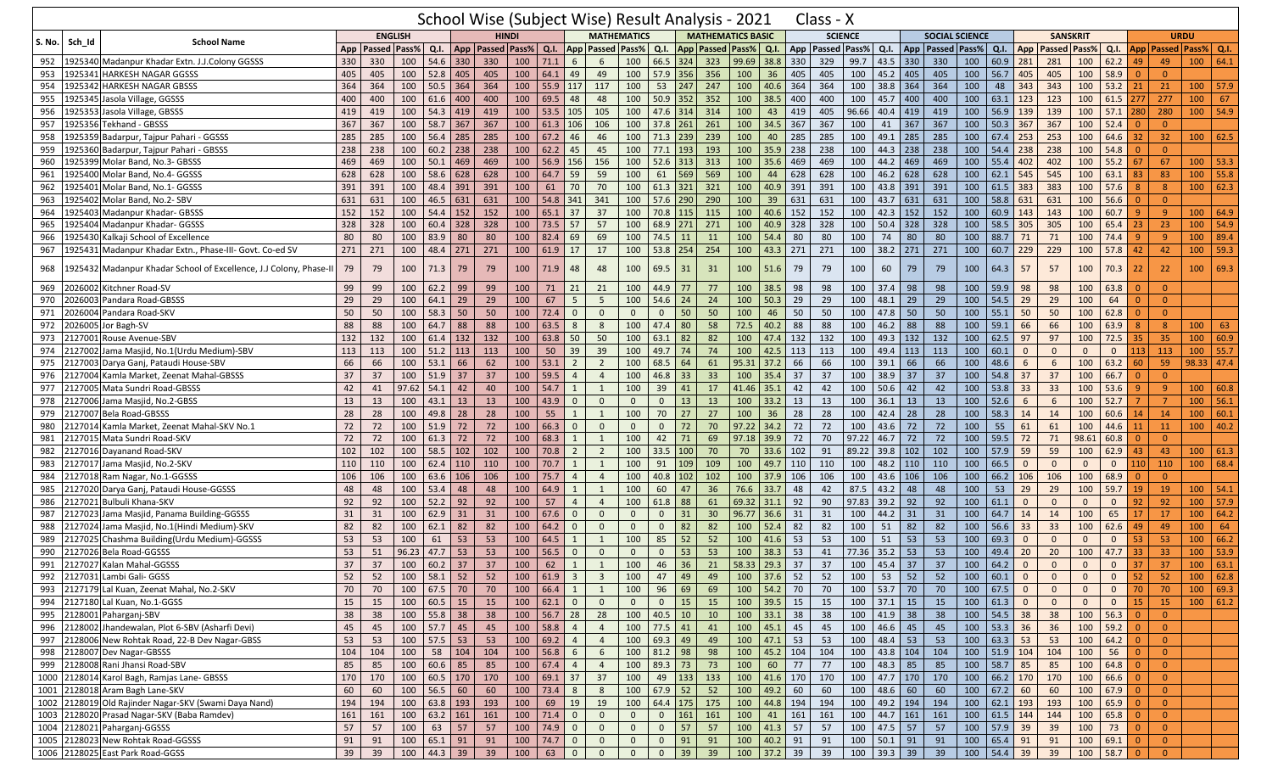|               |         |                                                                    |     |                      |                |                 |     | School Wise (Subject Wise) Result Analysis - 2021 |     |                |                |                         |                         |               |                                                        |     |                             |                         |     | Class - X            |       |                               |     |                       |     |                        |                         |                     |                |                    |                  |                |                                    |            |
|---------------|---------|--------------------------------------------------------------------|-----|----------------------|----------------|-----------------|-----|---------------------------------------------------|-----|----------------|----------------|-------------------------|-------------------------|---------------|--------------------------------------------------------|-----|-----------------------------|-------------------------|-----|----------------------|-------|-------------------------------|-----|-----------------------|-----|------------------------|-------------------------|---------------------|----------------|--------------------|------------------|----------------|------------------------------------|------------|
|               | Sch Id  | <b>School Name</b>                                                 |     |                      | <b>ENGLISH</b> |                 |     | <b>HINDI</b>                                      |     |                |                |                         | <b>MATHEMATICS</b>      |               |                                                        |     | <b>MATHEMATICS BASIC</b>    |                         |     | <b>SCIENCE</b>       |       |                               |     | <b>SOCIAL SCIENCE</b> |     |                        |                         | <b>SANSKRIT</b>     |                |                    |                  |                | <b>URDU</b>                        |            |
| <b>S. No.</b> |         |                                                                    |     | App   Passed   Pass% |                | Q.I.            |     | App   Passed   Pass%                              |     | Q.I.           |                |                         | <b>App Passed Pass%</b> | Q.I.          |                                                        |     | App   Passed   Pass%   Q.I. |                         |     | App   Passed   Pass% |       | Q.I.                          |     | App   Passed   Pass%  |     | Q.I.                   | App                     | <b>Passed Pass%</b> |                |                    |                  |                | Q.I.   App   Passed   Pass%   Q.I. |            |
| 952           |         | 1925340 Madanpur Khadar Extn. J.J.Colony GGSSS                     | 330 | 330                  | 100            | 54.6            | 330 | 330                                               | 100 | 71.1           | 6              | 6                       | 100                     | 66.5          | 324                                                    | 323 | 99.69 38.8                  |                         | 330 | 329                  | 99.7  | 43.5                          | 330 | 330                   | 100 | 60.9                   | 281                     | 281                 | 100            | $62.2$ 49          |                  | 49             | 100                                | 64.1       |
| 953           |         | 1925341 HARKESH NAGAR GGSSS                                        | 405 | 405                  | 100            | 52.8            | 405 | 405                                               | 100 | 64.1           | 49             | 49                      | 100                     | 57.9 356      |                                                        | 356 | 100                         | 36                      | 405 | 405                  | 100   | 45.2                          | 405 | 405                   | 100 | 56.7                   | 405                     | 405                 | 100            | 58.9               | $\overline{0}$   | $\overline{0}$ |                                    |            |
| 954           | 1925342 | <b>HARKESH NAGAR GBSSS</b>                                         | 364 | 364                  | 100            | 50.5            | 364 | 364                                               | 100 | 55.9           | 117            | 117                     | 100                     | 53            | 247                                                    | 247 | 100                         | 40.6                    | 364 | 364                  | 100   | 38.8                          | 364 | 364                   | 100 | 48                     | 343                     | 343                 | 100            | 53.2               | 21               | 21             | 100                                | 57.9       |
| 955           |         | 1925345 Jasola Village, GGSSS                                      | 400 | 400                  | 100            | 61.6            | 400 | 400                                               | 100 | 69.5           | 48             | 48                      | 100                     | 50.9          | 352                                                    | 352 | 100                         | 38.5                    | 400 | 400                  | 100   | 45.7                          | 400 | 400                   | 100 | 63.1                   | 123                     | 123                 | 100            | $61.5$ 277         |                  | 277            | 100                                | 67         |
| 956           | 1925353 | Jasola Village, GBSSS                                              | 419 | 419                  | 100            | 54.3            | 419 | 419                                               | 100 | 53.5           | 105            | 105                     | 100                     | 47.6 314      |                                                        | 314 | 100                         | 43                      | 419 | 405                  | 96.66 | 40.4                          | 419 | 419                   | 100 | 56.9                   | 139                     | 139                 | 100            | $57.1$ 280         |                  | 280            | 100                                | 54.9       |
| 957           |         | 1925356 Tekhand - GBSSS                                            | 367 | 367                  | 100            | 58.7            | 367 | 367                                               | 100 | 61.3           | 106            | 106                     | 100                     | 37.8          | 261                                                    | 261 | 100                         | 34.5                    | 367 | 367                  | 100   | 41                            | 367 | 367                   | 100 | 50.3                   | 367                     | 367                 | 100            | 52.4               |                  | $\Omega$       |                                    |            |
| 958           |         | 1925359 Badarpur, Tajpur Pahari - GGSSS                            | 285 | 285                  | 100            | 56.4            | 285 | 285                                               | 100 | 67.2           | 46             | 46                      | 100                     | 71.3          | 239                                                    | 239 | 100                         | 40                      | 285 | 285                  | 100   | 49.1                          | 285 | 285                   | 100 | 67.4                   | 253                     | 253                 | 100            | 64.6               | 32               | 32             | 100                                | 62.5       |
| 959           |         | 1925360 Badarpur, Tajpur Pahari - GBSSS                            | 238 | 238                  | 100            | 60.2            | 238 | 238                                               | 100 | 62.2           | 45             | 45                      | 100                     | 77.1          | 193                                                    | 193 | 100                         | 35.9                    | 238 | 238                  | 100   | 44.3                          | 238 | 238                   | 100 | 54.4                   | 238                     | 238                 | 100            | 54.8               | $\Omega$         | $\overline{0}$ |                                    |            |
| 960           |         | 1925399 Molar Band, No.3- GBSSS                                    | 469 | 469                  | 100            | 50.1            | 469 | 469                                               | 100 | 56.9           | 156            | 156                     | 100                     | 52.6          | 313                                                    | 313 | 100                         | 35.6                    | 469 | 469                  | 100   | 44.2                          | 469 | 469                   | 100 | 55.4                   | 402                     | 402                 | 100            | 55.2               | 67               | 67             | 100                                | 53.3       |
| 961           |         | 1925400 Molar Band, No.4- GGSSS                                    | 628 | 628                  | 100            | 58.6            | 628 | 628                                               | 100 | 64.7           | 59             | 59                      | 100                     | 61            | 569                                                    | 569 | 100                         | 44                      | 628 | 628                  | 100   | 46.2                          | 628 | 628                   | 100 | 62.1                   | 545                     | 545                 | 100            | 63.1               | 83               | 83             | 100                                | 55.8       |
| 962           |         | 1925401 Molar Band, No.1- GGSSS                                    | 391 | 391                  | 100            | 48.4            | 391 | 391                                               | 100 | 61             | 70             | 70                      | 100                     | 61.3          | 321                                                    | 321 | 100                         | 40.9                    | 391 | 391                  | 100   | 43.8                          | 391 | 391                   | 100 | 61.5                   | 383                     | 383                 | 100            | 57.6               | -8               | 8              | 100                                | 62.3       |
| 963           | 1925402 | Molar Band, No.2- SBV                                              | 631 | 631                  | 100            | 46.5            | 631 | 631                                               | 100 | 54.8           | 341            | 341                     | 100                     | 57.6          | 290                                                    | 290 | 100                         | 39                      | 631 | 631                  | 100   | 43.7                          | 631 | 631                   | 100 | 58.8                   | 631                     | 631                 | 100            | 56.6               |                  | $\Omega$       |                                    |            |
| 964           | 1925403 | Madanpur Khadar- GBSSS                                             | 152 | 152                  | 100            | $54.4$ 152      |     | 152                                               | 100 | $65.1$ 37      |                | 37                      | 100                     | 70.8 115      |                                                        | 115 | 100                         | 40.6                    | 152 | 152                  | 100   | 42.3                          | 152 | 152                   | 100 | 60.9                   | 143                     | 143                 | 100            | 60.7               | -9               | $9^{\circ}$    | 100                                | 64.9       |
| 965           |         | 1925404 Madanpur Khadar- GGSSS                                     | 328 | 328                  | 100            | 60.4            | 328 | 328                                               | 100 | 73.5           | 57             | 57                      | 100                     | 68.9          | 271                                                    | 271 | 100                         | 40.9                    | 328 | 328                  | 100   | 50.4                          | 328 | 328                   | 100 | 58.5                   | 305                     | 305                 | 100            | $65.4$ 23          |                  | 23             | 100                                | 54.9       |
| 966           |         | 1925430 Kalkaji School of Excellence                               | 80  | 80                   | 100            | 83.9            | 80  | 80                                                | 100 | 82.4           | 69             | 69                      | 100                     | 74.5          | 11                                                     | 11  | 100                         | 54.4                    | 80  | 80                   | 100   | 74                            | 80  | 80                    | 100 | 88.7                   | 71                      | 71                  | 100            | 74.4               |                  | 9              | 100                                | 89.4       |
| 967           |         | 1925431 Madanpur Khadar Extn., Phase-III- Govt. Co-ed SV           | 271 | 271                  | 100            | 48.4            | 271 | 271                                               | 100 | 61.9           | 17             | 17                      | 100                     | 53.8          | 254                                                    | 254 | 100                         | 43.3                    | 271 | 271                  | 100   | 38.2                          | 271 | 271                   | 100 | 60.7                   | 229                     | 229                 | 100            | 57.8               | 42               | 42             | 100                                | 59.3       |
|               |         |                                                                    |     |                      |                |                 |     |                                                   |     |                |                |                         |                         |               |                                                        |     |                             |                         |     |                      |       |                               |     |                       |     |                        |                         |                     |                |                    |                  |                |                                    |            |
| 968           |         | 1925432 Madanpur Khadar School of Excellence, J.J Colony, Phase-II | 79  | 79                   | 100            | 71.3            | 79  | 79                                                | 100 | 71.9           | 48             | 48                      | 100                     | 69.5          | 31                                                     | 31  | 100                         | 51.6                    | 79  | 79                   | 100   | 60                            | 79  | 79                    | 100 | 64.3                   | 57                      | 57                  | 100            | 70.3               | 22               | 22             | 100                                | 69.3       |
| 969           |         | 2026002 Kitchner Road-SV                                           | 99  | 99                   | 100            | 62.2            | 99  | 99                                                | 100 | 71             | 21             | 21                      | 100                     | 44.9          | 77                                                     | 77  | 100                         | 38.5                    | 98  | 98                   | 100   | 37.4                          | 98  | 98                    | 100 | 59.9                   | 98                      | 98                  | 100            | 63.8               | $\Omega$         | $\overline{0}$ |                                    |            |
| 970           | 2026003 | Pandara Road-GBSSS                                                 | 29  | 29                   | 100            | 64.1            | 29  | 29                                                | 100 | 67             | 5              | 5                       | 100                     | $54.6$ 24     |                                                        | 24  | 100                         | 50.3                    | 29  | 29                   | 100   | 48.1                          | 29  | 29                    | 100 | 54.5                   | 29                      | 29                  | 100            | 64                 | $\Omega$         | $\overline{0}$ |                                    |            |
| 971           | 2026004 | Pandara Road-SKV                                                   | 50  | 50                   | 100            | 58.3            | 50  | 50                                                | 100 | 72.4           | $\Omega$       | $\mathbf{0}$            | $\Omega$                | $\Omega$      | 50                                                     | 50  | 100                         | 46                      | 50  | 50                   | 100   | 47.8                          | 50  | 50                    | 100 | 55.1                   | 50                      | 50                  | 100            | 62.8               | - 0              | $\overline{0}$ |                                    |            |
| 972           |         | 2026005 Jor Bagh-SV                                                | 88  | 88                   | 100            | 64.7            | 88  | 88                                                | 100 | 63.5           | 8              | 8                       | 100                     | 47.4          | 80                                                     | 58  | 72.5                        | 40.2                    | 88  | 88                   | 100   | 46.2                          | 88  | 88                    | 100 | 59.1                   | 66                      | 66                  | 100            | 63.9               | -8               | 8              | 100                                | 63         |
| 973           | 2127001 | Rouse Avenue-SBV                                                   | 132 | 132                  | 100            | 61.4            | 132 | 132                                               | 100 | 63.8           | 50             | 50                      | 100                     | 63.1          | 82                                                     | 82  | 100                         | 47.4                    | 132 | 132                  | 100   | 49.3                          | 132 | 132                   | 100 | 62.5                   | 97                      | 97                  | 100            | 72.5               | 35               | 35             | 100                                | 60.9       |
| 974           | 2127002 | Jama Masjid, No.1(Urdu Medium)-SBV                                 | 113 | 113                  | 100            | 51.2            | 113 | 113                                               | 100 | 50             | 39             | 39                      | 100                     | 49.7          | 74                                                     | 74  | 100                         | 42.5                    | 113 | 113                  | 100   | 49.4                          | 113 | 113                   | 100 | 60.1                   | $\mathbf{0}$            | $\mathbf{0}$        | $\mathbf{0}$   | $\overline{0}$     | 113              | 113            | 100                                | 55.7       |
| 975           | 2127003 | Darya Ganj, Pataudi House-SBV                                      | 66  | 66                   | 100            | 53.1            | 66  | 62                                                | 100 | 53.1           | $\overline{2}$ | $\overline{2}$          | 100                     | 68.5          | 64                                                     | 61  | 95.31                       | 37.2                    | 66  | 66                   | 100   | 39.1                          | 66  | 66                    | 100 | 48.6                   | 6                       | 6                   | 100            | $63.2$ 60          |                  | 59             | 98.33 47.4                         |            |
| 976           | 2127004 | Kamla Market, Zeenat Mahal-GBSSS                                   | 37  | 37                   | 100            | 51.9            | 37  | 37                                                | 100 | 59.5           | $\overline{4}$ | $\overline{4}$          | 100                     | 46.8          | 33                                                     | 33  | 100                         | 35.4                    | 37  | 37                   | 100   | 38.9                          | 37  | 37                    | 100 | 54.8                   | 37                      | 37                  | 100            | 66.7               | $\Omega$         | $\overline{0}$ |                                    |            |
| 977           |         | 2127005 Mata Sundri Road-GBSSS                                     | 42  | 41                   | 97.62          | 54.1            | 42  | 40                                                | 100 | 54.7           |                | 1                       | 100                     | 39            | 41                                                     | 17  | 41.46                       | 35.1                    | 42  | 42                   | 100   | 50.6                          | 42  | 42                    | 100 | 53.8                   | 33                      | 33                  | 100            | 53.6               | - C              | $\overline{9}$ | 100                                | 60.8       |
| 978           |         | 2127006 Jama Masjid, No.2-GBSS                                     | 13  | 13                   | 100            | 43.1            | 13  | 13                                                | 100 | 43.9           | $\overline{0}$ | $\mathbf 0$             | $\mathbf{0}$            | $\mathbf{0}$  | 13                                                     | 13  | 100                         | 33.2                    | 13  | 13                   | 100   | 36.1                          | 13  | 13                    | 100 | 52.6                   | 6                       | $6\overline{6}$     | 100            | 52.7               |                  | $\overline{7}$ | 100                                | 56.1       |
| 979           | 2127007 | <b>Bela Road-GBSSS</b>                                             | 28  | 28                   | 100            | 49.8            | 28  | 28                                                | 100 | 55             | -1             | 1                       | 100                     | 70            | 27                                                     | 27  | 100                         | 36                      | 28  | 28                   | 100   | 42.4                          | 28  | 28                    | 100 | 58.3                   | 14                      | 14                  | 100            | 60.6               | 14               | 14             | 100                                | 60.1       |
| 980           | 2127014 | Kamla Market, Zeenat Mahal-SKV No.1                                | 72  | 72                   | 100            | 51.9            | 72  | 72                                                | 100 | 66.3           | $\overline{0}$ | $\overline{0}$          | $\mathbf{0}$            | $\mathbf 0$   | 72                                                     | 70  | 97.22                       | 34.2                    | 72  | 72                   | 100   | 43.6                          | 72  | 72                    | 100 | 55                     | 61                      | 61                  | 100            | 44.6 11            |                  | 11             | 100                                | 40.2       |
| 981           |         | 2127015 Mata Sundri Road-SKV                                       | 72  | 72                   | 100            | 61.3            | 72  | 72                                                | 100 | 68.3           | 1              | 1                       | 100                     | 42            | 71                                                     | 69  | 97.18 39.9                  |                         | 72  | 70                   | 97.22 | 46.7                          | 72  | 72                    | 100 | 59.5                   | 72                      | 71                  | 98.61          | 60.8               | $\Omega$         | $\overline{0}$ |                                    |            |
| 982           |         | 2127016 Dayanand Road-SKV                                          | 102 | 102                  | 100            | 58.5            | 102 | 102                                               | 100 | 70.8           | $\overline{2}$ | $\overline{2}$          | 100                     | $33.5$ 100    |                                                        | 70  | 70                          | 33.6                    | 102 | 91                   | 89.22 | 39.8                          | 102 | 102                   | 100 | 57.9                   | 59                      | 59                  | 100            | 62.9               | 43               | 43             | 100                                | 61.3       |
| 983           | 2127017 | Jama Masjid, No.2-SKV                                              | 110 | 110                  | 100            | 62.4            | 110 | 110                                               | 100 | 70.7           | 1              | 1                       | 100                     | 91            | 109                                                    | 109 | 100                         | 49.7                    | 110 | 110                  | 100   | 48.2                          | 110 | 110                   | 100 | 66.5                   | $\Omega$                | $\mathbf{0}$        | $\mathbf{0}$   | $\mathbf{0}$       | 110              | 110            | 100                                | 68.4       |
| 984           |         | 2127018 Ram Nagar, No.1-GGSSS                                      | 106 | 106                  | 100            | 63.6            | 106 | 106                                               | 100 | 75.7           | $\overline{4}$ | $\overline{4}$          | 100                     | 40.8          | 102                                                    | 102 | 100                         | 37.9                    | 106 | 106                  | 100   | 43.6                          | 106 | 106                   | 100 | 66.2                   | 106                     | 106                 | 100            | 68.9               | $\Omega$         | $\overline{0}$ |                                    |            |
| 985           |         | 2127020 Darya Ganj, Pataudi House-GGSSS                            | 48  | 48                   | 100            | 53.4            | 48  | 48                                                | 100 | 64.9           | -1             | $\mathbf{1}$            | 100                     | 60            | 47                                                     | 36  | 76.6                        | 33.7                    | 48  | 42                   | 87.5  | 43.2                          | 48  | 48                    | 100 | 53                     | 29                      | 29                  | 100            | $59.7$ 19          |                  | 19             | 100                                | 54.1       |
| 986           |         | 2127021 Bulbuli Khana-SKV                                          | 92  | 92                   | 100            | 52.2            | 92  | 92                                                | 100 | 57             | $\overline{4}$ | $\overline{4}$          | 100                     | 61.8          | 88                                                     | 61  |                             | 69.32 31.1              | 92  | 90                   | 97.83 | 39.2                          | 92  | 92                    | 100 | 61.1                   | $\mathbf{0}$            | $\mathbf{0}$        | $\mathbf{0}$   | $\overline{0}$     | 92               | 92             | 100                                | 57.9       |
| 987           |         | 2127023 Jama Masjid, Panama Building-GGSSS                         | 31  | 31                   | 100            | 62.9            | 31  | 31                                                | 100 | 67.6           | $\mathbf{0}$   | $\mathbf 0$             | $\mathbf{0}$            | $\mathbf{0}$  | 31                                                     | 30  | 96.77 36.6                  |                         | 31  | 31                   | 100   | 44.2                          | 31  | 31                    | 100 | 64.7                   | 14                      | 14                  | 100            | 65                 | 17               | 17             | 100                                | 64.2       |
| 988           |         | 2127024 Jama Masjid, No.1(Hindi Medium)-SKV                        | 82  | 82                   | 100            | 62.1            | 82  | 82                                                | 100 | 64.2           | $\mathbf{0}$   | $\mathbf 0$             | $\mathbf{0}$            | $\mathbf{0}$  | 82                                                     | 82  | 100                         | 52.4                    | 82  | 82                   | 100   | 51                            | 82  | 82                    | 100 | 56.6                   | 33                      | 33                  | 100            | $62.6$ 49          |                  | 49             | 100                                | 64         |
| 989           |         | 2127025 Chashma Building(Urdu Medium)-GGSSS                        | 53  | 53                   | 100            | 61              | 53  | 53                                                | 100 | 64.5           | $\mathbf{1}$   | 1                       | 100                     | 85            | 52                                                     | 52  | 100                         | 41.6                    | 53  | 53                   | 100   | 51                            | 53  | 53                    | 100 | 69.3                   | $\mathbf{0}$            | $\mathbf{0}$        | $\mathbf{0}$   | $\overline{0}$     | 53               | 53             | 100                                | 66.2       |
| 990           |         | 2127026 Bela Road-GGSSS                                            | 53  | 51                   | 96.23          | 47.7            | 53  | 53                                                | 100 | 56.5           | $\Omega$       | $\mathbf 0$             | $\mathbf{0}$            | $\mathbf{0}$  | 53                                                     | 53  | 100                         | 38.3                    | 53  | 41                   | 77.36 | 35.2                          | 53  | 53                    | 100 | 49.4                   | 20                      | 20                  | 100            | 47.7               | 33               | 33             | 100                                | 53.9       |
| 991           |         | 2127027 Kalan Mahal-GGSSS                                          | 37  | 37                   | 100            | 60.2            | 37  | 37                                                | 100 | 62             |                | 1                       | 100                     | 46            | 36                                                     | 21  | 58.33                       | 29.3                    | 37  | 37                   | 100   | 45.4                          | 37  | 37                    | 100 | 64.2                   | $\Omega$                | $\Omega$            | $\Omega$       | $\overline{0}$     | 37               | 37             | 100                                | 63.1       |
|               |         | 992 2127031 Lambi Gali- GGSS                                       | 52  | 52                   |                | 100   58.1   52 |     | 52                                                |     | 100   61.9   3 |                | $\overline{\mathbf{3}}$ | 100                     |               | 47   49                                                | 49  |                             | $100$   37.6   52       |     | 52   100   53   52   |       |                               |     | - 52                  |     | $100 \mid 60.1 \mid 0$ |                         | $\mathbf{0}$        | $\mathbf{0}$   | $\mathbf{0}$       | $\vert 52 \vert$ | 52             |                                    | 100   62.8 |
|               |         | 993 2127179 Lal Kuan, Zeenat Mahal, No.2-SKV                       | 70  | 70                   | 100            | $67.5$ 70       |     | 70                                                |     | 100   66.4   1 |                | $\overline{1}$          | 100                     |               | 96   69                                                | 69  |                             | 100 54.2 70             |     | 70                   |       | 100 53.7 70                   |     | 70                    | 100 | 67.5                   | $\overline{0}$          | $\mathbf{0}$        | $\mathbf{0}$   |                    | $0 \mid 70$      | 70             |                                    | 100   69.3 |
|               |         | 994 2127180 Lal Kuan, No.1-GGSS                                    | 15  | 15                   | 100            | $60.5$ 15       |     | 15                                                |     | 100   62.1     | $\overline{0}$ | $\overline{0}$          | $\overline{0}$          | $\mathbf{0}$  | 15                                                     | 15  |                             | 100 39.5 15             |     | 15                   | 100   | $37.1$ 15                     |     | 15                    | 100 | 61.3                   | $\overline{\mathbf{0}}$ | $\mathbf{0}$        | $\overline{0}$ | 0 <sup>1</sup>     | <b>15</b>        | 15             |                                    | 100   61.2 |
|               |         | 995 2128001 Paharganj-SBV                                          | 38  | 38                   |                | 100 55.8 38     |     | 38                                                |     | 100 56.7 28    |                | 28                      | 100                     | $40.5$ 10     |                                                        | 10  |                             | $100$ 33.1 38           |     | 38                   |       | 100 41.9 38                   |     | 38                    | 100 | $54.5$ 38              |                         | 38                  | 100            | $56.3$ 0           |                  | $\overline{0}$ |                                    |            |
| 996           |         | 2128002 Jhandewalan, Plot 6-SBV (Asharfi Devi)                     | 45  | 45                   |                | $100$ 57.7 45   |     | 45                                                |     | $100$ 58.8     | $\overline{4}$ | $\overline{4}$          |                         | $100$ 77.5 41 |                                                        | 41  |                             | 100 45.1 45             |     | 45                   |       | 100 46.6 45                   |     | 45                    | 100 | 53.3 36                |                         | 36                  | $\boxed{100}$  | $59.2$ 0           |                  | $\overline{0}$ |                                    |            |
| 997           |         | 2128006 New Rohtak Road, 22-B Dev Nagar-GBSS                       | 53  | 53                   |                | 100 57.5 53     |     | 53                                                | 100 | 69.2           | $\overline{4}$ | $\overline{4}$          | 100                     | 69.3 49       |                                                        | 49  |                             | $100$ 47.1 53           |     | 53                   |       | 100 48.4 53                   |     | 53                    | 100 | 63.3 53                |                         | 53                  | 100            | $64.2$ 0           |                  | $\overline{0}$ |                                    |            |
|               |         | 998 2128007 Dev Nagar-GBSSS                                        | 104 | 104                  | 100            | 58 104          |     | 104                                               | 100 | $56.8$         | 6              | 6                       | 100                     | 81.2 98       |                                                        | 98  |                             | 100 45.2 104            |     | 104                  |       | 100 43.8 104                  |     | 104                   | 100 | $51.9$ 104             |                         | 104                 | 100            | $56$ 0             |                  | $\overline{0}$ |                                    |            |
|               |         | 999 2128008 Rani Jhansi Road-SBV                                   | 85  | 85                   | 100            | $60.6$ 85       |     | 85                                                |     | 100   67.4     | $\overline{4}$ | $\overline{4}$          | 100                     | 89.3 73       |                                                        | 73  | 100                         | 60                      | 77  | 77                   | 100   | $48.3$ 85                     |     | 85                    | 100 | $58.7$ 85              |                         | 85                  | 100            | $64.8$ 0           |                  | $\overline{0}$ |                                    |            |
|               |         | 1000 2128014 Karol Bagh, Ramjas Lane- GBSSS                        | 170 | 170                  |                | 100 60.5 170    |     | 170                                               |     | 100 69.1 37    |                | 37                      | 100                     |               | 49 133                                                 | 133 |                             | 100 41.6 170            |     | 170                  |       | 100 47.7 170                  |     | 170                   |     | 100 66.2 170           |                         | 170                 | 100            | $66.6$ 0           |                  | $\overline{0}$ |                                    |            |
|               |         | 1001 2128018 Aram Bagh Lane-SKV                                    | 60  | 60                   | 100            | $56.5$ 60       |     | 60                                                | 100 |                |                | 8                       | 100                     | $67.9$ 52     |                                                        | 52  |                             | 100   49.2   60         |     | 60                   |       | 100 48.6 60                   |     | 60                    | 100 | $67.2$ 60              |                         | 60                  | 100            | $67.9$ 0           |                  | $\overline{0}$ |                                    |            |
|               |         | 1002 2128019 Old Rajinder Nagar-SKV (Swami Daya Nand)              | 194 | 194                  | 100            | 63.8 193        |     | 193                                               | 100 | 69 19          |                | 19                      | 100                     |               | 64.4 175 175                                           |     |                             | 100 44.8 194            |     | 194                  |       | 100 49.2 194                  |     | 194                   | 100 | $62.1$ 193             |                         | 193                 | 100            | $65.9$ 0           |                  | $\overline{0}$ |                                    |            |
|               |         | 1003 2128020 Prasad Nagar-SKV (Baba Ramdev)                        | 161 | 161                  | 100            | $63.2$ 161      |     | 161                                               | 100 | $71.4$         | $\overline{0}$ | $\mathbf 0$             | $\mathbf 0$             | $\mathbf{0}$  | 161                                                    | 161 | 100                         | 41                      | 161 | 161                  |       | $100 \mid 44.7 \mid 161 \mid$ |     | 161                   | 100 | $61.5$ 144             |                         | 144                 | 100            | 65.8 0             |                  | $\overline{0}$ |                                    |            |
|               |         | 1004 2128021 Paharganj-GGSSS                                       | 57  | 57                   | 100            | $63 \mid 57$    |     | 57                                                | 100 |                |                | $\overline{0}$          | $\overline{0}$          | $\mathbf{0}$  | 57                                                     | 57  |                             | $100 \mid 41.3 \mid 57$ |     | 57                   |       | 100 47.5 57                   |     | 57                    |     | 100 57.9 39            |                         | 39                  | 100            | $73$ 0             |                  | $\overline{0}$ |                                    |            |
|               |         | 1005 2128023 New Rohtak Road-GGSSS                                 | 91  | 91                   | 100            | 65.1 91         |     | 91                                                | 100 | $74.7$   0     |                | $\overline{0}$          | $\mathbf{0}$            | $\mathbf{0}$  | 91                                                     | 91  |                             | 100 40.2 91             |     | 91                   |       | 100 50.1 91                   |     | 91                    | 100 | 65.4 91                |                         | 91                  | 100            | $69.1$ 0           |                  | $\overline{0}$ |                                    |            |
|               |         | 1006 2128025 East Park Road-GGSS                                   | 39  | 39                   |                | 100 44.3 39     |     | 39                                                | 100 | $63 \mid 0$    |                | $\mathbf 0$             | $\mathbf 0$             | $\mathbf{0}$  | $\begin{array}{ c c } \hline 39 \\ \hline \end{array}$ | 39  |                             | 100 37.2 39             |     | 39                   |       | 100 39.3 39                   |     | 39                    |     | 100 54.4 39            |                         | 39                  |                | $100 \t 58.7 \t 0$ |                  | $\overline{0}$ |                                    |            |